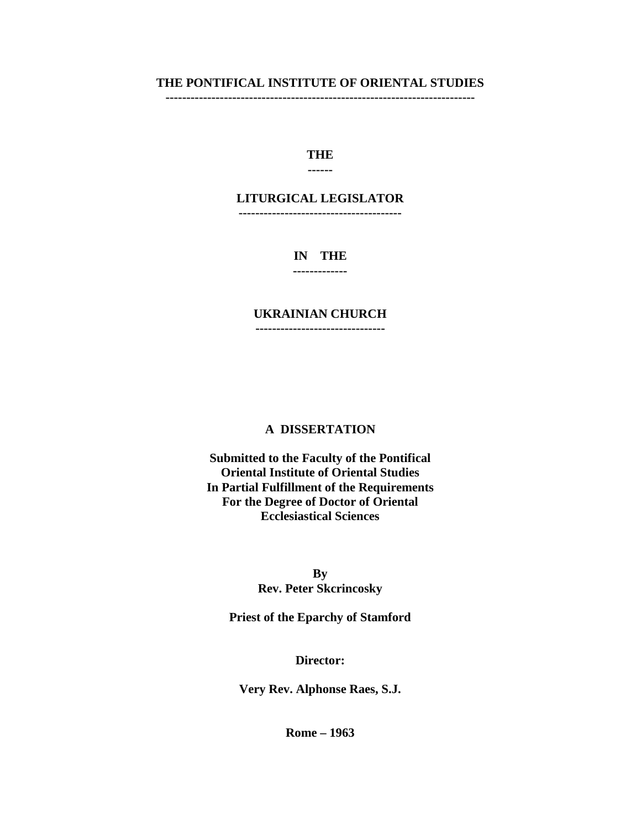#### **THE PONTIFICAL INSTITUTE OF ORIENTAL STUDIES --------------------------------------------------------------------------**

# **THE**

### **------**

## **LITURGICAL LEGISLATOR**

**---------------------------------------**

# **IN THE**

**-------------**

# **UKRAINIAN CHURCH**

**-------------------------------**

### **A DISSERTATION**

**Submitted to the Faculty of the Pontifical Oriental Institute of Oriental Studies In Partial Fulfillment of the Requirements For the Degree of Doctor of Oriental Ecclesiastical Sciences**

> **By Rev. Peter Skcrincosky**

**Priest of the Eparchy of Stamford**

### **Director:**

**Very Rev. Alphonse Raes, S.J.**

**Rome – 1963**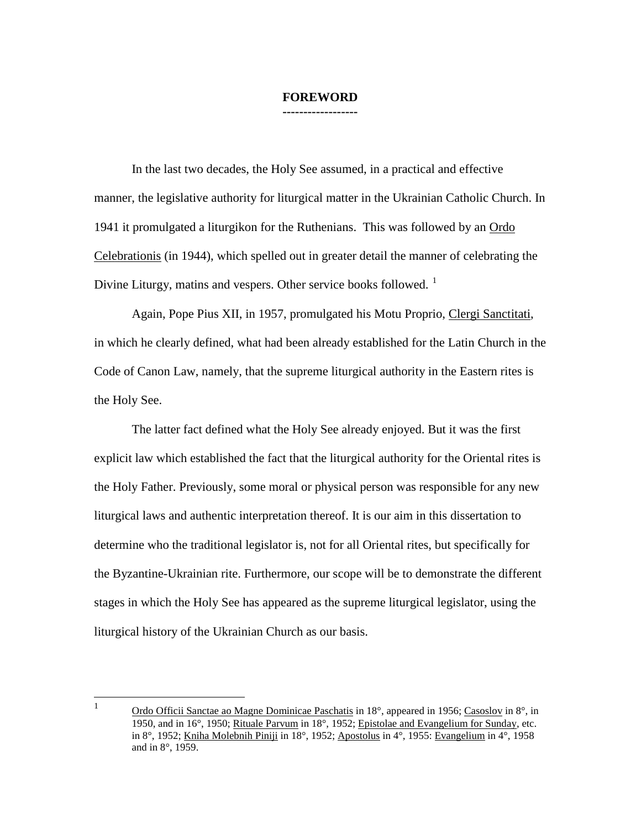#### **FOREWORD ------------------**

In the last two decades, the Holy See assumed, in a practical and effective manner, the legislative authority for liturgical matter in the Ukrainian Catholic Church. In 1941 it promulgated a liturgikon for the Ruthenians. This was followed by an Ordo Celebrationis (in 1944), which spelled out in greater detail the manner of celebrating the Divine Liturgy, matins and vespers. Other service books followed.  $\frac{1}{1}$  $\frac{1}{1}$  $\frac{1}{1}$ 

Again, Pope Pius XII, in 1957, promulgated his Motu Proprio, Clergi Sanctitati, in which he clearly defined, what had been already established for the Latin Church in the Code of Canon Law, namely, that the supreme liturgical authority in the Eastern rites is the Holy See.

The latter fact defined what the Holy See already enjoyed. But it was the first explicit law which established the fact that the liturgical authority for the Oriental rites is the Holy Father. Previously, some moral or physical person was responsible for any new liturgical laws and authentic interpretation thereof. It is our aim in this dissertation to determine who the traditional legislator is, not for all Oriental rites, but specifically for the Byzantine-Ukrainian rite. Furthermore, our scope will be to demonstrate the different stages in which the Holy See has appeared as the supreme liturgical legislator, using the liturgical history of the Ukrainian Church as our basis.

<span id="page-1-0"></span><sup>&</sup>lt;sup>1</sup> Ordo Officii Sanctae ao Magne Dominicae Paschatis in 18 $^{\circ}$ , appeared in 1956; Casoslov in 8 $^{\circ}$ , in 1950, and in 16°, 1950; Rituale Parvum in 18°, 1952; Epistolae and Evangelium for Sunday, etc. in 8°, 1952; Kniha Molebnih Piniji in 18°, 1952; Apostolus in 4°, 1955: Evangelium in 4°, 1958 and in 8°, 1959.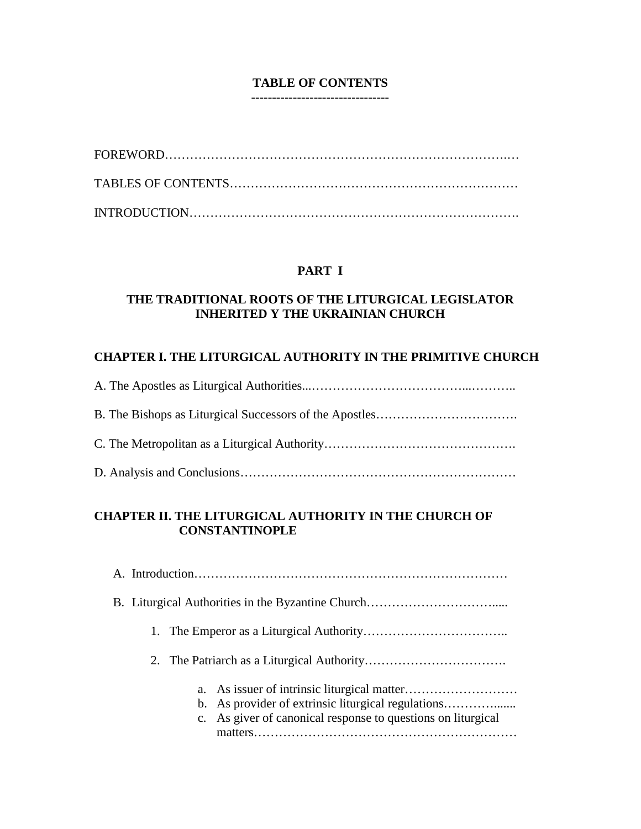### **TABLE OF CONTENTS ---------------------------------**

# **PART I**

# **THE TRADITIONAL ROOTS OF THE LITURGICAL LEGISLATOR INHERITED Y THE UKRAINIAN CHURCH**

# **CHAPTER I. THE LITURGICAL AUTHORITY IN THE PRIMITIVE CHURCH**

# **CHAPTER II. THE LITURGICAL AUTHORITY IN THE CHURCH OF CONSTANTINOPLE**

|  | b. As provider of extrinsic liturgical regulations<br>c. As giver of canonical response to questions on liturgical |
|--|--------------------------------------------------------------------------------------------------------------------|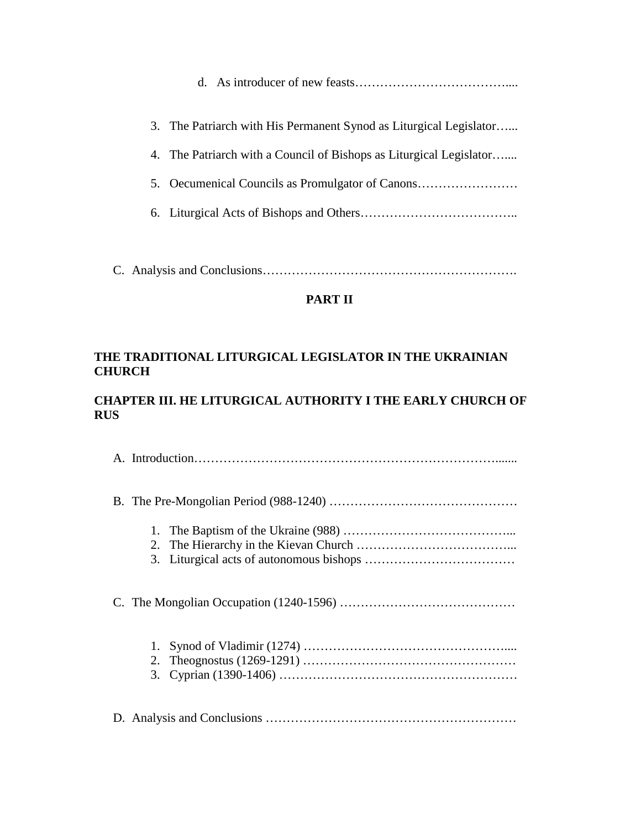d. As introducer of new feasts………………………………....

| 3. The Patriarch with His Permanent Synod as Liturgical Legislator  |
|---------------------------------------------------------------------|
| 4. The Patriarch with a Council of Bishops as Liturgical Legislator |
| 5. Oecumenical Councils as Promulgator of Canons                    |
|                                                                     |

C. Analysis and Conclusions…………………………………………………….

# **PART II**

# **THE TRADITIONAL LITURGICAL LEGISLATOR IN THE UKRAINIAN CHURCH**

# **CHAPTER III. HE LITURGICAL AUTHORITY I THE EARLY CHURCH OF RUS**

| 1.<br>2. |  |  |
|----------|--|--|
|          |  |  |
| 1.       |  |  |
|          |  |  |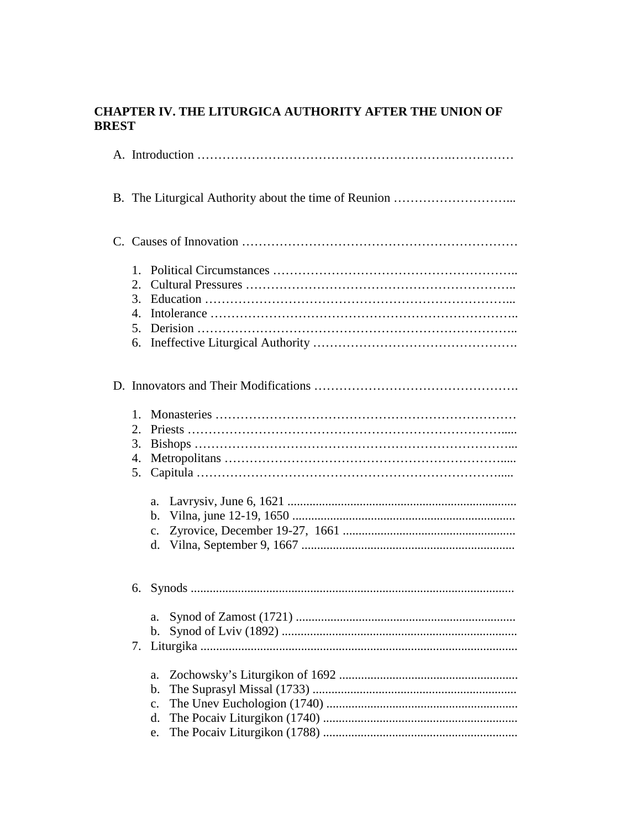# CHAPTER IV. THE LITURGICA AUTHORITY AFTER THE UNION OF **BREST**

|    | $1_{-}$<br>2.<br>3.<br>$\mathbf{4}$<br>5.<br>6. |                            |  |
|----|-------------------------------------------------|----------------------------|--|
|    |                                                 |                            |  |
|    | $1_{-}$<br>2.<br>3.<br>4.<br>5.                 | a.<br>b.<br>$\mathbf{c}$ . |  |
| 6. |                                                 |                            |  |
|    | 7.                                              | b.<br>a.                   |  |
|    |                                                 | b.                         |  |
|    |                                                 | c.                         |  |
|    |                                                 | d.                         |  |
|    |                                                 | e.                         |  |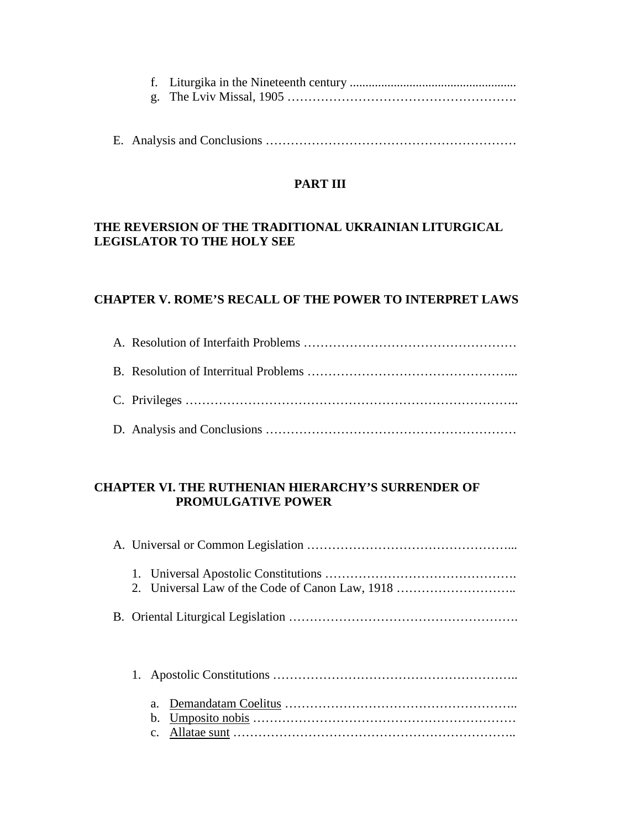E. Analysis and Conclusions ……………………………………………………

# **PART III**

# **THE REVERSION OF THE TRADITIONAL UKRAINIAN LITURGICAL LEGISLATOR TO THE HOLY SEE**

# **CHAPTER V. ROME'S RECALL OF THE POWER TO INTERPRET LAWS**

# **CHAPTER VI. THE RUTHENIAN HIERARCHY'S SURRENDER OF PROMULGATIVE POWER**

| 2. Universal Law of the Code of Canon Law, 1918 |
|-------------------------------------------------|
|                                                 |
|                                                 |
|                                                 |
|                                                 |
| a.                                              |
| b.                                              |
|                                                 |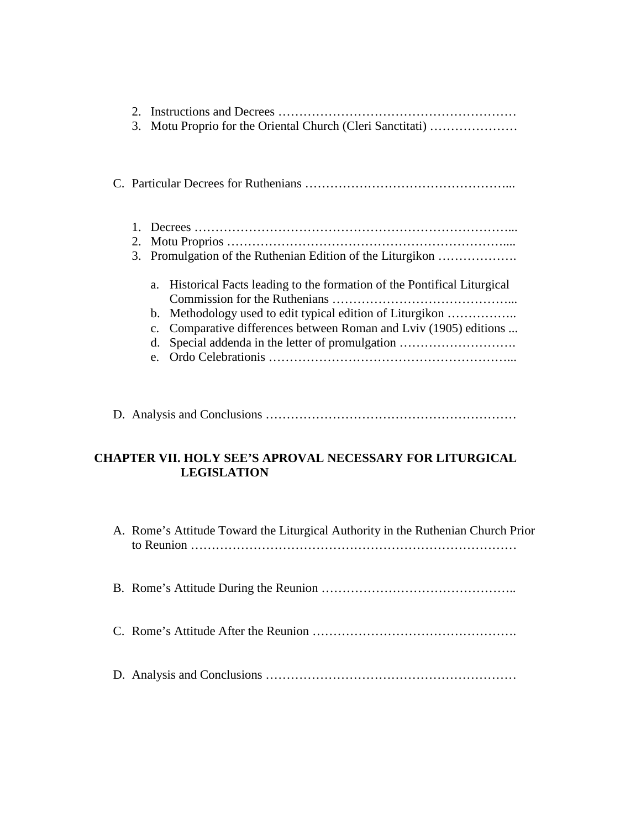| 3. |                                                | Motu Proprio for the Oriental Church (Cleri Sanctitati)                                                                                                                                                                                             |
|----|------------------------------------------------|-----------------------------------------------------------------------------------------------------------------------------------------------------------------------------------------------------------------------------------------------------|
|    |                                                |                                                                                                                                                                                                                                                     |
| 2. |                                                | 3. Promulgation of the Ruthenian Edition of the Liturgikon                                                                                                                                                                                          |
|    | a.<br>b.<br>$C_{\bullet}$<br>d.<br>$e_{\cdot}$ | Historical Facts leading to the formation of the Pontifical Liturgical<br>Methodology used to edit typical edition of Liturgikon<br>Comparative differences between Roman and Lviv (1905) editions<br>Special addenda in the letter of promulgation |

D. Analysis and Conclusions ……………………………………………………

# **CHAPTER VII. HOLY SEE'S APROVAL NECESSARY FOR LITURGICAL LEGISLATION**

A. Rome's Attitude Toward the Liturgical Authority in the Ruthenian Church Prior to Reunion ……………………………………………………………………

B. Rome's Attitude During the Reunion ………………………………………..

- C. Rome's Attitude After the Reunion ………………………………………….
- D. Analysis and Conclusions ……………………………………………………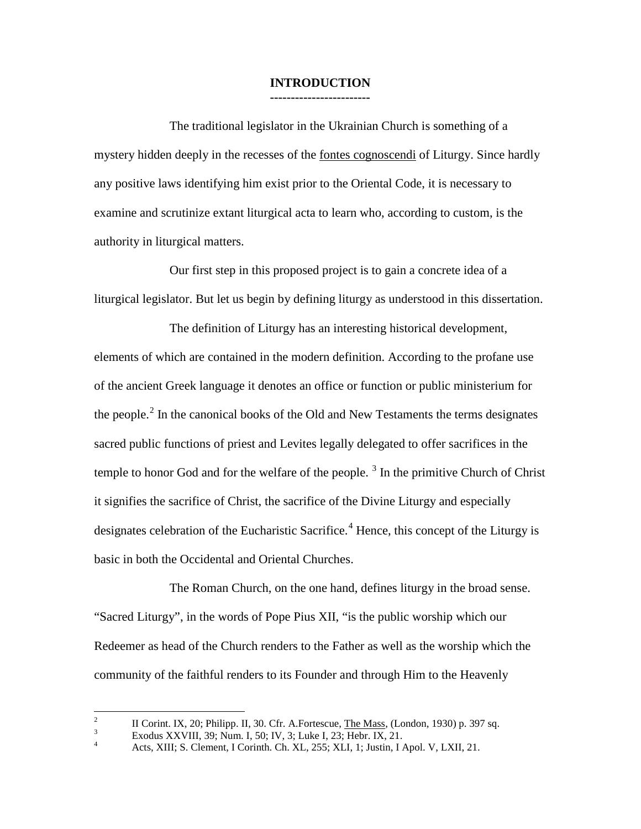### **INTRODUCTION ------------------------**

The traditional legislator in the Ukrainian Church is something of a mystery hidden deeply in the recesses of the fontes cognoscendi of Liturgy. Since hardly any positive laws identifying him exist prior to the Oriental Code, it is necessary to examine and scrutinize extant liturgical acta to learn who, according to custom, is the authority in liturgical matters.

Our first step in this proposed project is to gain a concrete idea of a liturgical legislator. But let us begin by defining liturgy as understood in this dissertation.

The definition of Liturgy has an interesting historical development, elements of which are contained in the modern definition. According to the profane use of the ancient Greek language it denotes an office or function or public ministerium for the people. $<sup>2</sup>$  $<sup>2</sup>$  $<sup>2</sup>$  In the canonical books of the Old and New Testaments the terms designates</sup> sacred public functions of priest and Levites legally delegated to offer sacrifices in the temple to honor God and for the welfare of the people.<sup>[3](#page-8-1)</sup> In the primitive Church of Christ it signifies the sacrifice of Christ, the sacrifice of the Divine Liturgy and especially designates celebration of the Eucharistic Sacrifice.<sup>[4](#page-8-2)</sup> Hence, this concept of the Liturgy is basic in both the Occidental and Oriental Churches.

The Roman Church, on the one hand, defines liturgy in the broad sense. "Sacred Liturgy", in the words of Pope Pius XII, "is the public worship which our Redeemer as head of the Church renders to the Father as well as the worship which the community of the faithful renders to its Founder and through Him to the Heavenly

<span id="page-8-0"></span><sup>&</sup>lt;sup>2</sup><br>II Corint. IX, 20; Philipp. II, 30. Cfr. A.Fortescue, <u>The Mass</u>, (London, 1930) p. 397 sq.<br>Exodus XXVIII, 39; Num. I, 50; IV, 3; Luke I, 23; Hebr. IX, 21.<br>Acts, XIII; S. Clement, I Corinth. Ch. XL, 255; XLI, 1; Justin

<span id="page-8-2"></span><span id="page-8-1"></span>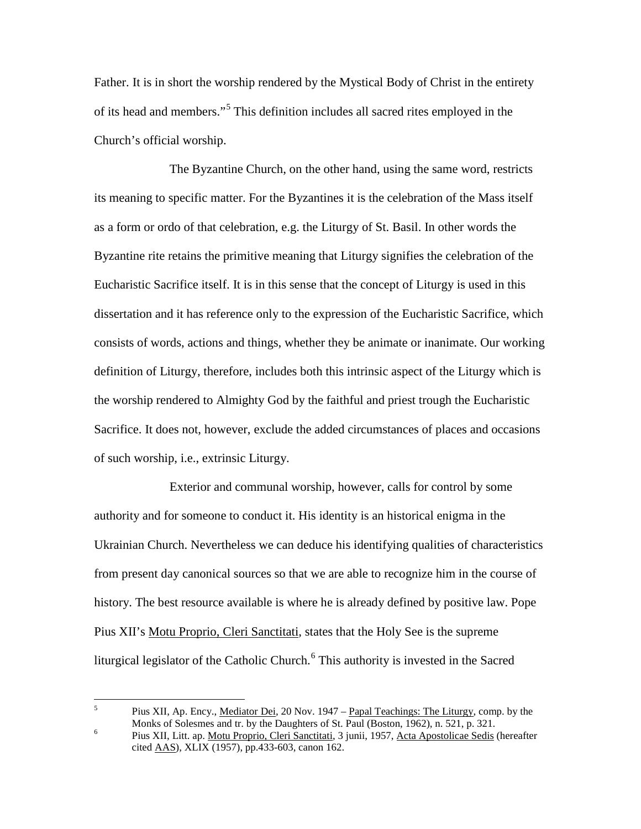Father. It is in short the worship rendered by the Mystical Body of Christ in the entirety of its head and members."[5](#page-9-0) This definition includes all sacred rites employed in the Church's official worship.

The Byzantine Church, on the other hand, using the same word, restricts its meaning to specific matter. For the Byzantines it is the celebration of the Mass itself as a form or ordo of that celebration, e.g. the Liturgy of St. Basil. In other words the Byzantine rite retains the primitive meaning that Liturgy signifies the celebration of the Eucharistic Sacrifice itself. It is in this sense that the concept of Liturgy is used in this dissertation and it has reference only to the expression of the Eucharistic Sacrifice, which consists of words, actions and things, whether they be animate or inanimate. Our working definition of Liturgy, therefore, includes both this intrinsic aspect of the Liturgy which is the worship rendered to Almighty God by the faithful and priest trough the Eucharistic Sacrifice. It does not, however, exclude the added circumstances of places and occasions of such worship, i.e., extrinsic Liturgy.

Exterior and communal worship, however, calls for control by some authority and for someone to conduct it. His identity is an historical enigma in the Ukrainian Church. Nevertheless we can deduce his identifying qualities of characteristics from present day canonical sources so that we are able to recognize him in the course of history. The best resource available is where he is already defined by positive law. Pope Pius XII's Motu Proprio, Cleri Sanctitati, states that the Holy See is the supreme liturgical legislator of the Catholic Church.<sup>[6](#page-9-1)</sup> This authority is invested in the Sacred

<span id="page-9-0"></span><sup>&</sup>lt;sup>5</sup> Pius XII, Ap. Ency., <u>Mediator Dei</u>, 20 Nov. 1947 – Papal Teachings: The Liturgy, comp. by the Monks of Solesmes and tr. by the Daughters of St. Paul (Boston, 1962), n. 521, p. 321.

<span id="page-9-1"></span><sup>6</sup> Pius XII, Litt. ap. Motu Proprio, Cleri Sanctitati, 3 junii, 1957, Acta Apostolicae Sedis (hereafter cited AAS), XLIX (1957), pp.433-603, canon 162.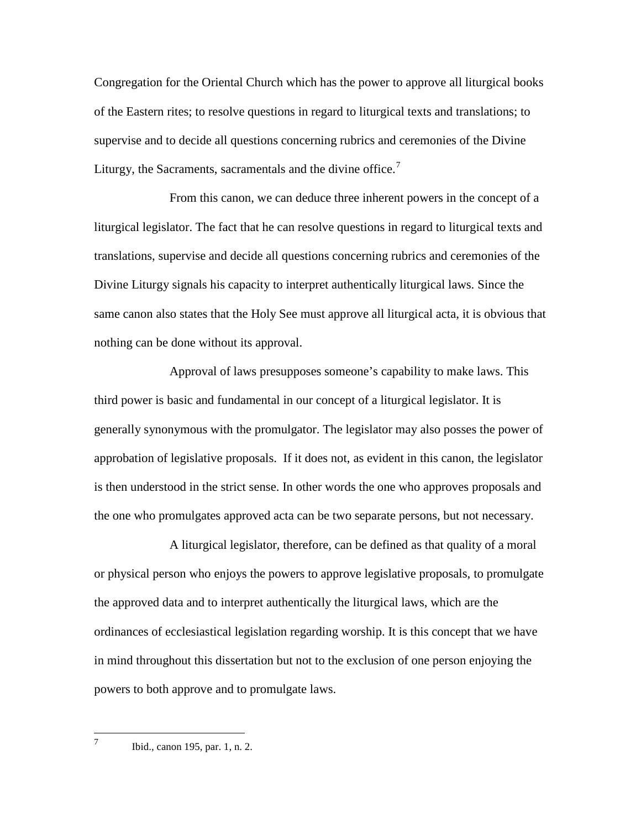Congregation for the Oriental Church which has the power to approve all liturgical books of the Eastern rites; to resolve questions in regard to liturgical texts and translations; to supervise and to decide all questions concerning rubrics and ceremonies of the Divine Liturgy, the Sacraments, sacramentals and the divine office.<sup>[7](#page-10-0)</sup>

From this canon, we can deduce three inherent powers in the concept of a liturgical legislator. The fact that he can resolve questions in regard to liturgical texts and translations, supervise and decide all questions concerning rubrics and ceremonies of the Divine Liturgy signals his capacity to interpret authentically liturgical laws. Since the same canon also states that the Holy See must approve all liturgical acta, it is obvious that nothing can be done without its approval.

Approval of laws presupposes someone's capability to make laws. This third power is basic and fundamental in our concept of a liturgical legislator. It is generally synonymous with the promulgator. The legislator may also posses the power of approbation of legislative proposals. If it does not, as evident in this canon, the legislator is then understood in the strict sense. In other words the one who approves proposals and the one who promulgates approved acta can be two separate persons, but not necessary.

A liturgical legislator, therefore, can be defined as that quality of a moral or physical person who enjoys the powers to approve legislative proposals, to promulgate the approved data and to interpret authentically the liturgical laws, which are the ordinances of ecclesiastical legislation regarding worship. It is this concept that we have in mind throughout this dissertation but not to the exclusion of one person enjoying the powers to both approve and to promulgate laws.

<span id="page-10-0"></span> $7^7$  Ibid., canon 195, par. 1, n. 2.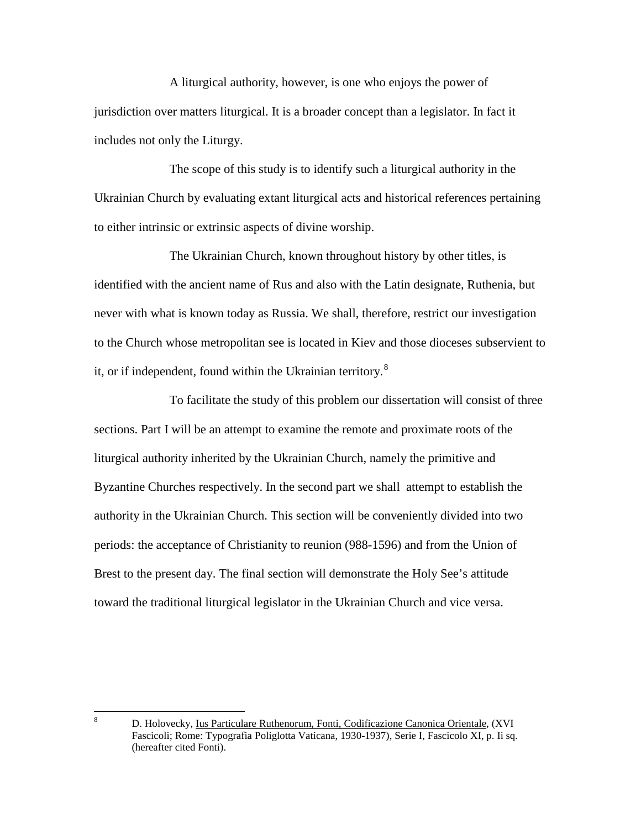A liturgical authority, however, is one who enjoys the power of jurisdiction over matters liturgical. It is a broader concept than a legislator. In fact it includes not only the Liturgy.

The scope of this study is to identify such a liturgical authority in the Ukrainian Church by evaluating extant liturgical acts and historical references pertaining to either intrinsic or extrinsic aspects of divine worship.

The Ukrainian Church, known throughout history by other titles, is identified with the ancient name of Rus and also with the Latin designate, Ruthenia, but never with what is known today as Russia. We shall, therefore, restrict our investigation to the Church whose metropolitan see is located in Kiev and those dioceses subservient to it, or if independent, found within the Ukrainian territory.<sup>[8](#page-11-0)</sup>

To facilitate the study of this problem our dissertation will consist of three sections. Part I will be an attempt to examine the remote and proximate roots of the liturgical authority inherited by the Ukrainian Church, namely the primitive and Byzantine Churches respectively. In the second part we shall attempt to establish the authority in the Ukrainian Church. This section will be conveniently divided into two periods: the acceptance of Christianity to reunion (988-1596) and from the Union of Brest to the present day. The final section will demonstrate the Holy See's attitude toward the traditional liturgical legislator in the Ukrainian Church and vice versa.

<span id="page-11-0"></span> <sup>8</sup> D. Holovecky, Ius Particulare Ruthenorum, Fonti, Codificazione Canonica Orientale, (XVI Fascicoli; Rome: Typografia Poliglotta Vaticana, 1930-1937), Serie I, Fascicolo XI, p. Ii sq. (hereafter cited Fonti).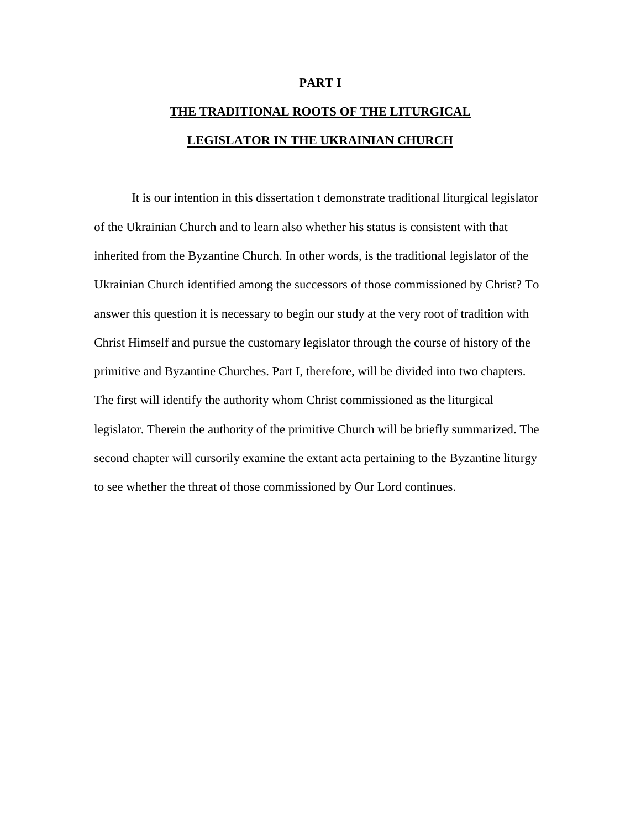### **PART I**

# **THE TRADITIONAL ROOTS OF THE LITURGICAL LEGISLATOR IN THE UKRAINIAN CHURCH**

It is our intention in this dissertation t demonstrate traditional liturgical legislator of the Ukrainian Church and to learn also whether his status is consistent with that inherited from the Byzantine Church. In other words, is the traditional legislator of the Ukrainian Church identified among the successors of those commissioned by Christ? To answer this question it is necessary to begin our study at the very root of tradition with Christ Himself and pursue the customary legislator through the course of history of the primitive and Byzantine Churches. Part I, therefore, will be divided into two chapters. The first will identify the authority whom Christ commissioned as the liturgical legislator. Therein the authority of the primitive Church will be briefly summarized. The second chapter will cursorily examine the extant acta pertaining to the Byzantine liturgy to see whether the threat of those commissioned by Our Lord continues.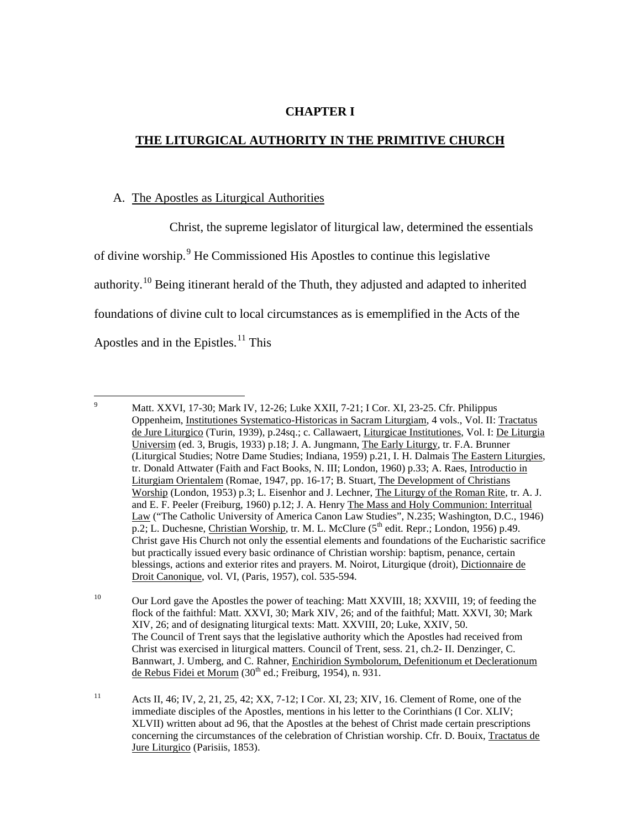## **CHAPTER I**

# **THE LITURGICAL AUTHORITY IN THE PRIMITIVE CHURCH**

### A. The Apostles as Liturgical Authorities

Christ, the supreme legislator of liturgical law, determined the essentials of divine worship.[9](#page-13-0) He Commissioned His Apostles to continue this legislative authority.<sup>[10](#page-13-1)</sup> Being itinerant herald of the Thuth, they adjusted and adapted to inherited foundations of divine cult to local circumstances as is ememplified in the Acts of the Apostles and in the Epistles.<sup>[11](#page-13-2)</sup> This

<span id="page-13-0"></span><sup>&</sup>lt;sup>9</sup> Matt. XXVI, 17-30; Mark IV, 12-26; Luke XXII, 7-21; I Cor. XI, 23-25. Cfr. Philippus Oppenheim, Institutiones Systematico-Historicas in Sacram Liturgiam, 4 vols., Vol. II: Tractatus de Jure Liturgico (Turin, 1939), p.24sq.; c. Callawaert, Liturgicae Institutiones, Vol. I: De Liturgia Universim (ed. 3, Brugis, 1933) p.18; J. A. Jungmann, The Early Liturgy, tr. F.A. Brunner (Liturgical Studies; Notre Dame Studies; Indiana, 1959) p.21, I. H. Dalmais The Eastern Liturgies, tr. Donald Attwater (Faith and Fact Books, N. III; London, 1960) p.33; A. Raes, Introductio in Liturgiam Orientalem (Romae, 1947, pp. 16-17; B. Stuart, The Development of Christians Worship (London, 1953) p.3; L. Eisenhor and J. Lechner, The Liturgy of the Roman Rite, tr. A. J. and E. F. Peeler (Freiburg, 1960) p.12; J. A. Henry The Mass and Holy Communion: Interritual Law ("The Catholic University of America Canon Law Studies", N.235; Washington, D.C., 1946) p.2; L. Duchesne, Christian Worship, tr. M. L. McClure (5<sup>th</sup> edit. Repr.; London, 1956) p.49. Christ gave His Church not only the essential elements and foundations of the Eucharistic sacrifice but practically issued every basic ordinance of Christian worship: baptism, penance, certain blessings, actions and exterior rites and prayers. M. Noirot, Liturgique (droit), Dictionnaire de Droit Canonique, vol. VI, (Paris, 1957), col. 535-594.

<span id="page-13-1"></span><sup>&</sup>lt;sup>10</sup> Our Lord gave the Apostles the power of teaching: Matt XXVIII, 18; XXVIII, 19; of feeding the flock of the faithful: Matt. XXVI, 30; Mark XIV, 26; and of the faithful; Matt. XXVI, 30; Mark XIV, 26; and of designating liturgical texts: Matt. XXVIII, 20; Luke, XXIV, 50. The Council of Trent says that the legislative authority which the Apostles had received from Christ was exercised in liturgical matters. Council of Trent, sess. 21, ch.2- II. Denzinger, C. Bannwart, J. Umberg, and C. Rahner, Enchiridion Symbolorum, Defenitionum et Declerationum de Rebus Fidei et Morum (30<sup>th</sup> ed.; Freiburg, 1954), n. 931.

<span id="page-13-2"></span><sup>11</sup> Acts II, 46; IV, 2, 21, 25, 42; XX, 7-12; I Cor. XI, 23; XIV, 16. Clement of Rome, one of the immediate disciples of the Apostles, mentions in his letter to the Corinthians (I Cor. XLIV; XLVII) written about ad 96, that the Apostles at the behest of Christ made certain prescriptions concerning the circumstances of the celebration of Christian worship. Cfr. D. Bouix, Tractatus de Jure Liturgico (Parisiis, 1853).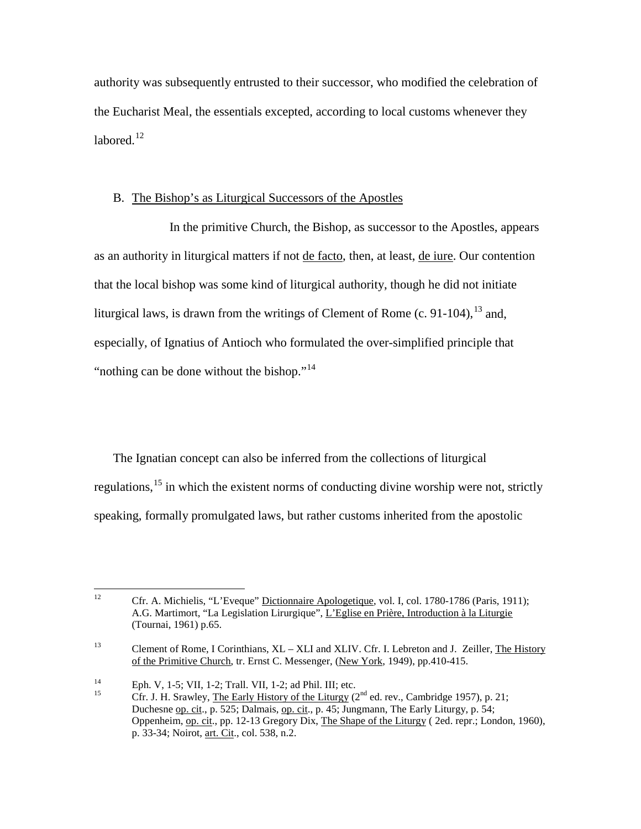authority was subsequently entrusted to their successor, who modified the celebration of the Eucharist Meal, the essentials excepted, according to local customs whenever they labored. $12$ 

## B. The Bishop's as Liturgical Successors of the Apostles

In the primitive Church, the Bishop, as successor to the Apostles, appears as an authority in liturgical matters if not de facto, then, at least, de iure. Our contention that the local bishop was some kind of liturgical authority, though he did not initiate liturgical laws, is drawn from the writings of Clement of Rome  $(c. 91-104)$ ,  $^{13}$  $^{13}$  $^{13}$  and, especially, of Ignatius of Antioch who formulated the over-simplified principle that "nothing can be done without the bishop."<sup>[14](#page-14-2)</sup>

The Ignatian concept can also be inferred from the collections of liturgical regulations,<sup>[15](#page-14-3)</sup> in which the existent norms of conducting divine worship were not, strictly speaking, formally promulgated laws, but rather customs inherited from the apostolic

<span id="page-14-0"></span><sup>&</sup>lt;sup>12</sup> Cfr. A. Michielis, "L'Eveque" Dictionnaire Apologetique, vol. I, col. 1780-1786 (Paris, 1911); A.G. Martimort, "La Legislation Lirurgique", L'Eglise en Prière, Introduction à la Liturgie (Tournai, 1961) p.65.

<span id="page-14-1"></span><sup>&</sup>lt;sup>13</sup> Clement of Rome, I Corinthians, XL – XLI and XLIV. Cfr. I. Lebreton and J. Zeiller, The History of the Primitive Church, tr. Ernst C. Messenger, (New York, 1949), pp.410-415.

<span id="page-14-3"></span><span id="page-14-2"></span><sup>&</sup>lt;sup>14</sup> Eph. V, 1-5; VII, 1-2; Trall. VII, 1-2; ad Phil. III; etc.<br><sup>15</sup> Cfr. J. H. Srawley, <u>The Early History of the Liturgy</u> (2<sup>nd</sup> ed. rev., Cambridge 1957), p. 21; Duchesne op. cit., p. 525; Dalmais, op. cit., p. 45; Jungmann, The Early Liturgy, p. 54; Oppenheim, op. cit., pp. 12-13 Gregory Dix, The Shape of the Liturgy ( 2ed. repr.; London, 1960), p. 33-34; Noirot, art. Cit., col. 538, n.2.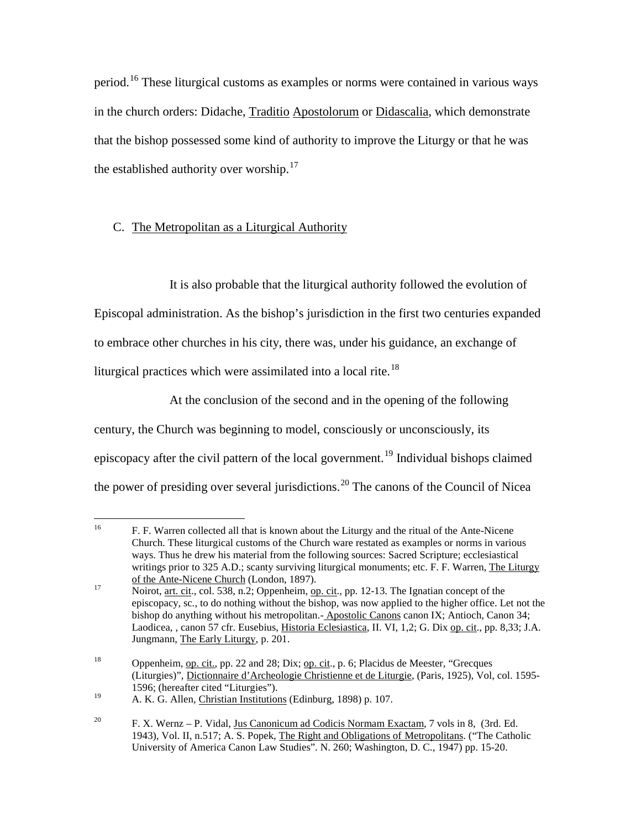period.<sup>[16](#page-15-0)</sup> These liturgical customs as examples or norms were contained in various ways in the church orders: Didache, Traditio Apostolorum or Didascalia, which demonstrate that the bishop possessed some kind of authority to improve the Liturgy or that he was the established authority over worship.<sup>[17](#page-15-1)</sup>

# C. The Metropolitan as a Liturgical Authority

It is also probable that the liturgical authority followed the evolution of Episcopal administration. As the bishop's jurisdiction in the first two centuries expanded to embrace other churches in his city, there was, under his guidance, an exchange of liturgical practices which were assimilated into a local rite.<sup>[18](#page-15-2)</sup>

At the conclusion of the second and in the opening of the following century, the Church was beginning to model, consciously or unconsciously, its episcopacy after the civil pattern of the local government.<sup>[19](#page-15-3)</sup> Individual bishops claimed the power of presiding over several jurisdictions.<sup>[20](#page-15-4)</sup> The canons of the Council of Nicea

<span id="page-15-0"></span><sup>&</sup>lt;sup>16</sup> F. F. Warren collected all that is known about the Liturgy and the ritual of the Ante-Nicene Church. These liturgical customs of the Church ware restated as examples or norms in various ways. Thus he drew his material from the following sources: Sacred Scripture; ecclesiastical writings prior to 325 A.D.; scanty surviving liturgical monuments; etc. F. F. Warren, The Liturgy of the Ante-Nicene Church (London, 1897).

<span id="page-15-1"></span><sup>17</sup> Noirot, <u>art. cit</u>., col. 538, n.2; Oppenheim, <u>op. cit</u>., pp. 12-13. The Ignatian concept of the episcopacy, sc., to do nothing without the bishop, was now applied to the higher office. Let not the bishop do anything without his metropolitan.- Apostolic Canons canon IX; Antioch, Canon 34; Laodicea, , canon 57 cfr. Eusebius, Historia Eclesiastica, II. VI, 1,2; G. Dix op. cit., pp. 8,33; J.A. Jungmann, The Early Liturgy, p. 201.

<span id="page-15-2"></span><sup>&</sup>lt;sup>18</sup> Oppenheim, op. cit., pp. 22 and 28; Dix; op. cit., p. 6; Placidus de Meester, "Grecques" (Liturgies)", Dictionnaire d'Archeologie Christienne et de Liturgie, (Paris, 1925), Vol, col. 1595- 1596; (hereafter cited "Liturgies").

<span id="page-15-3"></span><sup>&</sup>lt;sup>19</sup> A. K. G. Allen, Christian Institutions (Edinburg, 1898) p. 107.

<span id="page-15-4"></span><sup>&</sup>lt;sup>20</sup> F. X. Wernz – P. Vidal, Jus Canonicum ad Codicis Normam Exactam, 7 vols in 8, (3rd. Ed. 1943), Vol. II, n.517; A. S. Popek, The Right and Obligations of Metropolitans. ("The Catholic University of America Canon Law Studies". N. 260; Washington, D. C., 1947) pp. 15-20.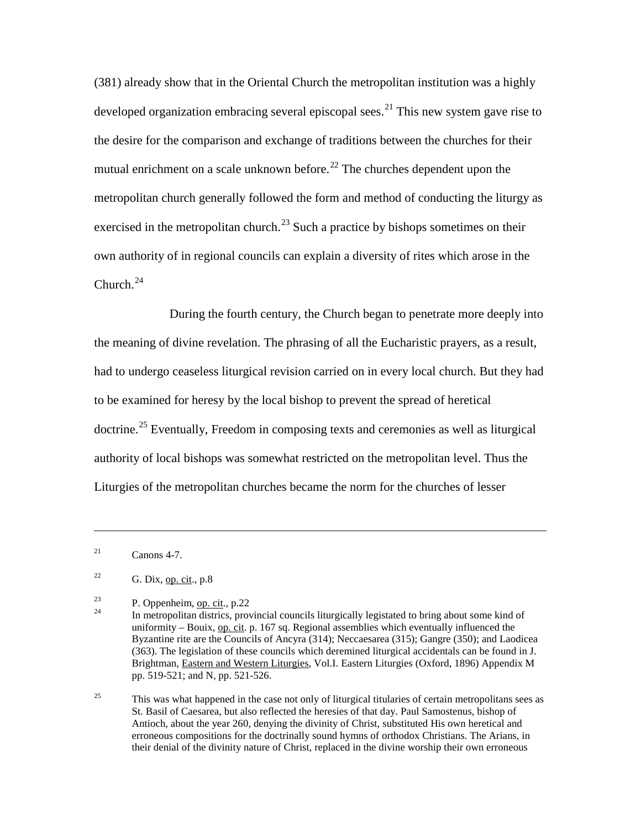(381) already show that in the Oriental Church the metropolitan institution was a highly developed organization embracing several episcopal sees.<sup>[21](#page-16-0)</sup> This new system gave rise to the desire for the comparison and exchange of traditions between the churches for their mutual enrichment on a scale unknown before.<sup>[22](#page-16-1)</sup> The churches dependent upon the metropolitan church generally followed the form and method of conducting the liturgy as exercised in the metropolitan church.<sup>[23](#page-16-2)</sup> Such a practice by bishops sometimes on their own authority of in regional councils can explain a diversity of rites which arose in the Church. $^{24}$  $^{24}$  $^{24}$ 

During the fourth century, the Church began to penetrate more deeply into the meaning of divine revelation. The phrasing of all the Eucharistic prayers, as a result, had to undergo ceaseless liturgical revision carried on in every local church. But they had to be examined for heresy by the local bishop to prevent the spread of heretical doctrine.<sup>[25](#page-16-4)</sup> Eventually, Freedom in composing texts and ceremonies as well as liturgical authority of local bishops was somewhat restricted on the metropolitan level. Thus the Liturgies of the metropolitan churches became the norm for the churches of lesser

<span id="page-16-0"></span> $^{21}$  Canons 4-7.

 $\overline{a}$ 

<span id="page-16-4"></span> $25$  This was what happened in the case not only of liturgical titularies of certain metropolitans sees as St. Basil of Caesarea, but also reflected the heresies of that day. Paul Samostenus, bishop of Antioch, about the year 260, denying the divinity of Christ, substituted His own heretical and erroneous compositions for the doctrinally sound hymns of orthodox Christians. The Arians, in their denial of the divinity nature of Christ, replaced in the divine worship their own erroneous

<span id="page-16-1"></span><sup>&</sup>lt;sup>22</sup> G. Dix, <u>op. cit</u>., p.8

<span id="page-16-3"></span><span id="page-16-2"></span>

<sup>&</sup>lt;sup>23</sup> P. Oppenheim, <u>op. cit</u>., p.22 <br><sup>24</sup> In metropolitan districs, provincial councils liturgically legistated to bring about some kind of uniformity – Bouix, op. cit. p. 167 sq. Regional assemblies which eventually influenced the Byzantine rite are the Councils of Ancyra (314); Neccaesarea (315); Gangre (350); and Laodicea (363). The legislation of these councils which deremined liturgical accidentals can be found in J. Brightman, Eastern and Western Liturgies, Vol.I. Eastern Liturgies (Oxford, 1896) Appendix M pp. 519-521; and N, pp. 521-526.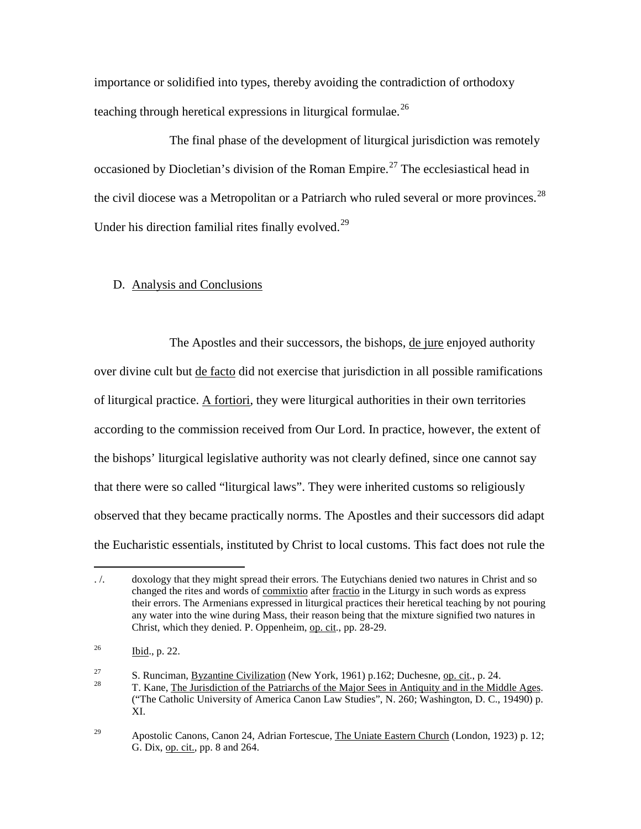importance or solidified into types, thereby avoiding the contradiction of orthodoxy teaching through heretical expressions in liturgical formulae.<sup>[26](#page-17-0)</sup>

The final phase of the development of liturgical jurisdiction was remotely occasioned by Diocletian's division of the Roman Empire.<sup>[27](#page-17-1)</sup> The ecclesiastical head in the civil diocese was a Metropolitan or a Patriarch who ruled several or more provinces.<sup>[28](#page-17-2)</sup> Under his direction familial rites finally evolved.<sup>[29](#page-17-3)</sup>

### D. Analysis and Conclusions

The Apostles and their successors, the bishops, de jure enjoyed authority over divine cult but de facto did not exercise that jurisdiction in all possible ramifications of liturgical practice. A fortiori, they were liturgical authorities in their own territories according to the commission received from Our Lord. In practice, however, the extent of the bishops' liturgical legislative authority was not clearly defined, since one cannot say that there were so called "liturgical laws". They were inherited customs so religiously observed that they became practically norms. The Apostles and their successors did adapt the Eucharistic essentials, instituted by Christ to local customs. This fact does not rule the

 $\overline{a}$ 

<span id="page-17-0"></span><sup>. /.</sup> doxology that they might spread their errors. The Eutychians denied two natures in Christ and so changed the rites and words of commixtio after fractio in the Liturgy in such words as express their errors. The Armenians expressed in liturgical practices their heretical teaching by not pouring any water into the wine during Mass, their reason being that the mixture signified two natures in Christ, which they denied. P. Oppenheim, op. cit., pp. 28-29.

 $^{26}$  Ibid., p. 22.

<span id="page-17-2"></span><span id="page-17-1"></span><sup>27</sup> S. Runciman, <u>Byzantine Civilization</u> (New York, 1961) p.162; Duchesne, op. cit., p. 24.<br>28 T. Kane, The Jurisdiction of the Patriarchs of the Major Sees in Antiquity and in the Middle Ages. ("The Catholic University of America Canon Law Studies", N. 260; Washington, D. C., 19490) p. XI.

<span id="page-17-3"></span><sup>&</sup>lt;sup>29</sup> Apostolic Canons, Canon 24, Adrian Fortescue, The Uniate Eastern Church (London, 1923) p. 12; G. Dix, op. cit., pp. 8 and 264.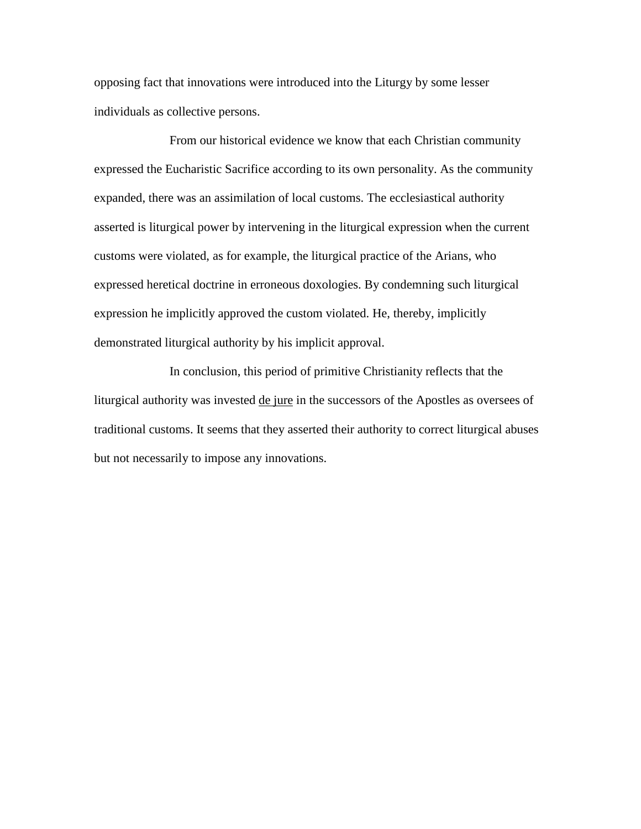opposing fact that innovations were introduced into the Liturgy by some lesser individuals as collective persons.

From our historical evidence we know that each Christian community expressed the Eucharistic Sacrifice according to its own personality. As the community expanded, there was an assimilation of local customs. The ecclesiastical authority asserted is liturgical power by intervening in the liturgical expression when the current customs were violated, as for example, the liturgical practice of the Arians, who expressed heretical doctrine in erroneous doxologies. By condemning such liturgical expression he implicitly approved the custom violated. He, thereby, implicitly demonstrated liturgical authority by his implicit approval.

In conclusion, this period of primitive Christianity reflects that the liturgical authority was invested de jure in the successors of the Apostles as oversees of traditional customs. It seems that they asserted their authority to correct liturgical abuses but not necessarily to impose any innovations.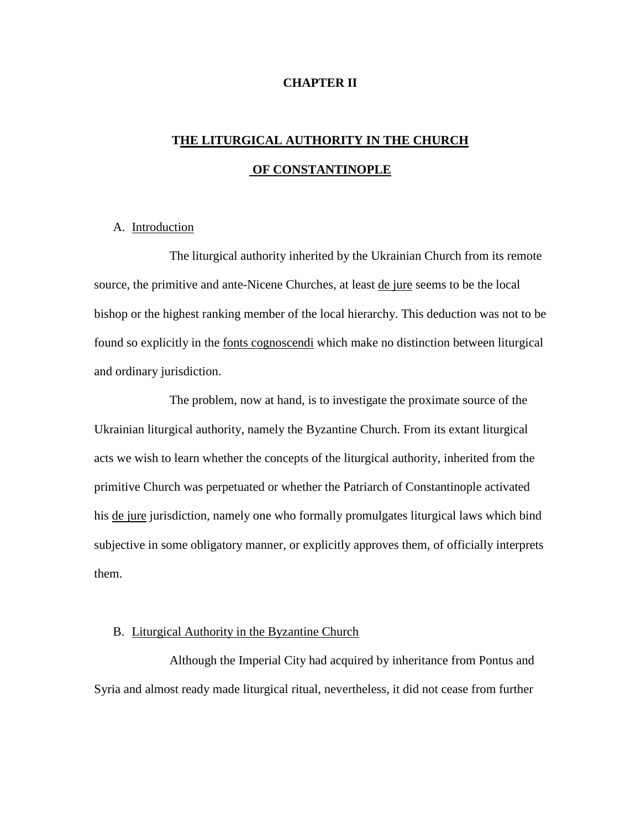### **CHAPTER II**

# **THE LITURGICAL AUTHORITY IN THE CHURCH OF CONSTANTINOPLE**

### A. Introduction

The liturgical authority inherited by the Ukrainian Church from its remote source, the primitive and ante-Nicene Churches, at least de jure seems to be the local bishop or the highest ranking member of the local hierarchy. This deduction was not to be found so explicitly in the fonts cognoscendi which make no distinction between liturgical and ordinary jurisdiction.

The problem, now at hand, is to investigate the proximate source of the Ukrainian liturgical authority, namely the Byzantine Church. From its extant liturgical acts we wish to learn whether the concepts of the liturgical authority, inherited from the primitive Church was perpetuated or whether the Patriarch of Constantinople activated his de jure jurisdiction, namely one who formally promulgates liturgical laws which bind subjective in some obligatory manner, or explicitly approves them, of officially interprets them.

### B. Liturgical Authority in the Byzantine Church

Although the Imperial City had acquired by inheritance from Pontus and Syria and almost ready made liturgical ritual, nevertheless, it did not cease from further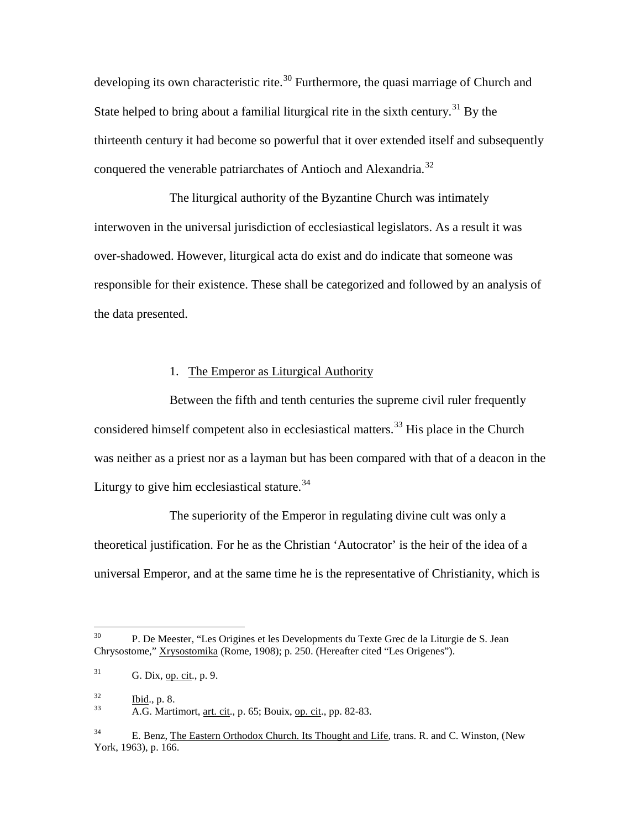developing its own characteristic rite.<sup>[30](#page-20-0)</sup> Furthermore, the quasi marriage of Church and State helped to bring about a familial liturgical rite in the sixth century.<sup>[31](#page-20-1)</sup> By the thirteenth century it had become so powerful that it over extended itself and subsequently conquered the venerable patriarchates of Antioch and Alexandria.<sup>[32](#page-20-2)</sup>

The liturgical authority of the Byzantine Church was intimately interwoven in the universal jurisdiction of ecclesiastical legislators. As a result it was over-shadowed. However, liturgical acta do exist and do indicate that someone was responsible for their existence. These shall be categorized and followed by an analysis of the data presented.

### 1. The Emperor as Liturgical Authority

Between the fifth and tenth centuries the supreme civil ruler frequently considered himself competent also in ecclesiastical matters.<sup>[33](#page-20-3)</sup> His place in the Church was neither as a priest nor as a layman but has been compared with that of a deacon in the Liturgy to give him ecclesiastical stature.<sup>[34](#page-20-4)</sup>

The superiority of the Emperor in regulating divine cult was only a theoretical justification. For he as the Christian 'Autocrator' is the heir of the idea of a universal Emperor, and at the same time he is the representative of Christianity, which is

<span id="page-20-0"></span><sup>&</sup>lt;sup>30</sup> P. De Meester, "Les Origines et les Developments du Texte Grec de la Liturgie de S. Jean Chrysostome," Xrysostomika (Rome, 1908); p. 250. (Hereafter cited "Les Origenes").

<span id="page-20-1"></span> $31$  G. Dix, op. cit., p. 9.

<span id="page-20-3"></span><span id="page-20-2"></span> $\frac{32}{33}$  Ibid., p. 8.<br>A.G. Martimort, <u>art. cit</u>., p. 65; Bouix, <u>op. cit</u>., pp. 82-83.

<span id="page-20-4"></span> $34$  E. Benz, The Eastern Orthodox Church. Its Thought and Life, trans. R. and C. Winston, (New York, 1963), p. 166.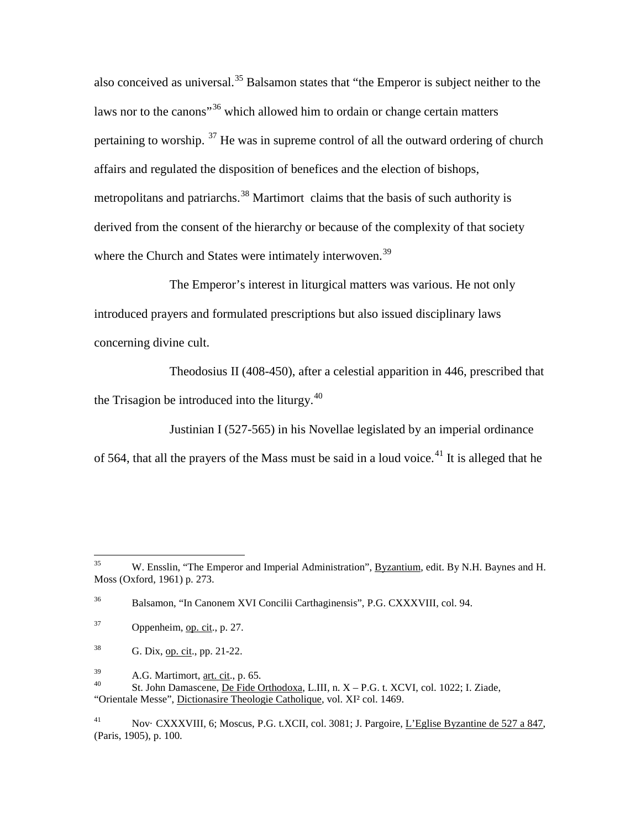also conceived as universal.<sup>[35](#page-21-0)</sup> Balsamon states that "the Emperor is subject neither to the laws nor to the canons<sup>"[36](#page-21-1)</sup> which allowed him to ordain or change certain matters pertaining to worship.  $37$  He was in supreme control of all the outward ordering of church affairs and regulated the disposition of benefices and the election of bishops, metropolitans and patriarchs.<sup>[38](#page-21-3)</sup> Martimort claims that the basis of such authority is derived from the consent of the hierarchy or because of the complexity of that society where the Church and States were intimately interwoven.<sup>[39](#page-21-4)</sup>

The Emperor's interest in liturgical matters was various. He not only introduced prayers and formulated prescriptions but also issued disciplinary laws concerning divine cult.

Theodosius II (408-450), after a celestial apparition in 446, prescribed that the Trisagion be introduced into the liturgy. $40$ 

Justinian I (527-565) in his Novellae legislated by an imperial ordinance of 564, that all the prayers of the Mass must be said in a loud voice.<sup>[41](#page-21-6)</sup> It is alleged that he

<span id="page-21-0"></span><sup>&</sup>lt;sup>35</sup> W. Ensslin, "The Emperor and Imperial Administration", Byzantium, edit. By N.H. Baynes and H. Moss (Oxford, 1961) p. 273.

<span id="page-21-1"></span><sup>36</sup> Balsamon, "In Canonem XVI Concilii Carthaginensis", P.G. CXXXVIII, col. 94.

<span id="page-21-2"></span> $37$  Oppenheim, op. cit., p. 27.

<span id="page-21-3"></span> $38$  G. Dix, <u>op. cit.</u>, pp. 21-22.

<span id="page-21-5"></span><span id="page-21-4"></span>

 $A.$ G. Martimort, <u>art. cit</u>., p. 65.<br>
40 St. John Damascene, De Fide Orthodoxa, L.III, n. X – P.G. t. XCVI, col. 1022; I. Ziade, "Orientale Messe", Dictionasire Theologie Catholique, vol. XI² col. 1469.

<span id="page-21-6"></span><sup>41</sup> Nov· CXXXVIII, 6; Moscus, P.G. t.XCII, col. 3081; J. Pargoire, L'Eglise Byzantine de 527 a 847, (Paris, 1905), p. 100.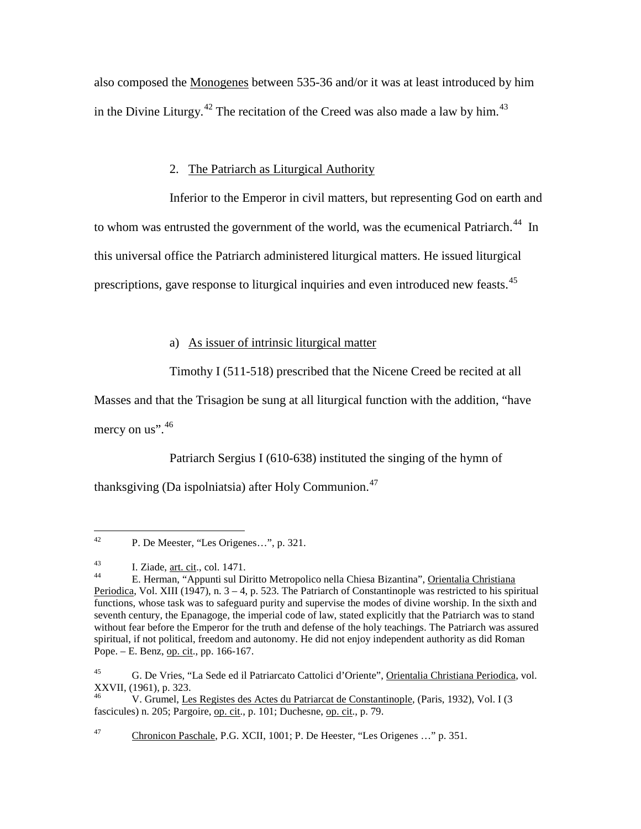also composed the Monogenes between 535-36 and/or it was at least introduced by him in the Divine Liturgy.<sup>[42](#page-22-0)</sup> The recitation of the Creed was also made a law by him.<sup>[43](#page-22-1)</sup>

# 2. The Patriarch as Liturgical Authority

Inferior to the Emperor in civil matters, but representing God on earth and to whom was entrusted the government of the world, was the ecumenical Patriarch.<sup>44</sup> In this universal office the Patriarch administered liturgical matters. He issued liturgical prescriptions, gave response to liturgical inquiries and even introduced new feasts.<sup>[45](#page-22-3)</sup>

## a) As issuer of intrinsic liturgical matter

Timothy I (511-518) prescribed that the Nicene Creed be recited at all

Masses and that the Trisagion be sung at all liturgical function with the addition, "have

mercy on us".  $46$ 

Patriarch Sergius I (610-638) instituted the singing of the hymn of

thanksgiving (Da ispolniatsia) after Holy Communion.<sup>[47](#page-22-5)</sup>

<span id="page-22-4"></span>46 V. Grumel, Les Registes des Actes du Patriarcat de Constantinople, (Paris, 1932), Vol. I (3 fascicules) n. 205; Pargoire, op. cit., p. 101; Duchesne, op. cit., p. 79.

<span id="page-22-5"></span>47 Chronicon Paschale, P.G. XCII, 1001; P. De Heester, "Les Origenes …" p. 351.

<span id="page-22-0"></span> <sup>42</sup> P. De Meester, "Les Origenes…", p. 321.

<span id="page-22-2"></span><span id="page-22-1"></span><sup>&</sup>lt;sup>43</sup> I. Ziade, <u>art. cit</u>., col. 1471.<br><sup>44</sup> E. Herman, "Appunti sul Diritto Metropolico nella Chiesa Bizantina", <u>Orientalia Christiana</u> Periodica, Vol. XIII (1947), n.  $3 - 4$ , p. 523. The Patriarch of Constantinople was restricted to his spiritual functions, whose task was to safeguard purity and supervise the modes of divine worship. In the sixth and seventh century, the Epanagoge, the imperial code of law, stated explicitly that the Patriarch was to stand without fear before the Emperor for the truth and defense of the holy teachings. The Patriarch was assured spiritual, if not political, freedom and autonomy. He did not enjoy independent authority as did Roman Pope. – E. Benz, op. cit., pp. 166-167.

<span id="page-22-3"></span><sup>45</sup> G. De Vries, "La Sede ed il Patriarcato Cattolici d'Oriente", Orientalia Christiana Periodica, vol. XXVII, (1961), p. 323.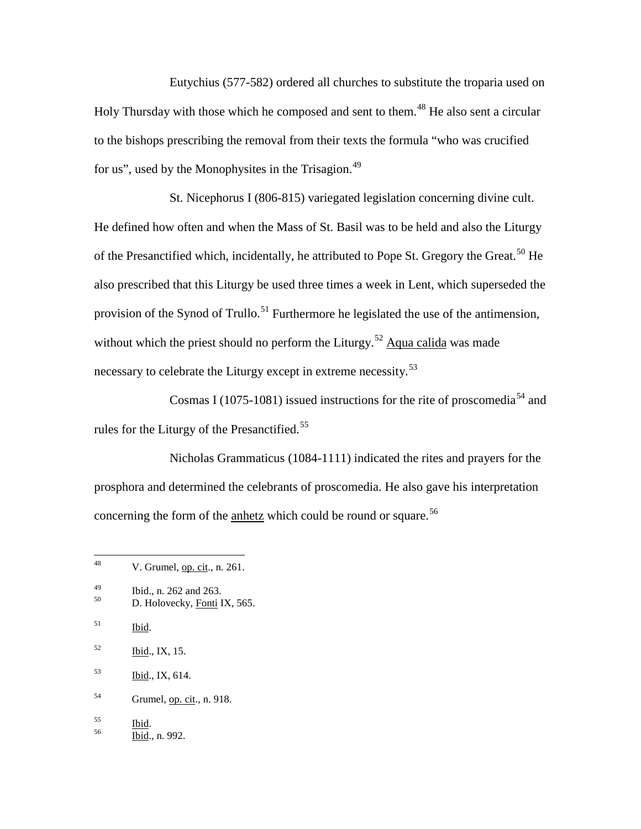Eutychius (577-582) ordered all churches to substitute the troparia used on Holy Thursday with those which he composed and sent to them.<sup>[48](#page-23-0)</sup> He also sent a circular to the bishops prescribing the removal from their texts the formula "who was crucified for us", used by the Monophysites in the Trisagion.<sup>[49](#page-23-1)</sup>

St. Nicephorus I (806-815) variegated legislation concerning divine cult. He defined how often and when the Mass of St. Basil was to be held and also the Liturgy of the Presanctified which, incidentally, he attributed to Pope St. Gregory the Great.<sup>[50](#page-23-2)</sup> He also prescribed that this Liturgy be used three times a week in Lent, which superseded the provision of the Synod of Trullo.<sup>[51](#page-23-3)</sup> Furthermore he legislated the use of the antimension, without which the priest should no perform the Liturgy.<sup>[52](#page-23-4)</sup> Aqua calida was made necessary to celebrate the Liturgy except in extreme necessity.<sup>[53](#page-23-5)</sup>

Cosmas I (1075-1081) issued instructions for the rite of proscomedia<sup>[54](#page-23-6)</sup> and rules for the Liturgy of the Presanctified.<sup>[55](#page-23-7)</sup>

Nicholas Grammaticus (1084-1111) indicated the rites and prayers for the prosphora and determined the celebrants of proscomedia. He also gave his interpretation concerning the form of the anhetz which could be round or square.<sup>[56](#page-23-8)</sup>

<span id="page-23-2"></span>

<span id="page-23-6"></span>54 Grumel, op. cit., n. 918.

<span id="page-23-8"></span><span id="page-23-7"></span> $rac{55}{56}$  Ibid., n. 992.

<span id="page-23-0"></span> $48$  V. Grumel, op. cit., n. 261.

<span id="page-23-1"></span><sup>&</sup>lt;sup>49</sup> Ibid., n. 262 and 263.<br><sup>50</sup> D. Holovecky, <u>Fonti</u> IX, 565.

<span id="page-23-3"></span><sup>51</sup> Ibid.

<span id="page-23-4"></span> $^{52}$  Ibid., IX, 15.

<span id="page-23-5"></span><sup>53</sup> Ibid., IX, 614.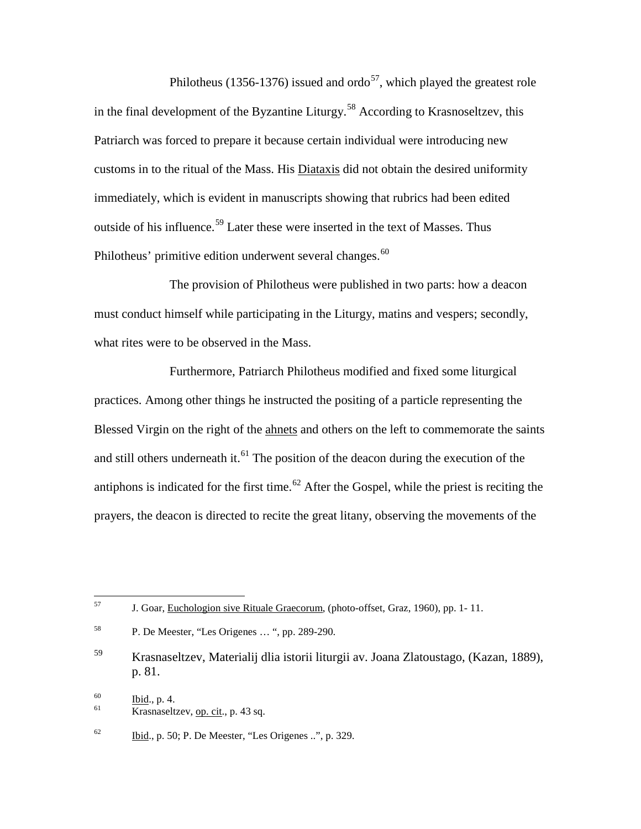Philotheus (1356-1376) issued and ordo<sup>57</sup>, which played the greatest role in the final development of the Byzantine Liturgy.<sup>[58](#page-24-1)</sup> According to Krasnoseltzev, this Patriarch was forced to prepare it because certain individual were introducing new customs in to the ritual of the Mass. His Diataxis did not obtain the desired uniformity immediately, which is evident in manuscripts showing that rubrics had been edited outside of his influence.<sup>[59](#page-24-2)</sup> Later these were inserted in the text of Masses. Thus Philotheus' primitive edition underwent several changes.<sup>[60](#page-24-3)</sup>

The provision of Philotheus were published in two parts: how a deacon must conduct himself while participating in the Liturgy, matins and vespers; secondly, what rites were to be observed in the Mass.

Furthermore, Patriarch Philotheus modified and fixed some liturgical practices. Among other things he instructed the positing of a particle representing the Blessed Virgin on the right of the ahnets and others on the left to commemorate the saints and still others underneath it.<sup>[61](#page-24-4)</sup> The position of the deacon during the execution of the antiphons is indicated for the first time.<sup>[62](#page-24-5)</sup> After the Gospel, while the priest is reciting the prayers, the deacon is directed to recite the great litany, observing the movements of the

<span id="page-24-0"></span> $57$  J. Goar, Euchologion sive Rituale Graecorum, (photo-offset, Graz, 1960), pp. 1-11.

<span id="page-24-1"></span><sup>58</sup> P. De Meester, "Les Origenes … ", pp. 289-290.

<span id="page-24-2"></span><sup>59</sup> Krasnaseltzev, Materialij dlia istorii liturgii av. Joana Zlatoustago, (Kazan, 1889), p. 81.

<span id="page-24-4"></span><span id="page-24-3"></span> $\frac{60}{61}$  Ibid., p. 4.<br>Krasnaseltzev, <u>op. cit</u>., p. 43 sq.

<span id="page-24-5"></span> $\frac{62}{2}$  Ibid., p. 50; P. De Meester, "Les Origenes ..", p. 329.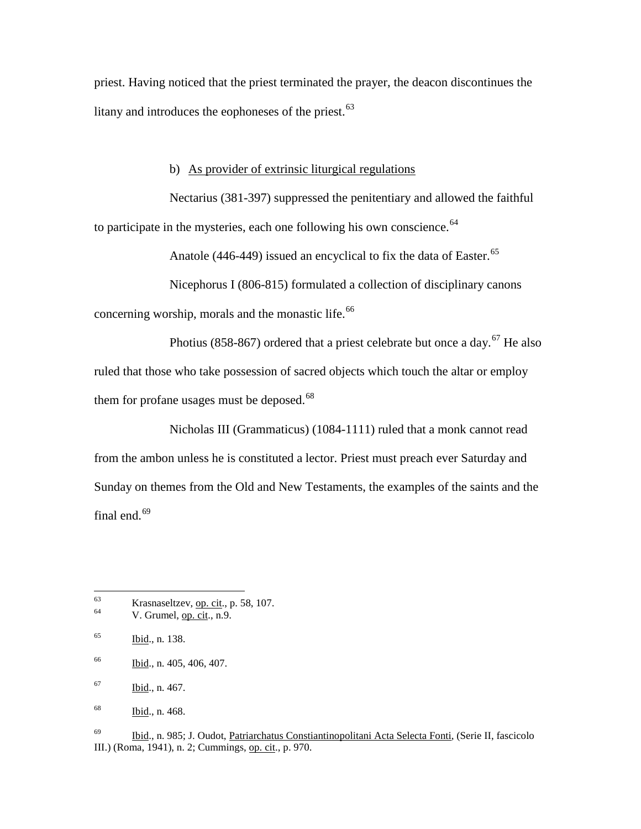priest. Having noticed that the priest terminated the prayer, the deacon discontinues the litany and introduces the eophoneses of the priest.<sup>[63](#page-25-0)</sup>

### b) As provider of extrinsic liturgical regulations

Nectarius (381-397) suppressed the penitentiary and allowed the faithful to participate in the mysteries, each one following his own conscience.  $64$ 

Anatole (446-449) issued an encyclical to fix the data of Easter.<sup>[65](#page-25-2)</sup>

Nicephorus I (806-815) formulated a collection of disciplinary canons concerning worship, morals and the monastic life.<sup>[66](#page-25-3)</sup>

Photius (858-8[67](#page-25-4)) ordered that a priest celebrate but once a day.<sup>67</sup> He also ruled that those who take possession of sacred objects which touch the altar or employ them for profane usages must be deposed. $68$ 

Nicholas III (Grammaticus) (1084-1111) ruled that a monk cannot read from the ambon unless he is constituted a lector. Priest must preach ever Saturday and Sunday on themes from the Old and New Testaments, the examples of the saints and the final end. $69$ 

<span id="page-25-0"></span> $63$  Krasnaseltzev, <u>op. cit</u>., p. 58, 107.<br>V. Grumel, op. cit., n.9.

<span id="page-25-1"></span>

<span id="page-25-2"></span> $165$  Ibid., n. 138.

<span id="page-25-3"></span><sup>66</sup> Ibid., n. 405, 406, 407.

<span id="page-25-4"></span><sup>67</sup> Ibid., n. 467.

<span id="page-25-5"></span><sup>68</sup> Ibid., n. 468.

<span id="page-25-6"></span><sup>69</sup> Ibid., n. 985; J. Oudot, Patriarchatus Constiantinopolitani Acta Selecta Fonti, (Serie II, fascicolo III.) (Roma, 1941), n. 2; Cummings, op. cit., p. 970.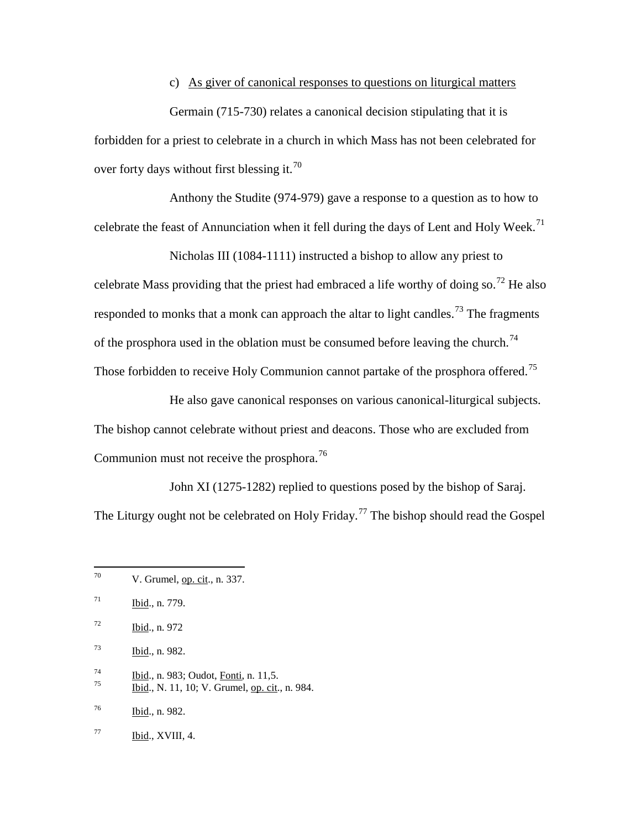## c) As giver of canonical responses to questions on liturgical matters

Germain (715-730) relates a canonical decision stipulating that it is forbidden for a priest to celebrate in a church in which Mass has not been celebrated for over forty days without first blessing it.<sup>[70](#page-26-0)</sup>

Anthony the Studite (974-979) gave a response to a question as to how to celebrate the feast of Annunciation when it fell during the days of Lent and Holy Week.<sup>[71](#page-26-1)</sup>

Nicholas III (1084-1111) instructed a bishop to allow any priest to celebrate Mass providing that the priest had embraced a life worthy of doing so.<sup>[72](#page-26-2)</sup> He also responded to monks that a monk can approach the altar to light candles.<sup>[73](#page-26-3)</sup> The fragments of the prosphora used in the oblation must be consumed before leaving the church.<sup>[74](#page-26-4)</sup> Those forbidden to receive Holy Communion cannot partake of the prosphora offered.<sup>[75](#page-26-5)</sup>

He also gave canonical responses on various canonical-liturgical subjects. The bishop cannot celebrate without priest and deacons. Those who are excluded from Communion must not receive the prosphora.<sup>[76](#page-26-6)</sup>

John XI (1275-1282) replied to questions posed by the bishop of Saraj. The Liturgy ought not be celebrated on Holy Friday.<sup>[77](#page-26-7)</sup> The bishop should read the Gospel

- <span id="page-26-3"></span> $\frac{73}{161}$ , n. 982.
- <span id="page-26-4"></span> $\frac{74}{75}$  Ibid., n. 983; Oudot, <u>Fonti</u>, n. 11,5.<br>
Ibid., N. 11, 10; V. Grumel, op. cit., n. 984.
- <span id="page-26-5"></span>
- <span id="page-26-6"></span><sup>76</sup> Ibid., n. 982.
- <span id="page-26-7"></span> $^{77}$  Ibid., XVIII, 4.

<span id="page-26-0"></span> $70$  V. Grumel, op. cit., n. 337.

<span id="page-26-1"></span> $\frac{\text{Ibid.}}{\text{Ibid.}}$ , n. 779.

<span id="page-26-2"></span> $\frac{\text{Ibid.}}{\text{Ibid.}}$ , n. 972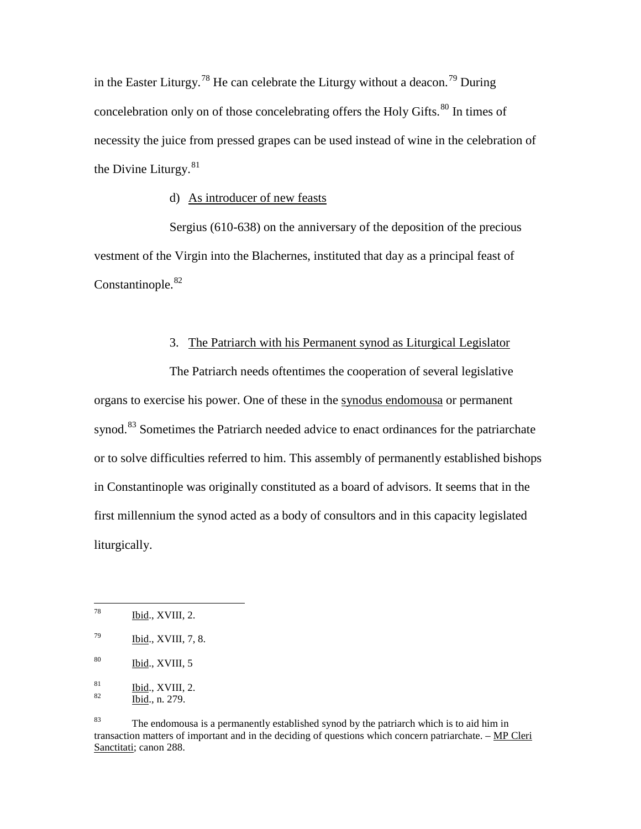in the Easter Liturgy.<sup>[78](#page-27-0)</sup> He can celebrate the Liturgy without a deacon.<sup>[79](#page-27-1)</sup> During concelebration only on of those concelebrating offers the Holy Gifts.<sup>[80](#page-27-2)</sup> In times of necessity the juice from pressed grapes can be used instead of wine in the celebration of the Divine Liturgy. $81$ 

### d) As introducer of new feasts

Sergius (610-638) on the anniversary of the deposition of the precious vestment of the Virgin into the Blachernes, instituted that day as a principal feast of Constantinople.<sup>[82](#page-27-4)</sup>

## 3. The Patriarch with his Permanent synod as Liturgical Legislator

The Patriarch needs oftentimes the cooperation of several legislative organs to exercise his power. One of these in the synodus endomousa or permanent synod.<sup>[83](#page-27-5)</sup> Sometimes the Patriarch needed advice to enact ordinances for the patriarchate or to solve difficulties referred to him. This assembly of permanently established bishops in Constantinople was originally constituted as a board of advisors. It seems that in the first millennium the synod acted as a body of consultors and in this capacity legislated liturgically.

<span id="page-27-0"></span> $^{78}$  Ibid., XVIII, 2.

<span id="page-27-1"></span> $^{79}$  Ibid., XVIII, 7, 8.

<span id="page-27-2"></span> $80$  Ibid., XVIII, 5

<span id="page-27-3"></span> $rac{81}{82}$  Ibid., XVIII, 2.<br>Ibid., n. 279.

<span id="page-27-4"></span>

<span id="page-27-5"></span><sup>&</sup>lt;sup>83</sup> The endomousa is a permanently established synod by the patriarch which is to aid him in transaction matters of important and in the deciding of questions which concern patriarchate. – MP Cleri Sanctitati; canon 288.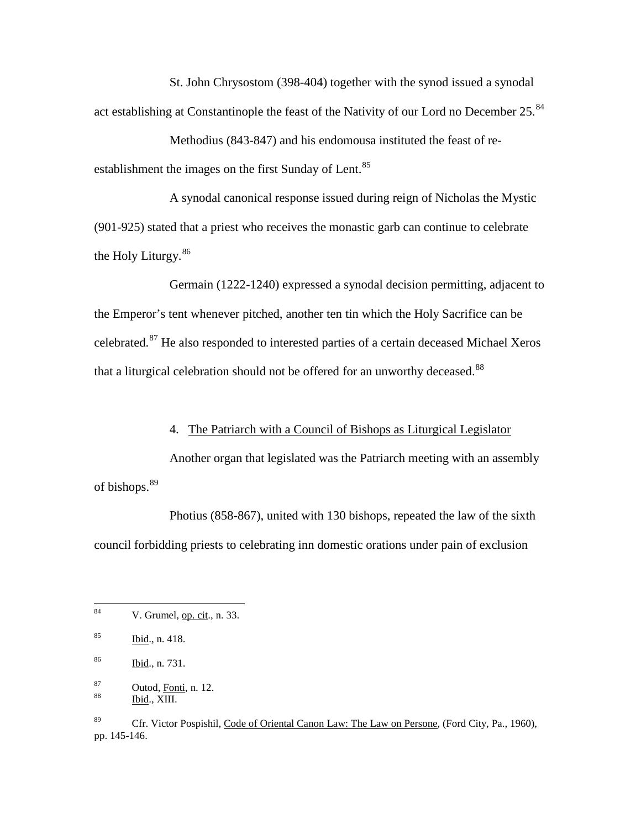St. John Chrysostom (398-404) together with the synod issued a synodal act establishing at Constantinople the feast of the Nativity of our Lord no December 25.<sup>[84](#page-28-0)</sup>

Methodius (843-847) and his endomousa instituted the feast of re-establishment the images on the first Sunday of Lent.<sup>[85](#page-28-1)</sup>

A synodal canonical response issued during reign of Nicholas the Mystic (901-925) stated that a priest who receives the monastic garb can continue to celebrate the Holy Liturgy.[86](#page-28-2)

Germain (1222-1240) expressed a synodal decision permitting, adjacent to the Emperor's tent whenever pitched, another ten tin which the Holy Sacrifice can be celebrated.[87](#page-28-3) He also responded to interested parties of a certain deceased Michael Xeros that a liturgical celebration should not be offered for an unworthy deceased.<sup>[88](#page-28-4)</sup>

## 4. The Patriarch with a Council of Bishops as Liturgical Legislator

Another organ that legislated was the Patriarch meeting with an assembly of bishops.<sup>[89](#page-28-5)</sup>

Photius (858-867), united with 130 bishops, repeated the law of the sixth council forbidding priests to celebrating inn domestic orations under pain of exclusion

<span id="page-28-0"></span> $84$  V. Grumel, <u>op. cit.</u>, n. 33.

<span id="page-28-1"></span> $\frac{\text{Ibid.}}{\text{Ibid.}}$ , n. 418.

<span id="page-28-2"></span><sup>86</sup> Ibid., n. 731.

<span id="page-28-4"></span><span id="page-28-3"></span> $\frac{87}{88}$  Outod, <u>Fonti</u>, n. 12.<br>Ibid., XIII.

<span id="page-28-5"></span><sup>&</sup>lt;sup>89</sup> Cfr. Victor Pospishil, Code of Oriental Canon Law: The Law on Persone, (Ford City, Pa., 1960), pp. 145-146.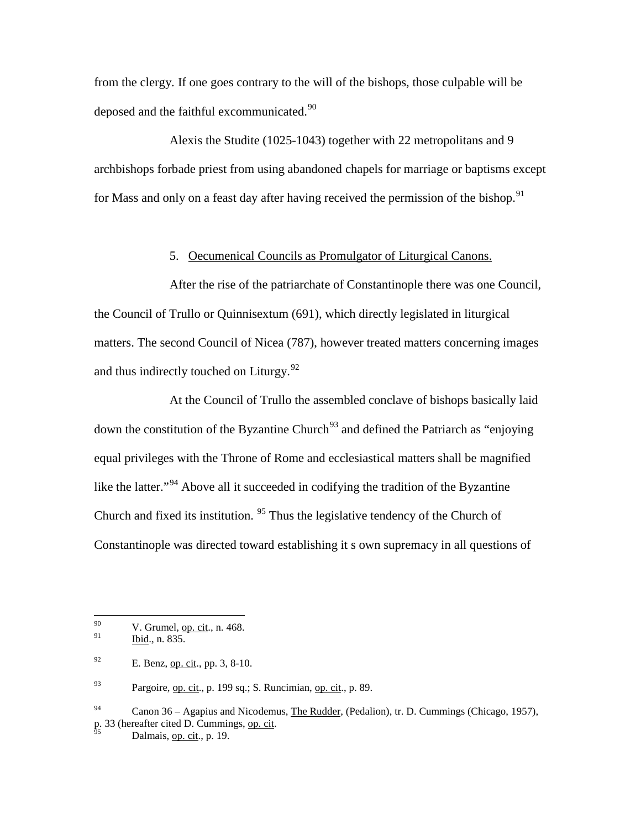from the clergy. If one goes contrary to the will of the bishops, those culpable will be deposed and the faithful excommunicated.<sup>[90](#page-29-0)</sup>

Alexis the Studite (1025-1043) together with 22 metropolitans and 9 archbishops forbade priest from using abandoned chapels for marriage or baptisms except for Mass and only on a feast day after having received the permission of the bishop.<sup>[91](#page-29-1)</sup>

### 5. Oecumenical Councils as Promulgator of Liturgical Canons.

After the rise of the patriarchate of Constantinople there was one Council, the Council of Trullo or Quinnisextum (691), which directly legislated in liturgical matters. The second Council of Nicea (787), however treated matters concerning images and thus indirectly touched on Liturgy. $92$ 

At the Council of Trullo the assembled conclave of bishops basically laid down the constitution of the Byzantine Church<sup>[93](#page-29-3)</sup> and defined the Patriarch as "enjoying" equal privileges with the Throne of Rome and ecclesiastical matters shall be magnified like the latter."<sup>[94](#page-29-4)</sup> Above all it succeeded in codifying the tradition of the Byzantine Church and fixed its institution. <sup>[95](#page-29-5)</sup> Thus the legislative tendency of the Church of Constantinople was directed toward establishing it s own supremacy in all questions of

<span id="page-29-3"></span> $^{93}$  Pargoire, <u>op. cit., p. 199 sq.;</u> S. Runcimian, <u>op. cit., p. 89</u>.

<span id="page-29-0"></span><sup>90</sup> V. Grumel, <u>op. cit</u>., n. 468.

<span id="page-29-1"></span>Ibid., n. 835.

<span id="page-29-2"></span> $^{92}$  E. Benz, op. cit., pp. 3, 8-10.

<span id="page-29-5"></span><span id="page-29-4"></span> $^{94}$  Canon 36 – Agapius and Nicodemus, The Rudder, (Pedalion), tr. D. Cummings (Chicago, 1957), p. 33 (hereafter cited D. Cummings, op. cit.<br>Dalmais, op. cit., p. 19.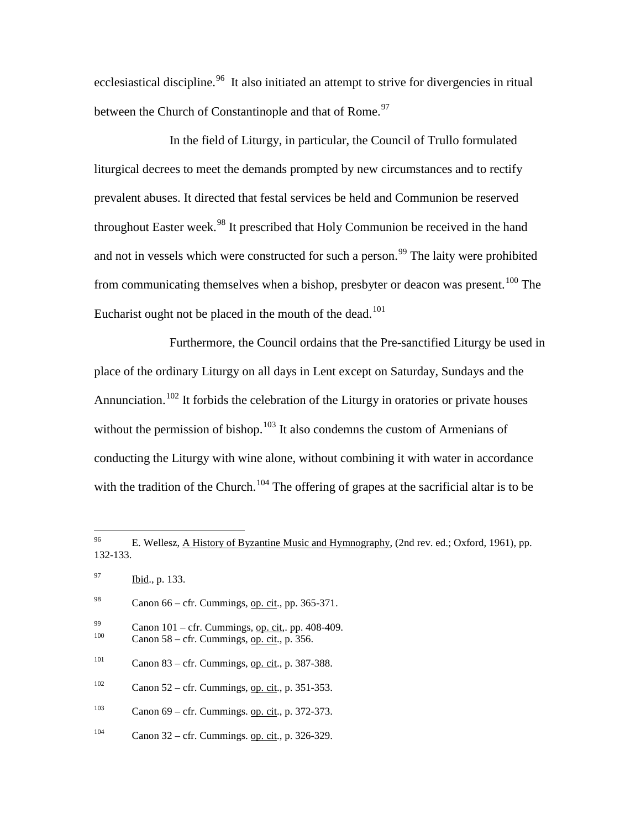ecclesiastical discipline.<sup>96</sup> It also initiated an attempt to strive for divergencies in ritual between the Church of Constantinople and that of Rome.<sup>[97](#page-30-1)</sup>

In the field of Liturgy, in particular, the Council of Trullo formulated liturgical decrees to meet the demands prompted by new circumstances and to rectify prevalent abuses. It directed that festal services be held and Communion be reserved throughout Easter week.<sup>[98](#page-30-2)</sup> It prescribed that Holy Communion be received in the hand and not in vessels which were constructed for such a person.<sup>[99](#page-30-3)</sup> The laity were prohibited from communicating themselves when a bishop, presbyter or deacon was present.<sup>[100](#page-30-4)</sup> The Eucharist ought not be placed in the mouth of the dead.<sup>[101](#page-30-5)</sup>

Furthermore, the Council ordains that the Pre-sanctified Liturgy be used in place of the ordinary Liturgy on all days in Lent except on Saturday, Sundays and the Annunciation.<sup>[102](#page-30-6)</sup> It forbids the celebration of the Liturgy in oratories or private houses without the permission of bishop.<sup>[103](#page-30-7)</sup> It also condemns the custom of Armenians of conducting the Liturgy with wine alone, without combining it with water in accordance with the tradition of the Church.<sup>[104](#page-30-8)</sup> The offering of grapes at the sacrificial altar is to be

- <span id="page-30-3"></span> $^{99}$  Canon 101 – cfr. Cummings, <u>op. cit</u>., pp. 408-409.<br>
Canon 58 – cfr. Cummings, <u>op. cit</u>., p. 356.
- <span id="page-30-4"></span>
- <span id="page-30-5"></span> $101$  Canon 83 – cfr. Cummings, op. cit., p. 387-388.
- <span id="page-30-6"></span> $102$  Canon 52 – cfr. Cummings, op. cit., p. 351-353.
- <span id="page-30-7"></span><sup>103</sup> Canon 69 – cfr. Cummings. <u>op. cit</u>., p. 372-373.
- <span id="page-30-8"></span><sup>104</sup> Canon 32 – cfr. Cummings. op. cit., p. 326-329.

<span id="page-30-0"></span> <sup>96</sup> E. Wellesz, A History of Byzantine Music and Hymnography, (2nd rev. ed.; Oxford, 1961), pp. 132-133.

<span id="page-30-1"></span> $\frac{1}{1}$  Ibid., p. 133.

<span id="page-30-2"></span><sup>&</sup>lt;sup>98</sup> Canon 66 – cfr. Cummings, <u>op. cit</u>., pp. 365-371.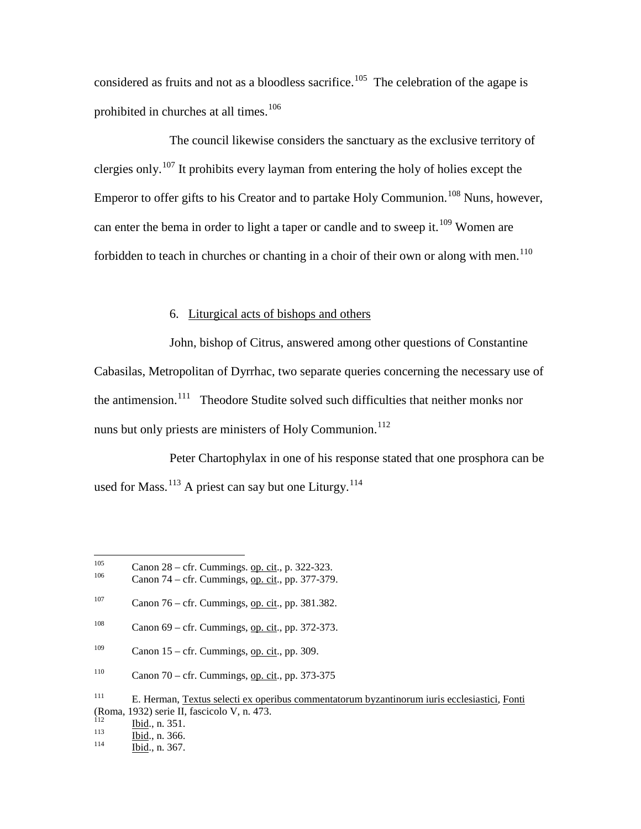considered as fruits and not as a bloodless sacrifice.<sup>[105](#page-31-0)</sup> The celebration of the agape is prohibited in churches at all times.<sup>[106](#page-31-1)</sup>

The council likewise considers the sanctuary as the exclusive territory of clergies only.<sup>[107](#page-31-2)</sup> It prohibits every layman from entering the holy of holies except the Emperor to offer gifts to his Creator and to partake Holy Communion.<sup>[108](#page-31-3)</sup> Nuns, however, can enter the bema in order to light a taper or candle and to sweep it.<sup>[109](#page-31-4)</sup> Women are forbidden to teach in churches or chanting in a choir of their own or along with men.<sup>[110](#page-31-5)</sup>

### 6. Liturgical acts of bishops and others

John, bishop of Citrus, answered among other questions of Constantine Cabasilas, Metropolitan of Dyrrhac, two separate queries concerning the necessary use of the antimension.<sup>[111](#page-31-6)</sup> Theodore Studite solved such difficulties that neither monks nor nuns but only priests are ministers of Holy Communion.<sup>[112](#page-31-7)</sup>

Peter Chartophylax in one of his response stated that one prosphora can be used for Mass.<sup>[113](#page-31-8)</sup> A priest can say but one Liturgy.<sup>[114](#page-31-9)</sup>

<span id="page-31-1"></span><span id="page-31-0"></span><sup>&</sup>lt;sup>105</sup> Canon 28 – cfr. Cummings. <u>op. cit</u>., p. 322-323.<br>Canon 74 – cfr. Cummings, <u>op. cit.,</u> pp. 377-379.

<span id="page-31-2"></span> $107$  Canon 76 – cfr. Cummings, op. cit., pp. 381.382.

<span id="page-31-3"></span><sup>&</sup>lt;sup>108</sup> Canon 69 – cfr. Cummings, <u>op. cit.,</u> pp. 372-373.

<span id="page-31-4"></span><sup>&</sup>lt;sup>109</sup> Canon 15 – cfr. Cummings, <u>op. cit.,</u> pp. 309.

<span id="page-31-5"></span><sup>&</sup>lt;sup>110</sup> Canon 70 – cfr. Cummings, op. cit., pp. 373-375

<span id="page-31-6"></span><sup>111</sup> E. Herman, Textus selecti ex operibus commentatorum byzantinorum iuris ecclesiastici, Fonti (Roma, 1932) serie II, fascicolo V, n. 473.<br>
<sup>112</sup> Ibid., n. 351.<br>
<sup>113</sup> Ibid., n. 366.<br>
<sup>114</sup> Ibid., n. 367.

<span id="page-31-7"></span>

<span id="page-31-9"></span><span id="page-31-8"></span>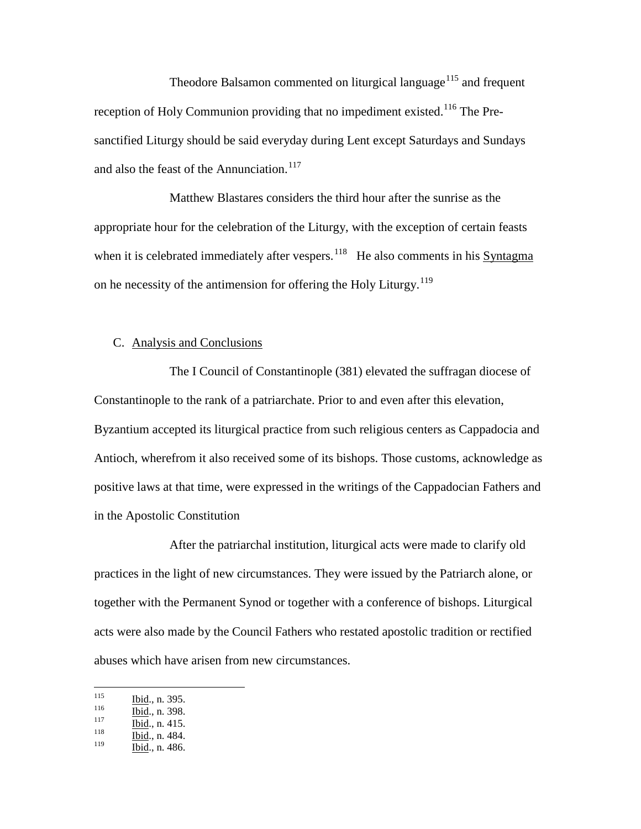Theodore Balsamon commented on liturgical language<sup>[115](#page-32-0)</sup> and frequent reception of Holy Communion providing that no impediment existed.<sup>[116](#page-32-1)</sup> The Presanctified Liturgy should be said everyday during Lent except Saturdays and Sundays and also the feast of the Annunciation.<sup>[117](#page-32-2)</sup>

Matthew Blastares considers the third hour after the sunrise as the appropriate hour for the celebration of the Liturgy, with the exception of certain feasts when it is celebrated immediately after vespers.<sup>118</sup> He also comments in his Syntagma on he necessity of the antimension for offering the Holy Liturgy.<sup>[119](#page-32-4)</sup>

### C. Analysis and Conclusions

The I Council of Constantinople (381) elevated the suffragan diocese of Constantinople to the rank of a patriarchate. Prior to and even after this elevation, Byzantium accepted its liturgical practice from such religious centers as Cappadocia and Antioch, wherefrom it also received some of its bishops. Those customs, acknowledge as positive laws at that time, were expressed in the writings of the Cappadocian Fathers and in the Apostolic Constitution

After the patriarchal institution, liturgical acts were made to clarify old practices in the light of new circumstances. They were issued by the Patriarch alone, or together with the Permanent Synod or together with a conference of bishops. Liturgical acts were also made by the Council Fathers who restated apostolic tradition or rectified abuses which have arisen from new circumstances.

<span id="page-32-0"></span><sup>115</sup> **Ibid.**, n. 395.<br>
117 **Ibid.**, n. 398.<br>
118 **Ibid.**, n. 415.<br>
119 **Ibid.**, n. 484.

<span id="page-32-1"></span>

<span id="page-32-3"></span><span id="page-32-2"></span>

<span id="page-32-4"></span>Ibid., n. 486.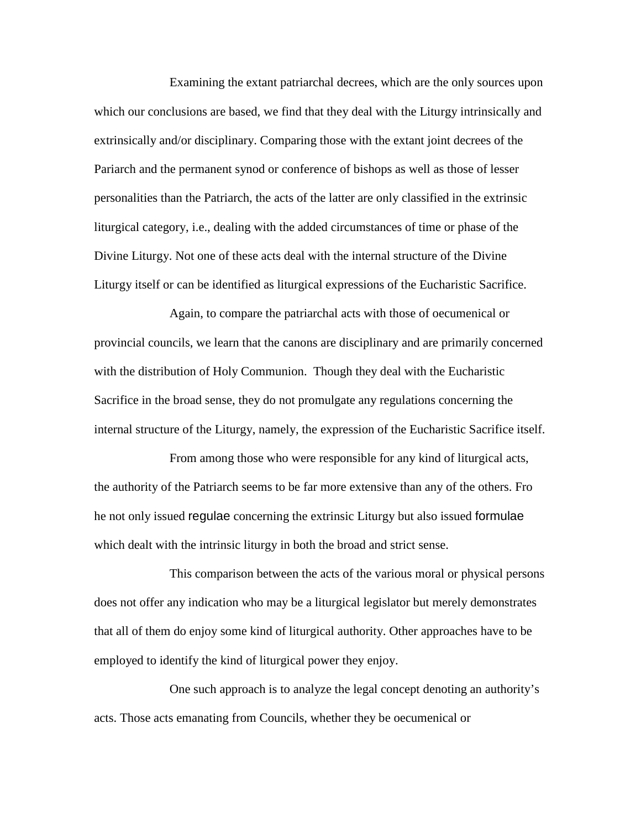Examining the extant patriarchal decrees, which are the only sources upon which our conclusions are based, we find that they deal with the Liturgy intrinsically and extrinsically and/or disciplinary. Comparing those with the extant joint decrees of the Pariarch and the permanent synod or conference of bishops as well as those of lesser personalities than the Patriarch, the acts of the latter are only classified in the extrinsic liturgical category, i.e., dealing with the added circumstances of time or phase of the Divine Liturgy. Not one of these acts deal with the internal structure of the Divine Liturgy itself or can be identified as liturgical expressions of the Eucharistic Sacrifice.

Again, to compare the patriarchal acts with those of oecumenical or provincial councils, we learn that the canons are disciplinary and are primarily concerned with the distribution of Holy Communion. Though they deal with the Eucharistic Sacrifice in the broad sense, they do not promulgate any regulations concerning the internal structure of the Liturgy, namely, the expression of the Eucharistic Sacrifice itself.

From among those who were responsible for any kind of liturgical acts, the authority of the Patriarch seems to be far more extensive than any of the others. Fro he not only issued regulae concerning the extrinsic Liturgy but also issued formulae which dealt with the intrinsic liturgy in both the broad and strict sense.

This comparison between the acts of the various moral or physical persons does not offer any indication who may be a liturgical legislator but merely demonstrates that all of them do enjoy some kind of liturgical authority. Other approaches have to be employed to identify the kind of liturgical power they enjoy.

One such approach is to analyze the legal concept denoting an authority's acts. Those acts emanating from Councils, whether they be oecumenical or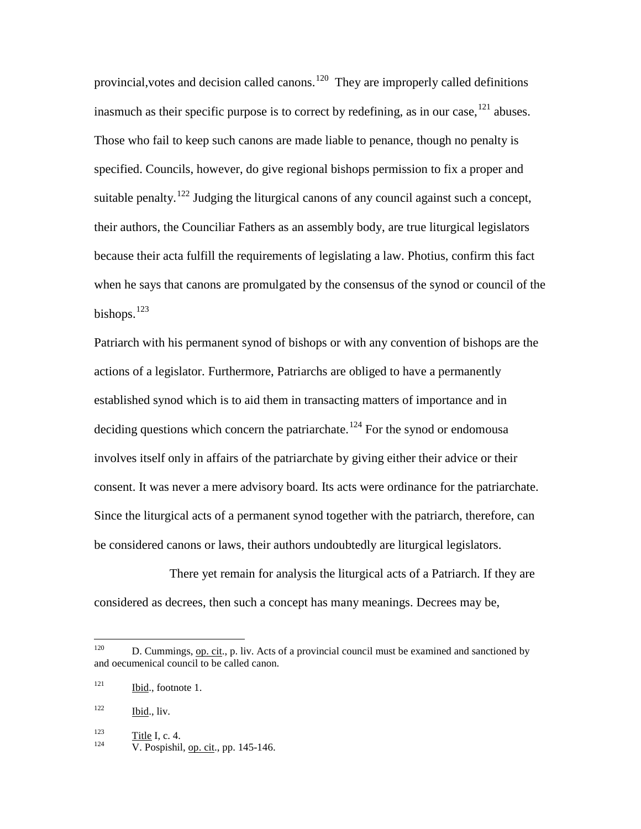provincial, votes and decision called canons.<sup>[120](#page-34-0)</sup> They are improperly called definitions inasmuch as their specific purpose is to correct by redefining, as in our case,  $^{121}$  $^{121}$  $^{121}$  abuses. Those who fail to keep such canons are made liable to penance, though no penalty is specified. Councils, however, do give regional bishops permission to fix a proper and suitable penalty.<sup>[122](#page-34-2)</sup> Judging the liturgical canons of any council against such a concept, their authors, the Counciliar Fathers as an assembly body, are true liturgical legislators because their acta fulfill the requirements of legislating a law. Photius, confirm this fact when he says that canons are promulgated by the consensus of the synod or council of the bishops. $^{123}$  $^{123}$  $^{123}$ 

Patriarch with his permanent synod of bishops or with any convention of bishops are the actions of a legislator. Furthermore, Patriarchs are obliged to have a permanently established synod which is to aid them in transacting matters of importance and in deciding questions which concern the patriarchate.<sup>[124](#page-34-4)</sup> For the synod or endomousa involves itself only in affairs of the patriarchate by giving either their advice or their consent. It was never a mere advisory board. Its acts were ordinance for the patriarchate. Since the liturgical acts of a permanent synod together with the patriarch, therefore, can be considered canons or laws, their authors undoubtedly are liturgical legislators.

There yet remain for analysis the liturgical acts of a Patriarch. If they are considered as decrees, then such a concept has many meanings. Decrees may be,

<span id="page-34-0"></span><sup>&</sup>lt;sup>120</sup> D. Cummings, op. cit., p. liv. Acts of a provincial council must be examined and sanctioned by and oecumenical council to be called canon.

<span id="page-34-1"></span> $121$  Ibid., footnote 1.

<span id="page-34-2"></span> $122$  Ibid., liv.

<span id="page-34-4"></span><span id="page-34-3"></span>

 $\frac{123}{124}$  Title I, c. 4.<br>V. Pospishil, <u>op. cit</u>., pp. 145-146.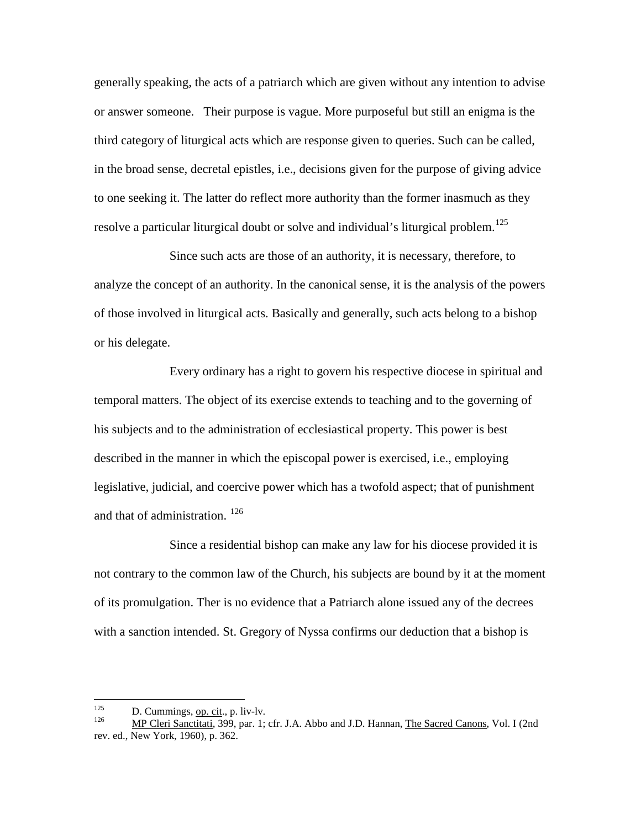generally speaking, the acts of a patriarch which are given without any intention to advise or answer someone. Their purpose is vague. More purposeful but still an enigma is the third category of liturgical acts which are response given to queries. Such can be called, in the broad sense, decretal epistles, i.e., decisions given for the purpose of giving advice to one seeking it. The latter do reflect more authority than the former inasmuch as they resolve a particular liturgical doubt or solve and individual's liturgical problem.<sup>[125](#page-35-0)</sup>

Since such acts are those of an authority, it is necessary, therefore, to analyze the concept of an authority. In the canonical sense, it is the analysis of the powers of those involved in liturgical acts. Basically and generally, such acts belong to a bishop or his delegate.

Every ordinary has a right to govern his respective diocese in spiritual and temporal matters. The object of its exercise extends to teaching and to the governing of his subjects and to the administration of ecclesiastical property. This power is best described in the manner in which the episcopal power is exercised, i.e., employing legislative, judicial, and coercive power which has a twofold aspect; that of punishment and that of administration.<sup>[126](#page-35-1)</sup>

Since a residential bishop can make any law for his diocese provided it is not contrary to the common law of the Church, his subjects are bound by it at the moment of its promulgation. Ther is no evidence that a Patriarch alone issued any of the decrees with a sanction intended. St. Gregory of Nyssa confirms our deduction that a bishop is

<span id="page-35-1"></span><span id="page-35-0"></span><sup>125</sup> D. Cummings, op. cit., p. liv-lv.<br>
126 MP Cleri Sanctitati, 399, par. 1; cfr. J.A. Abbo and J.D. Hannan, The Sacred Canons, Vol. I (2nd rev. ed., New York, 1960), p. 362.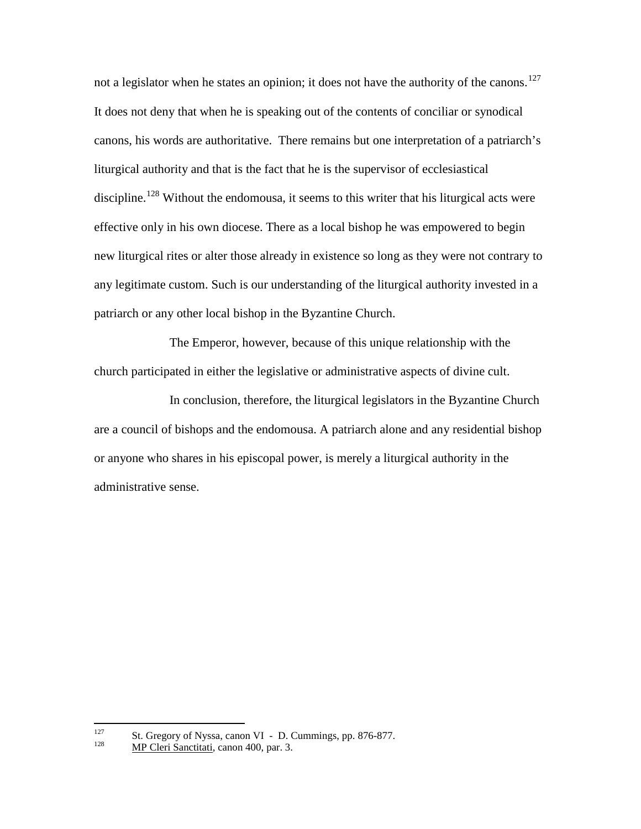not a legislator when he states an opinion; it does not have the authority of the canons.<sup>[127](#page-36-0)</sup> It does not deny that when he is speaking out of the contents of conciliar or synodical canons, his words are authoritative. There remains but one interpretation of a patriarch's liturgical authority and that is the fact that he is the supervisor of ecclesiastical discipline.<sup>[128](#page-36-1)</sup> Without the endomousa, it seems to this writer that his liturgical acts were effective only in his own diocese. There as a local bishop he was empowered to begin new liturgical rites or alter those already in existence so long as they were not contrary to any legitimate custom. Such is our understanding of the liturgical authority invested in a patriarch or any other local bishop in the Byzantine Church.

The Emperor, however, because of this unique relationship with the church participated in either the legislative or administrative aspects of divine cult.

In conclusion, therefore, the liturgical legislators in the Byzantine Church are a council of bishops and the endomousa. A patriarch alone and any residential bishop or anyone who shares in his episcopal power, is merely a liturgical authority in the administrative sense.

<span id="page-36-1"></span><span id="page-36-0"></span><sup>&</sup>lt;sup>127</sup> St. Gregory of Nyssa, canon VI - D. Cummings, pp. 876-877.<br><sup>128</sup> MP Cleri Sanctitati, canon 400, par. 3.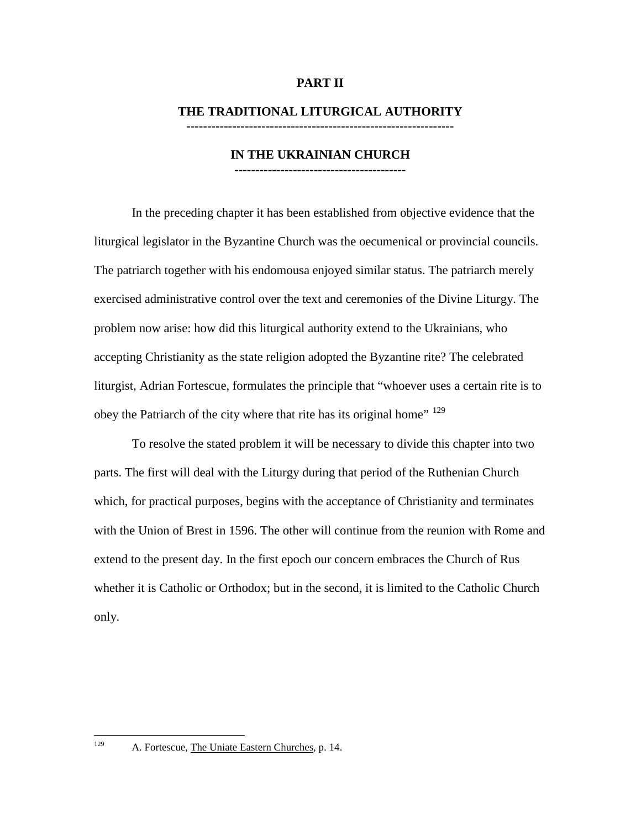# **PART II**

# **THE TRADITIONAL LITURGICAL AUTHORITY**

**----------------------------------------------------------------**

#### **IN THE UKRAINIAN CHURCH -----------------------------------------**

In the preceding chapter it has been established from objective evidence that the liturgical legislator in the Byzantine Church was the oecumenical or provincial councils. The patriarch together with his endomousa enjoyed similar status. The patriarch merely exercised administrative control over the text and ceremonies of the Divine Liturgy. The problem now arise: how did this liturgical authority extend to the Ukrainians, who accepting Christianity as the state religion adopted the Byzantine rite? The celebrated liturgist, Adrian Fortescue, formulates the principle that "whoever uses a certain rite is to obey the Patriarch of the city where that rite has its original home"<sup>[129](#page-37-0)</sup>

To resolve the stated problem it will be necessary to divide this chapter into two parts. The first will deal with the Liturgy during that period of the Ruthenian Church which, for practical purposes, begins with the acceptance of Christianity and terminates with the Union of Brest in 1596. The other will continue from the reunion with Rome and extend to the present day. In the first epoch our concern embraces the Church of Rus whether it is Catholic or Orthodox; but in the second, it is limited to the Catholic Church only.

<span id="page-37-0"></span><sup>&</sup>lt;sup>129</sup> A. Fortescue, The Uniate Eastern Churches, p. 14.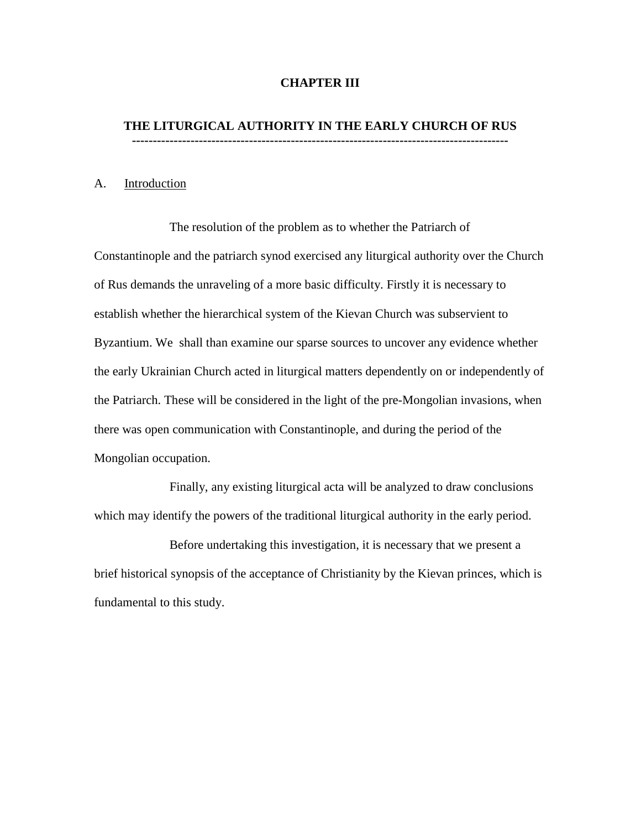# **CHAPTER III**

#### **THE LITURGICAL AUTHORITY IN THE EARLY CHURCH OF RUS ------------------------------------------------------------------------------------------**

#### A. Introduction

The resolution of the problem as to whether the Patriarch of Constantinople and the patriarch synod exercised any liturgical authority over the Church of Rus demands the unraveling of a more basic difficulty. Firstly it is necessary to establish whether the hierarchical system of the Kievan Church was subservient to Byzantium. We shall than examine our sparse sources to uncover any evidence whether the early Ukrainian Church acted in liturgical matters dependently on or independently of the Patriarch. These will be considered in the light of the pre-Mongolian invasions, when there was open communication with Constantinople, and during the period of the Mongolian occupation.

Finally, any existing liturgical acta will be analyzed to draw conclusions which may identify the powers of the traditional liturgical authority in the early period.

Before undertaking this investigation, it is necessary that we present a brief historical synopsis of the acceptance of Christianity by the Kievan princes, which is fundamental to this study.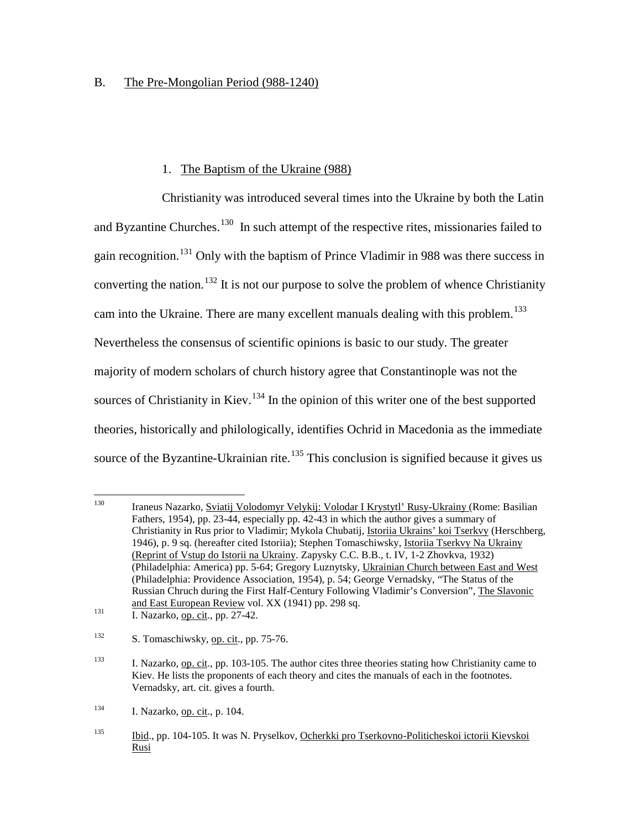# B. The Pre-Mongolian Period (988-1240)

# 1. The Baptism of the Ukraine (988)

Christianity was introduced several times into the Ukraine by both the Latin and Byzantine Churches.<sup>[130](#page-39-0)</sup> In such attempt of the respective rites, missionaries failed to gain recognition.<sup>[131](#page-39-1)</sup> Only with the baptism of Prince Vladimir in 988 was there success in converting the nation.<sup>[132](#page-39-2)</sup> It is not our purpose to solve the problem of whence Christianity cam into the Ukraine. There are many excellent manuals dealing with this problem.<sup>[133](#page-39-3)</sup> Nevertheless the consensus of scientific opinions is basic to our study. The greater majority of modern scholars of church history agree that Constantinople was not the sources of Christianity in Kiev.<sup>[134](#page-39-4)</sup> In the opinion of this writer one of the best supported theories, historically and philologically, identifies Ochrid in Macedonia as the immediate source of the Byzantine-Ukrainian rite.<sup>[135](#page-39-5)</sup> This conclusion is signified because it gives us

<span id="page-39-4"></span><sup>134</sup> I. Nazarko, op. cit., p. 104.

<span id="page-39-0"></span> <sup>130</sup> Iraneus Nazarko, Sviatij Volodomyr Velykij: Volodar I Krystytl' Rusy-Ukrainy (Rome: Basilian Fathers, 1954), pp. 23-44, especially pp. 42-43 in which the author gives a summary of Christianity in Rus prior to Vladimir; Mykola Chubatij, Istoriia Ukrains' koi Tserkvy (Herschberg, 1946), p. 9 sq. (hereafter cited Istoriia); Stephen Tomaschiwsky, Istoriia Tserkvy Na Ukrainy (Reprint of Vstup do Istorii na Ukrainy. Zapysky C.C. B.B., t. IV, 1-2 Zhovkva, 1932) (Philadelphia: America) pp. 5-64; Gregory Luznytsky, Ukrainian Church between East and West (Philadelphia: Providence Association, 1954), p. 54; George Vernadsky, "The Status of the Russian Chruch during the First Half-Century Following Vladimir's Conversion", The Slavonic and East European Review vol. XX (1941) pp. 298 sq.

<span id="page-39-1"></span> $\frac{131}{131}$  I. Nazarko, <u>op. cit.,</u> pp. 27-42.

<span id="page-39-2"></span> $132$  S. Tomaschiwsky, op. cit., pp. 75-76.

<span id="page-39-3"></span><sup>&</sup>lt;sup>133</sup> I. Nazarko, <u>op. cit.,</u> pp. 103-105. The author cites three theories stating how Christianity came to Kiev. He lists the proponents of each theory and cites the manuals of each in the footnotes. Vernadsky, art. cit. gives a fourth.

<span id="page-39-5"></span><sup>135</sup> Ibid., pp. 104-105. It was N. Pryselkov, Ocherkki pro Tserkovno-Politicheskoi ictorii Kievskoi Rusi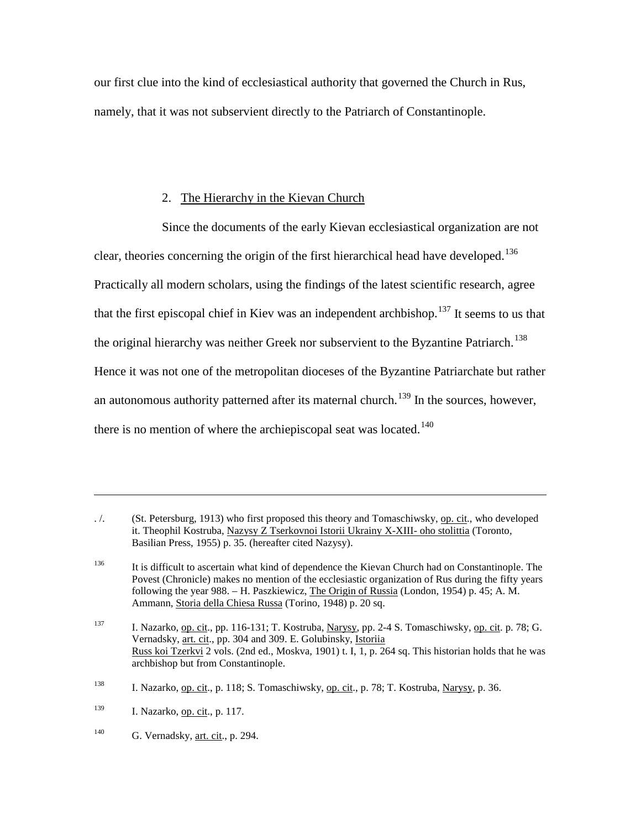our first clue into the kind of ecclesiastical authority that governed the Church in Rus, namely, that it was not subservient directly to the Patriarch of Constantinople.

# 2. The Hierarchy in the Kievan Church

Since the documents of the early Kievan ecclesiastical organization are not clear, theories concerning the origin of the first hierarchical head have developed.<sup>[136](#page-40-0)</sup> Practically all modern scholars, using the findings of the latest scientific research, agree that the first episcopal chief in Kiev was an independent archbishop.<sup>[137](#page-40-1)</sup> It seems to us that the original hierarchy was neither Greek nor subservient to the Byzantine Patriarch.<sup>[138](#page-40-2)</sup> Hence it was not one of the metropolitan dioceses of the Byzantine Patriarchate but rather an autonomous authority patterned after its maternal church.<sup>[139](#page-40-3)</sup> In the sources, however, there is no mention of where the archiepiscopal seat was located.<sup>[140](#page-40-4)</sup>

 $\overline{a}$ 

<span id="page-40-0"></span><sup>./. (</sup>St. Petersburg, 1913) who first proposed this theory and Tomaschiwsky, op. cit., who developed it. Theophil Kostruba, Nazysy Z Tserkovnoi Istorii Ukrainy X-XIII- oho stolittia (Toronto, Basilian Press, 1955) p. 35. (hereafter cited Nazysy).

<sup>&</sup>lt;sup>136</sup> It is difficult to ascertain what kind of dependence the Kievan Church had on Constantinople. The Povest (Chronicle) makes no mention of the ecclesiastic organization of Rus during the fifty years following the year 988. – H. Paszkiewicz, The Origin of Russia (London, 1954) p. 45; A. M. Ammann, Storia della Chiesa Russa (Torino, 1948) p. 20 sq.

<span id="page-40-2"></span><span id="page-40-1"></span><sup>137</sup> I. Nazarko, op. cit., pp. 116-131; T. Kostruba, Narysy, pp. 2-4 S. Tomaschiwsky, op. cit. p. 78; G. Vernadsky, art. cit., pp. 304 and 309. E. Golubinsky, Istoriia Russ koi Tzerkvi 2 vols. (2nd ed., Moskva, 1901) t. I, 1, p. 264 sq. This historian holds that he was archbishop but from Constantinople.

<sup>138</sup> I. Nazarko, op. cit., p. 118; S. Tomaschiwsky, op. cit., p. 78; T. Kostruba, Narysy, p. 36.

<span id="page-40-3"></span><sup>139</sup> I. Nazarko, op. cit., p. 117.

<span id="page-40-4"></span> $^{140}$  G. Vernadsky, <u>art. cit</u>., p. 294.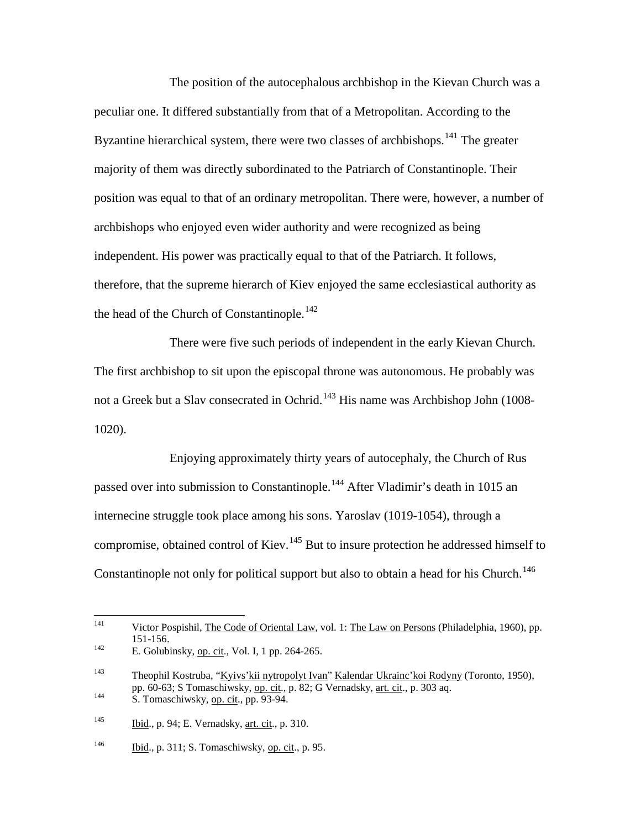The position of the autocephalous archbishop in the Kievan Church was a peculiar one. It differed substantially from that of a Metropolitan. According to the Byzantine hierarchical system, there were two classes of archbishops.<sup>[141](#page-41-0)</sup> The greater majority of them was directly subordinated to the Patriarch of Constantinople. Their position was equal to that of an ordinary metropolitan. There were, however, a number of archbishops who enjoyed even wider authority and were recognized as being independent. His power was practically equal to that of the Patriarch. It follows, therefore, that the supreme hierarch of Kiev enjoyed the same ecclesiastical authority as the head of the Church of Constantinople.<sup>[142](#page-41-1)</sup>

There were five such periods of independent in the early Kievan Church. The first archbishop to sit upon the episcopal throne was autonomous. He probably was not a Greek but a Slav consecrated in Ochrid.<sup>[143](#page-41-2)</sup> His name was Archbishop John (1008-1020).

Enjoying approximately thirty years of autocephaly, the Church of Rus passed over into submission to Constantinople.<sup>[144](#page-41-3)</sup> After Vladimir's death in 1015 an internecine struggle took place among his sons. Yaroslav (1019-1054), through a compromise, obtained control of Kiev.<sup>[145](#page-41-4)</sup> But to insure protection he addressed himself to Constantinople not only for political support but also to obtain a head for his Church.<sup>[146](#page-41-5)</sup>

<span id="page-41-2"></span><span id="page-41-1"></span><span id="page-41-0"></span> <sup>141</sup> Victor Pospishil, The Code of Oriental Law, vol. 1: The Law on Persons (Philadelphia, 1960), pp. 151-156.<br>
E. Golubinsky, <u>op. cit</u>., Vol. I, 1 pp. 264-265. <sup>143</sup> Theophil Kostruba, "<u>Kyivs'kii nytropolyt Ivan</u>" <u>Kalendar Ukrainc'koi Rodyny</u> (Toronto, 1950), pp. 60-63; S Tomaschiwsky, <u>op. cit</u>., p. 82; G Vernadsky, <u>art. cit</u>., p. 303 aq.<br>S. Tomaschiwsky, op. cit., pp. 93-94.  $145$  Ibid., p. 94; E. Vernadsky, art. cit., p. 310.

<span id="page-41-5"></span><span id="page-41-4"></span><span id="page-41-3"></span> $\frac{146}{146}$  Ibid., p. 311; S. Tomaschiwsky, op. cit., p. 95.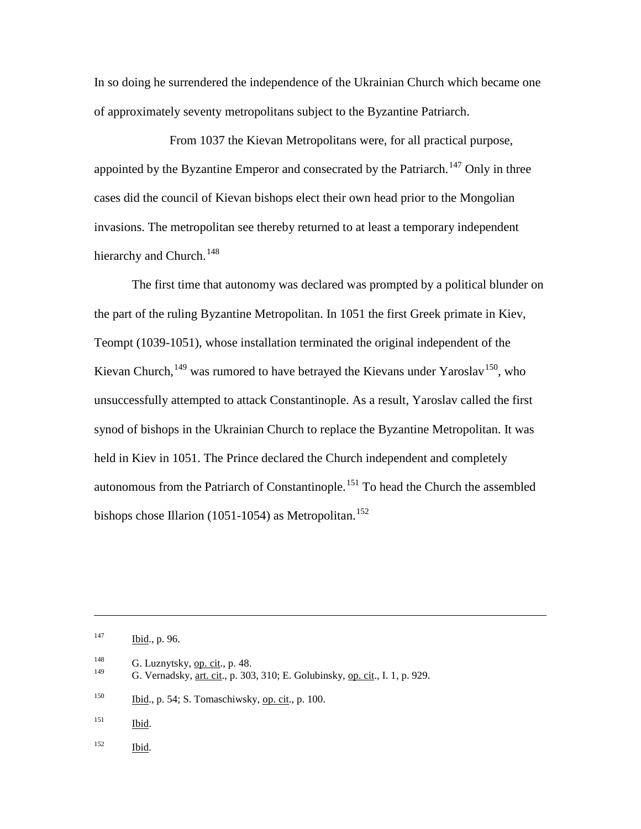In so doing he surrendered the independence of the Ukrainian Church which became one of approximately seventy metropolitans subject to the Byzantine Patriarch.

From 1037 the Kievan Metropolitans were, for all practical purpose, appointed by the Byzantine Emperor and consecrated by the Patriarch.<sup>[147](#page-42-0)</sup> Only in three cases did the council of Kievan bishops elect their own head prior to the Mongolian invasions. The metropolitan see thereby returned to at least a temporary independent hierarchy and Church.<sup>[148](#page-42-1)</sup>

The first time that autonomy was declared was prompted by a political blunder on the part of the ruling Byzantine Metropolitan. In 1051 the first Greek primate in Kiev, Teompt (1039-1051), whose installation terminated the original independent of the Kievan Church,<sup>[149](#page-42-2)</sup> was rumored to have betrayed the Kievans under Yaroslav<sup>150</sup>, who unsuccessfully attempted to attack Constantinople. As a result, Yaroslav called the first synod of bishops in the Ukrainian Church to replace the Byzantine Metropolitan. It was held in Kiev in 1051. The Prince declared the Church independent and completely autonomous from the Patriarch of Constantinople.<sup>[151](#page-42-4)</sup> To head the Church the assembled bishops chose Illarion (1051-1054) as Metropolitan.<sup>[152](#page-42-5)</sup>

<span id="page-42-4"></span>151 **Ibid.** 

 $\overline{a}$ 

<span id="page-42-5"></span><sup>152</sup> Ibid.

<span id="page-42-0"></span> $147$  Ibid., p. 96.

<span id="page-42-1"></span><sup>&</sup>lt;sup>148</sup> G. Luznytsky, <u>op. cit</u>., p. 48.

<span id="page-42-2"></span>G. Vernadsky, art. cit., p. 303, 310; E. Golubinsky, op. cit., I. 1, p. 929.

<span id="page-42-3"></span><sup>&</sup>lt;sup>150</sup> Ibid., p. 54; S. Tomaschiwsky, op. cit., p. 100.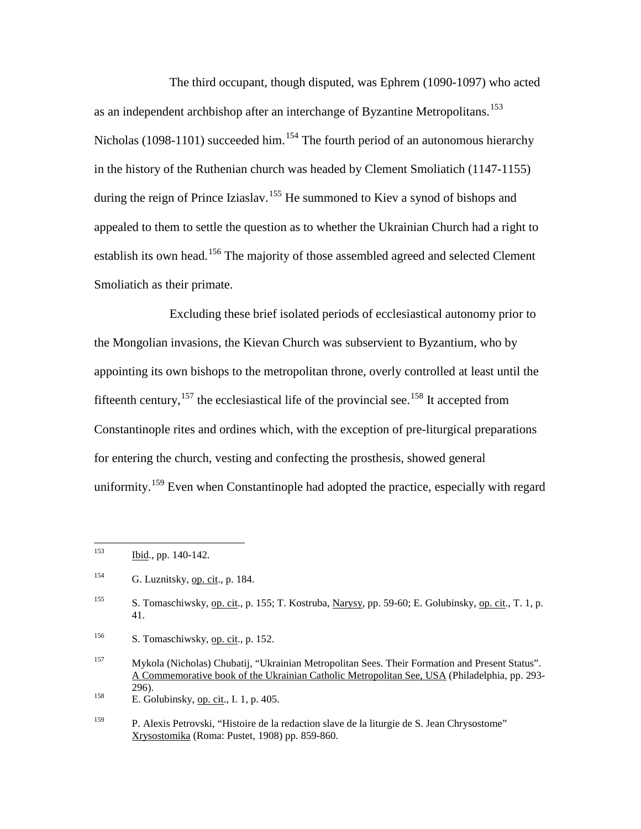The third occupant, though disputed, was Ephrem (1090-1097) who acted as an independent archbishop after an interchange of Byzantine Metropolitans.<sup>[153](#page-43-0)</sup> Nicholas (1098-1101) succeeded him.<sup>[154](#page-43-1)</sup> The fourth period of an autonomous hierarchy in the history of the Ruthenian church was headed by Clement Smoliatich (1147-1155) during the reign of Prince Iziaslav.<sup>[155](#page-43-2)</sup> He summoned to Kiev a synod of bishops and appealed to them to settle the question as to whether the Ukrainian Church had a right to establish its own head.<sup>[156](#page-43-3)</sup> The majority of those assembled agreed and selected Clement Smoliatich as their primate.

Excluding these brief isolated periods of ecclesiastical autonomy prior to the Mongolian invasions, the Kievan Church was subservient to Byzantium, who by appointing its own bishops to the metropolitan throne, overly controlled at least until the fifteenth century,  $157$  the ecclesiastical life of the provincial see.  $158$  It accepted from Constantinople rites and ordines which, with the exception of pre-liturgical preparations for entering the church, vesting and confecting the prosthesis, showed general uniformity.<sup>[159](#page-43-6)</sup> Even when Constantinople had adopted the practice, especially with regard

<span id="page-43-3"></span> $^{156}$  S. Tomaschiwsky, op. cit., p. 152.

<span id="page-43-0"></span> $153$  Ibid., pp. 140-142.

<span id="page-43-1"></span><sup>&</sup>lt;sup>154</sup> G. Luznitsky, <u>op. cit., p. 184</u>.

<span id="page-43-2"></span><sup>&</sup>lt;sup>155</sup> S. Tomaschiwsky, <u>op. cit</u>., p. 155; T. Kostruba, <u>Narysy,</u> pp. 59-60; E. Golubinsky, <u>op. cit.,</u> T. 1, p. 41.

<span id="page-43-4"></span><sup>157</sup> Mykola (Nicholas) Chubatij, "Ukrainian Metropolitan Sees. Their Formation and Present Status". A Commemorative book of the Ukrainian Catholic Metropolitan See, USA (Philadelphia, pp. 293- 296).<br>
158 E. Golubinsky, op. cit., I. 1, p. 405.

<span id="page-43-5"></span>

<span id="page-43-6"></span><sup>159</sup> P. Alexis Petrovski, "Histoire de la redaction slave de la liturgie de S. Jean Chrysostome" Xrysostomika (Roma: Pustet, 1908) pp. 859-860.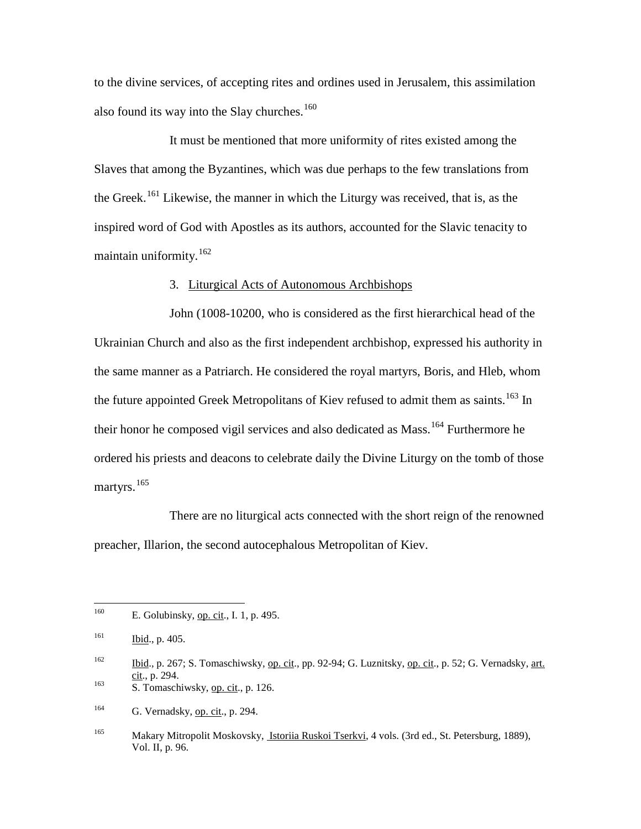to the divine services, of accepting rites and ordines used in Jerusalem, this assimilation also found its way into the Slay churches.<sup>[160](#page-44-0)</sup>

It must be mentioned that more uniformity of rites existed among the Slaves that among the Byzantines, which was due perhaps to the few translations from the Greek.<sup>[161](#page-44-1)</sup> Likewise, the manner in which the Liturgy was received, that is, as the inspired word of God with Apostles as its authors, accounted for the Slavic tenacity to maintain uniformity. $162$ 

## 3. Liturgical Acts of Autonomous Archbishops

John (1008-10200, who is considered as the first hierarchical head of the Ukrainian Church and also as the first independent archbishop, expressed his authority in the same manner as a Patriarch. He considered the royal martyrs, Boris, and Hleb, whom the future appointed Greek Metropolitans of Kiev refused to admit them as saints.<sup>[163](#page-44-3)</sup> In their honor he composed vigil services and also dedicated as Mass.<sup>[164](#page-44-4)</sup> Furthermore he ordered his priests and deacons to celebrate daily the Divine Liturgy on the tomb of those martyrs.<sup>[165](#page-44-5)</sup>

There are no liturgical acts connected with the short reign of the renowned preacher, Illarion, the second autocephalous Metropolitan of Kiev.

<span id="page-44-3"></span>

<span id="page-44-4"></span> $^{164}$  G. Vernadsky, op. cit., p. 294.

<span id="page-44-0"></span><sup>&</sup>lt;sup>160</sup> E. Golubinsky, <u>op. cit.,</u> I. 1, p. 495.

<span id="page-44-1"></span> $161$  Ibid., p. 405.

<span id="page-44-2"></span> $\frac{162}{\text{cit}}$ , p. 267; S. Tomaschiwsky, <u>op. cit</u>., pp. 92-94; G. Luznitsky, <u>op. cit</u>., p. 52; G. Vernadsky, <u>art.</u> cit., p. 294. <sup>163</sup> S. Tomaschiwsky, op. cit., p. 126.

<span id="page-44-5"></span><sup>165</sup> Makary Mitropolit Moskovsky, Istoriia Ruskoi Tserkvi, 4 vols. (3rd ed., St. Petersburg, 1889), Vol. II, p. 96.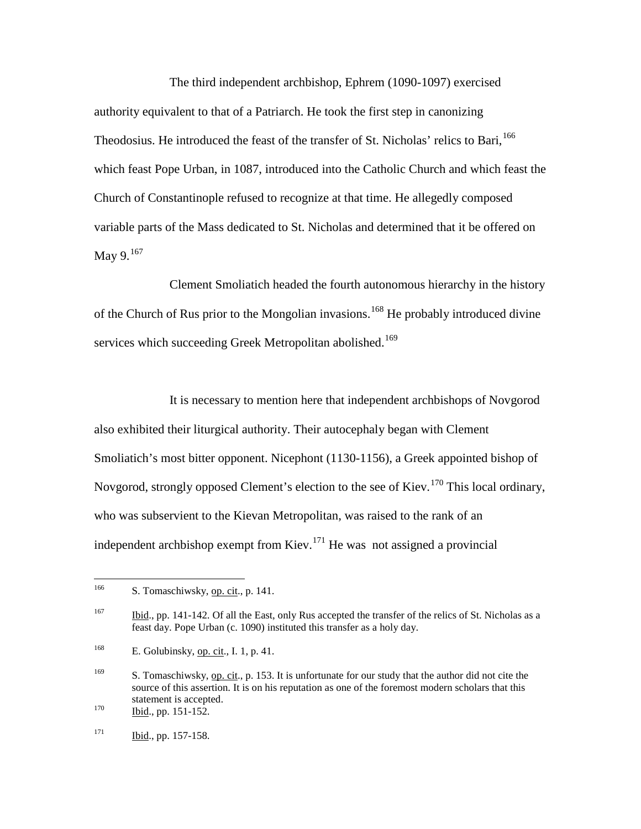The third independent archbishop, Ephrem (1090-1097) exercised authority equivalent to that of a Patriarch. He took the first step in canonizing Theodosius. He introduced the feast of the transfer of St. Nicholas' relics to Bari.<sup>[166](#page-45-0)</sup> which feast Pope Urban, in 1087, introduced into the Catholic Church and which feast the Church of Constantinople refused to recognize at that time. He allegedly composed variable parts of the Mass dedicated to St. Nicholas and determined that it be offered on May  $9.167$  $9.167$ 

Clement Smoliatich headed the fourth autonomous hierarchy in the history of the Church of Rus prior to the Mongolian invasions.<sup>[168](#page-45-2)</sup> He probably introduced divine services which succeeding Greek Metropolitan abolished.<sup>[169](#page-45-3)</sup>

It is necessary to mention here that independent archbishops of Novgorod also exhibited their liturgical authority. Their autocephaly began with Clement Smoliatich's most bitter opponent. Nicephont (1130-1156), a Greek appointed bishop of Novgorod, strongly opposed Clement's election to the see of Kiev.<sup>[170](#page-45-4)</sup> This local ordinary, who was subservient to the Kievan Metropolitan, was raised to the rank of an independent archbishop exempt from Kiev.<sup>[171](#page-45-5)</sup> He was not assigned a provincial

<span id="page-45-0"></span><sup>&</sup>lt;sup>166</sup> S. Tomaschiwsky, op. cit., p. 141.

<span id="page-45-1"></span><sup>&</sup>lt;sup>167</sup> Ibid., pp. 141-142. Of all the East, only Rus accepted the transfer of the relics of St. Nicholas as a feast day. Pope Urban (c. 1090) instituted this transfer as a holy day.

<span id="page-45-2"></span><sup>&</sup>lt;sup>168</sup> E. Golubinsky, <u>op. cit</u>., I. 1, p. 41.

<span id="page-45-3"></span><sup>&</sup>lt;sup>169</sup> S. Tomaschiwsky, op. cit., p. 153. It is unfortunate for our study that the author did not cite the source of this assertion. It is on his reputation as one of the foremost modern scholars that this statement is accepted.<br>
<sup>170</sup> Ibid., pp. 151-152.

<span id="page-45-4"></span>

<span id="page-45-5"></span> $171$  Ibid., pp. 157-158.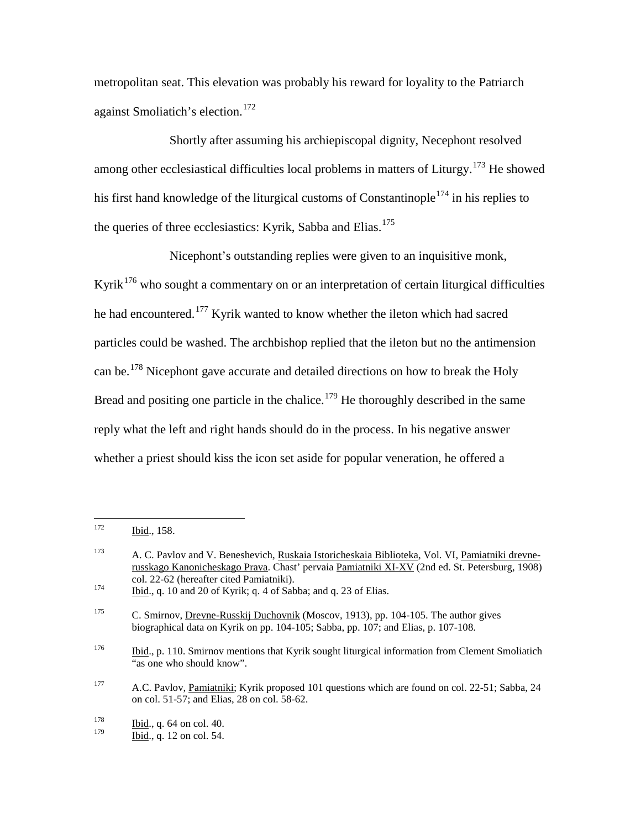metropolitan seat. This elevation was probably his reward for loyality to the Patriarch against Smoliatich's election.<sup>[172](#page-46-0)</sup>

Shortly after assuming his archiepiscopal dignity, Necephont resolved among other ecclesiastical difficulties local problems in matters of Liturgy.<sup>[173](#page-46-1)</sup> He showed his first hand knowledge of the liturgical customs of Constantinople<sup>[174](#page-46-2)</sup> in his replies to the queries of three ecclesiastics: Kyrik, Sabba and Elias.<sup>[175](#page-46-3)</sup>

Nicephont's outstanding replies were given to an inquisitive monk, Kyrik<sup>[176](#page-46-4)</sup> who sought a commentary on or an interpretation of certain liturgical difficulties he had encountered.<sup>[177](#page-46-5)</sup> Kyrik wanted to know whether the ileton which had sacred particles could be washed. The archbishop replied that the ileton but no the antimension can be.[178](#page-46-6) Nicephont gave accurate and detailed directions on how to break the Holy Bread and positing one particle in the chalice.<sup>[179](#page-46-7)</sup> He thoroughly described in the same reply what the left and right hands should do in the process. In his negative answer whether a priest should kiss the icon set aside for popular veneration, he offered a

<span id="page-46-0"></span> <sup>172</sup> Ibid., 158.

<span id="page-46-1"></span><sup>&</sup>lt;sup>173</sup> A. C. Pavlov and V. Beneshevich, Ruskaia Istoricheskaia Biblioteka, Vol. VI, Pamiatniki drevnerusskago Kanonicheskago Prava. Chast' pervaia Pamiatniki XI-XV (2nd ed. St. Petersburg, 1908) col. 22-62 (hereafter cited Pamiatniki).<br><sup>174</sup> Ibid., q. 10 and 20 of Kyrik; q. 4 of Sabba; and q. 23 of Elias.

<span id="page-46-2"></span>

<span id="page-46-3"></span><sup>&</sup>lt;sup>175</sup> C. Smirnov, Drevne-Russkij Duchovnik (Moscov, 1913), pp. 104-105. The author gives biographical data on Kyrik on pp. 104-105; Sabba, pp. 107; and Elias, p. 107-108.

<span id="page-46-4"></span><sup>&</sup>lt;sup>176</sup> Ibid., p. 110. Smirnov mentions that Kyrik sought liturgical information from Clement Smoliatich "as one who should know".

<span id="page-46-5"></span><sup>177</sup> A.C. Pavlov, Pamiatniki; Kyrik proposed 101 questions which are found on col. 22-51; Sabba, 24 on col. 51-57; and Elias, 28 on col. 58-62.

<span id="page-46-7"></span><span id="page-46-6"></span> $\frac{178}{179}$  Ibid., q. 64 on col. 40.

Ibid., q. 12 on col. 54.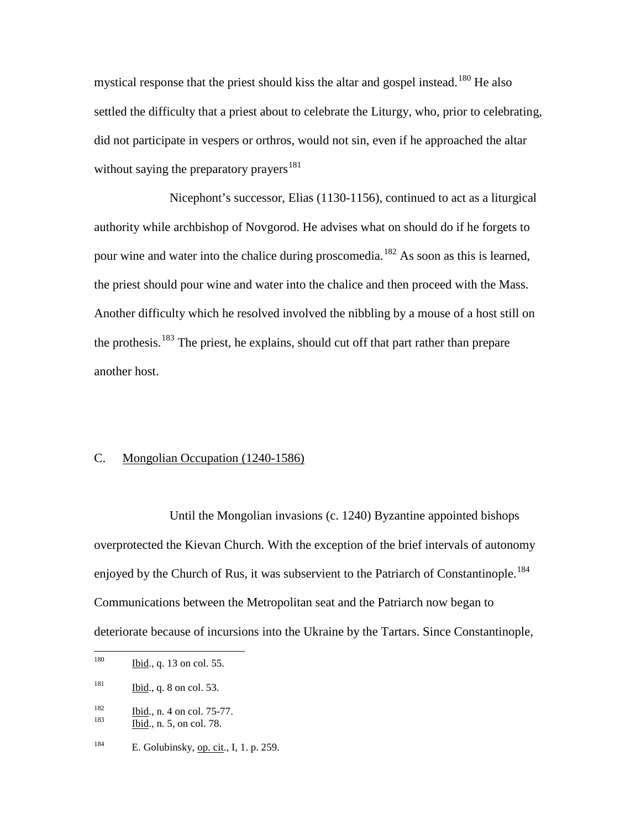mystical response that the priest should kiss the altar and gospel instead.<sup>[180](#page-47-0)</sup> He also settled the difficulty that a priest about to celebrate the Liturgy, who, prior to celebrating, did not participate in vespers or orthros, would not sin, even if he approached the altar without saying the preparatory prayers<sup>[181](#page-47-1)</sup>

Nicephont's successor, Elias (1130-1156), continued to act as a liturgical authority while archbishop of Novgorod. He advises what on should do if he forgets to pour wine and water into the chalice during proscomedia.<sup>[182](#page-47-2)</sup> As soon as this is learned, the priest should pour wine and water into the chalice and then proceed with the Mass. Another difficulty which he resolved involved the nibbling by a mouse of a host still on the prothesis.<sup>[183](#page-47-3)</sup> The priest, he explains, should cut off that part rather than prepare another host.

## C. Mongolian Occupation (1240-1586)

Until the Mongolian invasions (c. 1240) Byzantine appointed bishops overprotected the Kievan Church. With the exception of the brief intervals of autonomy enjoyed by the Church of Rus, it was subservient to the Patriarch of Constantinople.<sup>[184](#page-47-4)</sup> Communications between the Metropolitan seat and the Patriarch now began to deteriorate because of incursions into the Ukraine by the Tartars. Since Constantinople,

<span id="page-47-0"></span> $180$  Ibid., q. 13 on col. 55.

<span id="page-47-1"></span> $181$  Ibid., q. 8 on col. 53.

<span id="page-47-2"></span> $\frac{182}{183}$  Ibid., n. 4 on col. 75-77.<br>Ibid., n. 5, on col. 78.

<span id="page-47-3"></span>

<span id="page-47-4"></span><sup>&</sup>lt;sup>184</sup> E. Golubinsky, <u>op. cit</u>., I, 1. p. 259.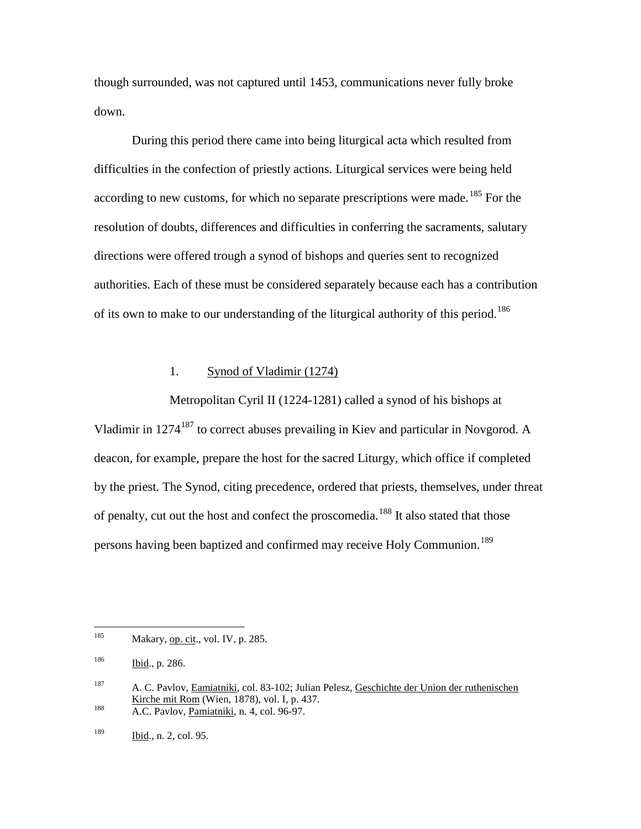though surrounded, was not captured until 1453, communications never fully broke down.

During this period there came into being liturgical acta which resulted from difficulties in the confection of priestly actions. Liturgical services were being held according to new customs, for which no separate prescriptions were made.<sup>[185](#page-48-0)</sup> For the resolution of doubts, differences and difficulties in conferring the sacraments, salutary directions were offered trough a synod of bishops and queries sent to recognized authorities. Each of these must be considered separately because each has a contribution of its own to make to our understanding of the liturgical authority of this period.<sup>[186](#page-48-1)</sup>

# 1. Synod of Vladimir (1274)

Metropolitan Cyril II (1224-1281) called a synod of his bishops at Vladimir in 1274<sup>[187](#page-48-2)</sup> to correct abuses prevailing in Kiev and particular in Novgorod. A deacon, for example, prepare the host for the sacred Liturgy, which office if completed by the priest. The Synod, citing precedence, ordered that priests, themselves, under threat of penalty, cut out the host and confect the proscomedia.<sup>[188](#page-48-3)</sup> It also stated that those persons having been baptized and confirmed may receive Holy Communion.<sup>[189](#page-48-4)</sup>

<span id="page-48-0"></span> $185$  Makary, op. cit., vol. IV, p. 285.

<span id="page-48-1"></span><sup>186</sup> Ibid., p. 286.

<span id="page-48-2"></span><sup>187</sup> A. C. Pavlov, <u>Eamiatniki</u>, col. 83-102; Julian Pelesz, Geschichte der Union der ruthenischen Kirche mit Rom (Wien, 1878), vol. I, p. 437.

<span id="page-48-3"></span> $\frac{188}{\text{A.C. Pavlov, Pamiatniki, n. 4, col. }96-97.}$ 

<span id="page-48-4"></span><sup>189</sup> Ibid., n. 2, col. 95.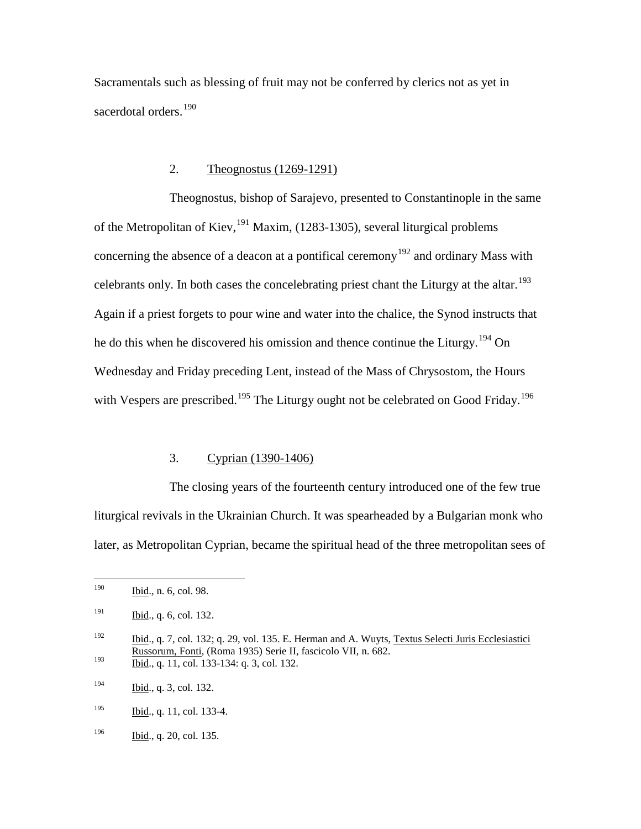Sacramentals such as blessing of fruit may not be conferred by clerics not as yet in sacerdotal orders.<sup>[190](#page-49-0)</sup>

# 2. Theognostus (1269-1291)

Theognostus, bishop of Sarajevo, presented to Constantinople in the same of the Metropolitan of Kiev,  $^{191}$  $^{191}$  $^{191}$  Maxim, (1283-1305), several liturgical problems concerning the absence of a deacon at a pontifical ceremony<sup>[192](#page-49-2)</sup> and ordinary Mass with celebrants only. In both cases the concelebrating priest chant the Liturgy at the altar.<sup>[193](#page-49-3)</sup> Again if a priest forgets to pour wine and water into the chalice, the Synod instructs that he do this when he discovered his omission and thence continue the Liturgy.<sup>[194](#page-49-4)</sup> On Wednesday and Friday preceding Lent, instead of the Mass of Chrysostom, the Hours with Vespers are prescribed.<sup>[195](#page-49-5)</sup> The Liturgy ought not be celebrated on Good Friday.<sup>[196](#page-49-6)</sup>

## 3. Cyprian (1390-1406)

The closing years of the fourteenth century introduced one of the few true liturgical revivals in the Ukrainian Church. It was spearheaded by a Bulgarian monk who later, as Metropolitan Cyprian, became the spiritual head of the three metropolitan sees of

<span id="page-49-0"></span> <sup>190</sup> Ibid., n. 6, col. 98.

<span id="page-49-1"></span> $191$  Ibid., q. 6, col. 132.

<span id="page-49-2"></span><sup>&</sup>lt;sup>192</sup> Ibid., q. 7, col. 132; q. 29, vol. 135. E. Herman and A. Wuyts, Textus Selecti Juris Ecclesiastici Russorum, Fonti, (Roma 1935) Serie II, fascicolo VII, n. 682.  $193$  Ibid., q. 11, col. 133-134: q. 3, col. 132.

<span id="page-49-4"></span><span id="page-49-3"></span><sup>194</sup> Ibid., q. 3, col. 132.

<span id="page-49-5"></span><sup>195</sup> Ibid., q. 11, col. 133-4.

<span id="page-49-6"></span><sup>196</sup> Ibid., q. 20, col. 135.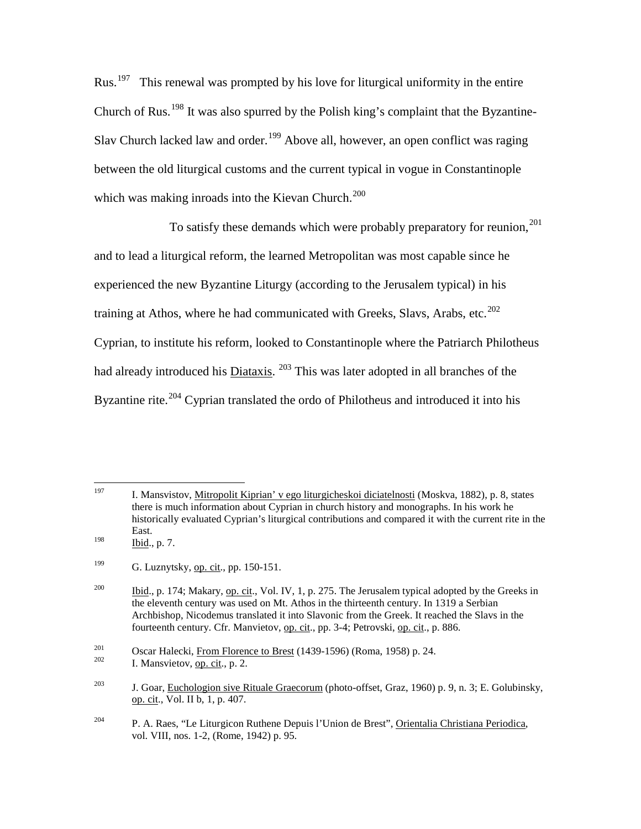$Rus<sup>197</sup>$  $Rus<sup>197</sup>$  $Rus<sup>197</sup>$  This renewal was prompted by his love for liturgical uniformity in the entire Church of Rus.<sup>[198](#page-50-1)</sup> It was also spurred by the Polish king's complaint that the Byzantine-Slav Church lacked law and order.<sup>[199](#page-50-2)</sup> Above all, however, an open conflict was raging between the old liturgical customs and the current typical in vogue in Constantinople which was making inroads into the Kievan Church.<sup>[200](#page-50-3)</sup>

To satisfy these demands which were probably preparatory for reunion,  $^{201}$  $^{201}$  $^{201}$ and to lead a liturgical reform, the learned Metropolitan was most capable since he experienced the new Byzantine Liturgy (according to the Jerusalem typical) in his training at Athos, where he had communicated with Greeks, Slavs, Arabs, etc.<sup>[202](#page-50-5)</sup> Cyprian, to institute his reform, looked to Constantinople where the Patriarch Philotheus had already introduced his Diataxis. <sup>[203](#page-50-6)</sup> This was later adopted in all branches of the Byzantine rite.<sup>[204](#page-50-7)</sup> Cyprian translated the ordo of Philotheus and introduced it into his

<span id="page-50-0"></span> 197 I. Mansvistov, Mitropolit Kiprian' v ego liturgicheskoi diciatelnosti (Moskva, 1882), p. 8, states there is much information about Cyprian in church history and monographs. In his work he historically evaluated Cyprian's liturgical contributions and compared it with the current rite in the East.  $198$  Ibid., p. 7.

<span id="page-50-2"></span><span id="page-50-1"></span><sup>&</sup>lt;sup>199</sup> G. Luznytsky, <u>op. cit</u>., pp. 150-151.

<span id="page-50-3"></span><sup>&</sup>lt;sup>200</sup> Ibid., p. 174; Makary, op. cit., Vol. IV, 1, p. 275. The Jerusalem typical adopted by the Greeks in the eleventh century was used on Mt. Athos in the thirteenth century. In 1319 a Serbian Archbishop, Nicodemus translated it into Slavonic from the Greek. It reached the Slavs in the fourteenth century. Cfr. Manvietov, op. cit., pp. 3-4; Petrovski, op. cit., p. 886.

<span id="page-50-5"></span><span id="page-50-4"></span><sup>&</sup>lt;sup>201</sup> Oscar Halecki, <u>From Florence to Brest</u> (1439-1596) (Roma, 1958) p. 24.<br>I. Mansvietov, op. cit., p. 2.

<span id="page-50-6"></span><sup>&</sup>lt;sup>203</sup> J. Goar, Euchologion sive Rituale Graecorum (photo-offset, Graz, 1960) p. 9, n. 3; E. Golubinsky, op. cit., Vol. II b, 1, p. 407.

<span id="page-50-7"></span><sup>204</sup> P. A. Raes, "Le Liturgicon Ruthene Depuis l'Union de Brest", Orientalia Christiana Periodica, vol. VIII, nos. 1-2, (Rome, 1942) p. 95.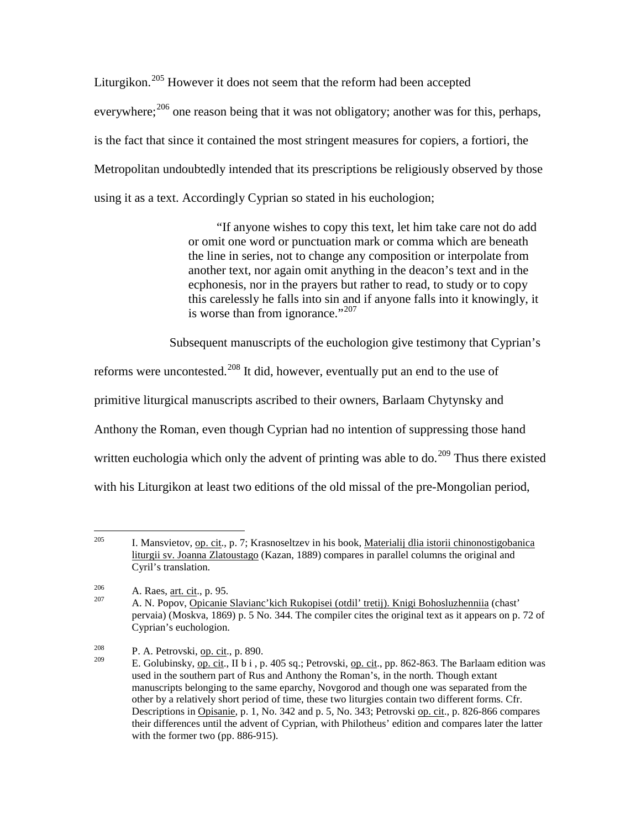Liturgikon.<sup>[205](#page-51-0)</sup> However it does not seem that the reform had been accepted everywhere;<sup>[206](#page-51-1)</sup> one reason being that it was not obligatory; another was for this, perhaps, is the fact that since it contained the most stringent measures for copiers, a fortiori, the Metropolitan undoubtedly intended that its prescriptions be religiously observed by those using it as a text. Accordingly Cyprian so stated in his euchologion;

> "If anyone wishes to copy this text, let him take care not do add or omit one word or punctuation mark or comma which are beneath the line in series, not to change any composition or interpolate from another text, nor again omit anything in the deacon's text and in the ecphonesis, nor in the prayers but rather to read, to study or to copy this carelessly he falls into sin and if anyone falls into it knowingly, it is worse than from ignorance."<sup>[207](#page-51-2)</sup>

Subsequent manuscripts of the euchologion give testimony that Cyprian's

reforms were uncontested.<sup>[208](#page-51-3)</sup> It did, however, eventually put an end to the use of

primitive liturgical manuscripts ascribed to their owners, Barlaam Chytynsky and

Anthony the Roman, even though Cyprian had no intention of suppressing those hand

written euchologia which only the advent of printing was able to do.<sup>[209](#page-51-4)</sup> Thus there existed

with his Liturgikon at least two editions of the old missal of the pre-Mongolian period,

<span id="page-51-0"></span><sup>&</sup>lt;sup>205</sup> I. Mansvietov, op. cit., p. 7; Krasnoseltzev in his book, Materialij dlia istorii chinonostigobanica liturgii sv. Joanna Zlatoustago (Kazan, 1889) compares in parallel columns the original and Cyril's translation.

<span id="page-51-2"></span><span id="page-51-1"></span><sup>&</sup>lt;sup>206</sup> A. Raes, <u>art. cit</u>., p. 95.<br><sup>207</sup> A. N. Popov, <u>Opicanie Slavianc'kich Rukopisei (otdil' tretij). Knigi Bohosluzhenniia</u> (chast' pervaia) (Moskva, 1869) p. 5 No. 344. The compiler cites the original text as it appears on p. 72 of Cyprian's euchologion.

<span id="page-51-4"></span><span id="page-51-3"></span><sup>&</sup>lt;sup>208</sup> P. A. Petrovski, <u>op. cit</u>., p. 890.

E. Golubinsky, op. cit., II b i , p. 405 sq.; Petrovski, op. cit., pp. 862-863. The Barlaam edition was used in the southern part of Rus and Anthony the Roman's, in the north. Though extant manuscripts belonging to the same eparchy, Novgorod and though one was separated from the other by a relatively short period of time, these two liturgies contain two different forms. Cfr. Descriptions in Opisanie, p. 1, No. 342 and p. 5, No. 343; Petrovski op. cit., p. 826-866 compares their differences until the advent of Cyprian, with Philotheus' edition and compares later the latter with the former two (pp. 886-915).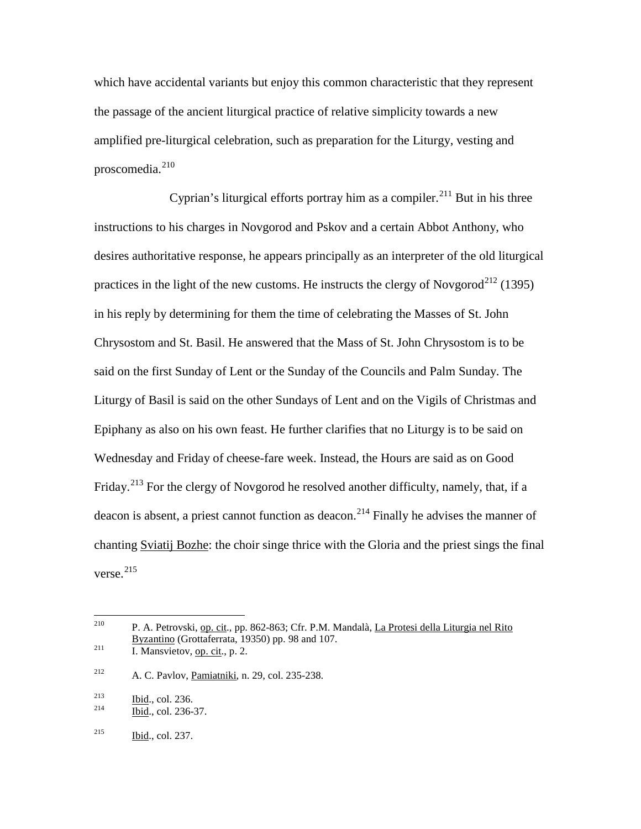which have accidental variants but enjoy this common characteristic that they represent the passage of the ancient liturgical practice of relative simplicity towards a new amplified pre-liturgical celebration, such as preparation for the Liturgy, vesting and proscomedia.<sup>[210](#page-52-0)</sup>

Cyprian's liturgical efforts portray him as a compiler.<sup>[211](#page-52-1)</sup> But in his three instructions to his charges in Novgorod and Pskov and a certain Abbot Anthony, who desires authoritative response, he appears principally as an interpreter of the old liturgical practices in the light of the new customs. He instructs the clergy of Novgorod<sup>[212](#page-52-2)</sup> (1395) in his reply by determining for them the time of celebrating the Masses of St. John Chrysostom and St. Basil. He answered that the Mass of St. John Chrysostom is to be said on the first Sunday of Lent or the Sunday of the Councils and Palm Sunday. The Liturgy of Basil is said on the other Sundays of Lent and on the Vigils of Christmas and Epiphany as also on his own feast. He further clarifies that no Liturgy is to be said on Wednesday and Friday of cheese-fare week. Instead, the Hours are said as on Good Friday.<sup>[213](#page-52-3)</sup> For the clergy of Novgorod he resolved another difficulty, namely, that, if a deacon is absent, a priest cannot function as deacon.<sup>[214](#page-52-4)</sup> Finally he advises the manner of chanting Sviatij Bozhe: the choir singe thrice with the Gloria and the priest sings the final verse. $^{215}$  $^{215}$  $^{215}$ 

<span id="page-52-0"></span> <sup>210</sup> P. A. Petrovski, op. cit., pp. 862-863; Cfr. P.M. Mandalà, La Protesi della Liturgia nel Rito Byzantino (Grottaferrata, 19350) pp. 98 and 107.<br>
I. Mansvietov, op. cit., p. 2.

<span id="page-52-2"></span><span id="page-52-1"></span><sup>212</sup> A. C. Pavlov, Pamiatniki, n. 29, col. 235-238.

<span id="page-52-3"></span> $\frac{\text{213}}{\text{214}}$  Ibid., col. 236.<br>Ibid., col. 236-37.

<span id="page-52-4"></span>

<span id="page-52-5"></span><sup>215</sup> Ibid., col. 237.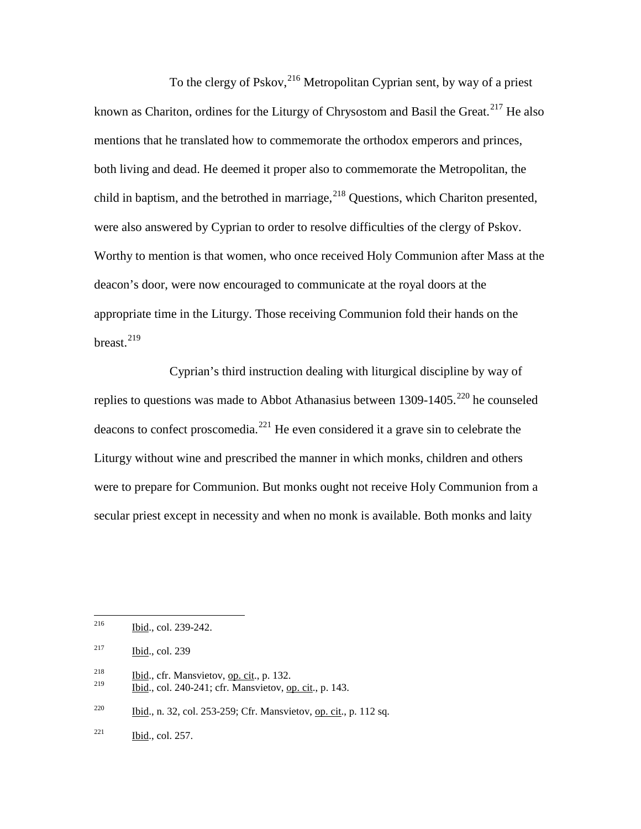To the clergy of Pskov, <sup>[216](#page-53-0)</sup> Metropolitan Cyprian sent, by way of a priest known as Chariton, ordines for the Liturgy of Chrysostom and Basil the Great.<sup>[217](#page-53-1)</sup> He also mentions that he translated how to commemorate the orthodox emperors and princes, both living and dead. He deemed it proper also to commemorate the Metropolitan, the child in baptism, and the betrothed in marriage,  $^{218}$  $^{218}$  $^{218}$  Questions, which Chariton presented, were also answered by Cyprian to order to resolve difficulties of the clergy of Pskov. Worthy to mention is that women, who once received Holy Communion after Mass at the deacon's door, were now encouraged to communicate at the royal doors at the appropriate time in the Liturgy. Those receiving Communion fold their hands on the breast. $^{219}$  $^{219}$  $^{219}$ 

Cyprian's third instruction dealing with liturgical discipline by way of replies to questions was made to Abbot Athanasius between  $1309-1405$ <sup>[220](#page-53-4)</sup> he counseled deacons to confect proscomedia. $^{221}$  $^{221}$  $^{221}$  He even considered it a grave sin to celebrate the Liturgy without wine and prescribed the manner in which monks, children and others were to prepare for Communion. But monks ought not receive Holy Communion from a secular priest except in necessity and when no monk is available. Both monks and laity

<span id="page-53-0"></span> <sup>216</sup> Ibid., col. 239-242.

<span id="page-53-1"></span> $217$  Ibid., col. 239

<span id="page-53-2"></span> $\frac{218}{100}$  Ibid., cfr. Mansvietov, op. cit., p. 132.

<span id="page-53-3"></span><sup>219</sup> Ibid., col. 240-241; cfr. Mansvietov, op. cit., p. 143.

<span id="page-53-4"></span><sup>&</sup>lt;sup>220</sup> Ibid., n. 32, col. 253-259; Cfr. Mansvietov, op. cit., p. 112 sq.

<span id="page-53-5"></span> $^{221}$  Ibid., col. 257.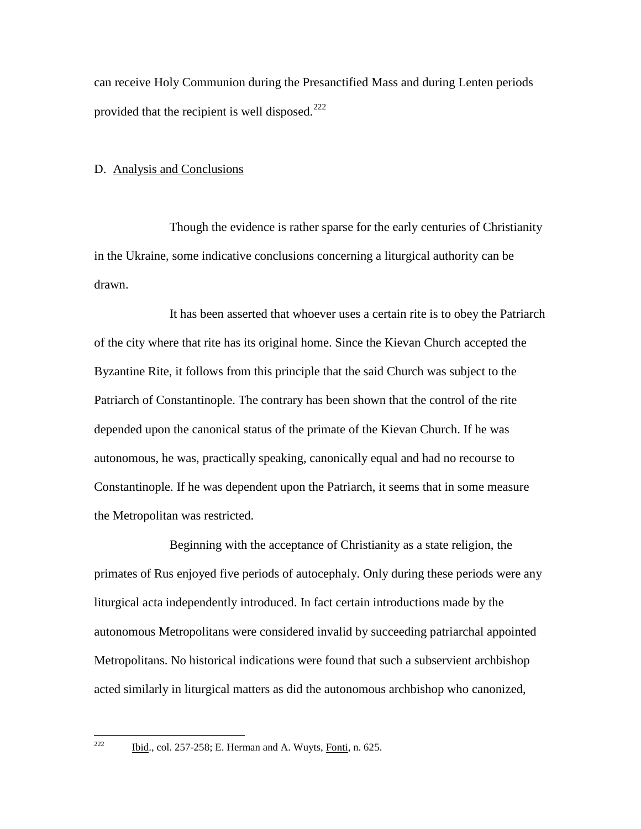can receive Holy Communion during the Presanctified Mass and during Lenten periods provided that the recipient is well disposed.<sup>[222](#page-54-0)</sup>

## D. Analysis and Conclusions

Though the evidence is rather sparse for the early centuries of Christianity in the Ukraine, some indicative conclusions concerning a liturgical authority can be drawn.

It has been asserted that whoever uses a certain rite is to obey the Patriarch of the city where that rite has its original home. Since the Kievan Church accepted the Byzantine Rite, it follows from this principle that the said Church was subject to the Patriarch of Constantinople. The contrary has been shown that the control of the rite depended upon the canonical status of the primate of the Kievan Church. If he was autonomous, he was, practically speaking, canonically equal and had no recourse to Constantinople. If he was dependent upon the Patriarch, it seems that in some measure the Metropolitan was restricted.

Beginning with the acceptance of Christianity as a state religion, the primates of Rus enjoyed five periods of autocephaly. Only during these periods were any liturgical acta independently introduced. In fact certain introductions made by the autonomous Metropolitans were considered invalid by succeeding patriarchal appointed Metropolitans. No historical indications were found that such a subservient archbishop acted similarly in liturgical matters as did the autonomous archbishop who canonized,

<span id="page-54-0"></span>

 $\frac{\text{Did}}{\text{Eid}}$ , col. 257-258; E. Herman and A. Wuyts, Fonti, n. 625.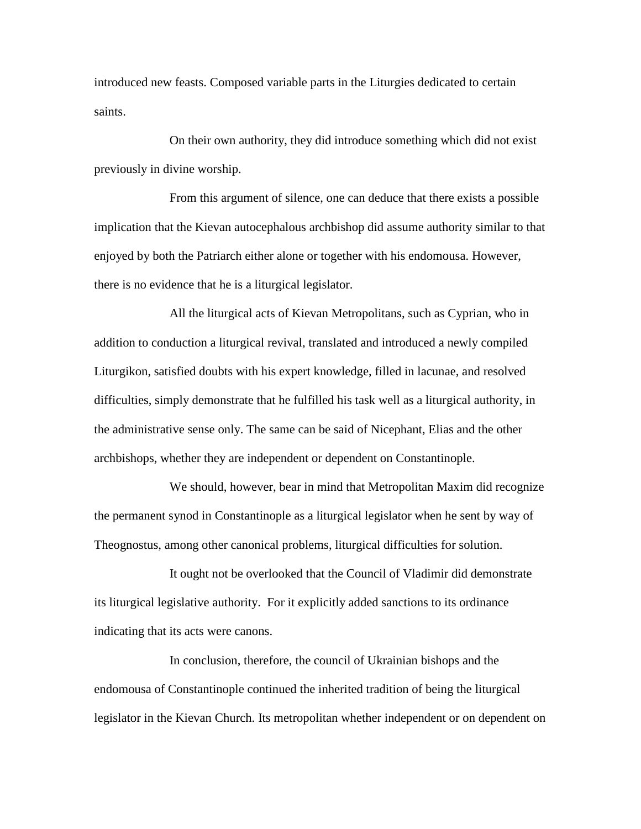introduced new feasts. Composed variable parts in the Liturgies dedicated to certain saints.

On their own authority, they did introduce something which did not exist previously in divine worship.

From this argument of silence, one can deduce that there exists a possible implication that the Kievan autocephalous archbishop did assume authority similar to that enjoyed by both the Patriarch either alone or together with his endomousa. However, there is no evidence that he is a liturgical legislator.

All the liturgical acts of Kievan Metropolitans, such as Cyprian, who in addition to conduction a liturgical revival, translated and introduced a newly compiled Liturgikon, satisfied doubts with his expert knowledge, filled in lacunae, and resolved difficulties, simply demonstrate that he fulfilled his task well as a liturgical authority, in the administrative sense only. The same can be said of Nicephant, Elias and the other archbishops, whether they are independent or dependent on Constantinople.

We should, however, bear in mind that Metropolitan Maxim did recognize the permanent synod in Constantinople as a liturgical legislator when he sent by way of Theognostus, among other canonical problems, liturgical difficulties for solution.

It ought not be overlooked that the Council of Vladimir did demonstrate its liturgical legislative authority. For it explicitly added sanctions to its ordinance indicating that its acts were canons.

In conclusion, therefore, the council of Ukrainian bishops and the endomousa of Constantinople continued the inherited tradition of being the liturgical legislator in the Kievan Church. Its metropolitan whether independent or on dependent on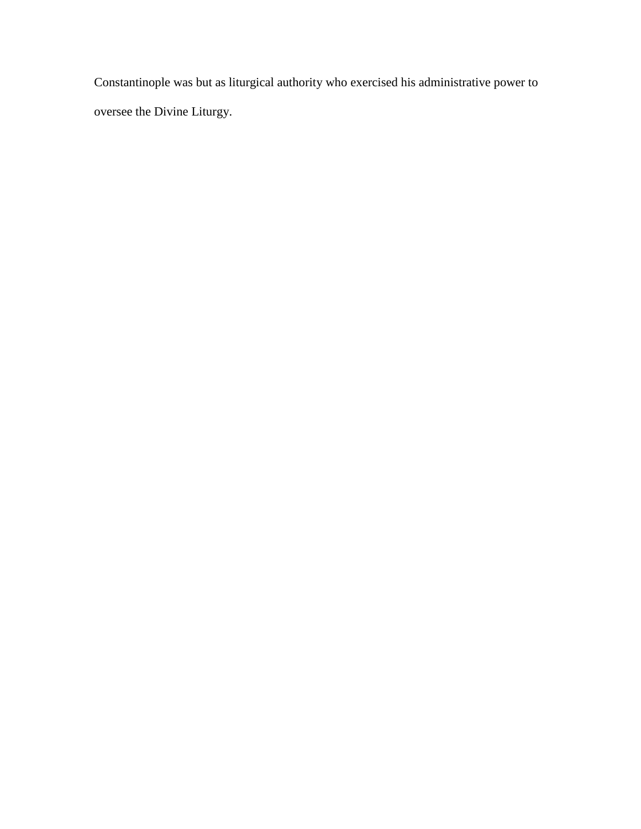Constantinople was but as liturgical authority who exercised his administrative power to oversee the Divine Liturgy.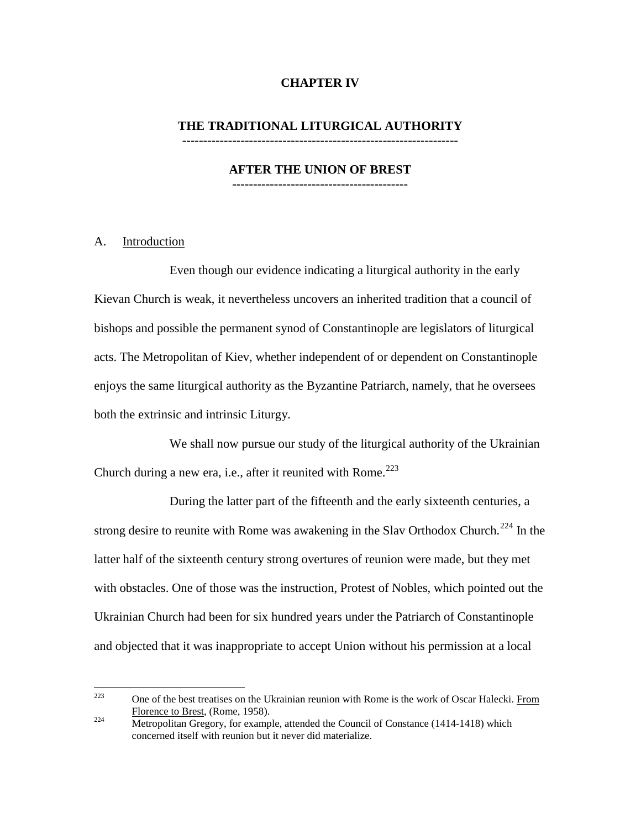# **CHAPTER IV**

#### **THE TRADITIONAL LITURGICAL AUTHORITY ------------------------------------------------------------------**

#### **AFTER THE UNION OF BREST ------------------------------------------**

# A. Introduction

Even though our evidence indicating a liturgical authority in the early Kievan Church is weak, it nevertheless uncovers an inherited tradition that a council of bishops and possible the permanent synod of Constantinople are legislators of liturgical acts. The Metropolitan of Kiev, whether independent of or dependent on Constantinople enjoys the same liturgical authority as the Byzantine Patriarch, namely, that he oversees both the extrinsic and intrinsic Liturgy.

We shall now pursue our study of the liturgical authority of the Ukrainian Church during a new era, i.e., after it reunited with Rome.<sup>[223](#page-57-0)</sup>

During the latter part of the fifteenth and the early sixteenth centuries, a strong desire to reunite with Rome was awakening in the Slav Orthodox Church.<sup>[224](#page-57-1)</sup> In the latter half of the sixteenth century strong overtures of reunion were made, but they met with obstacles. One of those was the instruction, Protest of Nobles, which pointed out the Ukrainian Church had been for six hundred years under the Patriarch of Constantinople and objected that it was inappropriate to accept Union without his permission at a local

<span id="page-57-0"></span><sup>&</sup>lt;sup>223</sup> One of the best treatises on the Ukrainian reunion with Rome is the work of Oscar Halecki. From Florence to Brest, (Rome, 1958).

<span id="page-57-1"></span> $\frac{224}{\text{Metropolitan Gregory, (volume, 1956)}}$ .<br>Metropolitan Gregory, for example, attended the Council of Constance (1414-1418) which concerned itself with reunion but it never did materialize.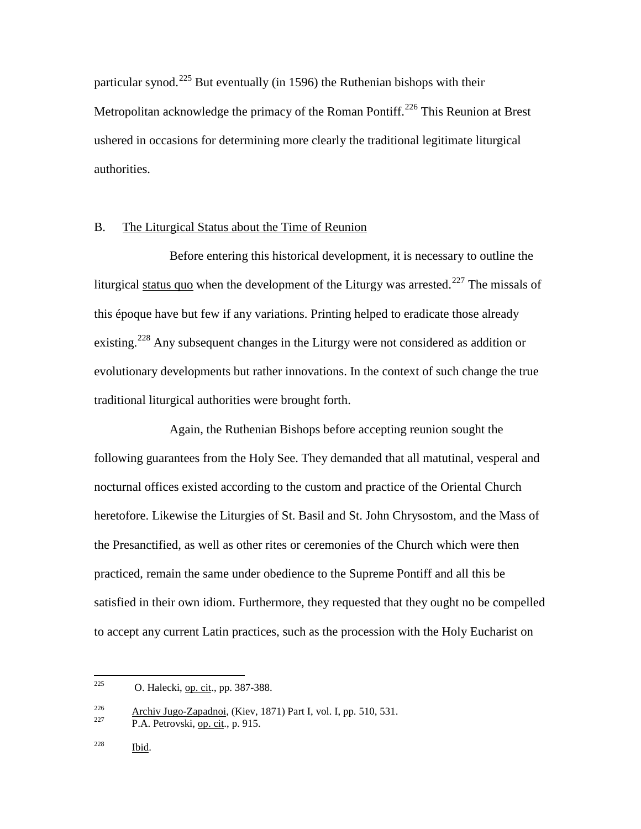particular synod.<sup>[225](#page-58-0)</sup> But eventually (in 1596) the Ruthenian bishops with their Metropolitan acknowledge the primacy of the Roman Pontiff.<sup>[226](#page-58-1)</sup> This Reunion at Brest ushered in occasions for determining more clearly the traditional legitimate liturgical authorities.

# B. The Liturgical Status about the Time of Reunion

Before entering this historical development, it is necessary to outline the liturgical status quo when the development of the Liturgy was arrested.<sup>[227](#page-58-2)</sup> The missals of this époque have but few if any variations. Printing helped to eradicate those already existing.<sup>[228](#page-58-3)</sup> Any subsequent changes in the Liturgy were not considered as addition or evolutionary developments but rather innovations. In the context of such change the true traditional liturgical authorities were brought forth.

Again, the Ruthenian Bishops before accepting reunion sought the following guarantees from the Holy See. They demanded that all matutinal, vesperal and nocturnal offices existed according to the custom and practice of the Oriental Church heretofore. Likewise the Liturgies of St. Basil and St. John Chrysostom, and the Mass of the Presanctified, as well as other rites or ceremonies of the Church which were then practiced, remain the same under obedience to the Supreme Pontiff and all this be satisfied in their own idiom. Furthermore, they requested that they ought no be compelled to accept any current Latin practices, such as the procession with the Holy Eucharist on

<span id="page-58-0"></span><sup>&</sup>lt;sup>225</sup> O. Halecki, op. cit., pp. 387-388.

<span id="page-58-2"></span><span id="page-58-1"></span><sup>&</sup>lt;sup>226</sup> Archiv Jugo-Zapadnoi, (Kiev, 1871) Part I, vol. I, pp. 510, 531.<br>P.A. Petrovski, <u>op. cit</u>., p. 915.

<span id="page-58-3"></span> $228$  Ibid.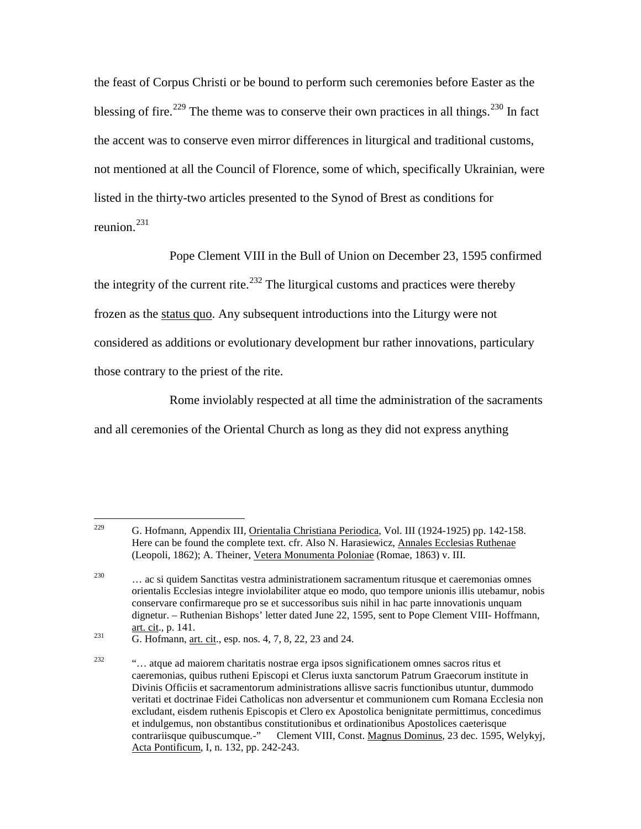the feast of Corpus Christi or be bound to perform such ceremonies before Easter as the blessing of fire.<sup>[229](#page-59-0)</sup> The theme was to conserve their own practices in all things.<sup>[230](#page-59-1)</sup> In fact the accent was to conserve even mirror differences in liturgical and traditional customs, not mentioned at all the Council of Florence, some of which, specifically Ukrainian, were listed in the thirty-two articles presented to the Synod of Brest as conditions for reunion.[231](#page-59-2)

Pope Clement VIII in the Bull of Union on December 23, 1595 confirmed the integrity of the current rite.<sup>[232](#page-59-3)</sup> The liturgical customs and practices were thereby frozen as the status quo. Any subsequent introductions into the Liturgy were not considered as additions or evolutionary development bur rather innovations, particulary those contrary to the priest of the rite.

Rome inviolably respected at all time the administration of the sacraments and all ceremonies of the Oriental Church as long as they did not express anything

<span id="page-59-0"></span><sup>&</sup>lt;sup>229</sup> G. Hofmann, Appendix III, <u>Orientalia Christiana Periodica</u>, Vol. III (1924-1925) pp. 142-158. Here can be found the complete text. cfr. Also N. Harasiewicz, Annales Ecclesias Ruthenae (Leopoli, 1862); A. Theiner, Vetera Monumenta Poloniae (Romae, 1863) v. III.

<span id="page-59-1"></span><sup>230</sup> … ac si quidem Sanctitas vestra administrationem sacramentum ritusque et caeremonias omnes orientalis Ecclesias integre inviolabiliter atque eo modo, quo tempore unionis illis utebamur, nobis conservare confirmareque pro se et successoribus suis nihil in hac parte innovationis unquam dignetur. – Ruthenian Bishops' letter dated June 22, 1595, sent to Pope Clement VIII- Hoffmann, art. cit., p. 141.<br>
G. Hofmann, <u>art. cit</u>., esp. nos. 4, 7, 8, 22, 23 and 24.

<span id="page-59-2"></span>

<span id="page-59-3"></span> $\ldots$  atque ad maiorem charitatis nostrae erga ipsos significationem omnes sacros ritus et caeremonias, quibus rutheni Episcopi et Clerus iuxta sanctorum Patrum Graecorum institute in Divinis Officiis et sacramentorum administrations allisve sacris functionibus utuntur, dummodo veritati et doctrinae Fidei Catholicas non adversentur et communionem cum Romana Ecclesia non excludant, eisdem ruthenis Episcopis et Clero ex Apostolica benignitate permittimus, concedimus et indulgemus, non obstantibus constitutionibus et ordinationibus Apostolices caeterisque contrariisque quibuscumque.-" Clement VIII, Const. Magnus Dominus, 23 dec. 1595, Welykyj, Acta Pontificum, I, n. 132, pp. 242-243.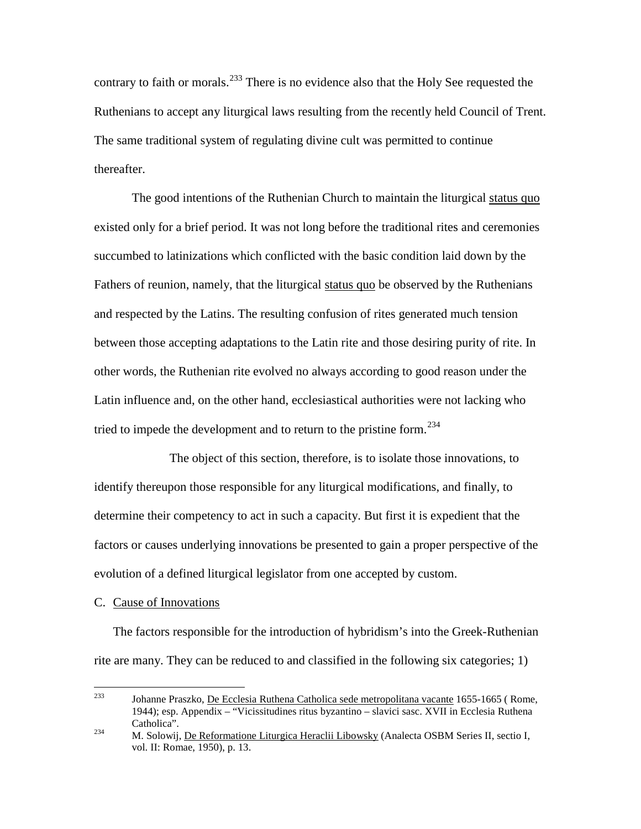contrary to faith or morals.  $233$  There is no evidence also that the Holy See requested the Ruthenians to accept any liturgical laws resulting from the recently held Council of Trent. The same traditional system of regulating divine cult was permitted to continue thereafter.

The good intentions of the Ruthenian Church to maintain the liturgical status quo existed only for a brief period. It was not long before the traditional rites and ceremonies succumbed to latinizations which conflicted with the basic condition laid down by the Fathers of reunion, namely, that the liturgical status quo be observed by the Ruthenians and respected by the Latins. The resulting confusion of rites generated much tension between those accepting adaptations to the Latin rite and those desiring purity of rite. In other words, the Ruthenian rite evolved no always according to good reason under the Latin influence and, on the other hand, ecclesiastical authorities were not lacking who tried to impede the development and to return to the pristine form.<sup>[234](#page-60-1)</sup>

The object of this section, therefore, is to isolate those innovations, to identify thereupon those responsible for any liturgical modifications, and finally, to determine their competency to act in such a capacity. But first it is expedient that the factors or causes underlying innovations be presented to gain a proper perspective of the evolution of a defined liturgical legislator from one accepted by custom.

#### C. Cause of Innovations

The factors responsible for the introduction of hybridism's into the Greek-Ruthenian rite are many. They can be reduced to and classified in the following six categories; 1)

<span id="page-60-0"></span><sup>&</sup>lt;sup>233</sup> Johanne Praszko, <u>De Ecclesia</u> Ruthena Catholica sede metropolitana vacante 1655-1665 (Rome, 1944); esp. Appendix – "Vicissitudines ritus byzantino – slavici sasc. XVII in Ecclesia Ruthena Catholica". <sup>234</sup> M. Solowij, De Reformatione Liturgica Heraclii Libowsky (Analecta OSBM Series II, sectio I,

<span id="page-60-1"></span>vol. II: Romae, 1950), p. 13.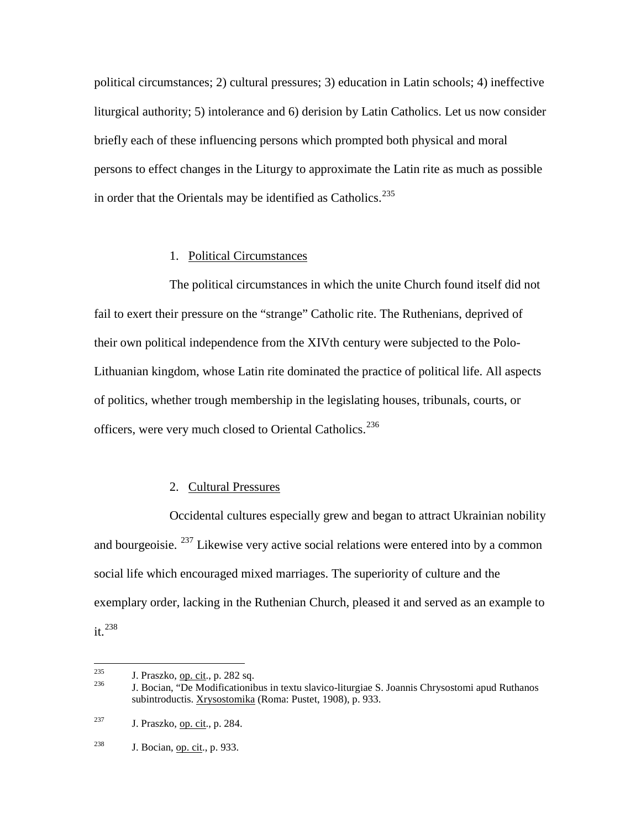political circumstances; 2) cultural pressures; 3) education in Latin schools; 4) ineffective liturgical authority; 5) intolerance and 6) derision by Latin Catholics. Let us now consider briefly each of these influencing persons which prompted both physical and moral persons to effect changes in the Liturgy to approximate the Latin rite as much as possible in order that the Orientals may be identified as Catholics.<sup>[235](#page-61-0)</sup>

# 1. Political Circumstances

The political circumstances in which the unite Church found itself did not fail to exert their pressure on the "strange" Catholic rite. The Ruthenians, deprived of their own political independence from the XIVth century were subjected to the Polo-Lithuanian kingdom, whose Latin rite dominated the practice of political life. All aspects of politics, whether trough membership in the legislating houses, tribunals, courts, or officers, were very much closed to Oriental Catholics.<sup>[236](#page-61-1)</sup>

## 2. Cultural Pressures

Occidental cultures especially grew and began to attract Ukrainian nobility and bourgeoisie.  $^{237}$  $^{237}$  $^{237}$  Likewise very active social relations were entered into by a common social life which encouraged mixed marriages. The superiority of culture and the exemplary order, lacking in the Ruthenian Church, pleased it and served as an example to it.<sup>[238](#page-61-3)</sup>

<span id="page-61-1"></span><span id="page-61-0"></span><sup>&</sup>lt;sup>235</sup> J. Praszko, op. cit., p. 282 sq. 236 J. Bocian, "De Modificationibus in textu slavico-liturgiae S. Joannis Chrysostomi apud Ruthanos subintroductis. Xrysostomika (Roma: Pustet, 1908), p. 933.

<span id="page-61-2"></span><sup>&</sup>lt;sup>237</sup> J. Praszko, <u>op. cit</u>., p. 284.

<span id="page-61-3"></span> $238$  J. Bocian, op. cit., p. 933.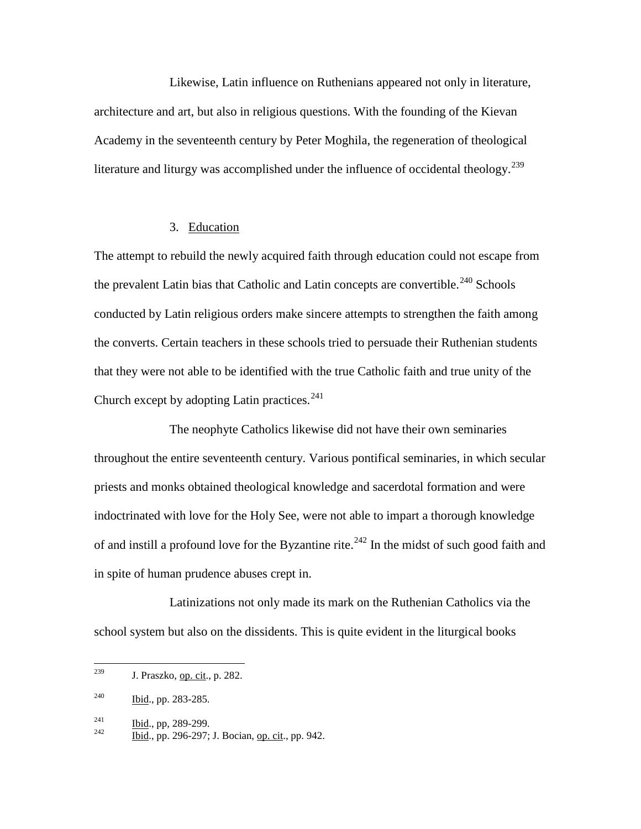Likewise, Latin influence on Ruthenians appeared not only in literature, architecture and art, but also in religious questions. With the founding of the Kievan Academy in the seventeenth century by Peter Moghila, the regeneration of theological literature and liturgy was accomplished under the influence of occidental theology.<sup>[239](#page-62-0)</sup>

# 3. Education

The attempt to rebuild the newly acquired faith through education could not escape from the prevalent Latin bias that Catholic and Latin concepts are convertible.<sup>[240](#page-62-1)</sup> Schools conducted by Latin religious orders make sincere attempts to strengthen the faith among the converts. Certain teachers in these schools tried to persuade their Ruthenian students that they were not able to be identified with the true Catholic faith and true unity of the Church except by adopting Latin practices.<sup>[241](#page-62-2)</sup>

The neophyte Catholics likewise did not have their own seminaries throughout the entire seventeenth century. Various pontifical seminaries, in which secular priests and monks obtained theological knowledge and sacerdotal formation and were indoctrinated with love for the Holy See, were not able to impart a thorough knowledge of and instill a profound love for the Byzantine rite.<sup>[242](#page-62-3)</sup> In the midst of such good faith and in spite of human prudence abuses crept in.

Latinizations not only made its mark on the Ruthenian Catholics via the school system but also on the dissidents. This is quite evident in the liturgical books

<span id="page-62-0"></span> $239$  J. Praszko, <u>op. cit</u>., p. 282.

<span id="page-62-1"></span><sup>240</sup> Ibid., pp. 283-285.

<span id="page-62-3"></span><span id="page-62-2"></span> $\frac{241}{242}$  Ibid., pp, 289-299.<br>
<u>Ibid., pp. 296-297; J. Bocian, op. cit., pp. 942.</u>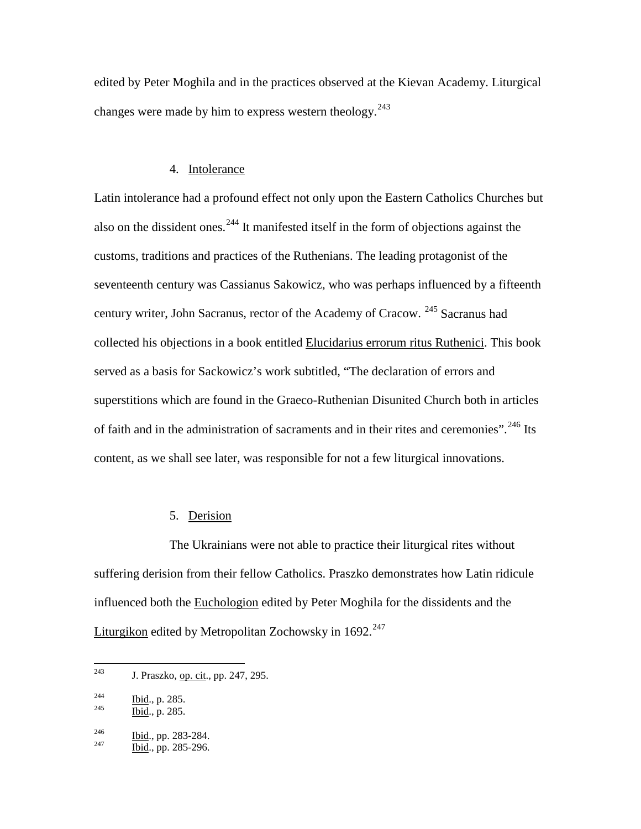edited by Peter Moghila and in the practices observed at the Kievan Academy. Liturgical changes were made by him to express western theology.<sup>[243](#page-63-0)</sup>

# 4. Intolerance

Latin intolerance had a profound effect not only upon the Eastern Catholics Churches but also on the dissident ones.<sup>[244](#page-63-1)</sup> It manifested itself in the form of objections against the customs, traditions and practices of the Ruthenians. The leading protagonist of the seventeenth century was Cassianus Sakowicz, who was perhaps influenced by a fifteenth century writer, John Sacranus, rector of the Academy of Cracow. [245](#page-63-2) Sacranus had collected his objections in a book entitled Elucidarius errorum ritus Ruthenici. This book served as a basis for Sackowicz's work subtitled, "The declaration of errors and superstitions which are found in the Graeco-Ruthenian Disunited Church both in articles of faith and in the administration of sacraments and in their rites and ceremonies".<sup>[246](#page-63-3)</sup> Its content, as we shall see later, was responsible for not a few liturgical innovations.

# 5. Derision

The Ukrainians were not able to practice their liturgical rites without suffering derision from their fellow Catholics. Praszko demonstrates how Latin ridicule influenced both the Euchologion edited by Peter Moghila for the dissidents and the Liturgikon edited by Metropolitan Zochowsky in  $1692.<sup>247</sup>$  $1692.<sup>247</sup>$  $1692.<sup>247</sup>$ 

<span id="page-63-0"></span><sup>&</sup>lt;sup>243</sup> J. Praszko, <u>op. cit</u>., pp. 247, 295.

<span id="page-63-1"></span> $\frac{244}{245}$  Ibid., p. 285.<br>Ibid., p. 285.

<span id="page-63-2"></span>

<span id="page-63-3"></span> $\frac{246}{247}$  Ibid., pp. 283-284.<br>Ibid., pp. 285-296.

<span id="page-63-4"></span>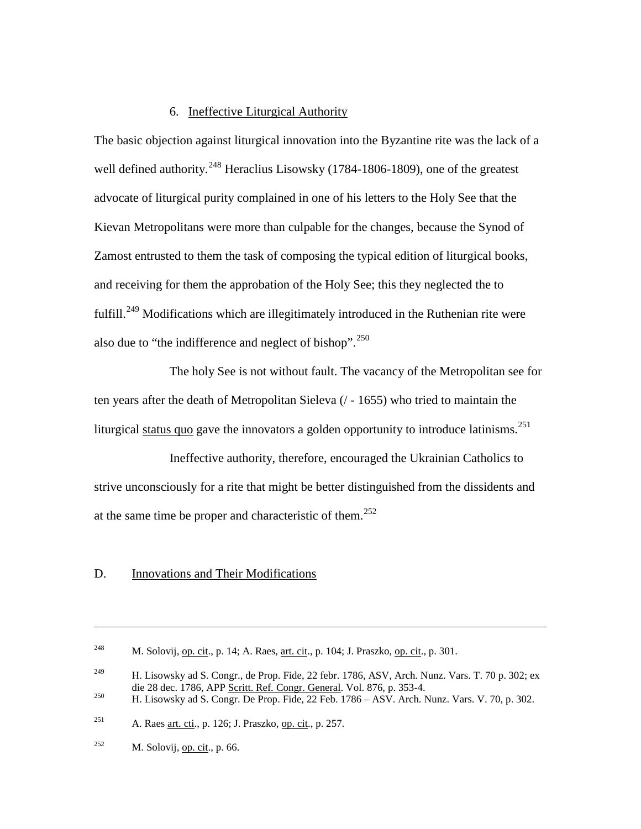# 6. Ineffective Liturgical Authority

The basic objection against liturgical innovation into the Byzantine rite was the lack of a well defined authority.<sup>[248](#page-64-0)</sup> Heraclius Lisowsky (1784-1806-1809), one of the greatest advocate of liturgical purity complained in one of his letters to the Holy See that the Kievan Metropolitans were more than culpable for the changes, because the Synod of Zamost entrusted to them the task of composing the typical edition of liturgical books, and receiving for them the approbation of the Holy See; this they neglected the to fulfill.<sup>[249](#page-64-1)</sup> Modifications which are illegitimately introduced in the Ruthenian rite were also due to "the indifference and neglect of bishop".<sup>[250](#page-64-2)</sup>

The holy See is not without fault. The vacancy of the Metropolitan see for ten years after the death of Metropolitan Sieleva (/ - 1655) who tried to maintain the liturgical status quo gave the innovators a golden opportunity to introduce latinisms.<sup>[251](#page-64-3)</sup>

Ineffective authority, therefore, encouraged the Ukrainian Catholics to strive unconsciously for a rite that might be better distinguished from the dissidents and at the same time be proper and characteristic of them.<sup>[252](#page-64-4)</sup>

# D. Innovations and Their Modifications

 $\overline{a}$ 

<span id="page-64-0"></span><sup>&</sup>lt;sup>248</sup> M. Solovij, <u>op. cit.,</u> p. 14; A. Raes, <u>art. cit.</u>, p. 104; J. Praszko, op. cit., p. 301.

<span id="page-64-1"></span><sup>&</sup>lt;sup>249</sup> H. Lisowsky ad S. Congr., de Prop. Fide, 22 febr. 1786, ASV, Arch. Nunz. Vars. T. 70 p. 302; ex die 28 dec. 1786, APP <u>Scritt. Ref. Congr. General</u>. Vol. 876, p. 353-4.<br><sup>250</sup> H. Lisowsky ad S. Congr. De Prop. Fide, 22 Feb. 1786 – ASV. Arch. Nunz. Vars. V. 70, p. 302.

<span id="page-64-2"></span>

<span id="page-64-3"></span><sup>&</sup>lt;sup>251</sup> A. Raes art. cti., p. 126; J. Praszko, op. cit., p. 257.

<span id="page-64-4"></span><sup>&</sup>lt;sup>252</sup> M. Solovij, <u>op. cit</u>., p. 66.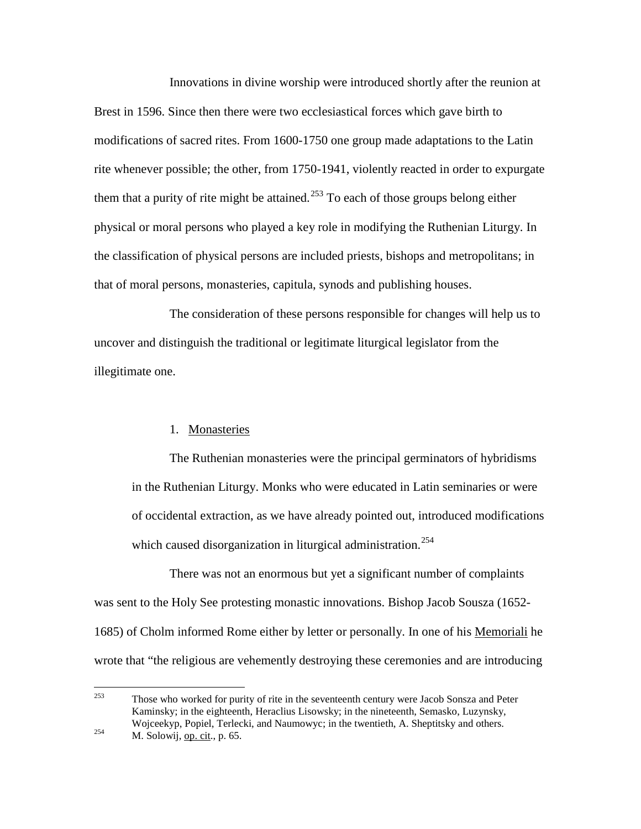Innovations in divine worship were introduced shortly after the reunion at Brest in 1596. Since then there were two ecclesiastical forces which gave birth to modifications of sacred rites. From 1600-1750 one group made adaptations to the Latin rite whenever possible; the other, from 1750-1941, violently reacted in order to expurgate them that a purity of rite might be attained. $^{253}$  $^{253}$  $^{253}$  To each of those groups belong either physical or moral persons who played a key role in modifying the Ruthenian Liturgy. In the classification of physical persons are included priests, bishops and metropolitans; in that of moral persons, monasteries, capitula, synods and publishing houses.

The consideration of these persons responsible for changes will help us to uncover and distinguish the traditional or legitimate liturgical legislator from the illegitimate one.

# 1. Monasteries

The Ruthenian monasteries were the principal germinators of hybridisms in the Ruthenian Liturgy. Monks who were educated in Latin seminaries or were of occidental extraction, as we have already pointed out, introduced modifications which caused disorganization in liturgical administration.<sup>[254](#page-65-1)</sup>

There was not an enormous but yet a significant number of complaints was sent to the Holy See protesting monastic innovations. Bishop Jacob Sousza (1652- 1685) of Cholm informed Rome either by letter or personally. In one of his Memoriali he wrote that "the religious are vehemently destroying these ceremonies and are introducing

<span id="page-65-1"></span><span id="page-65-0"></span> $253$  Those who worked for purity of rite in the seventeenth century were Jacob Sonsza and Peter Kaminsky; in the eighteenth, Heraclius Lisowsky; in the nineteenth, Semasko, Luzynsky, Wojceekyp, Popiel, Terlecki, and Naumowyc; in the twentieth, A. Sheptitsky and others.<br>M. Solowij, op. cit., p. 65.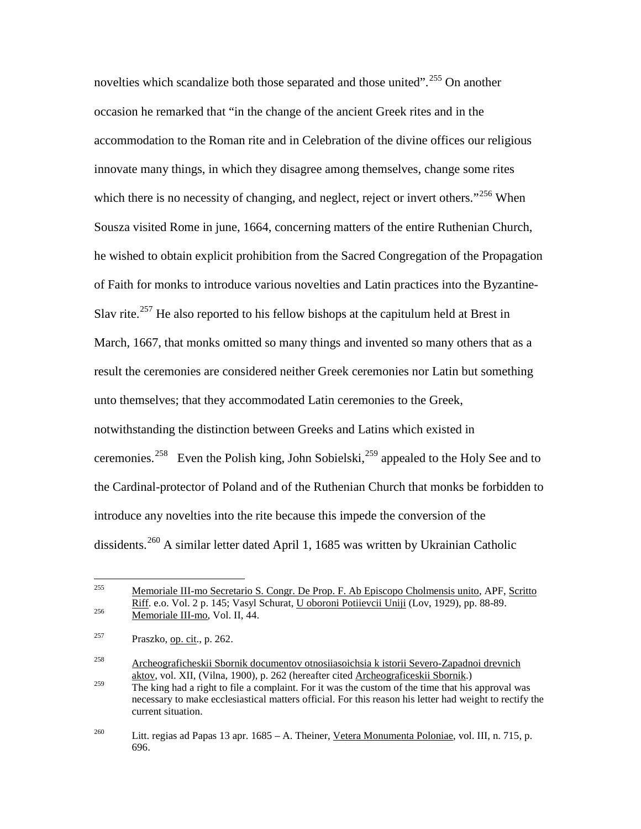novelties which scandalize both those separated and those united".<sup>[255](#page-66-0)</sup> On another occasion he remarked that "in the change of the ancient Greek rites and in the accommodation to the Roman rite and in Celebration of the divine offices our religious innovate many things, in which they disagree among themselves, change some rites which there is no necessity of changing, and neglect, reject or invert others."<sup>[256](#page-66-1)</sup> When Sousza visited Rome in june, 1664, concerning matters of the entire Ruthenian Church, he wished to obtain explicit prohibition from the Sacred Congregation of the Propagation of Faith for monks to introduce various novelties and Latin practices into the Byzantine-Slav rite.<sup>[257](#page-66-2)</sup> He also reported to his fellow bishops at the capitulum held at Brest in March, 1667, that monks omitted so many things and invented so many others that as a result the ceremonies are considered neither Greek ceremonies nor Latin but something unto themselves; that they accommodated Latin ceremonies to the Greek, notwithstanding the distinction between Greeks and Latins which existed in ceremonies.<sup>[258](#page-66-3)</sup> Even the Polish king, John Sobielski,<sup>[259](#page-66-4)</sup> appealed to the Holy See and to the Cardinal-protector of Poland and of the Ruthenian Church that monks be forbidden to introduce any novelties into the rite because this impede the conversion of the dissidents.<sup>[260](#page-66-5)</sup> A similar letter dated April 1, 1685 was written by Ukrainian Catholic

<span id="page-66-0"></span> <sup>255</sup> Memoriale III-mo Secretario S. Congr. De Prop. F. Ab Episcopo Cholmensis unito, APF, Scritto Riff. e.o. Vol. 2 p. 145; Vasyl Schurat, U oboroni Potiievcii Uniji (Lov, 1929), pp. 88-89.  $\overline{\text{Memoriale III-mo}}$ , Vol. II, 44.

<span id="page-66-2"></span><span id="page-66-1"></span> $257$  Praszko, <u>op. cit</u>., p. 262.

<span id="page-66-3"></span><sup>258</sup> Archeograficheskii Sbornik documentov otnosiiasoichsia k istorii Severo-Zapadnoi drevnich aktov, vol. XII, (Vilna, 1900), p. 262 (hereafter cited Archeograficeskii Sbornik.)

<span id="page-66-4"></span> $\frac{259}{259}$  The king had a right to file a complaint. For it was the custom of the time that his approval was necessary to make ecclesiastical matters official. For this reason his letter had weight to rectify the current situation.

<span id="page-66-5"></span><sup>&</sup>lt;sup>260</sup> Litt. regias ad Papas 13 apr. 1685 – A. Theiner, Vetera Monumenta Poloniae, vol. III, n. 715, p. 696.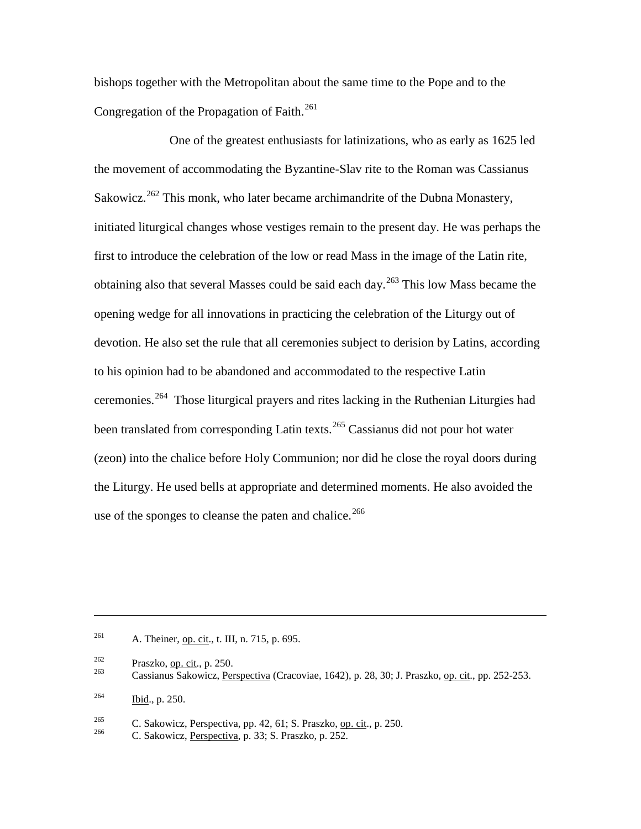bishops together with the Metropolitan about the same time to the Pope and to the Congregation of the Propagation of Faith.<sup>[261](#page-67-0)</sup>

One of the greatest enthusiasts for latinizations, who as early as 1625 led the movement of accommodating the Byzantine-Slav rite to the Roman was Cassianus Sakowicz.<sup>[262](#page-67-1)</sup> This monk, who later became archimandrite of the Dubna Monastery, initiated liturgical changes whose vestiges remain to the present day. He was perhaps the first to introduce the celebration of the low or read Mass in the image of the Latin rite, obtaining also that several Masses could be said each day.<sup>[263](#page-67-2)</sup> This low Mass became the opening wedge for all innovations in practicing the celebration of the Liturgy out of devotion. He also set the rule that all ceremonies subject to derision by Latins, according to his opinion had to be abandoned and accommodated to the respective Latin ceremonies.<sup>[264](#page-67-3)</sup> Those liturgical prayers and rites lacking in the Ruthenian Liturgies had been translated from corresponding Latin texts.<sup>[265](#page-67-4)</sup> Cassianus did not pour hot water (zeon) into the chalice before Holy Communion; nor did he close the royal doors during the Liturgy. He used bells at appropriate and determined moments. He also avoided the use of the sponges to cleanse the paten and chalice.<sup>[266](#page-67-5)</sup>

<span id="page-67-0"></span><sup>261</sup> A. Theiner, <u>op. cit.,</u> t. III, n. 715, p. 695.

 $\overline{a}$ 

<span id="page-67-2"></span><span id="page-67-1"></span><sup>&</sup>lt;sup>262</sup> Praszko, <u>op. cit</u>., p. 250.<br>
Cassianus Sakowicz, Perspectiva (Cracoviae, 1642), p. 28, 30; J. Praszko, op. cit., pp. 252-253.

<span id="page-67-3"></span> $^{264}$  Ibid., p. 250.

<span id="page-67-5"></span><span id="page-67-4"></span><sup>&</sup>lt;sup>265</sup> C. Sakowicz, Perspectiva, pp. 42, 61; S. Praszko, <u>op. cit</u>., p. 250.<br>
C. Sakowicz, Perspectiva, p. 33; S. Praszko, p. 252.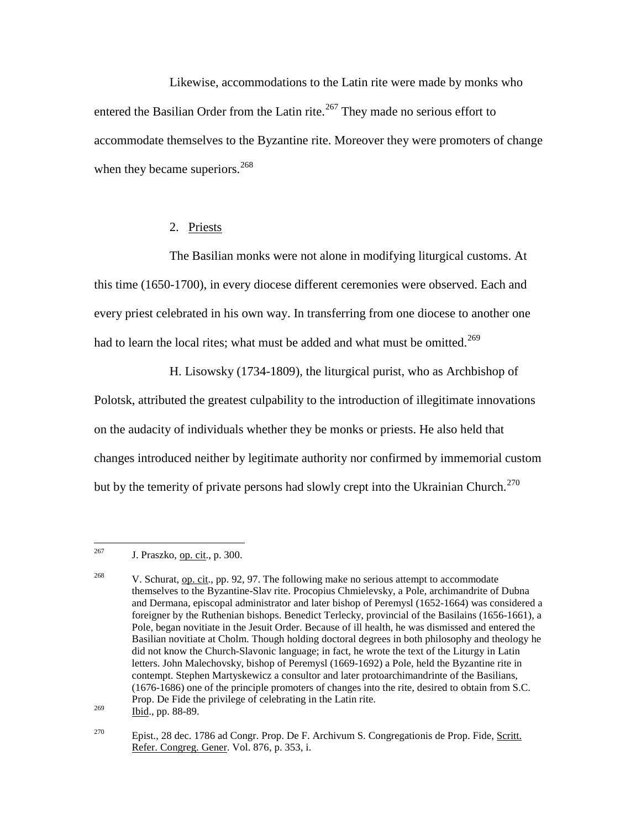Likewise, accommodations to the Latin rite were made by monks who entered the Basilian Order from the Latin rite.<sup>[267](#page-68-0)</sup> They made no serious effort to accommodate themselves to the Byzantine rite. Moreover they were promoters of change when they became superiors.  $268$ 

# 2. Priests

The Basilian monks were not alone in modifying liturgical customs. At this time (1650-1700), in every diocese different ceremonies were observed. Each and every priest celebrated in his own way. In transferring from one diocese to another one had to learn the local rites; what must be added and what must be omitted.<sup>[269](#page-68-2)</sup>

H. Lisowsky (1734-1809), the liturgical purist, who as Archbishop of Polotsk, attributed the greatest culpability to the introduction of illegitimate innovations on the audacity of individuals whether they be monks or priests. He also held that changes introduced neither by legitimate authority nor confirmed by immemorial custom but by the temerity of private persons had slowly crept into the Ukrainian Church.<sup>[270](#page-68-3)</sup>

<span id="page-68-0"></span> $^{267}$  J. Praszko, op. cit., p. 300.

<span id="page-68-1"></span><sup>&</sup>lt;sup>268</sup> V. Schurat, op. cit., pp. 92, 97. The following make no serious attempt to accommodate themselves to the Byzantine-Slav rite. Procopius Chmielevsky, a Pole, archimandrite of Dubna and Dermana, episcopal administrator and later bishop of Peremysl (1652-1664) was considered a foreigner by the Ruthenian bishops. Benedict Terlecky, provincial of the Basilains (1656-1661), a Pole, began novitiate in the Jesuit Order. Because of ill health, he was dismissed and entered the Basilian novitiate at Cholm. Though holding doctoral degrees in both philosophy and theology he did not know the Church-Slavonic language; in fact, he wrote the text of the Liturgy in Latin letters. John Malechovsky, bishop of Peremysl (1669-1692) a Pole, held the Byzantine rite in contempt. Stephen Martyskewicz a consultor and later protoarchimandrinte of the Basilians, (1676-1686) one of the principle promoters of changes into the rite, desired to obtain from S.C. Prop. De Fide the privilege of celebrating in the Latin rite.

<span id="page-68-2"></span> $^{269}$  Ibid., pp. 88-89.

<span id="page-68-3"></span><sup>&</sup>lt;sup>270</sup> Epist., 28 dec. 1786 ad Congr. Prop. De F. Archivum S. Congregationis de Prop. Fide, Scritt. Refer. Congreg. Gener. Vol. 876, p. 353, i.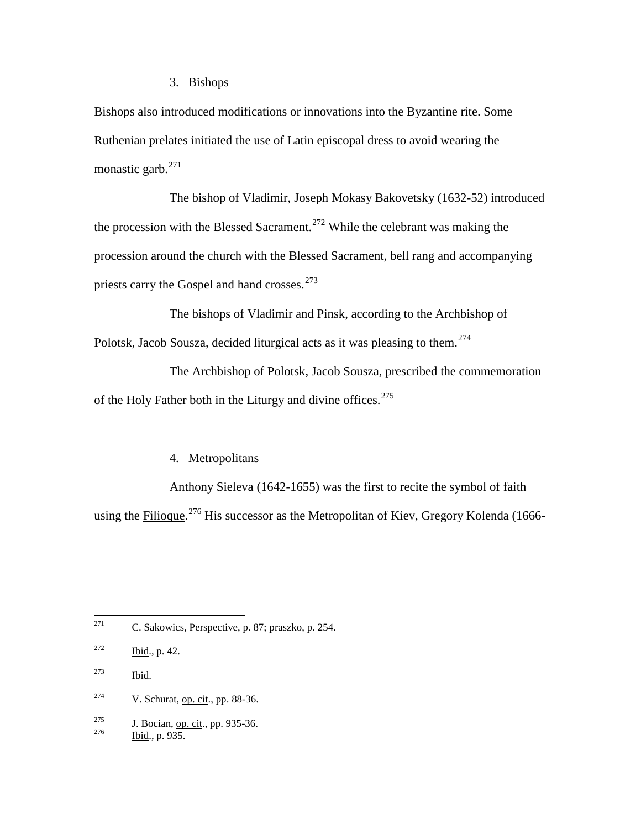# 3. Bishops

Bishops also introduced modifications or innovations into the Byzantine rite. Some Ruthenian prelates initiated the use of Latin episcopal dress to avoid wearing the monastic garb. $^{271}$  $^{271}$  $^{271}$ 

The bishop of Vladimir, Joseph Mokasy Bakovetsky (1632-52) introduced the procession with the Blessed Sacrament.<sup>[272](#page-69-1)</sup> While the celebrant was making the procession around the church with the Blessed Sacrament, bell rang and accompanying priests carry the Gospel and hand crosses.<sup>[273](#page-69-2)</sup>

The bishops of Vladimir and Pinsk, according to the Archbishop of Polotsk, Jacob Sousza, decided liturgical acts as it was pleasing to them.<sup>[274](#page-69-3)</sup>

The Archbishop of Polotsk, Jacob Sousza, prescribed the commemoration of the Holy Father both in the Liturgy and divine offices.  $275$ 

## 4. Metropolitans

Anthony Sieleva (1642-1655) was the first to recite the symbol of faith using the *Filioque*.<sup>[276](#page-69-5)</sup> His successor as the Metropolitan of Kiev, Gregory Kolenda (1666-

<span id="page-69-0"></span><sup>271</sup> C. Sakowics, <u>Perspective</u>, p. 87; praszko, p. 254.

<span id="page-69-2"></span><sup>273</sup> Ibid.

<span id="page-69-3"></span><sup>274</sup> V. Schurat, <u>op. cit</u>., pp. 88-36.

<span id="page-69-5"></span><span id="page-69-4"></span><sup>275</sup> J. Bocian, op. cit., pp. 935-36.<br>
Ibid., p. 935.

<span id="page-69-1"></span> $272$  Ibid., p. 42.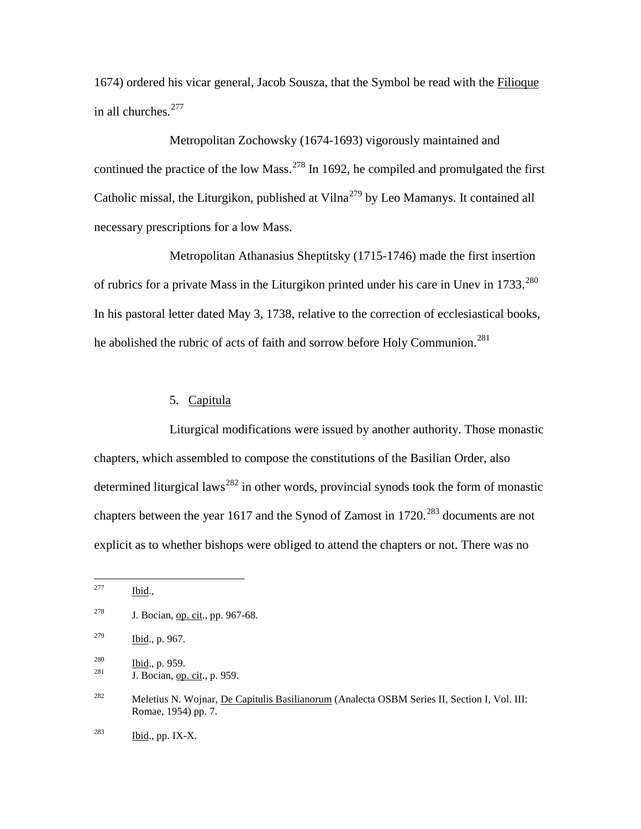1674) ordered his vicar general, Jacob Sousza, that the Symbol be read with the Filioque in all churches. $277$ 

Metropolitan Zochowsky (1674-1693) vigorously maintained and continued the practice of the low Mass.<sup>[278](#page-70-1)</sup> In 1692, he compiled and promulgated the first Catholic missal, the Liturgikon, published at Vilna<sup>[279](#page-70-2)</sup> by Leo Mamanys. It contained all necessary prescriptions for a low Mass.

Metropolitan Athanasius Sheptitsky (1715-1746) made the first insertion of rubrics for a private Mass in the Liturgikon printed under his care in Unev in 1733.<sup>[280](#page-70-3)</sup> In his pastoral letter dated May 3, 1738, relative to the correction of ecclesiastical books, he abolished the rubric of acts of faith and sorrow before Holy Communion.<sup>[281](#page-70-4)</sup>

# 5. Capitula

Liturgical modifications were issued by another authority. Those monastic chapters, which assembled to compose the constitutions of the Basilian Order, also determined liturgical laws<sup>[282](#page-70-5)</sup> in other words, provincial synods took the form of monastic chapters between the year 1617 and the Synod of Zamost in  $1720.^{283}$  $1720.^{283}$  $1720.^{283}$  documents are not explicit as to whether bishops were obliged to attend the chapters or not. There was no

<span id="page-70-0"></span> $277$  Ibid.,

<span id="page-70-1"></span><sup>&</sup>lt;sup>278</sup> J. Bocian, <u>op. cit</u>., pp. 967-68.

<span id="page-70-2"></span> $\frac{\text{Ibid.}}{\text{Ibid.}}$ , p. 967.

<span id="page-70-4"></span><span id="page-70-3"></span>

 $\frac{280}{281}$  Ibid., p. 959.<br>1. Bocian, op. cit., p. 959.

<span id="page-70-5"></span><sup>&</sup>lt;sup>282</sup> Meletius N. Wojnar, De Capitulis Basilianorum (Analecta OSBM Series II, Section I, Vol. III: Romae, 1954) pp. 7.

<span id="page-70-6"></span> $^{283}$  Ibid., pp. IX-X.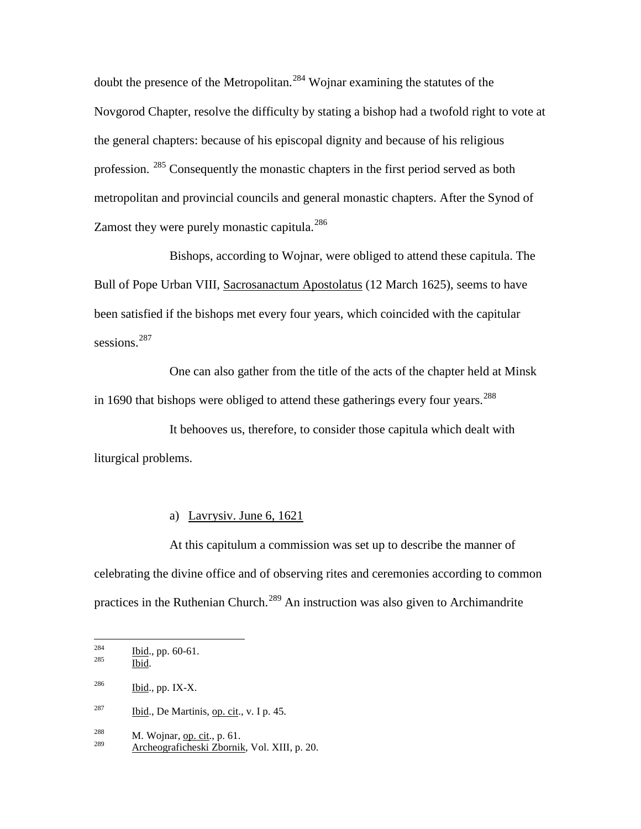doubt the presence of the Metropolitan.<sup>[284](#page-71-0)</sup> Wojnar examining the statutes of the Novgorod Chapter, resolve the difficulty by stating a bishop had a twofold right to vote at the general chapters: because of his episcopal dignity and because of his religious profession. [285](#page-71-1) Consequently the monastic chapters in the first period served as both metropolitan and provincial councils and general monastic chapters. After the Synod of Zamost they were purely monastic capitula.<sup>[286](#page-71-2)</sup>

Bishops, according to Wojnar, were obliged to attend these capitula. The Bull of Pope Urban VIII, Sacrosanactum Apostolatus (12 March 1625), seems to have been satisfied if the bishops met every four years, which coincided with the capitular sessions.<sup>[287](#page-71-3)</sup>

One can also gather from the title of the acts of the chapter held at Minsk in 1690 that bishops were obliged to attend these gatherings every four years.<sup>[288](#page-71-4)</sup>

It behooves us, therefore, to consider those capitula which dealt with liturgical problems.

# a) Lavrysiv. June 6, 1621

At this capitulum a commission was set up to describe the manner of celebrating the divine office and of observing rites and ceremonies according to common practices in the Ruthenian Church.<sup>[289](#page-71-5)</sup> An instruction was also given to Archimandrite

<span id="page-71-1"></span><span id="page-71-0"></span> $rac{284}{285}$  Ibid., pp. 60-61.

Ibid.

<span id="page-71-2"></span> $^{286}$  Ibid., pp. IX-X.

<span id="page-71-3"></span> $^{287}$  Ibid., De Martinis, op. cit., v. I p. 45.

<span id="page-71-4"></span> $\frac{288}{289}$  M. Wojnar, <u>op. cit., p. 61.</u>

<span id="page-71-5"></span><sup>289</sup> Archeograficheski Zbornik, Vol. XIII, p. 20.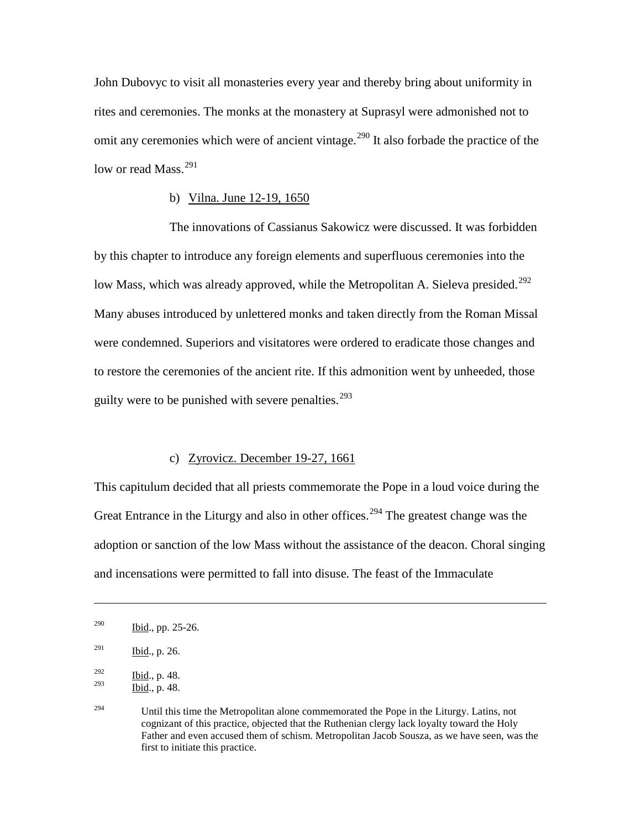John Dubovyc to visit all monasteries every year and thereby bring about uniformity in rites and ceremonies. The monks at the monastery at Suprasyl were admonished not to omit any ceremonies which were of ancient vintage.<sup>[290](#page-72-0)</sup> It also forbade the practice of the low or read Mass.<sup>[291](#page-72-1)</sup>

### b) Vilna. June 12-19, 1650

The innovations of Cassianus Sakowicz were discussed. It was forbidden by this chapter to introduce any foreign elements and superfluous ceremonies into the low Mass, which was already approved, while the Metropolitan A. Sieleva presided.<sup>[292](#page-72-2)</sup> Many abuses introduced by unlettered monks and taken directly from the Roman Missal were condemned. Superiors and visitatores were ordered to eradicate those changes and to restore the ceremonies of the ancient rite. If this admonition went by unheeded, those guilty were to be punished with severe penalties. $293$ 

### c) Zyrovicz. December 19-27, 1661

This capitulum decided that all priests commemorate the Pope in a loud voice during the Great Entrance in the Liturgy and also in other offices.<sup>[294](#page-72-4)</sup> The greatest change was the adoption or sanction of the low Mass without the assistance of the deacon. Choral singing and incensations were permitted to fall into disuse. The feast of the Immaculate

 $\overline{a}$ 

<span id="page-72-0"></span> $290$  Ibid., pp. 25-26.

<span id="page-72-1"></span> $291$  Ibid., p. 26.

<span id="page-72-3"></span><span id="page-72-2"></span> $rac{292}{293}$  Ibid., p. 48. Ibid., p. 48.

<span id="page-72-4"></span><sup>&</sup>lt;sup>294</sup> Until this time the Metropolitan alone commemorated the Pope in the Liturgy. Latins, not cognizant of this practice, objected that the Ruthenian clergy lack loyalty toward the Holy Father and even accused them of schism. Metropolitan Jacob Sousza, as we have seen, was the first to initiate this practice.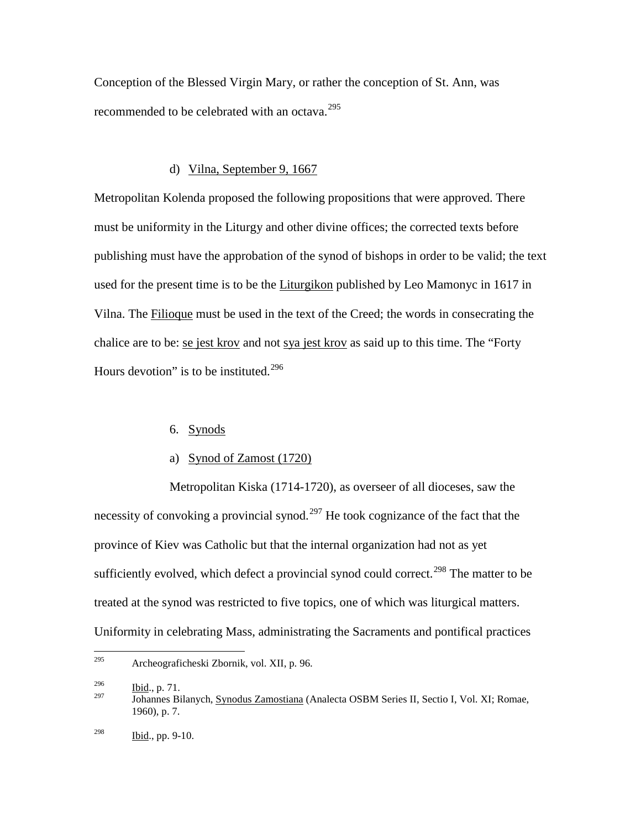Conception of the Blessed Virgin Mary, or rather the conception of St. Ann, was recommended to be celebrated with an octava.<sup>[295](#page-73-0)</sup>

### d) Vilna, September 9, 1667

Metropolitan Kolenda proposed the following propositions that were approved. There must be uniformity in the Liturgy and other divine offices; the corrected texts before publishing must have the approbation of the synod of bishops in order to be valid; the text used for the present time is to be the Liturgikon published by Leo Mamonyc in 1617 in Vilna. The Filioque must be used in the text of the Creed; the words in consecrating the chalice are to be: se jest krov and not sya jest krov as said up to this time. The "Forty Hours devotion" is to be instituted.<sup>[296](#page-73-1)</sup>

## 6. Synods

### a) Synod of Zamost (1720)

Metropolitan Kiska (1714-1720), as overseer of all dioceses, saw the necessity of convoking a provincial synod.<sup>[297](#page-73-2)</sup> He took cognizance of the fact that the province of Kiev was Catholic but that the internal organization had not as yet sufficiently evolved, which defect a provincial synod could correct.<sup>[298](#page-73-3)</sup> The matter to be treated at the synod was restricted to five topics, one of which was liturgical matters. Uniformity in celebrating Mass, administrating the Sacraments and pontifical practices

<span id="page-73-0"></span> <sup>295</sup> Archeograficheski Zbornik, vol. XII, p. 96.

<span id="page-73-1"></span> $\frac{296}{297}$  Ibid., p. 71.

<span id="page-73-3"></span><span id="page-73-2"></span><sup>297</sup> Johannes Bilanych, Synodus Zamostiana (Analecta OSBM Series II, Sectio I, Vol. XI; Romae, 1960), p. 7.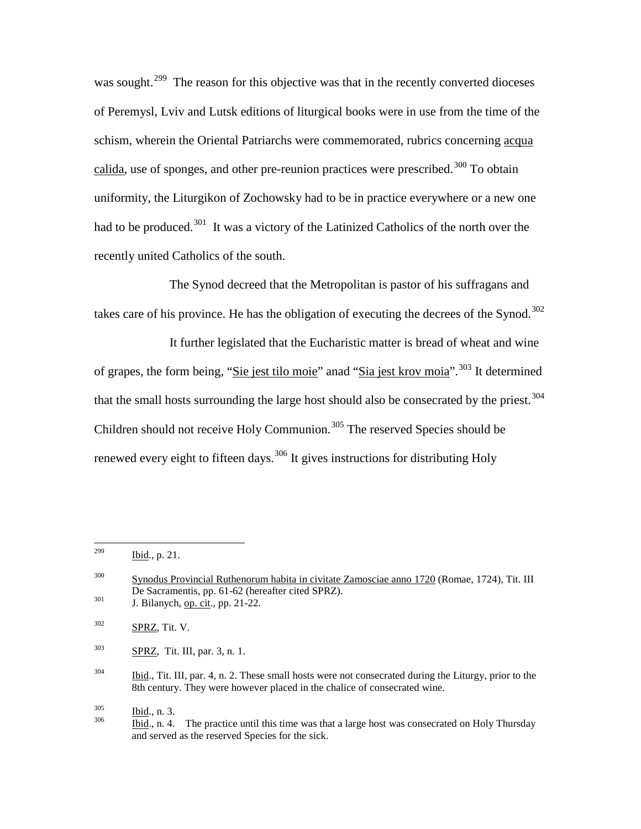was sought.<sup>[299](#page-74-0)</sup> The reason for this objective was that in the recently converted dioceses of Peremysl, Lviv and Lutsk editions of liturgical books were in use from the time of the schism, wherein the Oriental Patriarchs were commemorated, rubrics concerning acqua calida, use of sponges, and other pre-reunion practices were prescribed.<sup>[300](#page-74-1)</sup> To obtain uniformity, the Liturgikon of Zochowsky had to be in practice everywhere or a new one had to be produced.<sup>[301](#page-74-2)</sup> It was a victory of the Latinized Catholics of the north over the recently united Catholics of the south.

The Synod decreed that the Metropolitan is pastor of his suffragans and takes care of his province. He has the obligation of executing the decrees of the Synod.<sup>[302](#page-74-3)</sup>

It further legislated that the Eucharistic matter is bread of wheat and wine of grapes, the form being, "Sie jest tilo moie" anad "Sia jest krov moia".<sup>[303](#page-74-4)</sup> It determined that the small hosts surrounding the large host should also be consecrated by the priest.<sup>[304](#page-74-5)</sup> Children should not receive Holy Communion.<sup>[305](#page-74-6)</sup> The reserved Species should be renewed every eight to fifteen days.<sup>[306](#page-74-7)</sup> It gives instructions for distributing Holy

<span id="page-74-4"></span> $303$  SPRZ, Tit. III, par. 3, n. 1.

<span id="page-74-7"></span><span id="page-74-6"></span>

<span id="page-74-0"></span> $^{299}$  Ibid., p. 21.

<span id="page-74-1"></span><sup>300</sup> Synodus Provincial Ruthenorum habita in civitate Zamosciae anno 1720 (Romae, 1724), Tit. III De Sacramentis, pp. 61-62 (hereafter cited SPRZ).<br>
J. Bilanych, <u>op. cit</u>., pp. 21-22.

<span id="page-74-3"></span><span id="page-74-2"></span> $302$  SPRZ, Tit. V.

<span id="page-74-5"></span><sup>&</sup>lt;sup>304</sup> Ibid., Tit. III, par. 4, n. 2. These small hosts were not consecrated during the Liturgy, prior to the 8th century. They were however placed in the chalice of consecrated wine.

 $\frac{\text{Ibid.}}{\text{Ibid.}}$ , n. 3.<br><sup>306</sup> Ibid., n. 4. The practice until this time was that a large host was consecrated on Holy Thursday and served as the reserved Species for the sick.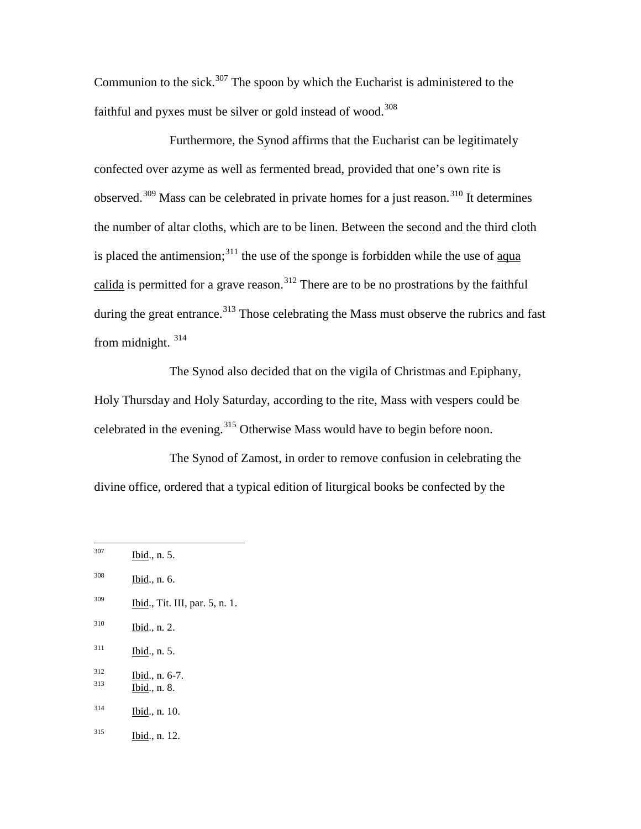Communion to the sick.<sup>[307](#page-75-0)</sup> The spoon by which the Eucharist is administered to the faithful and pyxes must be silver or gold instead of wood.<sup>[308](#page-75-1)</sup>

Furthermore, the Synod affirms that the Eucharist can be legitimately confected over azyme as well as fermented bread, provided that one's own rite is observed.<sup>[309](#page-75-2)</sup> Mass can be celebrated in private homes for a just reason.<sup>[310](#page-75-3)</sup> It determines the number of altar cloths, which are to be linen. Between the second and the third cloth is placed the antimension; $3^{11}$  the use of the sponge is forbidden while the use of aqua calida is permitted for a grave reason.<sup>[312](#page-75-5)</sup> There are to be no prostrations by the faithful during the great entrance.<sup>[313](#page-75-6)</sup> Those celebrating the Mass must observe the rubrics and fast from midnight. [314](#page-75-7)

The Synod also decided that on the vigila of Christmas and Epiphany, Holy Thursday and Holy Saturday, according to the rite, Mass with vespers could be celebrated in the evening.<sup>[315](#page-75-8)</sup> Otherwise Mass would have to begin before noon.

The Synod of Zamost, in order to remove confusion in celebrating the divine office, ordered that a typical edition of liturgical books be confected by the

<span id="page-75-8"></span><span id="page-75-7"></span><span id="page-75-6"></span><span id="page-75-5"></span><span id="page-75-4"></span><span id="page-75-3"></span><span id="page-75-2"></span><span id="page-75-1"></span><span id="page-75-0"></span> <sup>307</sup> Ibid., n. 5. <sup>308</sup> Ibid., n. 6.  $\frac{309}{1}$  Ibid., Tit. III, par. 5, n. 1.  $310$  Ibid., n. 2.  $311$  Ibid., n. 5.  $\frac{312}{313}$  Ibid., n. 6-7.<br>Ibid., n. 8. <sup>314</sup> Ibid., n. 10. <sup>315</sup> Ibid., n. 12.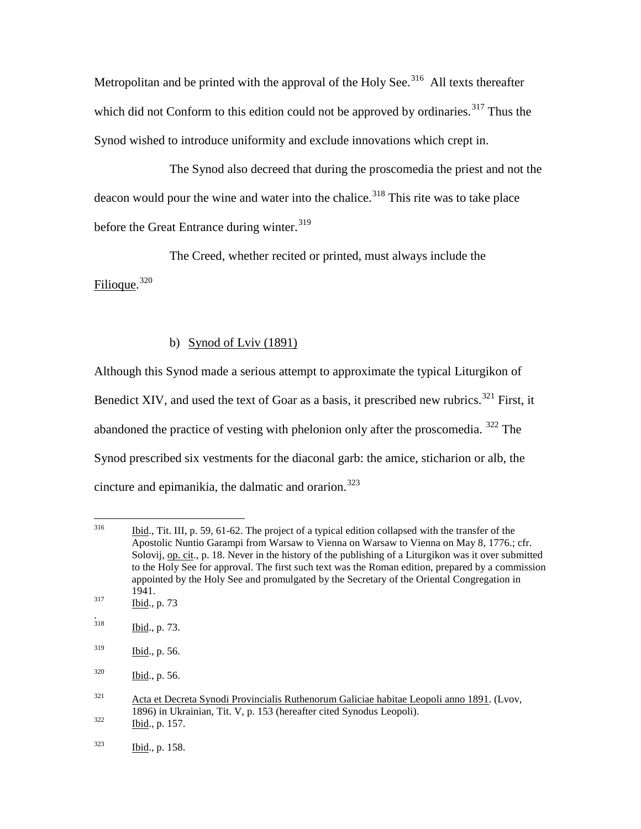Metropolitan and be printed with the approval of the Holy See.<sup>[316](#page-76-0)</sup> All texts thereafter which did not Conform to this edition could not be approved by ordinaries.<sup>[317](#page-76-1)</sup> Thus the Synod wished to introduce uniformity and exclude innovations which crept in.

The Synod also decreed that during the proscomedia the priest and not the deacon would pour the wine and water into the chalice.<sup>[318](#page-76-2)</sup> This rite was to take place before the Great Entrance during winter.<sup>[319](#page-76-3)</sup>

The Creed, whether recited or printed, must always include the

Filioque. [320](#page-76-4)

# b) Synod of Lviv (1891)

Although this Synod made a serious attempt to approximate the typical Liturgikon of Benedict XIV, and used the text of Goar as a basis, it prescribed new rubrics.<sup>[321](#page-76-5)</sup> First, it abandoned the practice of vesting with phelonion only after the proscomedia.  $322$  The Synod prescribed six vestments for the diaconal garb: the amice, sticharion or alb, the cincture and epimanikia, the dalmatic and orarion.<sup>[323](#page-76-7)</sup>

<span id="page-76-0"></span><sup>&</sup>lt;sup>316</sup> Ibid., Tit. III, p. 59, 61-62. The project of a typical edition collapsed with the transfer of the Apostolic Nuntio Garampi from Warsaw to Vienna on Warsaw to Vienna on May 8, 1776.; cfr. Solovij, op. cit., p. 18. Never in the history of the publishing of a Liturgikon was it over submitted to the Holy See for approval. The first such text was the Roman edition, prepared by a commission appointed by the Holy See and promulgated by the Secretary of the Oriental Congregation in  $\frac{1941}{\text{Bid.}, \, \text{p. 73}}$ 

<span id="page-76-1"></span>

<span id="page-76-2"></span> $\frac{1}{318}$ Ibid., p. 73.

<span id="page-76-3"></span> $319$  Ibid., p. 56.

<span id="page-76-4"></span><sup>320</sup> Ibid., p. 56.

<span id="page-76-5"></span> $321$  Acta et Decreta Synodi Provincialis Ruthenorum Galiciae habitae Leopoli anno 1891. (Lvov, 1896) in Ukrainian, Tit. V, p. 153 (hereafter cited Synodus Leopoli).<br>
Ibid., p. 157.

<span id="page-76-7"></span><span id="page-76-6"></span> $\frac{16}{323}$  Ibid., p. 158.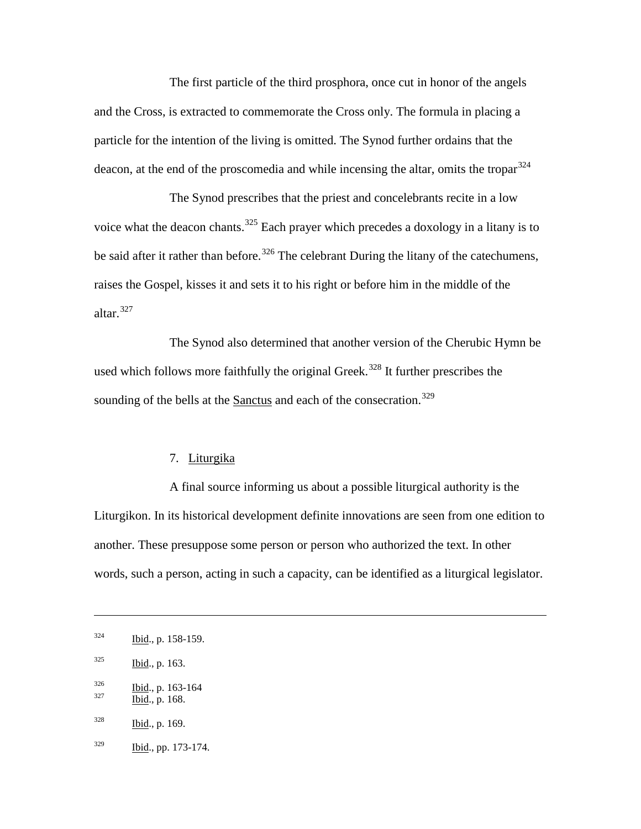The first particle of the third prosphora, once cut in honor of the angels and the Cross, is extracted to commemorate the Cross only. The formula in placing a particle for the intention of the living is omitted. The Synod further ordains that the deacon, at the end of the proscomedia and while incensing the altar, omits the tropar  $324$ 

The Synod prescribes that the priest and concelebrants recite in a low voice what the deacon chants.<sup>[325](#page-77-1)</sup> Each prayer which precedes a doxology in a litany is to be said after it rather than before.<sup>[326](#page-77-2)</sup> The celebrant During the litany of the catechumens, raises the Gospel, kisses it and sets it to his right or before him in the middle of the altar.[327](#page-77-3)

The Synod also determined that another version of the Cherubic Hymn be used which follows more faithfully the original Greek.<sup>[328](#page-77-4)</sup> It further prescribes the sounding of the bells at the Sanctus and each of the consecration.<sup>[329](#page-77-5)</sup>

### 7. Liturgika

A final source informing us about a possible liturgical authority is the Liturgikon. In its historical development definite innovations are seen from one edition to another. These presuppose some person or person who authorized the text. In other words, such a person, acting in such a capacity, can be identified as a liturgical legislator.

 $\overline{a}$ 

<span id="page-77-0"></span> $\frac{324}{1}$  Ibid., p. 158-159.

<span id="page-77-1"></span> $325$  Ibid., p. 163.

<span id="page-77-2"></span> $\frac{326}{327}$  Ibid., p. 163-164<br>Ibid., p. 168.

<span id="page-77-3"></span>

<span id="page-77-4"></span> $328$  Ibid., p. 169.

<span id="page-77-5"></span> $\frac{329}{1 \text{bid.}}$ , pp. 173-174.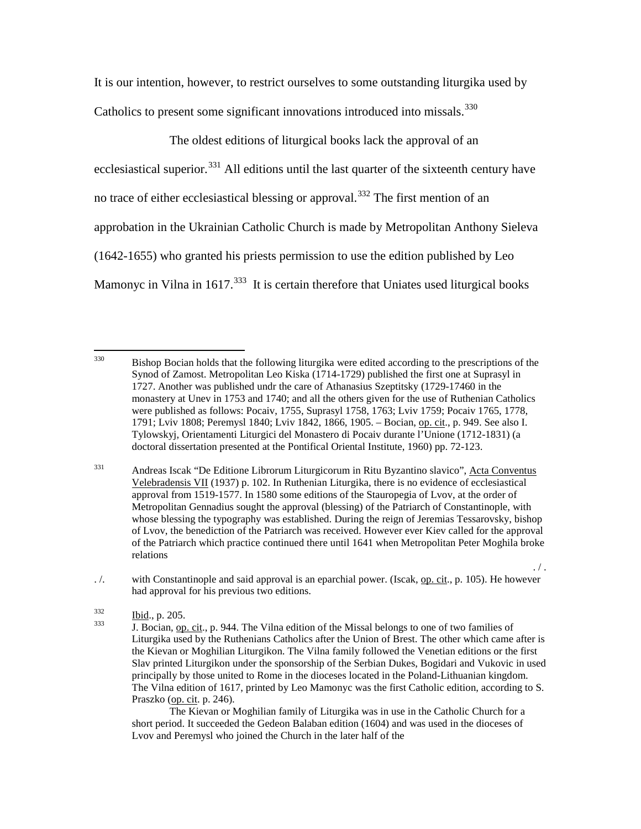It is our intention, however, to restrict ourselves to some outstanding liturgika used by Catholics to present some significant innovations introduced into missals.<sup>[330](#page-78-0)</sup>

The oldest editions of liturgical books lack the approval of an ecclesiastical superior.<sup>[331](#page-78-1)</sup> All editions until the last quarter of the sixteenth century have no trace of either ecclesiastical blessing or approval.<sup>[332](#page-78-2)</sup> The first mention of an approbation in the Ukrainian Catholic Church is made by Metropolitan Anthony Sieleva (1642-1655) who granted his priests permission to use the edition published by Leo Mamonyc in Vilna in  $1617$ <sup>[333](#page-78-3)</sup> It is certain therefore that Uniates used liturgical books

<span id="page-78-1"></span><sup>331</sup> Andreas Iscak "De Editione Librorum Liturgicorum in Ritu Byzantino slavico", Acta Conventus Velebradensis VII (1937) p. 102. In Ruthenian Liturgika, there is no evidence of ecclesiastical approval from 1519-1577. In 1580 some editions of the Stauropegia of Lvov, at the order of Metropolitan Gennadius sought the approval (blessing) of the Patriarch of Constantinople, with whose blessing the typography was established. During the reign of Jeremias Tessarovsky, bishop of Lvov, the benediction of the Patriarch was received. However ever Kiev called for the approval of the Patriarch which practice continued there until 1641 when Metropolitan Peter Moghila broke relations

<span id="page-78-2"></span>. /. with Constantinople and said approval is an eparchial power. (Iscak, op. cit., p. 105). He however had approval for his previous two editions.

 $. /$ .

The Kievan or Moghilian family of Liturgika was in use in the Catholic Church for a short period. It succeeded the Gedeon Balaban edition (1604) and was used in the dioceses of Lvov and Peremysl who joined the Church in the later half of the

<span id="page-78-0"></span><sup>&</sup>lt;sup>330</sup> Bishop Bocian holds that the following liturgika were edited according to the prescriptions of the Synod of Zamost. Metropolitan Leo Kiska (1714-1729) published the first one at Suprasyl in 1727. Another was published undr the care of Athanasius Szeptitsky (1729-17460 in the monastery at Unev in 1753 and 1740; and all the others given for the use of Ruthenian Catholics were published as follows: Pocaiv, 1755, Suprasyl 1758, 1763; Lviv 1759; Pocaiv 1765, 1778, 1791; Lviv 1808; Peremysl 1840; Lviv 1842, 1866, 1905. – Bocian, op. cit., p. 949. See also I. Tylowskyj, Orientamenti Liturgici del Monastero di Pocaiv durante l'Unione (1712-1831) (a doctoral dissertation presented at the Pontifical Oriental Institute, 1960) pp. 72-123.

<span id="page-78-3"></span>

 $\frac{\text{Ibid.}}{\text{J. Bocian, op. cit.}}$ , p. 944. The Vilna edition of the Missal belongs to one of two families of Liturgika used by the Ruthenians Catholics after the Union of Brest. The other which came after is the Kievan or Moghilian Liturgikon. The Vilna family followed the Venetian editions or the first Slav printed Liturgikon under the sponsorship of the Serbian Dukes, Bogidari and Vukovic in used principally by those united to Rome in the dioceses located in the Poland-Lithuanian kingdom. The Vilna edition of 1617, printed by Leo Mamonyc was the first Catholic edition, according to S. Praszko (op. cit. p. 246).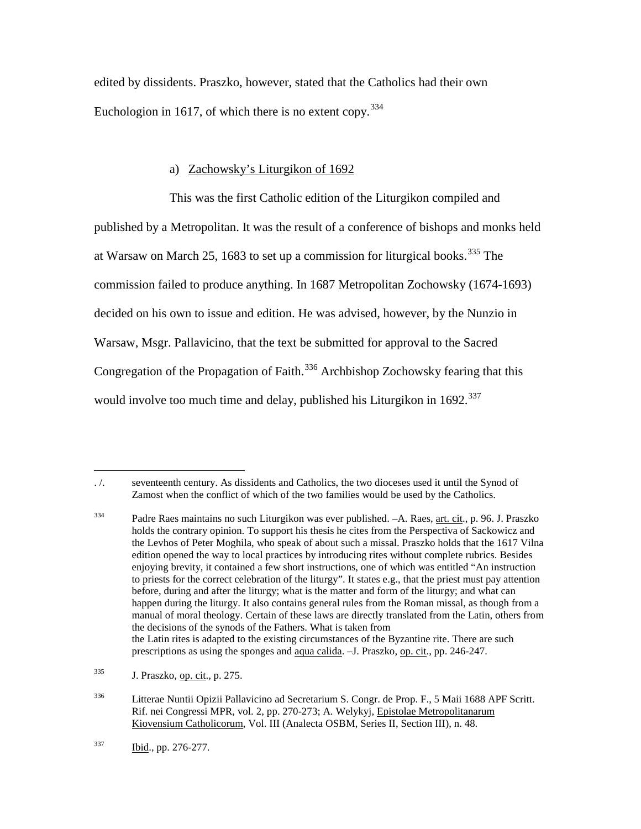edited by dissidents. Praszko, however, stated that the Catholics had their own Euchologion in 1617, of which there is no extent copy.  $334$ 

# a) Zachowsky's Liturgikon of 1692

This was the first Catholic edition of the Liturgikon compiled and published by a Metropolitan. It was the result of a conference of bishops and monks held at Warsaw on March 25, 1683 to set up a commission for liturgical books.<sup>[335](#page-79-1)</sup> The commission failed to produce anything. In 1687 Metropolitan Zochowsky (1674-1693) decided on his own to issue and edition. He was advised, however, by the Nunzio in Warsaw, Msgr. Pallavicino, that the text be submitted for approval to the Sacred Congregation of the Propagation of Faith.<sup>[336](#page-79-2)</sup> Archbishop Zochowsky fearing that this would involve too much time and delay, published his Liturgikon in 1692.<sup>[337](#page-79-3)</sup>

<span id="page-79-0"></span> $\overline{a}$ . /. seventeenth century. As dissidents and Catholics, the two dioceses used it until the Synod of Zamost when the conflict of which of the two families would be used by the Catholics.

<sup>&</sup>lt;sup>334</sup> Padre Raes maintains no such Liturgikon was ever published. –A. Raes, <u>art. cit</u>., p. 96. J. Praszko holds the contrary opinion. To support his thesis he cites from the Perspectiva of Sackowicz and the Levhos of Peter Moghila, who speak of about such a missal. Praszko holds that the 1617 Vilna edition opened the way to local practices by introducing rites without complete rubrics. Besides enjoying brevity, it contained a few short instructions, one of which was entitled "An instruction to priests for the correct celebration of the liturgy". It states e.g., that the priest must pay attention before, during and after the liturgy; what is the matter and form of the liturgy; and what can happen during the liturgy. It also contains general rules from the Roman missal, as though from a manual of moral theology. Certain of these laws are directly translated from the Latin, others from the decisions of the synods of the Fathers. What is taken from the Latin rites is adapted to the existing circumstances of the Byzantine rite. There are such prescriptions as using the sponges and aqua calida. –J. Praszko, op. cit., pp. 246-247.

<span id="page-79-1"></span><sup>335</sup> J. Praszko, op. cit., p. 275.

<span id="page-79-2"></span><sup>336</sup> Litterae Nuntii Opizii Pallavicino ad Secretarium S. Congr. de Prop. F., 5 Maii 1688 APF Scritt. Rif. nei Congressi MPR, vol. 2, pp. 270-273; A. Welykyj, Epistolae Metropolitanarum Kiovensium Catholicorum, Vol. III (Analecta OSBM, Series II, Section III), n. 48.

<span id="page-79-3"></span> $\frac{\text{Ibid.}}{\text{Ibid.}}$ , pp. 276-277.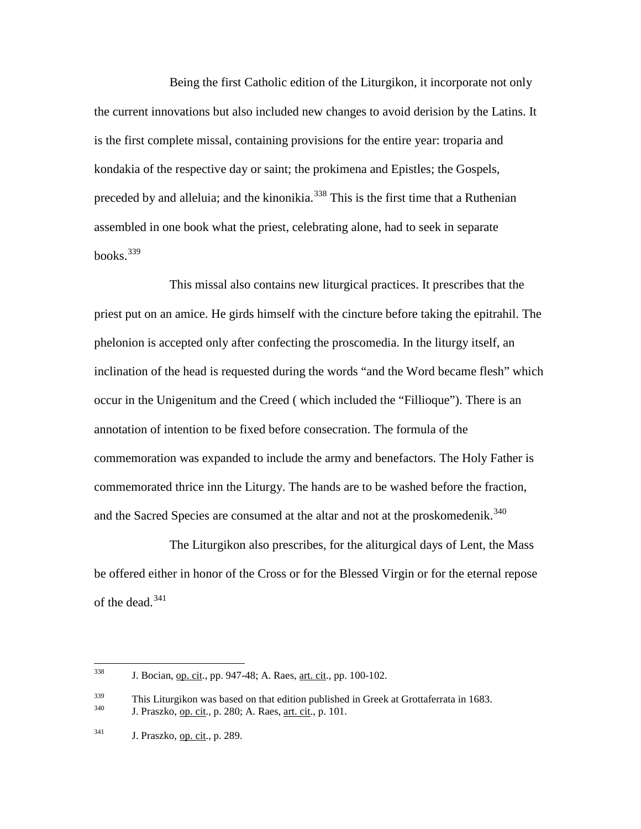Being the first Catholic edition of the Liturgikon, it incorporate not only the current innovations but also included new changes to avoid derision by the Latins. It is the first complete missal, containing provisions for the entire year: troparia and kondakia of the respective day or saint; the prokimena and Epistles; the Gospels, preceded by and alleluia; and the kinonikia.<sup>[338](#page-80-0)</sup> This is the first time that a Ruthenian assembled in one book what the priest, celebrating alone, had to seek in separate books. $339$ 

This missal also contains new liturgical practices. It prescribes that the priest put on an amice. He girds himself with the cincture before taking the epitrahil. The phelonion is accepted only after confecting the proscomedia. In the liturgy itself, an inclination of the head is requested during the words "and the Word became flesh" which occur in the Unigenitum and the Creed ( which included the "Fillioque"). There is an annotation of intention to be fixed before consecration. The formula of the commemoration was expanded to include the army and benefactors. The Holy Father is commemorated thrice inn the Liturgy. The hands are to be washed before the fraction, and the Sacred Species are consumed at the altar and not at the proskomedenik.<sup>[340](#page-80-2)</sup>

The Liturgikon also prescribes, for the aliturgical days of Lent, the Mass be offered either in honor of the Cross or for the Blessed Virgin or for the eternal repose of the dead.  $341$ 

<span id="page-80-0"></span><sup>338</sup> J. Bocian, op. cit., pp. 947-48; A. Raes, <u>art. cit.,</u> pp. 100-102.

<span id="page-80-2"></span><span id="page-80-1"></span><sup>&</sup>lt;sup>339</sup> This Liturgikon was based on that edition published in Greek at Grottaferrata in 1683.<br> **J. Praszko, op. cit., p. 280; A. Raes, <u>art. cit</u>., p. 101.** 

<span id="page-80-3"></span><sup>341</sup> J. Praszko, op. cit., p. 289.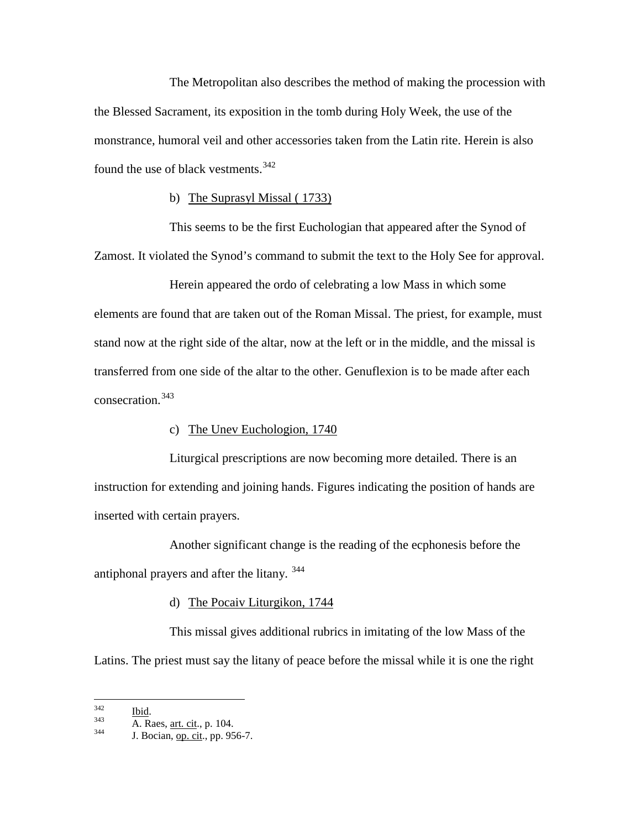The Metropolitan also describes the method of making the procession with the Blessed Sacrament, its exposition in the tomb during Holy Week, the use of the monstrance, humoral veil and other accessories taken from the Latin rite. Herein is also found the use of black vestments.<sup>[342](#page-81-0)</sup>

### b) The Suprasyl Missal ( 1733)

This seems to be the first Euchologian that appeared after the Synod of Zamost. It violated the Synod's command to submit the text to the Holy See for approval.

Herein appeared the ordo of celebrating a low Mass in which some elements are found that are taken out of the Roman Missal. The priest, for example, must stand now at the right side of the altar, now at the left or in the middle, and the missal is transferred from one side of the altar to the other. Genuflexion is to be made after each consecration.[343](#page-81-1)

### c) The Unev Euchologion, 1740

Liturgical prescriptions are now becoming more detailed. There is an instruction for extending and joining hands. Figures indicating the position of hands are inserted with certain prayers.

Another significant change is the reading of the ecphonesis before the antiphonal prayers and after the litany.<sup>[344](#page-81-2)</sup>

### d) The Pocaiv Liturgikon, 1744

This missal gives additional rubrics in imitating of the low Mass of the Latins. The priest must say the litany of peace before the missal while it is one the right

<span id="page-81-2"></span><span id="page-81-1"></span>

<span id="page-81-0"></span> $\frac{342}{343}$  Ibid.<br>
A. Raes, <u>art. cit</u>., p. 104.<br>
J. Bocian, op. cit., pp. 956-7.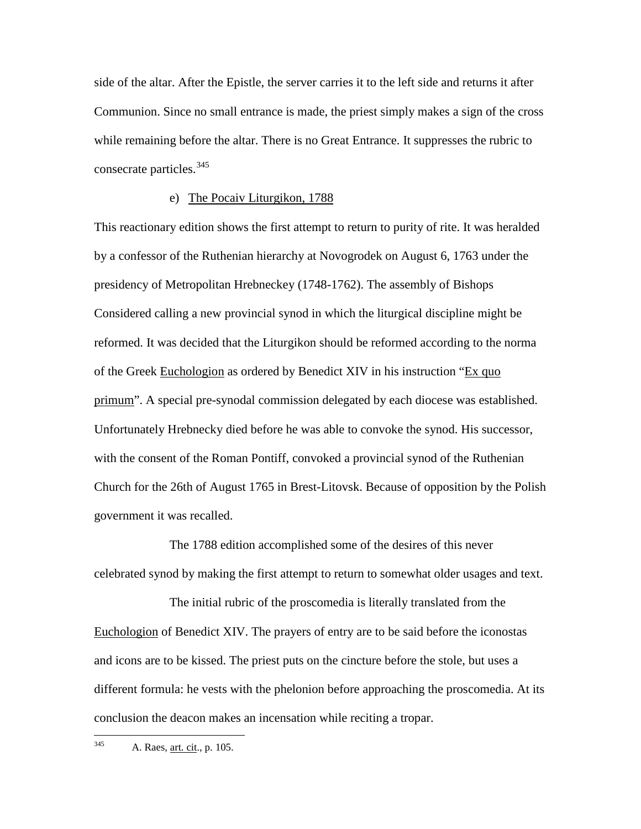side of the altar. After the Epistle, the server carries it to the left side and returns it after Communion. Since no small entrance is made, the priest simply makes a sign of the cross while remaining before the altar. There is no Great Entrance. It suppresses the rubric to consecrate particles.<sup>[345](#page-82-0)</sup>

### e) The Pocaiv Liturgikon, 1788

This reactionary edition shows the first attempt to return to purity of rite. It was heralded by a confessor of the Ruthenian hierarchy at Novogrodek on August 6, 1763 under the presidency of Metropolitan Hrebneckey (1748-1762). The assembly of Bishops Considered calling a new provincial synod in which the liturgical discipline might be reformed. It was decided that the Liturgikon should be reformed according to the norma of the Greek Euchologion as ordered by Benedict XIV in his instruction "Ex quo primum". A special pre-synodal commission delegated by each diocese was established. Unfortunately Hrebnecky died before he was able to convoke the synod. His successor, with the consent of the Roman Pontiff, convoked a provincial synod of the Ruthenian Church for the 26th of August 1765 in Brest-Litovsk. Because of opposition by the Polish government it was recalled.

The 1788 edition accomplished some of the desires of this never celebrated synod by making the first attempt to return to somewhat older usages and text.

The initial rubric of the proscomedia is literally translated from the Euchologion of Benedict XIV. The prayers of entry are to be said before the iconostas and icons are to be kissed. The priest puts on the cincture before the stole, but uses a different formula: he vests with the phelonion before approaching the proscomedia. At its conclusion the deacon makes an incensation while reciting a tropar.

<span id="page-82-0"></span>345 A. Raes, art. cit., p. 105.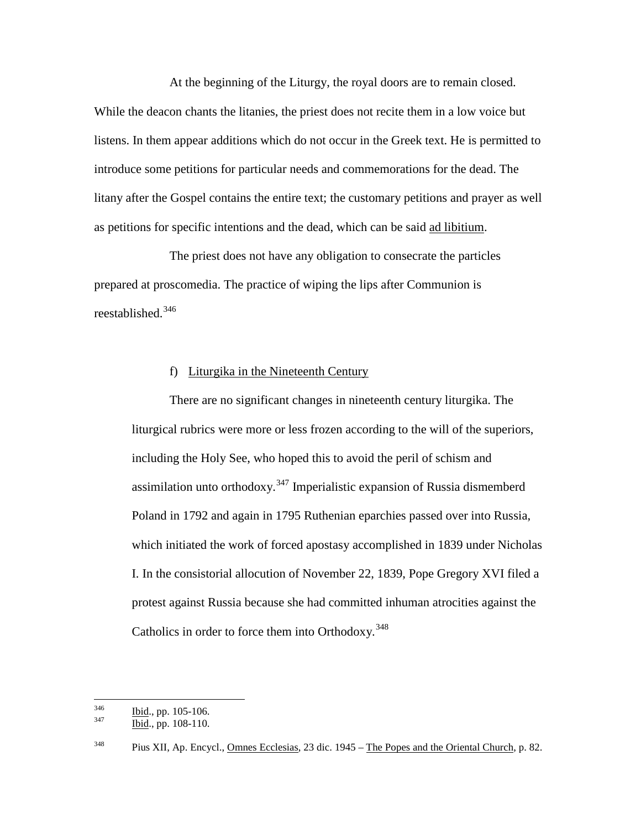At the beginning of the Liturgy, the royal doors are to remain closed. While the deacon chants the litanies, the priest does not recite them in a low voice but listens. In them appear additions which do not occur in the Greek text. He is permitted to introduce some petitions for particular needs and commemorations for the dead. The litany after the Gospel contains the entire text; the customary petitions and prayer as well as petitions for specific intentions and the dead, which can be said ad libitium.

The priest does not have any obligation to consecrate the particles prepared at proscomedia. The practice of wiping the lips after Communion is reestablished.[346](#page-83-0)

### f) Liturgika in the Nineteenth Century

There are no significant changes in nineteenth century liturgika. The liturgical rubrics were more or less frozen according to the will of the superiors, including the Holy See, who hoped this to avoid the peril of schism and assimilation unto orthodoxy.<sup>[347](#page-83-1)</sup> Imperialistic expansion of Russia dismemberd Poland in 1792 and again in 1795 Ruthenian eparchies passed over into Russia, which initiated the work of forced apostasy accomplished in 1839 under Nicholas I. In the consistorial allocution of November 22, 1839, Pope Gregory XVI filed a protest against Russia because she had committed inhuman atrocities against the Catholics in order to force them into Orthodoxy.  $348$ 

<span id="page-83-0"></span> $\frac{346}{347}$  Ibid., pp. 105-106.<br>Ibid., pp. 108-110.

<span id="page-83-1"></span>

<span id="page-83-2"></span><sup>&</sup>lt;sup>348</sup> Pius XII, Ap. Encycl., <u>Omnes Ecclesias</u>, 23 dic. 1945 – The Popes and the Oriental Church, p. 82.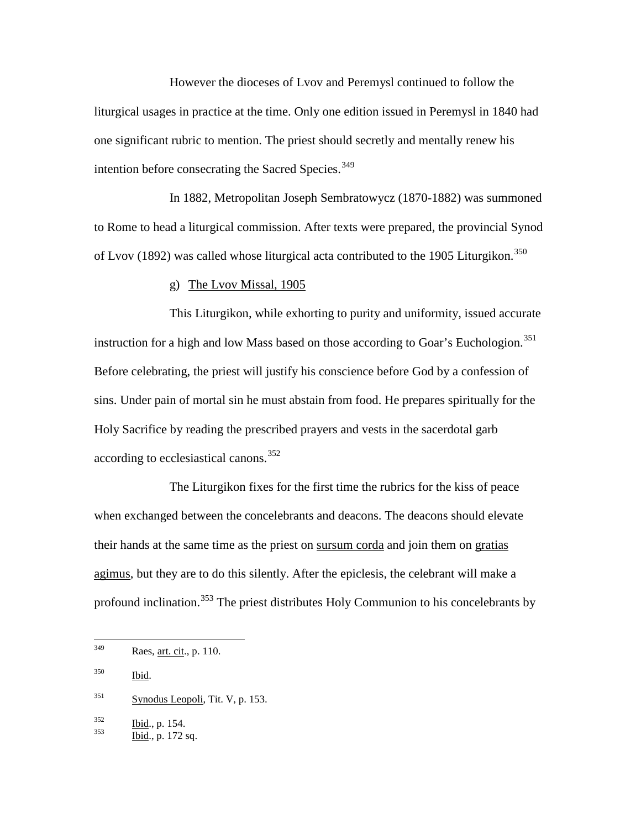However the dioceses of Lvov and Peremysl continued to follow the liturgical usages in practice at the time. Only one edition issued in Peremysl in 1840 had one significant rubric to mention. The priest should secretly and mentally renew his intention before consecrating the Sacred Species.<sup>[349](#page-84-0)</sup>

In 1882, Metropolitan Joseph Sembratowycz (1870-1882) was summoned to Rome to head a liturgical commission. After texts were prepared, the provincial Synod of Lvov (1892) was called whose liturgical acta contributed to the 1905 Liturgikon.<sup>[350](#page-84-1)</sup>

### g) The Lvov Missal, 1905

This Liturgikon, while exhorting to purity and uniformity, issued accurate instruction for a high and low Mass based on those according to Goar's Euchologion.<sup>[351](#page-84-2)</sup> Before celebrating, the priest will justify his conscience before God by a confession of sins. Under pain of mortal sin he must abstain from food. He prepares spiritually for the Holy Sacrifice by reading the prescribed prayers and vests in the sacerdotal garb according to ecclesiastical canons.<sup>[352](#page-84-3)</sup>

The Liturgikon fixes for the first time the rubrics for the kiss of peace when exchanged between the concelebrants and deacons. The deacons should elevate their hands at the same time as the priest on sursum corda and join them on gratias agimus, but they are to do this silently. After the epiclesis, the celebrant will make a profound inclination.<sup>[353](#page-84-4)</sup> The priest distributes Holy Communion to his concelebrants by

<span id="page-84-0"></span> <sup>349</sup> Raes, art. cit., p. 110.

<span id="page-84-1"></span><sup>350</sup> Ibid.

<span id="page-84-2"></span> $351$  Synodus Leopoli, Tit. V, p. 153.

<span id="page-84-3"></span> $\frac{352}{353}$  Ibid., p. 154.<br>Ibid., p. 172 sq.

<span id="page-84-4"></span>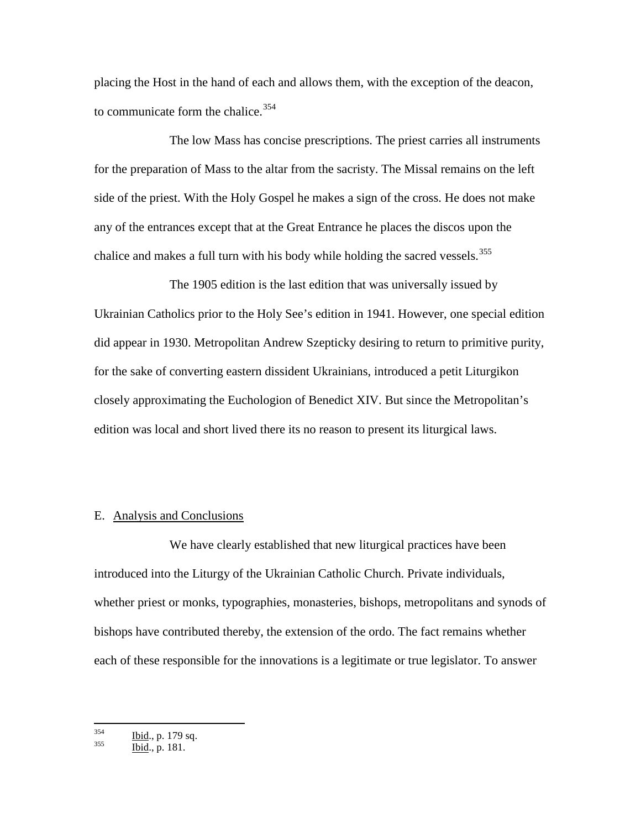placing the Host in the hand of each and allows them, with the exception of the deacon, to communicate form the chalice.<sup>[354](#page-85-0)</sup>

The low Mass has concise prescriptions. The priest carries all instruments for the preparation of Mass to the altar from the sacristy. The Missal remains on the left side of the priest. With the Holy Gospel he makes a sign of the cross. He does not make any of the entrances except that at the Great Entrance he places the discos upon the chalice and makes a full turn with his body while holding the sacred vessels.<sup>[355](#page-85-1)</sup>

The 1905 edition is the last edition that was universally issued by Ukrainian Catholics prior to the Holy See's edition in 1941. However, one special edition did appear in 1930. Metropolitan Andrew Szepticky desiring to return to primitive purity, for the sake of converting eastern dissident Ukrainians, introduced a petit Liturgikon closely approximating the Euchologion of Benedict XIV. But since the Metropolitan's edition was local and short lived there its no reason to present its liturgical laws.

### E. Analysis and Conclusions

We have clearly established that new liturgical practices have been introduced into the Liturgy of the Ukrainian Catholic Church. Private individuals, whether priest or monks, typographies, monasteries, bishops, metropolitans and synods of bishops have contributed thereby, the extension of the ordo. The fact remains whether each of these responsible for the innovations is a legitimate or true legislator. To answer

<span id="page-85-1"></span><span id="page-85-0"></span> $rac{354}{355}$  Ibid., p. 179 sq.<br>Ibid., p. 181.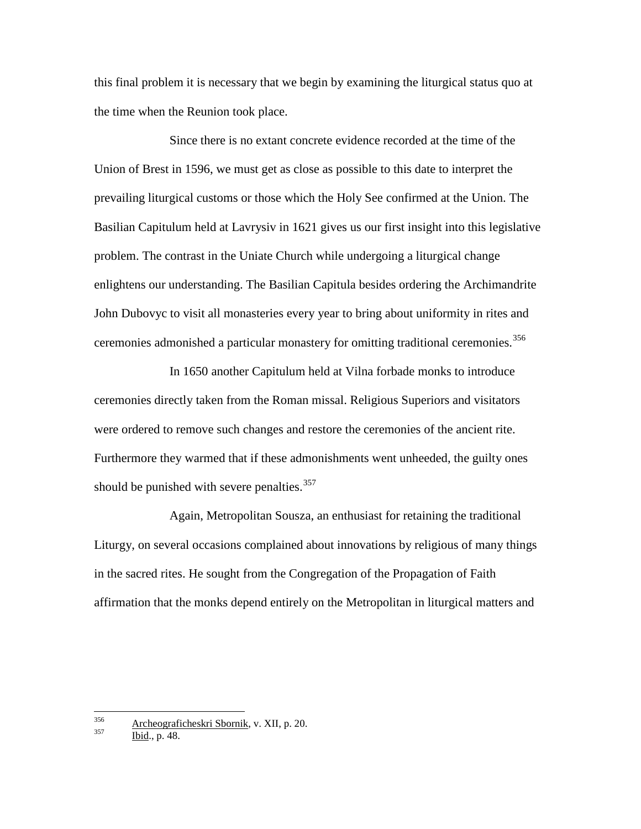this final problem it is necessary that we begin by examining the liturgical status quo at the time when the Reunion took place.

Since there is no extant concrete evidence recorded at the time of the Union of Brest in 1596, we must get as close as possible to this date to interpret the prevailing liturgical customs or those which the Holy See confirmed at the Union. The Basilian Capitulum held at Lavrysiv in 1621 gives us our first insight into this legislative problem. The contrast in the Uniate Church while undergoing a liturgical change enlightens our understanding. The Basilian Capitula besides ordering the Archimandrite John Dubovyc to visit all monasteries every year to bring about uniformity in rites and ceremonies admonished a particular monastery for omitting traditional ceremonies.<sup>[356](#page-86-0)</sup>

In 1650 another Capitulum held at Vilna forbade monks to introduce ceremonies directly taken from the Roman missal. Religious Superiors and visitators were ordered to remove such changes and restore the ceremonies of the ancient rite. Furthermore they warmed that if these admonishments went unheeded, the guilty ones should be punished with severe penalties.<sup>[357](#page-86-1)</sup>

Again, Metropolitan Sousza, an enthusiast for retaining the traditional Liturgy, on several occasions complained about innovations by religious of many things in the sacred rites. He sought from the Congregation of the Propagation of Faith affirmation that the monks depend entirely on the Metropolitan in liturgical matters and

<span id="page-86-0"></span><sup>&</sup>lt;sup>356</sup> Archeograficheskri Sbornik, v. XII, p. 20. Ibid., p. 48.

<span id="page-86-1"></span>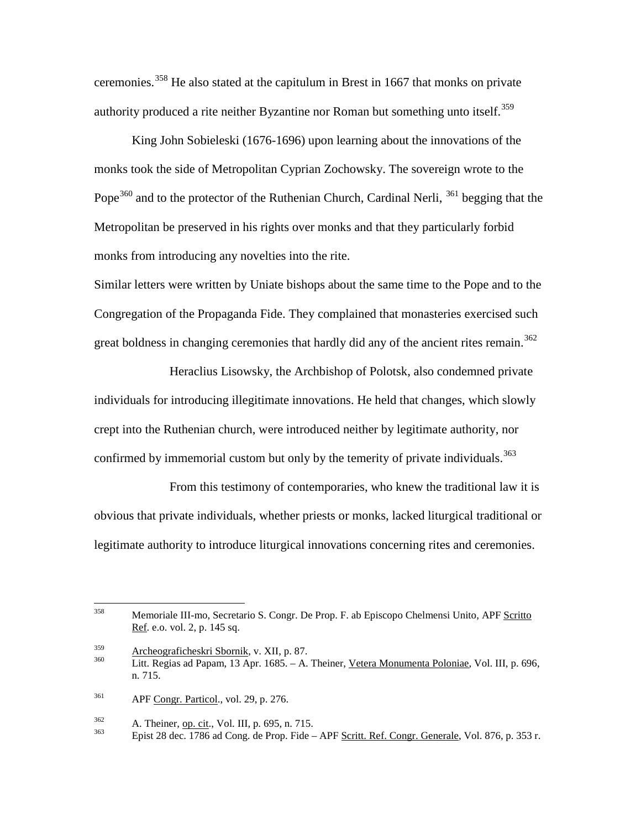ceremonies.[358](#page-87-0) He also stated at the capitulum in Brest in 1667 that monks on private authority produced a rite neither Byzantine nor Roman but something unto itself.<sup>[359](#page-87-1)</sup>

King John Sobieleski (1676-1696) upon learning about the innovations of the monks took the side of Metropolitan Cyprian Zochowsky. The sovereign wrote to the Pope<sup>[360](#page-87-2)</sup> and to the protector of the Ruthenian Church, Cardinal Nerli, <sup>[361](#page-87-3)</sup> begging that the Metropolitan be preserved in his rights over monks and that they particularly forbid monks from introducing any novelties into the rite.

Similar letters were written by Uniate bishops about the same time to the Pope and to the Congregation of the Propaganda Fide. They complained that monasteries exercised such great boldness in changing ceremonies that hardly did any of the ancient rites remain. [362](#page-87-4)

Heraclius Lisowsky, the Archbishop of Polotsk, also condemned private individuals for introducing illegitimate innovations. He held that changes, which slowly crept into the Ruthenian church, were introduced neither by legitimate authority, nor confirmed by immemorial custom but only by the temerity of private individuals.<sup>[363](#page-87-5)</sup>

From this testimony of contemporaries, who knew the traditional law it is obvious that private individuals, whether priests or monks, lacked liturgical traditional or legitimate authority to introduce liturgical innovations concerning rites and ceremonies.

<span id="page-87-3"></span><sup>361</sup> APF Congr. Particol., vol. 29, p. 276.

<span id="page-87-0"></span> <sup>358</sup> Memoriale III-mo, Secretario S. Congr. De Prop. F. ab Episcopo Chelmensi Unito, APF Scritto Ref. e.o. vol. 2, p. 145 sq.

<span id="page-87-2"></span><span id="page-87-1"></span><sup>&</sup>lt;sup>359</sup> Archeograficheskri Sbornik, v. XII, p. 87.<br><sup>360</sup> Litt. Regias ad Papam, 13 Apr. 1685. – A. Theiner, Vetera Monumenta Poloniae, Vol. III, p. 696, n. 715.

<span id="page-87-5"></span><span id="page-87-4"></span> $\frac{362}{363}$  A. Theiner, op. cit., Vol. III, p. 695, n. 715.<br> $\frac{363}{363}$  Epist 28 dec. 1786 ad Cong. de Prop. Fide – APF Scritt. Ref. Congr. Generale, Vol. 876, p. 353 r.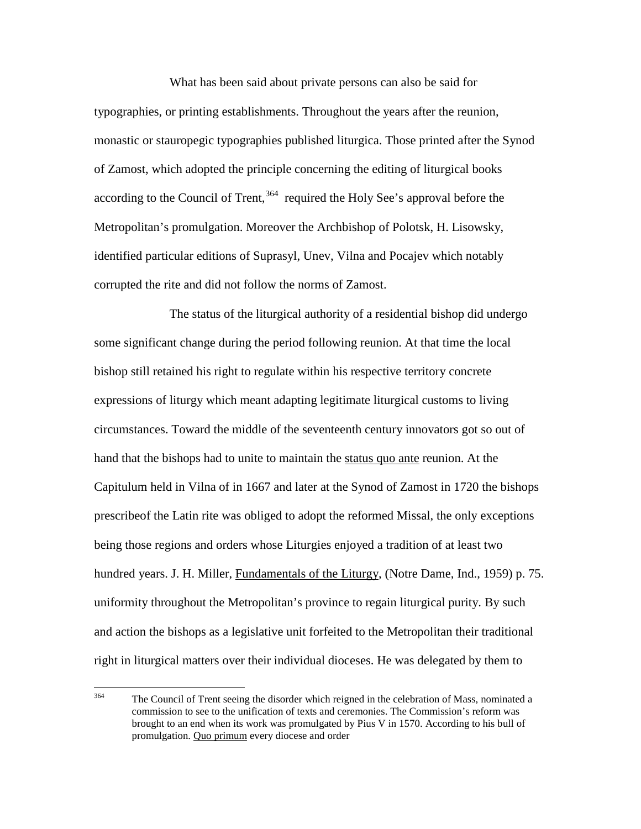What has been said about private persons can also be said for typographies, or printing establishments. Throughout the years after the reunion, monastic or stauropegic typographies published liturgica. Those printed after the Synod of Zamost, which adopted the principle concerning the editing of liturgical books according to the Council of Trent,  $364$  required the Holy See's approval before the Metropolitan's promulgation. Moreover the Archbishop of Polotsk, H. Lisowsky, identified particular editions of Suprasyl, Unev, Vilna and Pocajev which notably corrupted the rite and did not follow the norms of Zamost.

The status of the liturgical authority of a residential bishop did undergo some significant change during the period following reunion. At that time the local bishop still retained his right to regulate within his respective territory concrete expressions of liturgy which meant adapting legitimate liturgical customs to living circumstances. Toward the middle of the seventeenth century innovators got so out of hand that the bishops had to unite to maintain the status quo ante reunion. At the Capitulum held in Vilna of in 1667 and later at the Synod of Zamost in 1720 the bishops prescribeof the Latin rite was obliged to adopt the reformed Missal, the only exceptions being those regions and orders whose Liturgies enjoyed a tradition of at least two hundred years. J. H. Miller, *Fundamentals of the Liturgy*, (Notre Dame, Ind., 1959) p. 75. uniformity throughout the Metropolitan's province to regain liturgical purity. By such and action the bishops as a legislative unit forfeited to the Metropolitan their traditional right in liturgical matters over their individual dioceses. He was delegated by them to

<span id="page-88-0"></span><sup>&</sup>lt;sup>364</sup> The Council of Trent seeing the disorder which reigned in the celebration of Mass, nominated a commission to see to the unification of texts and ceremonies. The Commission's reform was brought to an end when its work was promulgated by Pius V in 1570. According to his bull of promulgation. Quo primum every diocese and order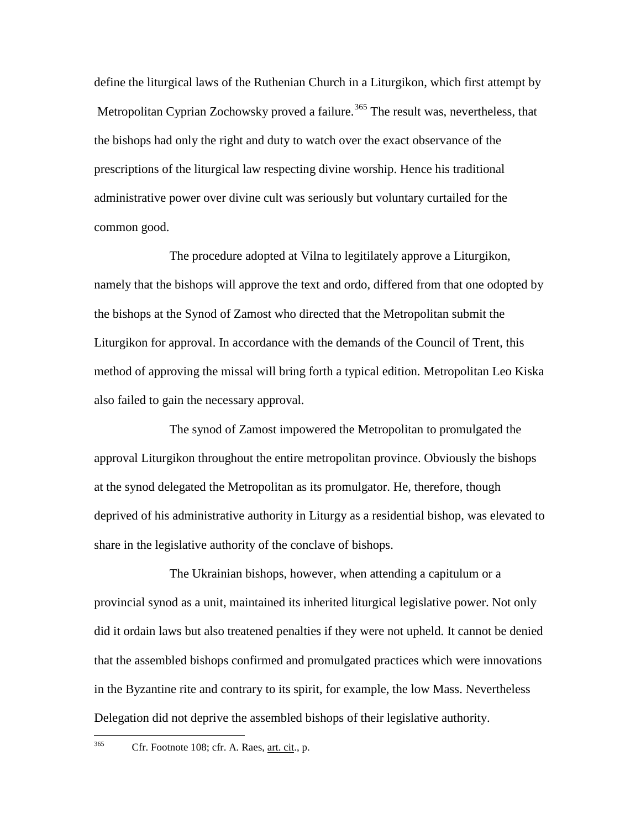define the liturgical laws of the Ruthenian Church in a Liturgikon, which first attempt by Metropolitan Cyprian Zochowsky proved a failure.<sup>[365](#page-89-0)</sup> The result was, nevertheless, that the bishops had only the right and duty to watch over the exact observance of the prescriptions of the liturgical law respecting divine worship. Hence his traditional administrative power over divine cult was seriously but voluntary curtailed for the common good.

The procedure adopted at Vilna to legitilately approve a Liturgikon, namely that the bishops will approve the text and ordo, differed from that one odopted by the bishops at the Synod of Zamost who directed that the Metropolitan submit the Liturgikon for approval. In accordance with the demands of the Council of Trent, this method of approving the missal will bring forth a typical edition. Metropolitan Leo Kiska also failed to gain the necessary approval.

The synod of Zamost impowered the Metropolitan to promulgated the approval Liturgikon throughout the entire metropolitan province. Obviously the bishops at the synod delegated the Metropolitan as its promulgator. He, therefore, though deprived of his administrative authority in Liturgy as a residential bishop, was elevated to share in the legislative authority of the conclave of bishops.

The Ukrainian bishops, however, when attending a capitulum or a provincial synod as a unit, maintained its inherited liturgical legislative power. Not only did it ordain laws but also treatened penalties if they were not upheld. It cannot be denied that the assembled bishops confirmed and promulgated practices which were innovations in the Byzantine rite and contrary to its spirit, for example, the low Mass. Nevertheless Delegation did not deprive the assembled bishops of their legislative authority.

<span id="page-89-0"></span>

 <sup>365</sup> Cfr. Footnote 108; cfr. A. Raes, art. cit., p.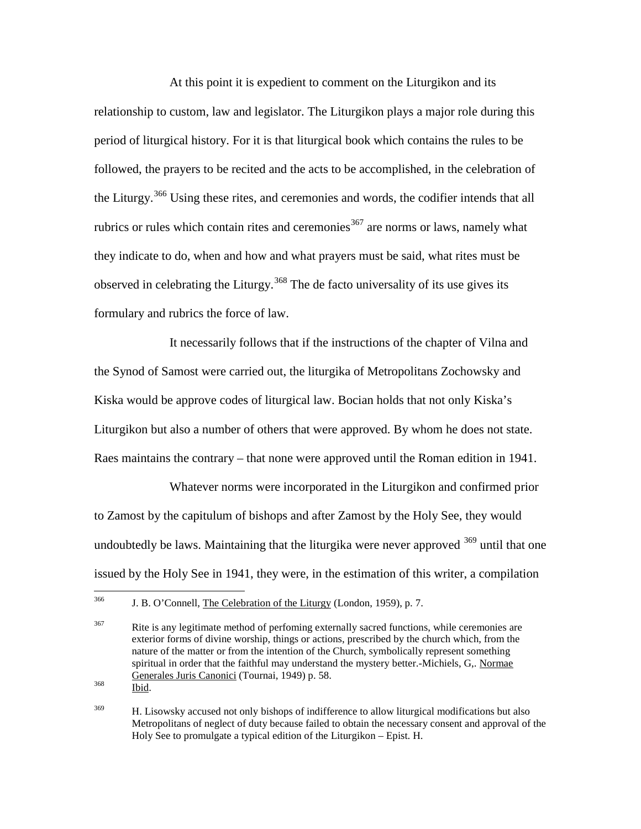At this point it is expedient to comment on the Liturgikon and its relationship to custom, law and legislator. The Liturgikon plays a major role during this period of liturgical history. For it is that liturgical book which contains the rules to be followed, the prayers to be recited and the acts to be accomplished, in the celebration of the Liturgy.<sup>[366](#page-90-0)</sup> Using these rites, and ceremonies and words, the codifier intends that all rubrics or rules which contain rites and ceremonies  $367$  are norms or laws, namely what they indicate to do, when and how and what prayers must be said, what rites must be observed in celebrating the Liturgy.<sup>[368](#page-90-2)</sup> The de facto universality of its use gives its formulary and rubrics the force of law.

It necessarily follows that if the instructions of the chapter of Vilna and the Synod of Samost were carried out, the liturgika of Metropolitans Zochowsky and Kiska would be approve codes of liturgical law. Bocian holds that not only Kiska's Liturgikon but also a number of others that were approved. By whom he does not state. Raes maintains the contrary – that none were approved until the Roman edition in 1941.

Whatever norms were incorporated in the Liturgikon and confirmed prior to Zamost by the capitulum of bishops and after Zamost by the Holy See, they would undoubtedly be laws. Maintaining that the liturgika were never approved <sup>[369](#page-90-3)</sup> until that one issued by the Holy See in 1941, they were, in the estimation of this writer, a compilation

<span id="page-90-2"></span>

<span id="page-90-0"></span><sup>&</sup>lt;sup>366</sup> J. B. O'Connell, The Celebration of the Liturgy (London, 1959), p. 7.

<span id="page-90-1"></span> $367$  Rite is any legitimate method of perfoming externally sacred functions, while ceremonies are exterior forms of divine worship, things or actions, prescribed by the church which, from the nature of the matter or from the intention of the Church, symbolically represent something spiritual in order that the faithful may understand the mystery better.-Michiels, G,. Normae Generales Juris Canonici (Tournai, 1949) p. 58. <sup>368</sup> Ibid.

<span id="page-90-3"></span><sup>&</sup>lt;sup>369</sup> H. Lisowsky accused not only bishops of indifference to allow liturgical modifications but also Metropolitans of neglect of duty because failed to obtain the necessary consent and approval of the Holy See to promulgate a typical edition of the Liturgikon – Epist. H.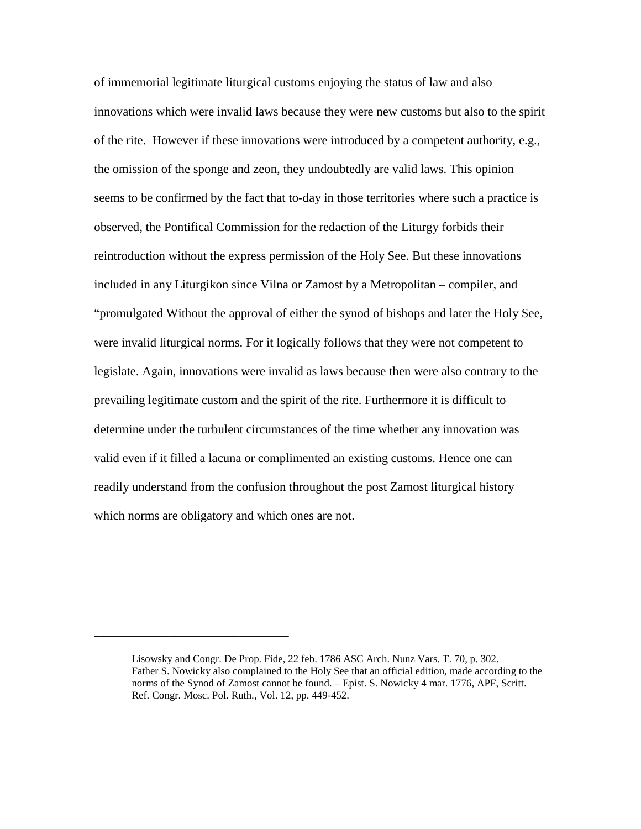of immemorial legitimate liturgical customs enjoying the status of law and also innovations which were invalid laws because they were new customs but also to the spirit of the rite. However if these innovations were introduced by a competent authority, e.g., the omission of the sponge and zeon, they undoubtedly are valid laws. This opinion seems to be confirmed by the fact that to-day in those territories where such a practice is observed, the Pontifical Commission for the redaction of the Liturgy forbids their reintroduction without the express permission of the Holy See. But these innovations included in any Liturgikon since Vilna or Zamost by a Metropolitan – compiler, and "promulgated Without the approval of either the synod of bishops and later the Holy See, were invalid liturgical norms. For it logically follows that they were not competent to legislate. Again, innovations were invalid as laws because then were also contrary to the prevailing legitimate custom and the spirit of the rite. Furthermore it is difficult to determine under the turbulent circumstances of the time whether any innovation was valid even if it filled a lacuna or complimented an existing customs. Hence one can readily understand from the confusion throughout the post Zamost liturgical history which norms are obligatory and which ones are not.

\_\_\_\_\_\_\_\_\_\_\_\_\_\_\_\_\_\_\_\_\_\_\_\_\_\_\_\_\_\_\_

Lisowsky and Congr. De Prop. Fide, 22 feb. 1786 ASC Arch. Nunz Vars. T. 70, p. 302. Father S. Nowicky also complained to the Holy See that an official edition, made according to the norms of the Synod of Zamost cannot be found. – Epist. S. Nowicky 4 mar. 1776, APF, Scritt. Ref. Congr. Mosc. Pol. Ruth., Vol. 12, pp. 449-452.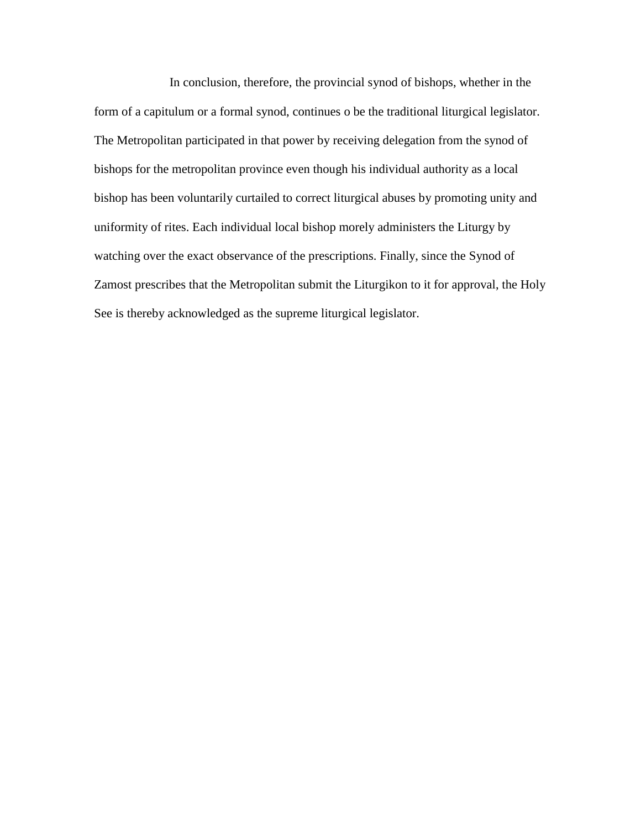In conclusion, therefore, the provincial synod of bishops, whether in the form of a capitulum or a formal synod, continues o be the traditional liturgical legislator. The Metropolitan participated in that power by receiving delegation from the synod of bishops for the metropolitan province even though his individual authority as a local bishop has been voluntarily curtailed to correct liturgical abuses by promoting unity and uniformity of rites. Each individual local bishop morely administers the Liturgy by watching over the exact observance of the prescriptions. Finally, since the Synod of Zamost prescribes that the Metropolitan submit the Liturgikon to it for approval, the Holy See is thereby acknowledged as the supreme liturgical legislator.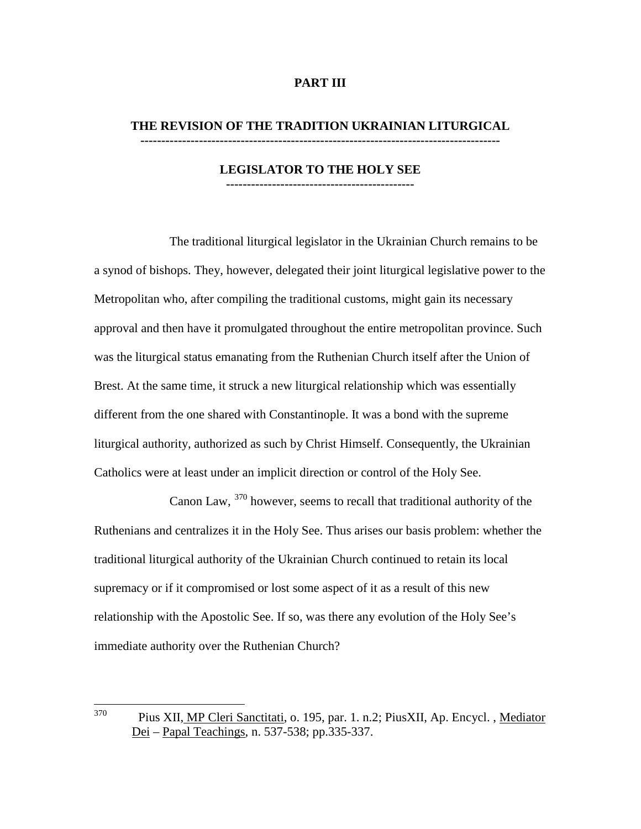### **PART III**

# **THE REVISION OF THE TRADITION UKRAINIAN LITURGICAL**

**--------------------------------------------------------------------------------------**

#### **LEGISLATOR TO THE HOLY SEE ---------------------------------------------**

The traditional liturgical legislator in the Ukrainian Church remains to be a synod of bishops. They, however, delegated their joint liturgical legislative power to the Metropolitan who, after compiling the traditional customs, might gain its necessary approval and then have it promulgated throughout the entire metropolitan province. Such was the liturgical status emanating from the Ruthenian Church itself after the Union of Brest. At the same time, it struck a new liturgical relationship which was essentially different from the one shared with Constantinople. It was a bond with the supreme liturgical authority, authorized as such by Christ Himself. Consequently, the Ukrainian Catholics were at least under an implicit direction or control of the Holy See.

Canon Law, <sup>[370](#page-93-0)</sup> however, seems to recall that traditional authority of the Ruthenians and centralizes it in the Holy See. Thus arises our basis problem: whether the traditional liturgical authority of the Ukrainian Church continued to retain its local supremacy or if it compromised or lost some aspect of it as a result of this new relationship with the Apostolic See. If so, was there any evolution of the Holy See's immediate authority over the Ruthenian Church?

<span id="page-93-0"></span> <sup>370</sup> Pius XII, MP Cleri Sanctitati, o. 195, par. 1. n.2; PiusXII, Ap. Encycl. , Mediator Dei – Papal Teachings, n. 537-538; pp.335-337.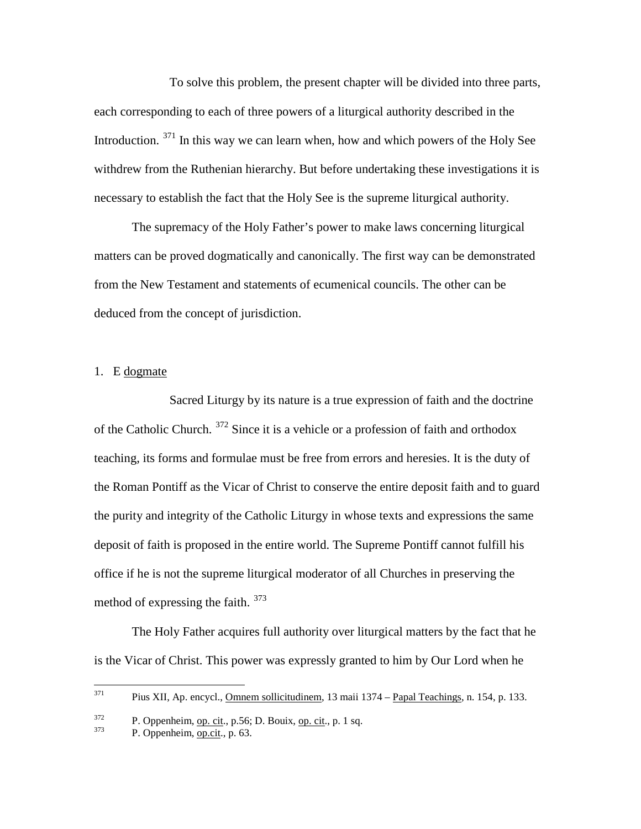To solve this problem, the present chapter will be divided into three parts, each corresponding to each of three powers of a liturgical authority described in the Introduction. <sup>[371](#page-94-0)</sup> In this way we can learn when, how and which powers of the Holy See withdrew from the Ruthenian hierarchy. But before undertaking these investigations it is necessary to establish the fact that the Holy See is the supreme liturgical authority.

The supremacy of the Holy Father's power to make laws concerning liturgical matters can be proved dogmatically and canonically. The first way can be demonstrated from the New Testament and statements of ecumenical councils. The other can be deduced from the concept of jurisdiction.

### 1. E dogmate

Sacred Liturgy by its nature is a true expression of faith and the doctrine of the Catholic Church. [372](#page-94-1) Since it is a vehicle or a profession of faith and orthodox teaching, its forms and formulae must be free from errors and heresies. It is the duty of the Roman Pontiff as the Vicar of Christ to conserve the entire deposit faith and to guard the purity and integrity of the Catholic Liturgy in whose texts and expressions the same deposit of faith is proposed in the entire world. The Supreme Pontiff cannot fulfill his office if he is not the supreme liturgical moderator of all Churches in preserving the method of expressing the faith. [373](#page-94-2)

The Holy Father acquires full authority over liturgical matters by the fact that he is the Vicar of Christ. This power was expressly granted to him by Our Lord when he

<span id="page-94-0"></span> $371$  Pius XII, Ap. encycl., Omnem sollicitudinem, 13 maii 1374 – Papal Teachings, n. 154, p. 133.

<span id="page-94-1"></span> $\frac{372}{373}$  P. Oppenheim, op. cit., p. 56; D. Bouix, op. cit., p. 1 sq. P. Oppenheim, op. cit., p. 63.

<span id="page-94-2"></span>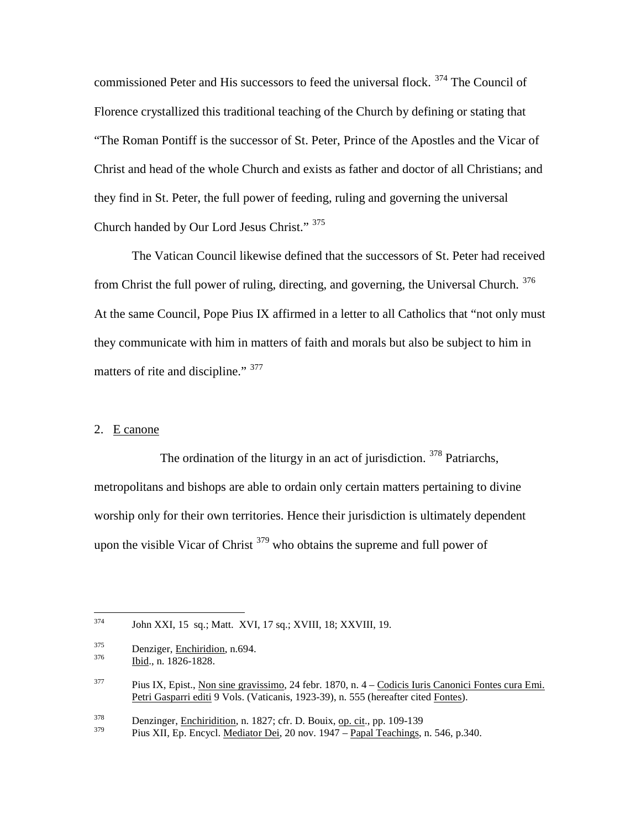commissioned Peter and His successors to feed the universal flock. [374](#page-95-0) The Council of Florence crystallized this traditional teaching of the Church by defining or stating that "The Roman Pontiff is the successor of St. Peter, Prince of the Apostles and the Vicar of Christ and head of the whole Church and exists as father and doctor of all Christians; and they find in St. Peter, the full power of feeding, ruling and governing the universal Church handed by Our Lord Jesus Christ." [375](#page-95-1)

The Vatican Council likewise defined that the successors of St. Peter had received from Christ the full power of ruling, directing, and governing, the Universal Church. [376](#page-95-2) At the same Council, Pope Pius IX affirmed in a letter to all Catholics that "not only must they communicate with him in matters of faith and morals but also be subject to him in matters of rite and discipline." <sup>[377](#page-95-3)</sup>

### 2. E canone

The ordination of the liturgy in an act of jurisdiction. <sup>[378](#page-95-4)</sup> Patriarchs, metropolitans and bishops are able to ordain only certain matters pertaining to divine worship only for their own territories. Hence their jurisdiction is ultimately dependent upon the visible Vicar of Christ  $379$  who obtains the supreme and full power of

<span id="page-95-2"></span><span id="page-95-1"></span> $rac{375}{376}$  Denziger, <u>Enchiridion</u>, n.694.<br>Ibid., n. 1826-1828.

<span id="page-95-4"></span> $\frac{378}{379}$  Denzinger, <u>Enchiridition</u>, n. 1827; cfr. D. Bouix, <u>op. cit</u>., pp. 109-139

<span id="page-95-5"></span>Pius XII, Ep. Encycl. Mediator Dei, 20 nov. 1947 – Papal Teachings, n. 546, p.340.

<span id="page-95-0"></span> <sup>374</sup> John XXI, 15 sq.; Matt. XVI, 17 sq.; XVIII, 18; XXVIII, 19.

<span id="page-95-3"></span> $377$  Pius IX, Epist., Non sine gravissimo, 24 febr. 1870, n. 4 – Codicis Iuris Canonici Fontes cura Emi. Petri Gasparri editi 9 Vols. (Vaticanis, 1923-39), n. 555 (hereafter cited Fontes).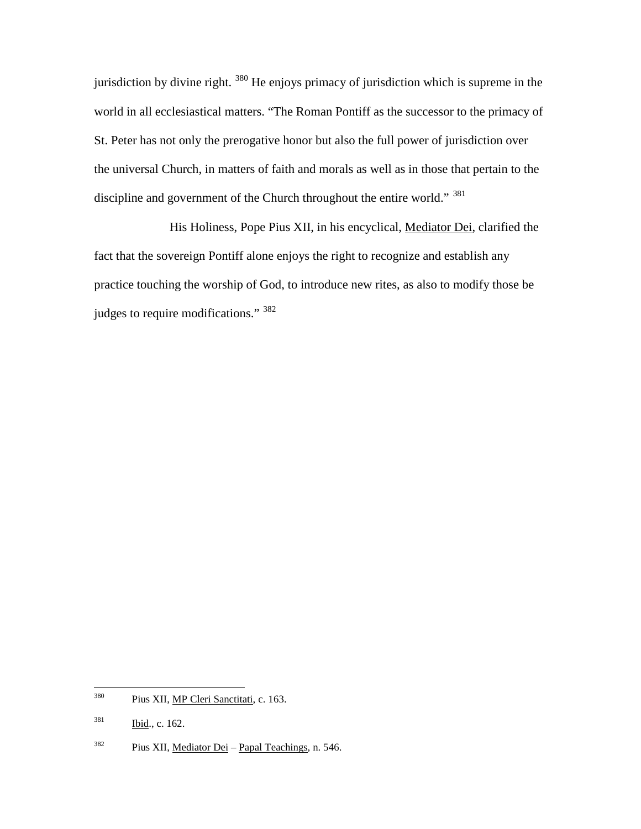jurisdiction by divine right. <sup>[380](#page-96-0)</sup> He enjoys primacy of jurisdiction which is supreme in the world in all ecclesiastical matters. "The Roman Pontiff as the successor to the primacy of St. Peter has not only the prerogative honor but also the full power of jurisdiction over the universal Church, in matters of faith and morals as well as in those that pertain to the discipline and government of the Church throughout the entire world." <sup>[381](#page-96-1)</sup>

His Holiness, Pope Pius XII, in his encyclical, Mediator Dei, clarified the fact that the sovereign Pontiff alone enjoys the right to recognize and establish any practice touching the worship of God, to introduce new rites, as also to modify those be judges to require modifications." [382](#page-96-2)

<span id="page-96-0"></span><sup>&</sup>lt;sup>380</sup> Pius XII, <u>MP Cleri Sanctitati</u>, c. 163.

<span id="page-96-1"></span> $381$  Ibid., c. 162.

<span id="page-96-2"></span> $382$  Pius XII, Mediator Dei – Papal Teachings, n. 546.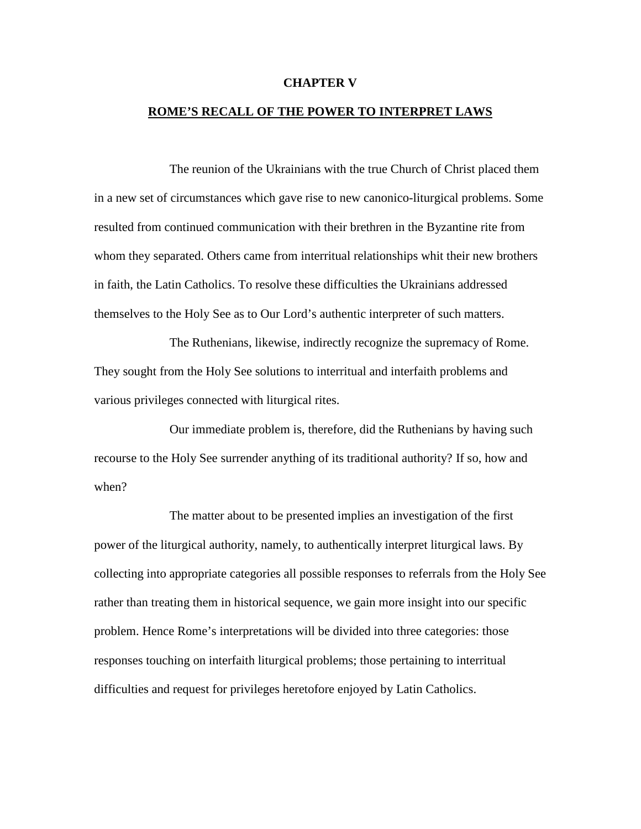#### **CHAPTER V**

### **ROME'S RECALL OF THE POWER TO INTERPRET LAWS**

The reunion of the Ukrainians with the true Church of Christ placed them in a new set of circumstances which gave rise to new canonico-liturgical problems. Some resulted from continued communication with their brethren in the Byzantine rite from whom they separated. Others came from interritual relationships whit their new brothers in faith, the Latin Catholics. To resolve these difficulties the Ukrainians addressed themselves to the Holy See as to Our Lord's authentic interpreter of such matters.

The Ruthenians, likewise, indirectly recognize the supremacy of Rome. They sought from the Holy See solutions to interritual and interfaith problems and various privileges connected with liturgical rites.

Our immediate problem is, therefore, did the Ruthenians by having such recourse to the Holy See surrender anything of its traditional authority? If so, how and when?

The matter about to be presented implies an investigation of the first power of the liturgical authority, namely, to authentically interpret liturgical laws. By collecting into appropriate categories all possible responses to referrals from the Holy See rather than treating them in historical sequence, we gain more insight into our specific problem. Hence Rome's interpretations will be divided into three categories: those responses touching on interfaith liturgical problems; those pertaining to interritual difficulties and request for privileges heretofore enjoyed by Latin Catholics.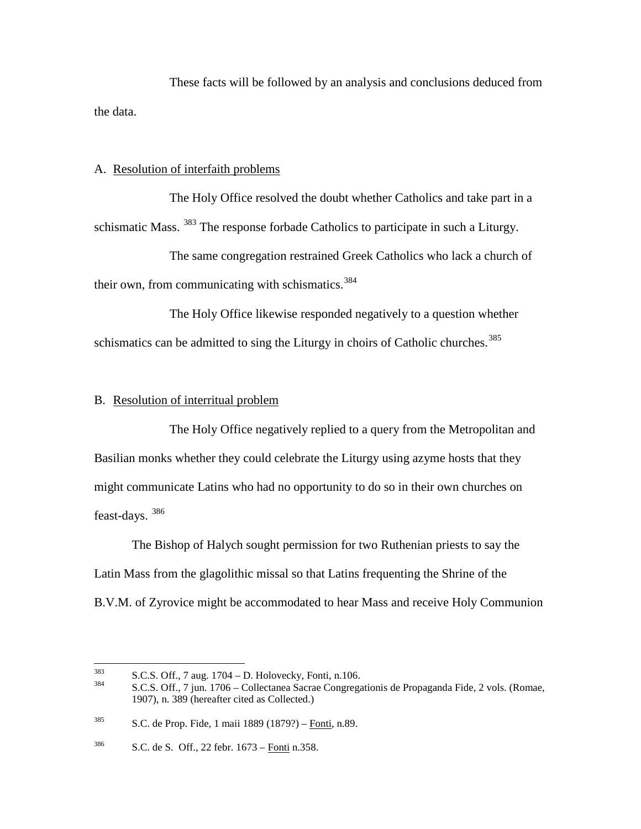These facts will be followed by an analysis and conclusions deduced from the data.

### A. Resolution of interfaith problems

The Holy Office resolved the doubt whether Catholics and take part in a schismatic Mass. <sup>[383](#page-98-0)</sup> The response forbade Catholics to participate in such a Liturgy.

The same congregation restrained Greek Catholics who lack a church of their own, from communicating with schismatics.<sup>[384](#page-98-1)</sup>

The Holy Office likewise responded negatively to a question whether schismatics can be admitted to sing the Liturgy in choirs of Catholic churches.<sup>[385](#page-98-2)</sup>

### B. Resolution of interritual problem

The Holy Office negatively replied to a query from the Metropolitan and Basilian monks whether they could celebrate the Liturgy using azyme hosts that they might communicate Latins who had no opportunity to do so in their own churches on feast-days. [386](#page-98-3)

The Bishop of Halych sought permission for two Ruthenian priests to say the Latin Mass from the glagolithic missal so that Latins frequenting the Shrine of the B.V.M. of Zyrovice might be accommodated to hear Mass and receive Holy Communion

<span id="page-98-1"></span>

<span id="page-98-0"></span> $S.S.S.$  Off., 7 aug. 1704 – D. Holovecky, Fonti, n.106.<br>  $S.C.S.$  Off., 7 jun. 1706 – Collectanea Sacrae Congregationis de Propaganda Fide, 2 vols. (Romae, 1907), n. 389 (hereafter cited as Collected.)

<span id="page-98-2"></span><sup>385</sup> S.C. de Prop. Fide, 1 maii 1889 (1879?) – Fonti, n.89.

<span id="page-98-3"></span> $386$  S.C. de S. Off., 22 febr.  $1673 -$ Fonti n.358.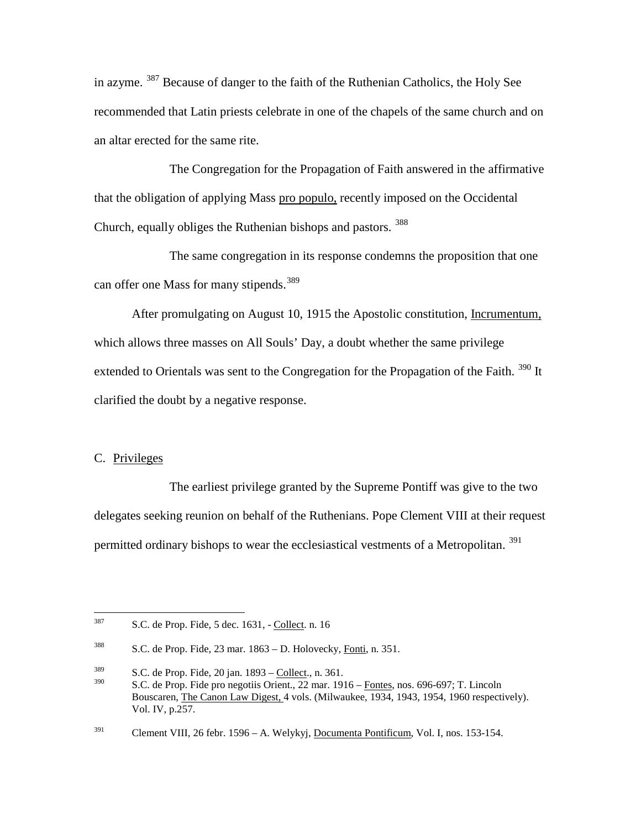in azyme. <sup>[387](#page-99-0)</sup> Because of danger to the faith of the Ruthenian Catholics, the Holy See recommended that Latin priests celebrate in one of the chapels of the same church and on an altar erected for the same rite.

The Congregation for the Propagation of Faith answered in the affirmative that the obligation of applying Mass pro populo, recently imposed on the Occidental Church, equally obliges the Ruthenian bishops and pastors. <sup>[388](#page-99-1)</sup>

The same congregation in its response condemns the proposition that one can offer one Mass for many stipends.<sup>[389](#page-99-2)</sup>

After promulgating on August 10, 1915 the Apostolic constitution, Incrumentum, which allows three masses on All Souls' Day, a doubt whether the same privilege extended to Orientals was sent to the Congregation for the Propagation of the Faith. <sup>[390](#page-99-3)</sup> It clarified the doubt by a negative response.

### C. Privileges

The earliest privilege granted by the Supreme Pontiff was give to the two delegates seeking reunion on behalf of the Ruthenians. Pope Clement VIII at their request permitted ordinary bishops to wear the ecclesiastical vestments of a Metropolitan.<sup>[391](#page-99-4)</sup>

<span id="page-99-0"></span> $387$  S.C. de Prop. Fide, 5 dec. 1631, - Collect. n. 16

<span id="page-99-1"></span><sup>&</sup>lt;sup>388</sup> S.C. de Prop. Fide, 23 mar.  $1863 - D$ . Holovecky, Fonti, n. 351.

<span id="page-99-2"></span> $\frac{389}{200}$  S.C. de Prop. Fide, 20 jan. 1893 – Collect., n. 361.

<span id="page-99-3"></span>S.C. de Prop. Fide pro negotiis Orient., 22 mar. 1916 – Fontes, nos. 696-697; T. Lincoln Bouscaren, The Canon Law Digest, 4 vols. (Milwaukee, 1934, 1943, 1954, 1960 respectively). Vol. IV, p.257.

<span id="page-99-4"></span><sup>&</sup>lt;sup>391</sup> Clement VIII, 26 febr. 1596 – A. Welykyj, Documenta Pontificum, Vol. I, nos. 153-154.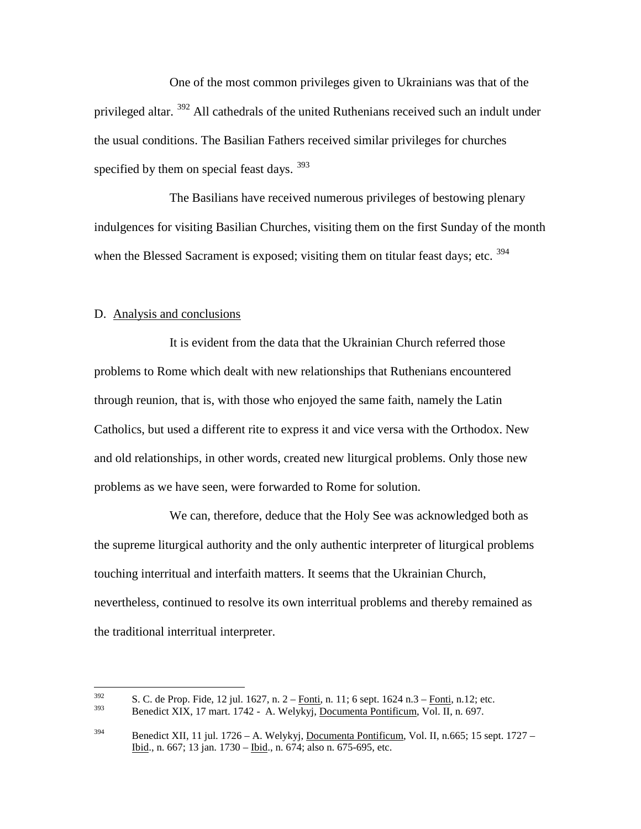One of the most common privileges given to Ukrainians was that of the privileged altar. <sup>[392](#page-100-0)</sup> All cathedrals of the united Ruthenians received such an indult under the usual conditions. The Basilian Fathers received similar privileges for churches specified by them on special feast days.  $393$ 

The Basilians have received numerous privileges of bestowing plenary indulgences for visiting Basilian Churches, visiting them on the first Sunday of the month when the Blessed Sacrament is exposed; visiting them on titular feast days; etc.  $394$ 

### D. Analysis and conclusions

It is evident from the data that the Ukrainian Church referred those problems to Rome which dealt with new relationships that Ruthenians encountered through reunion, that is, with those who enjoyed the same faith, namely the Latin Catholics, but used a different rite to express it and vice versa with the Orthodox. New and old relationships, in other words, created new liturgical problems. Only those new problems as we have seen, were forwarded to Rome for solution.

We can, therefore, deduce that the Holy See was acknowledged both as the supreme liturgical authority and the only authentic interpreter of liturgical problems touching interritual and interfaith matters. It seems that the Ukrainian Church, nevertheless, continued to resolve its own interritual problems and thereby remained as the traditional interritual interpreter.

<span id="page-100-0"></span> $\frac{392}{293}$  S. C. de Prop. Fide, 12 jul. 1627, n. 2 – <u>Fonti,</u> n. 11; 6 sept. 1624 n.3 – <u>Fonti,</u> n. 12; etc.

<span id="page-100-1"></span>Benedict XIX, 17 mart. 1742 - A. Welykyj, Documenta Pontificum, Vol. II, n. 697.

<span id="page-100-2"></span><sup>&</sup>lt;sup>394</sup> Benedict XII, 11 jul. 1726 – A. Welykyj, <u>Documenta Pontificum</u>, Vol. II, n.665; 15 sept. 1727 – Ibid., n. 667; 13 jan. 1730 – Ibid., n. 674; also n. 675-695, etc.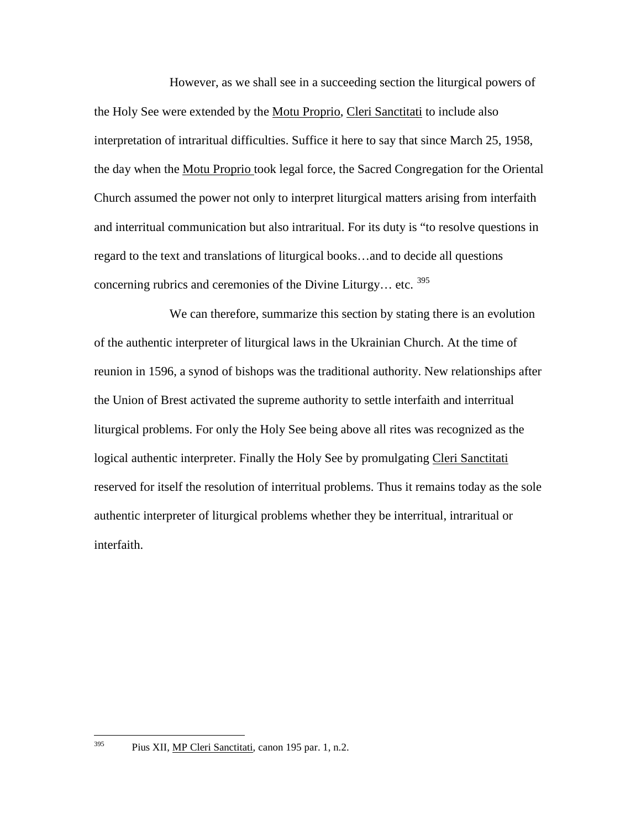However, as we shall see in a succeeding section the liturgical powers of the Holy See were extended by the Motu Proprio, Cleri Sanctitati to include also interpretation of intraritual difficulties. Suffice it here to say that since March 25, 1958, the day when the Motu Proprio took legal force, the Sacred Congregation for the Oriental Church assumed the power not only to interpret liturgical matters arising from interfaith and interritual communication but also intraritual. For its duty is "to resolve questions in regard to the text and translations of liturgical books…and to decide all questions concerning rubrics and ceremonies of the Divine Liturgy... etc.  $395$ 

We can therefore, summarize this section by stating there is an evolution of the authentic interpreter of liturgical laws in the Ukrainian Church. At the time of reunion in 1596, a synod of bishops was the traditional authority. New relationships after the Union of Brest activated the supreme authority to settle interfaith and interritual liturgical problems. For only the Holy See being above all rites was recognized as the logical authentic interpreter. Finally the Holy See by promulgating Cleri Sanctitati reserved for itself the resolution of interritual problems. Thus it remains today as the sole authentic interpreter of liturgical problems whether they be interritual, intraritual or interfaith.

<sup>&</sup>lt;sup>395</sup> Pius XII, <u>MP Cleri Sanctitati</u>, canon 195 par. 1, n.2.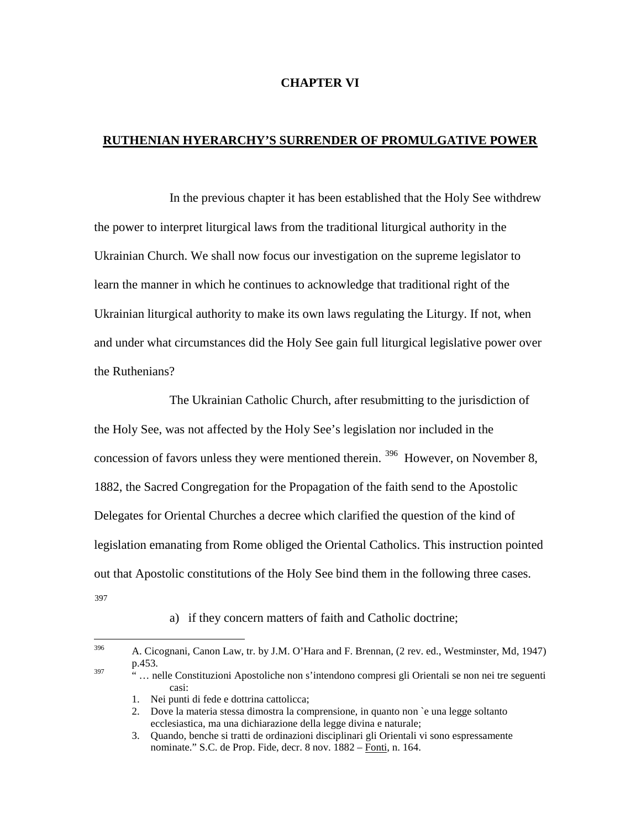### **CHAPTER VI**

# **RUTHENIAN HYERARCHY'S SURRENDER OF PROMULGATIVE POWER**

In the previous chapter it has been established that the Holy See withdrew the power to interpret liturgical laws from the traditional liturgical authority in the Ukrainian Church. We shall now focus our investigation on the supreme legislator to learn the manner in which he continues to acknowledge that traditional right of the Ukrainian liturgical authority to make its own laws regulating the Liturgy. If not, when and under what circumstances did the Holy See gain full liturgical legislative power over the Ruthenians?

The Ukrainian Catholic Church, after resubmitting to the jurisdiction of the Holy See, was not affected by the Holy See's legislation nor included in the concession of favors unless they were mentioned therein. [396](#page-102-0) However, on November 8, 1882, the Sacred Congregation for the Propagation of the faith send to the Apostolic Delegates for Oriental Churches a decree which clarified the question of the kind of legislation emanating from Rome obliged the Oriental Catholics. This instruction pointed out that Apostolic constitutions of the Holy See bind them in the following three cases. [397](#page-102-1)

a) if they concern matters of faith and Catholic doctrine;

<span id="page-102-0"></span> <sup>396</sup> A. Cicognani, Canon Law, tr. by J.M. O'Hara and F. Brennan, (2 rev. ed., Westminster, Md, 1947) p.453.

<span id="page-102-1"></span><sup>&</sup>lt;sup>397</sup> ... nelle Constituzioni Apostoliche non s'intendono compresi gli Orientali se non nei tre seguenti casi:

<sup>1.</sup> Nei punti di fede e dottrina cattolicca;

<sup>2.</sup> Dove la materia stessa dimostra la comprensione, in quanto non `e una legge soltanto ecclesiastica, ma una dichiarazione della legge divina e naturale;

<sup>3.</sup> Quando, benche si tratti de ordinazioni disciplinari gli Orientali vi sono espressamente nominate." S.C. de Prop. Fide, decr. 8 nov. 1882 – Fonti, n. 164.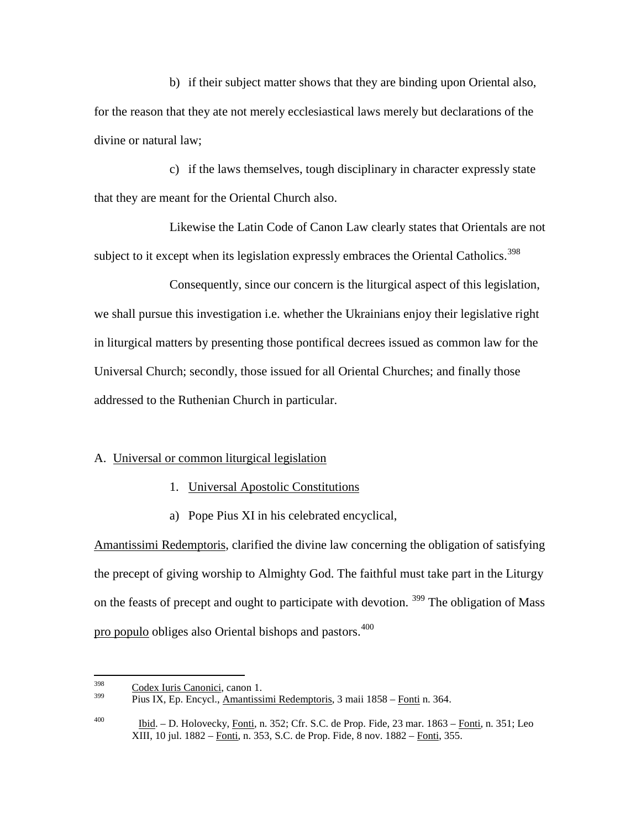b) if their subject matter shows that they are binding upon Oriental also, for the reason that they ate not merely ecclesiastical laws merely but declarations of the divine or natural law;

c) if the laws themselves, tough disciplinary in character expressly state that they are meant for the Oriental Church also.

Likewise the Latin Code of Canon Law clearly states that Orientals are not subject to it except when its legislation expressly embraces the Oriental Catholics.<sup>[398](#page-103-0)</sup>

Consequently, since our concern is the liturgical aspect of this legislation, we shall pursue this investigation i.e. whether the Ukrainians enjoy their legislative right in liturgical matters by presenting those pontifical decrees issued as common law for the Universal Church; secondly, those issued for all Oriental Churches; and finally those addressed to the Ruthenian Church in particular.

### A. Universal or common liturgical legislation

- 1. Universal Apostolic Constitutions
- a) Pope Pius XI in his celebrated encyclical,

Amantissimi Redemptoris, clarified the divine law concerning the obligation of satisfying the precept of giving worship to Almighty God. The faithful must take part in the Liturgy on the feasts of precept and ought to participate with devotion. <sup>[399](#page-103-1)</sup> The obligation of Mass pro populo obliges also Oriental bishops and pastors.<sup>[400](#page-103-2)</sup>

<span id="page-103-1"></span><span id="page-103-0"></span> $\frac{398}{399}$  Codex Iuris Canonici, canon 1.

<sup>399</sup> Pius IX, Ep. Encycl., Amantissimi Redemptoris, 3 maii 1858 – Fonti n. 364.

<span id="page-103-2"></span><sup>400</sup> Ibid. – D. Holovecky, Fonti, n. 352; Cfr. S.C. de Prop. Fide, 23 mar. 1863 – Fonti, n. 351; Leo XIII, 10 jul. 1882 – Fonti, n. 353, S.C. de Prop. Fide, 8 nov. 1882 – Fonti, 355.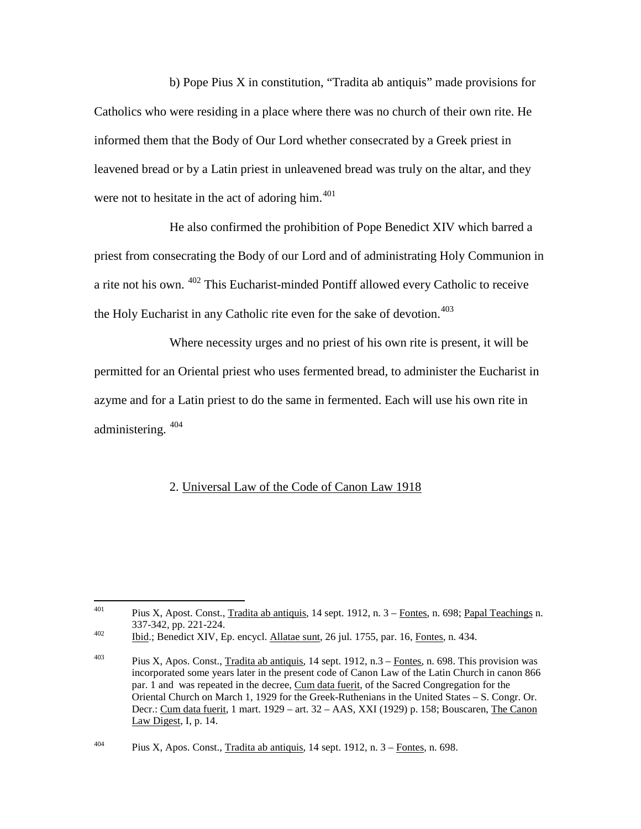b) Pope Pius X in constitution, "Tradita ab antiquis" made provisions for Catholics who were residing in a place where there was no church of their own rite. He informed them that the Body of Our Lord whether consecrated by a Greek priest in leavened bread or by a Latin priest in unleavened bread was truly on the altar, and they were not to hesitate in the act of adoring him.<sup>[401](#page-104-0)</sup>

He also confirmed the prohibition of Pope Benedict XIV which barred a priest from consecrating the Body of our Lord and of administrating Holy Communion in a rite not his own. [402](#page-104-1) This Eucharist-minded Pontiff allowed every Catholic to receive the Holy Eucharist in any Catholic rite even for the sake of devotion.<sup>[403](#page-104-2)</sup>

Where necessity urges and no priest of his own rite is present, it will be permitted for an Oriental priest who uses fermented bread, to administer the Eucharist in azyme and for a Latin priest to do the same in fermented. Each will use his own rite in administering. [404](#page-104-3)

### 2. Universal Law of the Code of Canon Law 1918

<span id="page-104-0"></span><sup>&</sup>lt;sup>401</sup> Pius X, Apost. Const., Tradita ab antiquis, 14 sept. 1912, n.  $3$  – Fontes, n. 698; Papal Teachings n. 337-342, pp. 221-224.<br>
<u>402</u> Ibid.; Benedict XIV, Ep. encycl. <u>Allatae sunt</u>, 26 jul. 1755, par. 16, Fontes, n. 434.

<span id="page-104-1"></span>

<span id="page-104-2"></span><sup>&</sup>lt;sup>403</sup> Pius X, Apos. Const., Tradita ab antiquis, 14 sept. 1912, n.3 – Fontes, n. 698. This provision was incorporated some years later in the present code of Canon Law of the Latin Church in canon 866 par. 1 and was repeated in the decree, Cum data fuerit, of the Sacred Congregation for the Oriental Church on March 1, 1929 for the Greek-Ruthenians in the United States – S. Congr. Or. Decr.: Cum data fuerit, 1 mart. 1929 – art. 32 – AAS, XXI (1929) p. 158; Bouscaren, The Canon Law Digest, I, p. 14.

<span id="page-104-3"></span><sup>&</sup>lt;sup>404</sup> Pius X, Apos. Const., Tradita ab antiquis, 14 sept. 1912, n.  $3 -$ Fontes, n. 698.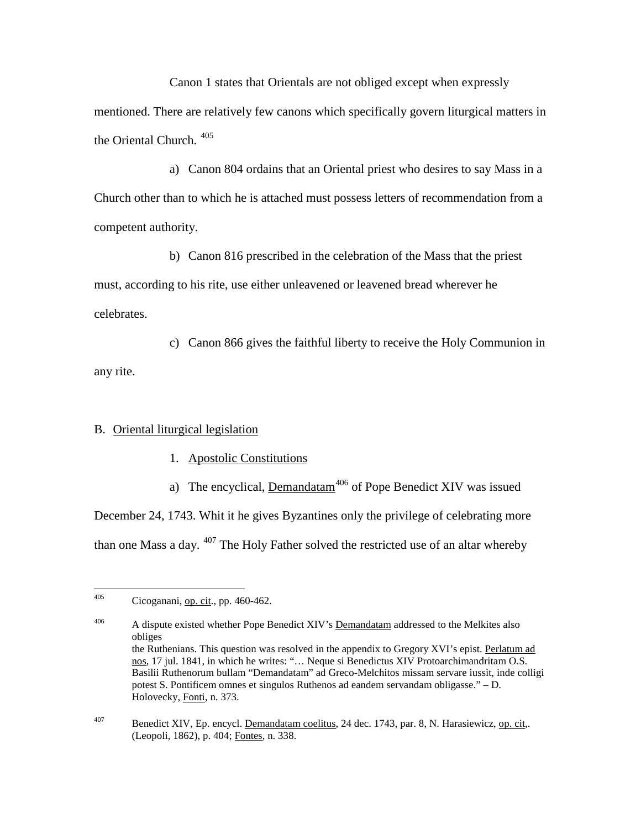Canon 1 states that Orientals are not obliged except when expressly mentioned. There are relatively few canons which specifically govern liturgical matters in the Oriental Church. [405](#page-105-0)

a) Canon 804 ordains that an Oriental priest who desires to say Mass in a Church other than to which he is attached must possess letters of recommendation from a competent authority.

b) Canon 816 prescribed in the celebration of the Mass that the priest must, according to his rite, use either unleavened or leavened bread wherever he celebrates.

c) Canon 866 gives the faithful liberty to receive the Holy Communion in any rite.

### B. Oriental liturgical legislation

- 1. Apostolic Constitutions
- a) The encyclical,  $Demandatam<sup>406</sup>$  $Demandatam<sup>406</sup>$  $Demandatam<sup>406</sup>$  of Pope Benedict XIV was issued</u>

December 24, 1743. Whit it he gives Byzantines only the privilege of celebrating more than one Mass a day. <sup>[407](#page-105-2)</sup> The Holy Father solved the restricted use of an altar whereby

<span id="page-105-0"></span> $^{405}$  Cicoganani, <u>op. cit</u>., pp. 460-462.

<span id="page-105-2"></span><span id="page-105-1"></span><sup>&</sup>lt;sup>406</sup> A dispute existed whether Pope Benedict XIV's Demandatam addressed to the Melkites also obliges the Ruthenians. This question was resolved in the appendix to Gregory XVI's epist. Perlatum ad nos, 17 jul. 1841, in which he writes: "… Neque si Benedictus XIV Protoarchimandritam O.S. Basilii Ruthenorum bullam "Demandatam" ad Greco-Melchitos missam servare iussit, inde colligi potest S. Pontificem omnes et singulos Ruthenos ad eandem servandam obligasse." – D. Holovecky, Fonti, n. 373.

<sup>407</sup> Benedict XIV, Ep. encycl. Demandatam coelitus, 24 dec. 1743, par. 8, N. Harasiewicz, op. cit,. (Leopoli, 1862), p. 404; Fontes, n. 338.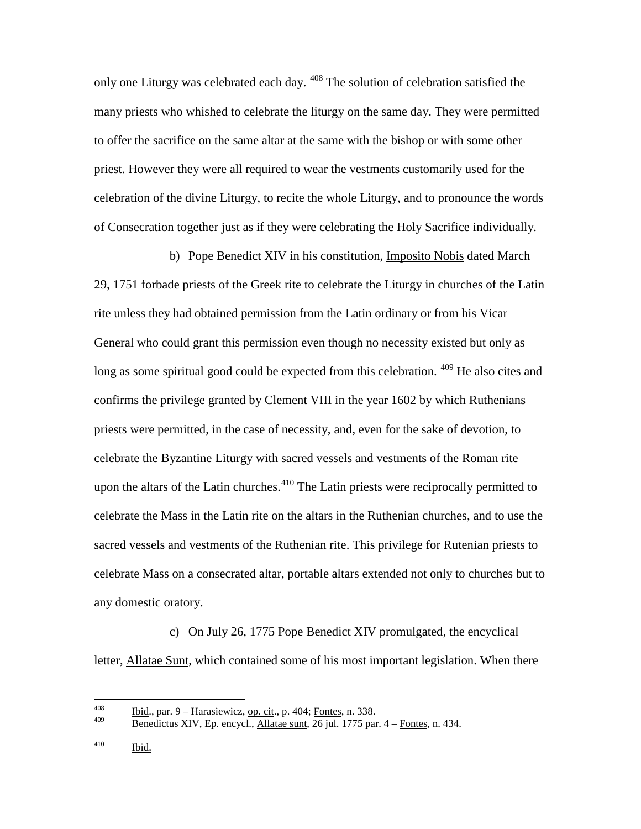only one Liturgy was celebrated each day. <sup>[408](#page-106-0)</sup> The solution of celebration satisfied the many priests who whished to celebrate the liturgy on the same day. They were permitted to offer the sacrifice on the same altar at the same with the bishop or with some other priest. However they were all required to wear the vestments customarily used for the celebration of the divine Liturgy, to recite the whole Liturgy, and to pronounce the words of Consecration together just as if they were celebrating the Holy Sacrifice individually.

b) Pope Benedict XIV in his constitution, Imposito Nobis dated March 29, 1751 forbade priests of the Greek rite to celebrate the Liturgy in churches of the Latin rite unless they had obtained permission from the Latin ordinary or from his Vicar General who could grant this permission even though no necessity existed but only as long as some spiritual good could be expected from this celebration. <sup>[409](#page-106-1)</sup> He also cites and confirms the privilege granted by Clement VIII in the year 1602 by which Ruthenians priests were permitted, in the case of necessity, and, even for the sake of devotion, to celebrate the Byzantine Liturgy with sacred vessels and vestments of the Roman rite upon the altars of the Latin churches.<sup>[410](#page-106-2)</sup> The Latin priests were reciprocally permitted to celebrate the Mass in the Latin rite on the altars in the Ruthenian churches, and to use the sacred vessels and vestments of the Ruthenian rite. This privilege for Rutenian priests to celebrate Mass on a consecrated altar, portable altars extended not only to churches but to any domestic oratory.

c) On July 26, 1775 Pope Benedict XIV promulgated, the encyclical letter, Allatae Sunt, which contained some of his most important legislation. When there

<span id="page-106-0"></span><sup>&</sup>lt;sup>408</sup> Ibid., par. 9 – Harasiewicz, <u>op. cit.,</u> p. 404; Fontes, n. 338.

<span id="page-106-1"></span>Benedictus XIV, Ep. encycl., Allatae sunt, 26 jul. 1775 par. 4 – Fontes, n. 434.

<span id="page-106-2"></span> $\frac{410}{\text{L}}$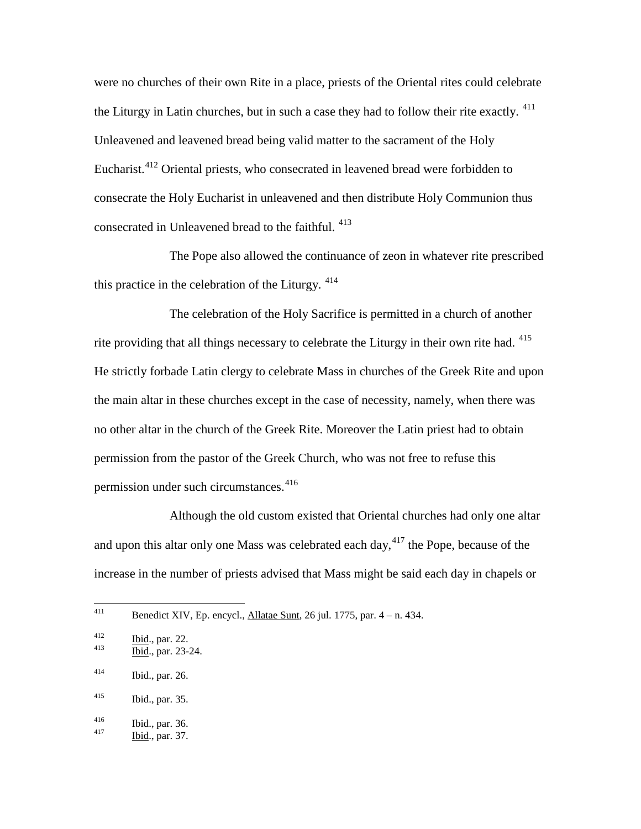were no churches of their own Rite in a place, priests of the Oriental rites could celebrate the Liturgy in Latin churches, but in such a case they had to follow their rite exactly.  $411$ Unleavened and leavened bread being valid matter to the sacrament of the Holy Eucharist.<sup>[412](#page-107-1)</sup> Oriental priests, who consecrated in leavened bread were forbidden to consecrate the Holy Eucharist in unleavened and then distribute Holy Communion thus consecrated in Unleavened bread to the faithful. [413](#page-107-2)

The Pope also allowed the continuance of zeon in whatever rite prescribed this practice in the celebration of the Liturgy.  $414$ 

The celebration of the Holy Sacrifice is permitted in a church of another rite providing that all things necessary to celebrate the Liturgy in their own rite had. [415](#page-107-4) He strictly forbade Latin clergy to celebrate Mass in churches of the Greek Rite and upon the main altar in these churches except in the case of necessity, namely, when there was no other altar in the church of the Greek Rite. Moreover the Latin priest had to obtain permission from the pastor of the Greek Church, who was not free to refuse this permission under such circumstances.<sup>[416](#page-107-5)</sup>

Although the old custom existed that Oriental churches had only one altar and upon this altar only one Mass was celebrated each day,  $417$  the Pope, because of the increase in the number of priests advised that Mass might be said each day in chapels or

<span id="page-107-0"></span><sup>&</sup>lt;sup>411</sup> Benedict XIV, Ep. encycl., <u>Allatae Sunt</u>, 26 jul. 1775, par.  $4 - n$ . 434.

<span id="page-107-1"></span> $\frac{1412}{413}$  Ibid., par. 22.<br>Ibid., par. 23-24.

<span id="page-107-2"></span>

<span id="page-107-3"></span> $^{414}$  Ibid., par. 26.

<span id="page-107-4"></span><sup>415</sup> Ibid., par. 35.

<span id="page-107-6"></span><span id="page-107-5"></span><sup>416</sup> Ibid., par. 36.<br>
417 Ibid., par. 37.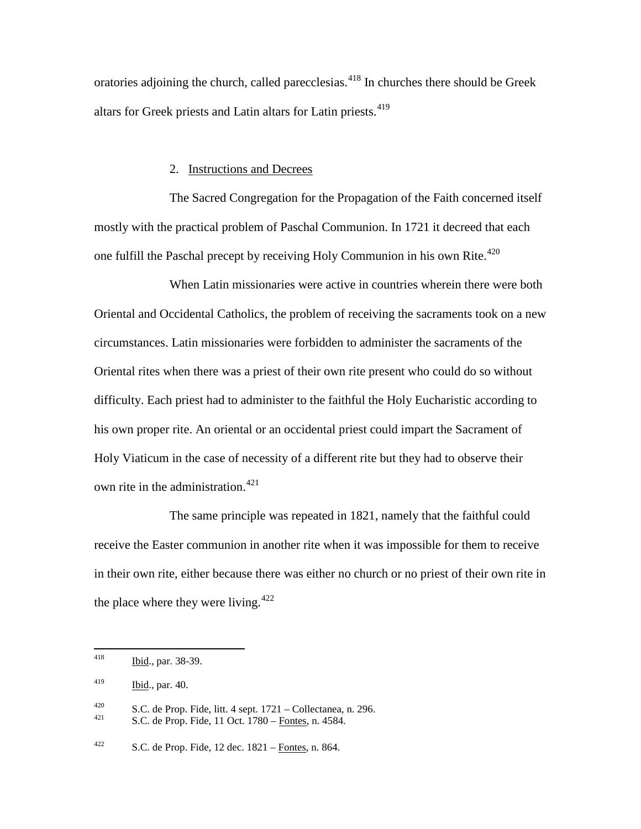oratories adjoining the church, called parecclesias.<sup>[418](#page-108-0)</sup> In churches there should be Greek altars for Greek priests and Latin altars for Latin priests.<sup>[419](#page-108-1)</sup>

#### 2. Instructions and Decrees

The Sacred Congregation for the Propagation of the Faith concerned itself mostly with the practical problem of Paschal Communion. In 1721 it decreed that each one fulfill the Paschal precept by receiving Holy Communion in his own Rite.<sup>[420](#page-108-2)</sup>

When Latin missionaries were active in countries wherein there were both Oriental and Occidental Catholics, the problem of receiving the sacraments took on a new circumstances. Latin missionaries were forbidden to administer the sacraments of the Oriental rites when there was a priest of their own rite present who could do so without difficulty. Each priest had to administer to the faithful the Holy Eucharistic according to his own proper rite. An oriental or an occidental priest could impart the Sacrament of Holy Viaticum in the case of necessity of a different rite but they had to observe their own rite in the administration.<sup>[421](#page-108-3)</sup>

The same principle was repeated in 1821, namely that the faithful could receive the Easter communion in another rite when it was impossible for them to receive in their own rite, either because there was either no church or no priest of their own rite in the place where they were living. $422$ 

<span id="page-108-0"></span> <sup>418</sup> Ibid., par. 38-39.

<span id="page-108-1"></span> $^{419}$  Ibid., par. 40.

<span id="page-108-3"></span><span id="page-108-2"></span><sup>420</sup> S.C. de Prop. Fide, litt. 4 sept.  $1721 - \text{Collectionea}$ , n. 296.<br>421 S.C. de Prop. Fide, 11 Oct. 1780 – Fontes, n. 4584.

<span id="page-108-4"></span><sup>&</sup>lt;sup>422</sup> S.C. de Prop. Fide, 12 dec.  $1821 -$ Fontes, n. 864.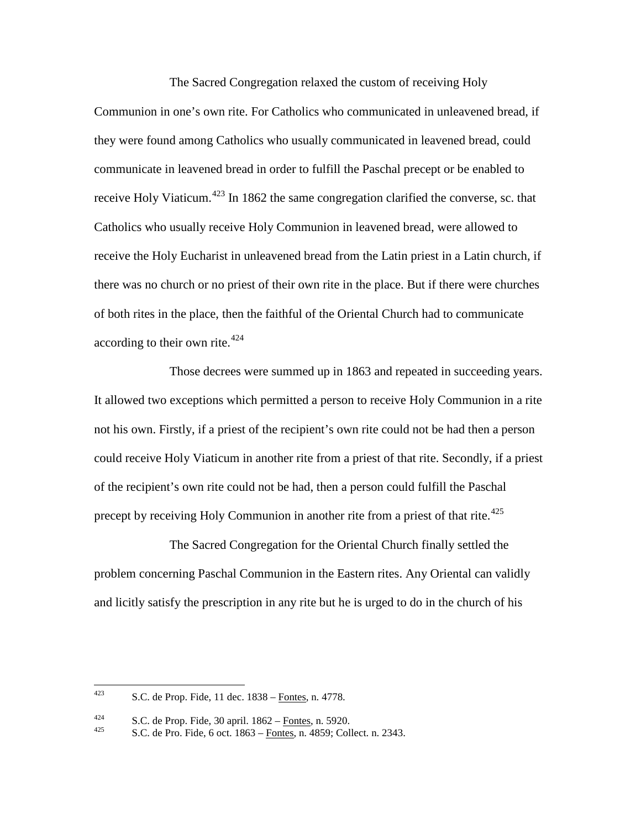The Sacred Congregation relaxed the custom of receiving Holy Communion in one's own rite. For Catholics who communicated in unleavened bread, if they were found among Catholics who usually communicated in leavened bread, could communicate in leavened bread in order to fulfill the Paschal precept or be enabled to receive Holy Viaticum.<sup>[423](#page-109-0)</sup> In 1862 the same congregation clarified the converse, sc. that Catholics who usually receive Holy Communion in leavened bread, were allowed to receive the Holy Eucharist in unleavened bread from the Latin priest in a Latin church, if there was no church or no priest of their own rite in the place. But if there were churches of both rites in the place, then the faithful of the Oriental Church had to communicate according to their own rite.<sup>[424](#page-109-1)</sup>

Those decrees were summed up in 1863 and repeated in succeeding years. It allowed two exceptions which permitted a person to receive Holy Communion in a rite not his own. Firstly, if a priest of the recipient's own rite could not be had then a person could receive Holy Viaticum in another rite from a priest of that rite. Secondly, if a priest of the recipient's own rite could not be had, then a person could fulfill the Paschal precept by receiving Holy Communion in another rite from a priest of that rite.<sup>[425](#page-109-2)</sup>

The Sacred Congregation for the Oriental Church finally settled the problem concerning Paschal Communion in the Eastern rites. Any Oriental can validly and licitly satisfy the prescription in any rite but he is urged to do in the church of his

<span id="page-109-0"></span><sup>423</sup> S.C. de Prop. Fide, 11 dec.  $1838 -$ Fontes, n. 4778.

<span id="page-109-2"></span><span id="page-109-1"></span><sup>424</sup> S.C. de Prop. Fide, 30 april.  $1862 -$  Fontes, n. 5920.<br>425 S.C. de Pro. Fide, 6 oct. 1863 – Fontes, n. 4859; Collect. n. 2343.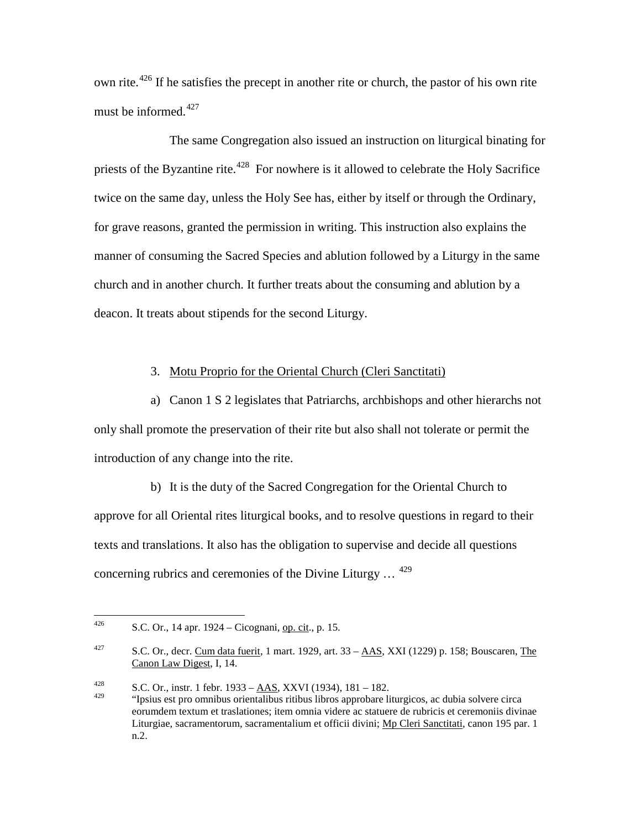own rite.<sup>[426](#page-110-0)</sup> If he satisfies the precept in another rite or church, the pastor of his own rite must be informed.<sup>[427](#page-110-1)</sup>

The same Congregation also issued an instruction on liturgical binating for priests of the Byzantine rite.<sup>[428](#page-110-2)</sup> For nowhere is it allowed to celebrate the Holy Sacrifice twice on the same day, unless the Holy See has, either by itself or through the Ordinary, for grave reasons, granted the permission in writing. This instruction also explains the manner of consuming the Sacred Species and ablution followed by a Liturgy in the same church and in another church. It further treats about the consuming and ablution by a deacon. It treats about stipends for the second Liturgy.

## 3. Motu Proprio for the Oriental Church (Cleri Sanctitati)

a) Canon 1 S 2 legislates that Patriarchs, archbishops and other hierarchs not only shall promote the preservation of their rite but also shall not tolerate or permit the introduction of any change into the rite.

b) It is the duty of the Sacred Congregation for the Oriental Church to approve for all Oriental rites liturgical books, and to resolve questions in regard to their texts and translations. It also has the obligation to supervise and decide all questions concerning rubrics and ceremonies of the Divine Liturgy  $\ldots$  <sup>[429](#page-110-3)</sup>

<span id="page-110-0"></span><sup>426</sup> S.C. Or., 14 apr. 1924 – Cicognani, op. cit., p. 15.

<span id="page-110-1"></span><sup>427</sup> S.C. Or., decr. Cum data fuerit, 1 mart. 1929, art.  $33 - \text{AAS}$ , XXI (1229) p. 158; Bouscaren, The Canon Law Digest, I, 14.

<span id="page-110-3"></span><span id="page-110-2"></span><sup>&</sup>lt;sup>428</sup> S.C. Or., instr. 1 febr. 1933 – <u>AAS</u>, XXVI (1934), 181 – 182. <sup>429</sup> "Ipsius est pro omnibus orientalibus ritibus libros approbare liturgicos, ac dubia solvere circa eorumdem textum et traslationes; item omnia videre ac statuere de rubricis et ceremoniis divinae Liturgiae, sacramentorum, sacramentalium et officii divini; Mp Cleri Sanctitati, canon 195 par. 1 n.2.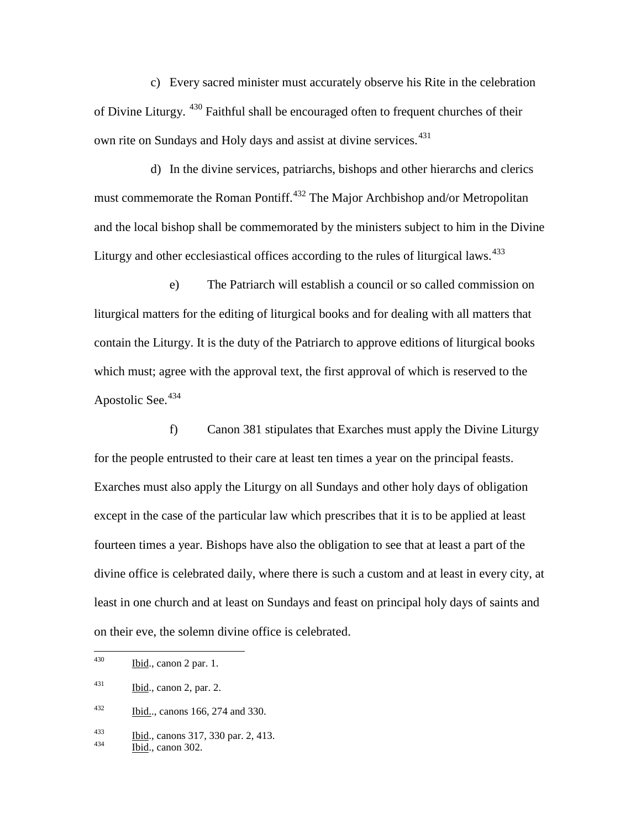c) Every sacred minister must accurately observe his Rite in the celebration of Divine Liturgy. <sup>[430](#page-111-0)</sup> Faithful shall be encouraged often to frequent churches of their own rite on Sundays and Holy days and assist at divine services.<sup>[431](#page-111-1)</sup>

d) In the divine services, patriarchs, bishops and other hierarchs and clerics must commemorate the Roman Pontiff.<sup>[432](#page-111-2)</sup> The Major Archbishop and/or Metropolitan and the local bishop shall be commemorated by the ministers subject to him in the Divine Liturgy and other ecclesiastical offices according to the rules of liturgical laws.<sup>[433](#page-111-3)</sup>

e) The Patriarch will establish a council or so called commission on liturgical matters for the editing of liturgical books and for dealing with all matters that contain the Liturgy. It is the duty of the Patriarch to approve editions of liturgical books which must; agree with the approval text, the first approval of which is reserved to the Apostolic See.<sup>[434](#page-111-4)</sup>

f) Canon 381 stipulates that Exarches must apply the Divine Liturgy for the people entrusted to their care at least ten times a year on the principal feasts. Exarches must also apply the Liturgy on all Sundays and other holy days of obligation except in the case of the particular law which prescribes that it is to be applied at least fourteen times a year. Bishops have also the obligation to see that at least a part of the divine office is celebrated daily, where there is such a custom and at least in every city, at least in one church and at least on Sundays and feast on principal holy days of saints and on their eve, the solemn divine office is celebrated.

<span id="page-111-0"></span> $^{430}$  Ibid., canon 2 par. 1.

<span id="page-111-1"></span> $^{431}$  Ibid., canon 2, par. 2.

<span id="page-111-2"></span><sup>432</sup> Ibid.., canons 166, 274 and 330.

<span id="page-111-3"></span> $\frac{1433}{434}$  Ibid., canons 317, 330 par. 2, 413.<br>Ibid., canon 302.

<span id="page-111-4"></span>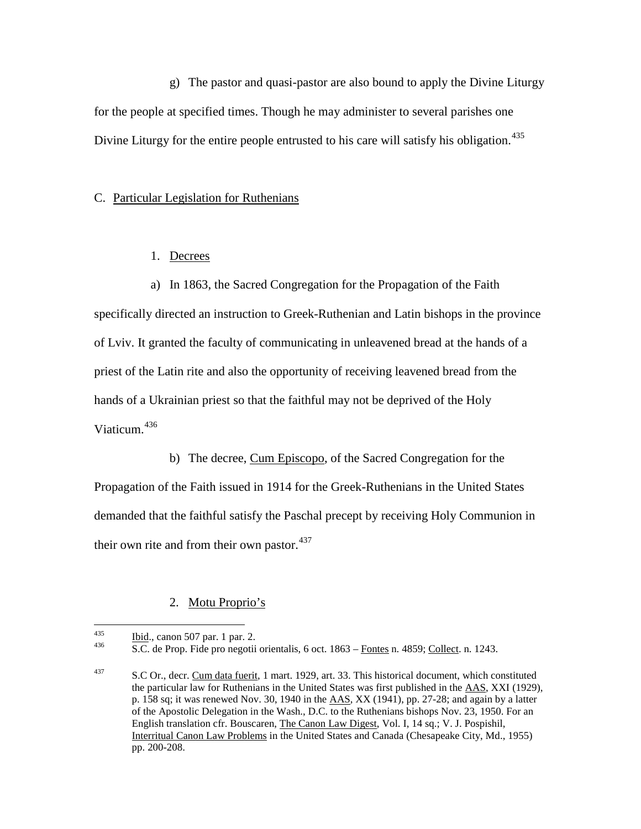g) The pastor and quasi-pastor are also bound to apply the Divine Liturgy for the people at specified times. Though he may administer to several parishes one Divine Liturgy for the entire people entrusted to his care will satisfy his obligation.<sup>[435](#page-112-0)</sup>

### C. Particular Legislation for Ruthenians

## 1. Decrees

a) In 1863, the Sacred Congregation for the Propagation of the Faith specifically directed an instruction to Greek-Ruthenian and Latin bishops in the province of Lviv. It granted the faculty of communicating in unleavened bread at the hands of a priest of the Latin rite and also the opportunity of receiving leavened bread from the hands of a Ukrainian priest so that the faithful may not be deprived of the Holy Viaticum<sup>[436](#page-112-1)</sup>

b) The decree, Cum Episcopo, of the Sacred Congregation for the Propagation of the Faith issued in 1914 for the Greek-Ruthenians in the United States demanded that the faithful satisfy the Paschal precept by receiving Holy Communion in their own rite and from their own pastor.<sup>[437](#page-112-2)</sup>

## 2. Motu Proprio's

<span id="page-112-1"></span>

<span id="page-112-0"></span> $\frac{\text{Ibid.}}{\text{S.C.}}$  de Prop. Fide pro negotii orientalis, 6 oct. 1863 – Fontes n. 4859; Collect. n. 1243.

<span id="page-112-2"></span><sup>437</sup> S.C Or., decr. Cum data fuerit, 1 mart. 1929, art. 33. This historical document, which constituted the particular law for Ruthenians in the United States was first published in the AAS, XXI (1929), p. 158 sq; it was renewed Nov. 30, 1940 in the AAS, XX (1941), pp. 27-28; and again by a latter of the Apostolic Delegation in the Wash., D.C. to the Ruthenians bishops Nov. 23, 1950. For an English translation cfr. Bouscaren, The Canon Law Digest, Vol. I, 14 sq.; V. J. Pospishil, Interritual Canon Law Problems in the United States and Canada (Chesapeake City, Md., 1955) pp. 200-208.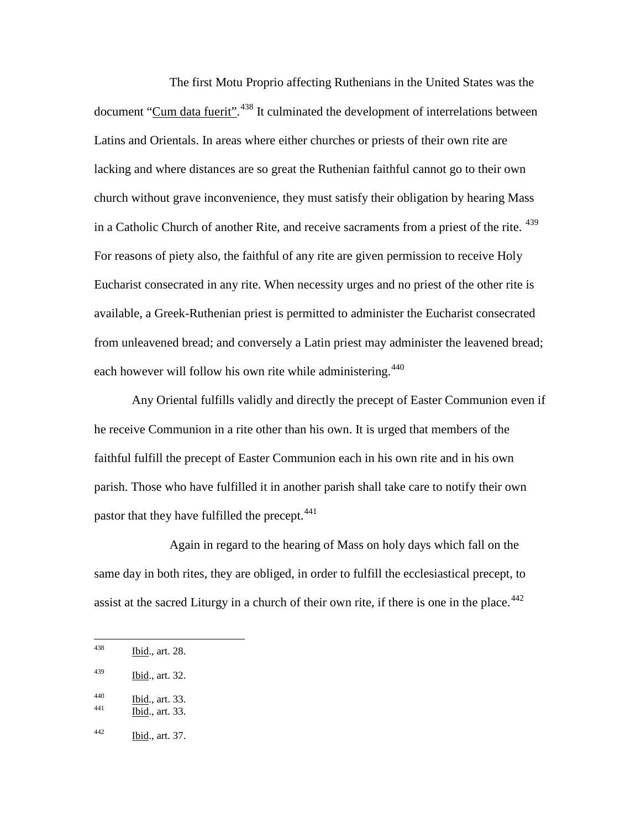The first Motu Proprio affecting Ruthenians in the United States was the document "Cum data fuerit".<sup>[438](#page-113-0)</sup> It culminated the development of interrelations between Latins and Orientals. In areas where either churches or priests of their own rite are lacking and where distances are so great the Ruthenian faithful cannot go to their own church without grave inconvenience, they must satisfy their obligation by hearing Mass in a Catholic Church of another Rite, and receive sacraments from a priest of the rite. <sup>[439](#page-113-1)</sup> For reasons of piety also, the faithful of any rite are given permission to receive Holy Eucharist consecrated in any rite. When necessity urges and no priest of the other rite is available, a Greek-Ruthenian priest is permitted to administer the Eucharist consecrated from unleavened bread; and conversely a Latin priest may administer the leavened bread; each however will follow his own rite while administering.<sup>[440](#page-113-2)</sup>

Any Oriental fulfills validly and directly the precept of Easter Communion even if he receive Communion in a rite other than his own. It is urged that members of the faithful fulfill the precept of Easter Communion each in his own rite and in his own parish. Those who have fulfilled it in another parish shall take care to notify their own pastor that they have fulfilled the precept.  $441$ 

Again in regard to the hearing of Mass on holy days which fall on the same day in both rites, they are obliged, in order to fulfill the ecclesiastical precept, to assist at the sacred Liturgy in a church of their own rite, if there is one in the place.<sup> $442$ </sup>

<span id="page-113-0"></span> $1438$  Ibid., art. 28.

<span id="page-113-1"></span><sup>439</sup> Ibid., art. 32.

<span id="page-113-2"></span> $\frac{1440}{441}$  Ibid., art. 33.

<span id="page-113-3"></span>

<span id="page-113-4"></span> $442$  Ibid., art. 37.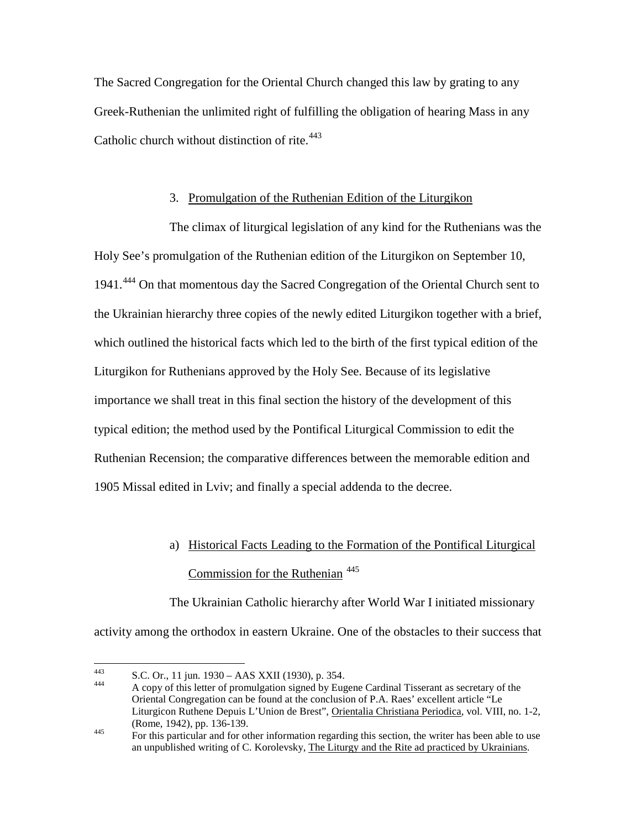The Sacred Congregation for the Oriental Church changed this law by grating to any Greek-Ruthenian the unlimited right of fulfilling the obligation of hearing Mass in any Catholic church without distinction of rite. $443$ 

## 3. Promulgation of the Ruthenian Edition of the Liturgikon

The climax of liturgical legislation of any kind for the Ruthenians was the Holy See's promulgation of the Ruthenian edition of the Liturgikon on September 10, 1941.[444](#page-114-1) On that momentous day the Sacred Congregation of the Oriental Church sent to the Ukrainian hierarchy three copies of the newly edited Liturgikon together with a brief, which outlined the historical facts which led to the birth of the first typical edition of the Liturgikon for Ruthenians approved by the Holy See. Because of its legislative importance we shall treat in this final section the history of the development of this typical edition; the method used by the Pontifical Liturgical Commission to edit the Ruthenian Recension; the comparative differences between the memorable edition and 1905 Missal edited in Lviv; and finally a special addenda to the decree.

# a) Historical Facts Leading to the Formation of the Pontifical Liturgical Commission for the Ruthenian  $445$

The Ukrainian Catholic hierarchy after World War I initiated missionary activity among the orthodox in eastern Ukraine. One of the obstacles to their success that

<span id="page-114-1"></span><span id="page-114-0"></span>

<sup>443</sup> S.C. Or., 11 jun. 1930 – AAS XXII (1930), p. 354.<br>444 A copy of this letter of promulgation signed by Eugene Cardinal Tisserant as secretary of the Oriental Congregation can be found at the conclusion of P.A. Raes' excellent article "Le Liturgicon Ruthene Depuis L'Union de Brest", Orientalia Christiana Periodica, vol. VIII, no. 1-2, (Rome, 1942), pp. 136-139.<br><sup>445</sup> For this particular and for other information regarding this section, the writer has been able to use

<span id="page-114-2"></span>an unpublished writing of C. Korolevsky, The Liturgy and the Rite ad practiced by Ukrainians.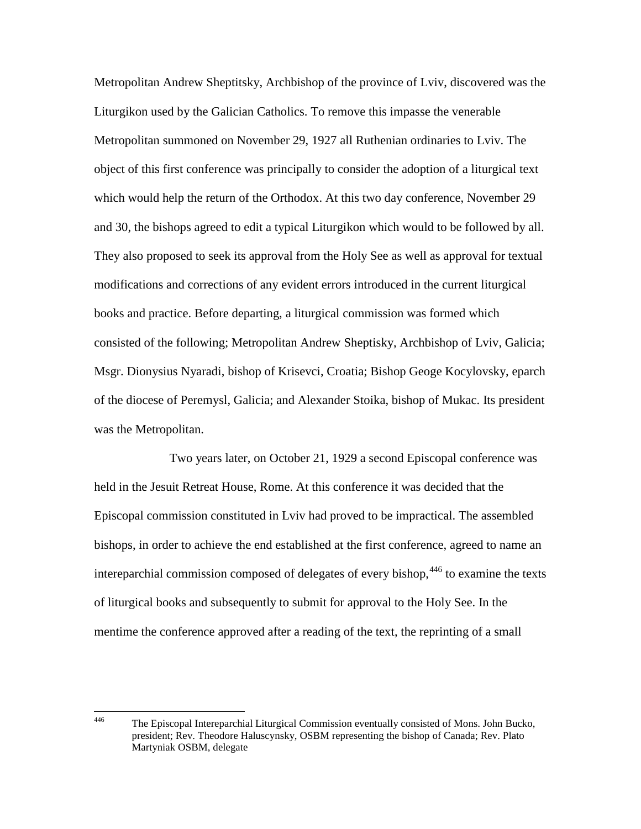Metropolitan Andrew Sheptitsky, Archbishop of the province of Lviv, discovered was the Liturgikon used by the Galician Catholics. To remove this impasse the venerable Metropolitan summoned on November 29, 1927 all Ruthenian ordinaries to Lviv. The object of this first conference was principally to consider the adoption of a liturgical text which would help the return of the Orthodox. At this two day conference, November 29 and 30, the bishops agreed to edit a typical Liturgikon which would to be followed by all. They also proposed to seek its approval from the Holy See as well as approval for textual modifications and corrections of any evident errors introduced in the current liturgical books and practice. Before departing, a liturgical commission was formed which consisted of the following; Metropolitan Andrew Sheptisky, Archbishop of Lviv, Galicia; Msgr. Dionysius Nyaradi, bishop of Krisevci, Croatia; Bishop Geoge Kocylovsky, eparch of the diocese of Peremysl, Galicia; and Alexander Stoika, bishop of Mukac. Its president was the Metropolitan.

Two years later, on October 21, 1929 a second Episcopal conference was held in the Jesuit Retreat House, Rome. At this conference it was decided that the Episcopal commission constituted in Lviv had proved to be impractical. The assembled bishops, in order to achieve the end established at the first conference, agreed to name an intereparchial commission composed of delegates of every bishop,  $446$  to examine the texts of liturgical books and subsequently to submit for approval to the Holy See. In the mentime the conference approved after a reading of the text, the reprinting of a small

<span id="page-115-0"></span> <sup>446</sup> The Episcopal Intereparchial Liturgical Commission eventually consisted of Mons. John Bucko, president; Rev. Theodore Haluscynsky, OSBM representing the bishop of Canada; Rev. Plato Martyniak OSBM, delegate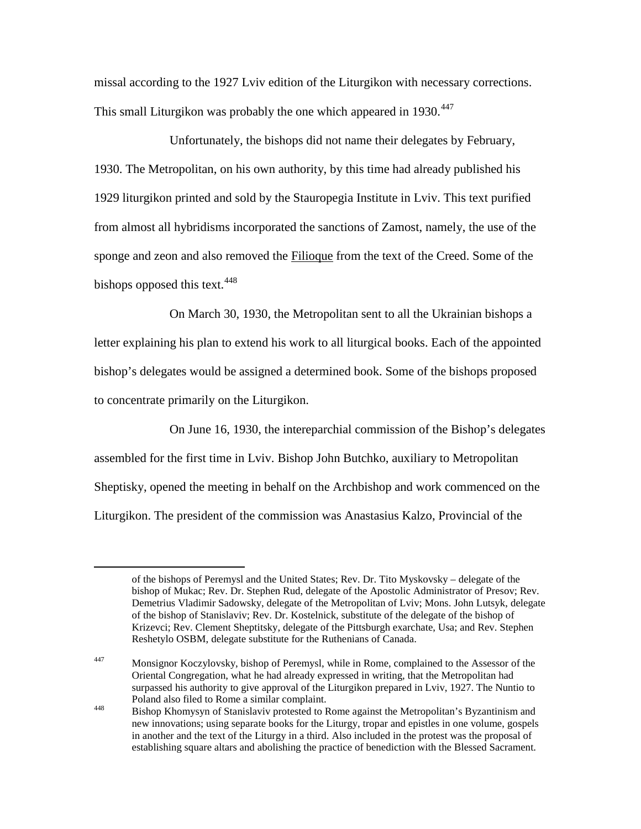missal according to the 1927 Lviv edition of the Liturgikon with necessary corrections. This small Liturgikon was probably the one which appeared in 1930.<sup>[447](#page-116-0)</sup>

Unfortunately, the bishops did not name their delegates by February, 1930. The Metropolitan, on his own authority, by this time had already published his 1929 liturgikon printed and sold by the Stauropegia Institute in Lviv. This text purified from almost all hybridisms incorporated the sanctions of Zamost, namely, the use of the sponge and zeon and also removed the Filioque from the text of the Creed. Some of the bishops opposed this text.  $448$ 

On March 30, 1930, the Metropolitan sent to all the Ukrainian bishops a letter explaining his plan to extend his work to all liturgical books. Each of the appointed bishop's delegates would be assigned a determined book. Some of the bishops proposed to concentrate primarily on the Liturgikon.

On June 16, 1930, the intereparchial commission of the Bishop's delegates assembled for the first time in Lviv. Bishop John Butchko, auxiliary to Metropolitan Sheptisky, opened the meeting in behalf on the Archbishop and work commenced on the Liturgikon. The president of the commission was Anastasius Kalzo, Provincial of the

<span id="page-116-0"></span> $\overline{a}$ 

of the bishops of Peremysl and the United States; Rev. Dr. Tito Myskovsky – delegate of the bishop of Mukac; Rev. Dr. Stephen Rud, delegate of the Apostolic Administrator of Presov; Rev. Demetrius Vladimir Sadowsky, delegate of the Metropolitan of Lviv; Mons. John Lutsyk, delegate of the bishop of Stanislaviv; Rev. Dr. Kostelnick, substitute of the delegate of the bishop of Krizevci; Rev. Clement Sheptitsky, delegate of the Pittsburgh exarchate, Usa; and Rev. Stephen Reshetylo OSBM, delegate substitute for the Ruthenians of Canada.

 $\frac{447}{447}$  Monsignor Koczylovsky, bishop of Peremysl, while in Rome, complained to the Assessor of the Oriental Congregation, what he had already expressed in writing, that the Metropolitan had surpassed his authority to give approval of the Liturgikon prepared in Lviv, 1927. The Nuntio to Poland also filed to Rome a similar complaint.<br>
448 Bishop Khomysyn of Stanislaviv protested to Rome against the Metropolitan's Byzantinism and

<span id="page-116-1"></span>new innovations; using separate books for the Liturgy, tropar and epistles in one volume, gospels in another and the text of the Liturgy in a third. Also included in the protest was the proposal of establishing square altars and abolishing the practice of benediction with the Blessed Sacrament.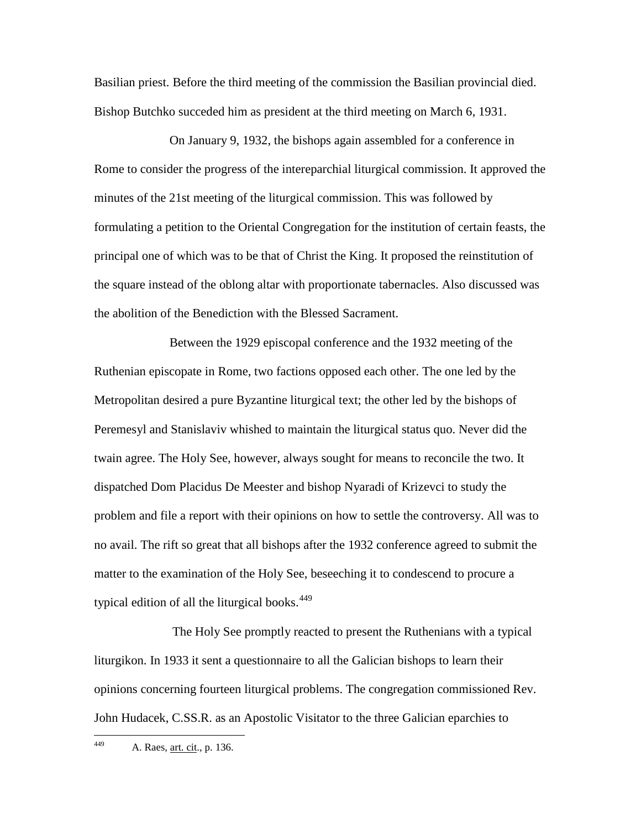Basilian priest. Before the third meeting of the commission the Basilian provincial died. Bishop Butchko succeded him as president at the third meeting on March 6, 1931.

On January 9, 1932, the bishops again assembled for a conference in Rome to consider the progress of the intereparchial liturgical commission. It approved the minutes of the 21st meeting of the liturgical commission. This was followed by formulating a petition to the Oriental Congregation for the institution of certain feasts, the principal one of which was to be that of Christ the King. It proposed the reinstitution of the square instead of the oblong altar with proportionate tabernacles. Also discussed was the abolition of the Benediction with the Blessed Sacrament.

Between the 1929 episcopal conference and the 1932 meeting of the Ruthenian episcopate in Rome, two factions opposed each other. The one led by the Metropolitan desired a pure Byzantine liturgical text; the other led by the bishops of Peremesyl and Stanislaviv whished to maintain the liturgical status quo. Never did the twain agree. The Holy See, however, always sought for means to reconcile the two. It dispatched Dom Placidus De Meester and bishop Nyaradi of Krizevci to study the problem and file a report with their opinions on how to settle the controversy. All was to no avail. The rift so great that all bishops after the 1932 conference agreed to submit the matter to the examination of the Holy See, beseeching it to condescend to procure a typical edition of all the liturgical books. $449$ 

The Holy See promptly reacted to present the Ruthenians with a typical liturgikon. In 1933 it sent a questionnaire to all the Galician bishops to learn their opinions concerning fourteen liturgical problems. The congregation commissioned Rev. John Hudacek, C.SS.R. as an Apostolic Visitator to the three Galician eparchies to

<span id="page-117-0"></span>449 A. Raes, <u>art. cit</u>., p. 136.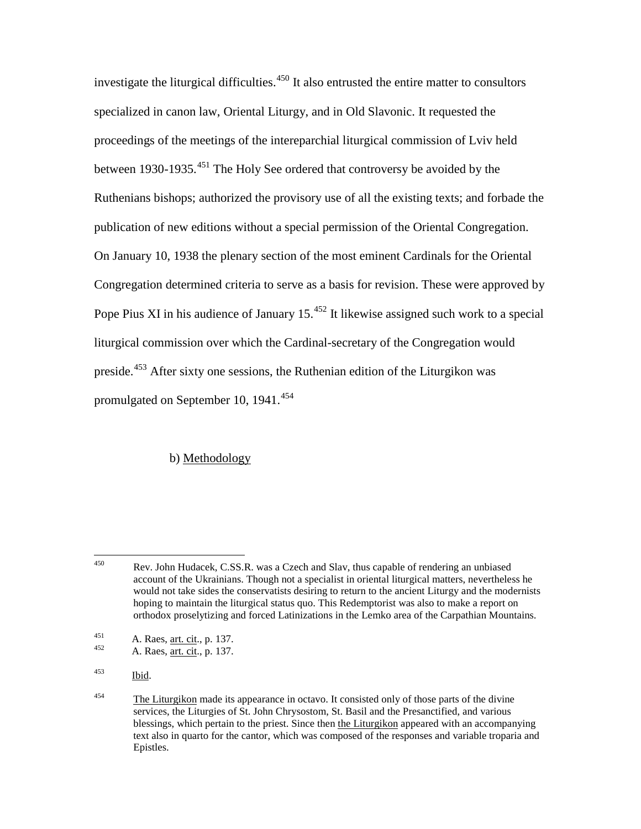investigate the liturgical difficulties.<sup>[450](#page-118-0)</sup> It also entrusted the entire matter to consultors specialized in canon law, Oriental Liturgy, and in Old Slavonic. It requested the proceedings of the meetings of the intereparchial liturgical commission of Lviv held between 1930-1935.<sup>[451](#page-118-1)</sup> The Holy See ordered that controversy be avoided by the Ruthenians bishops; authorized the provisory use of all the existing texts; and forbade the publication of new editions without a special permission of the Oriental Congregation. On January 10, 1938 the plenary section of the most eminent Cardinals for the Oriental Congregation determined criteria to serve as a basis for revision. These were approved by Pope Pius XI in his audience of January  $15^{452}$  $15^{452}$  $15^{452}$  It likewise assigned such work to a special liturgical commission over which the Cardinal-secretary of the Congregation would preside.[453](#page-118-3) After sixty one sessions, the Ruthenian edition of the Liturgikon was promulgated on September 10, 1941.<sup>[454](#page-118-4)</sup>

## b) Methodology

<span id="page-118-0"></span> <sup>450</sup> Rev. John Hudacek, C.SS.R. was a Czech and Slav, thus capable of rendering an unbiased account of the Ukrainians. Though not a specialist in oriental liturgical matters, nevertheless he would not take sides the conservatists desiring to return to the ancient Liturgy and the modernists hoping to maintain the liturgical status quo. This Redemptorist was also to make a report on orthodox proselytizing and forced Latinizations in the Lemko area of the Carpathian Mountains.

<span id="page-118-2"></span><span id="page-118-1"></span><sup>451</sup> A. Raes, <u>art. cit</u>., p. 137.<br>A. Raes, <u>art. cit.</u>, p. 137.

<span id="page-118-3"></span><sup>453</sup> Ibid.

<span id="page-118-4"></span><sup>&</sup>lt;sup>454</sup> The Liturgikon made its appearance in octavo. It consisted only of those parts of the divine services, the Liturgies of St. John Chrysostom, St. Basil and the Presanctified, and various blessings, which pertain to the priest. Since then the Liturgikon appeared with an accompanying text also in quarto for the cantor, which was composed of the responses and variable troparia and Epistles.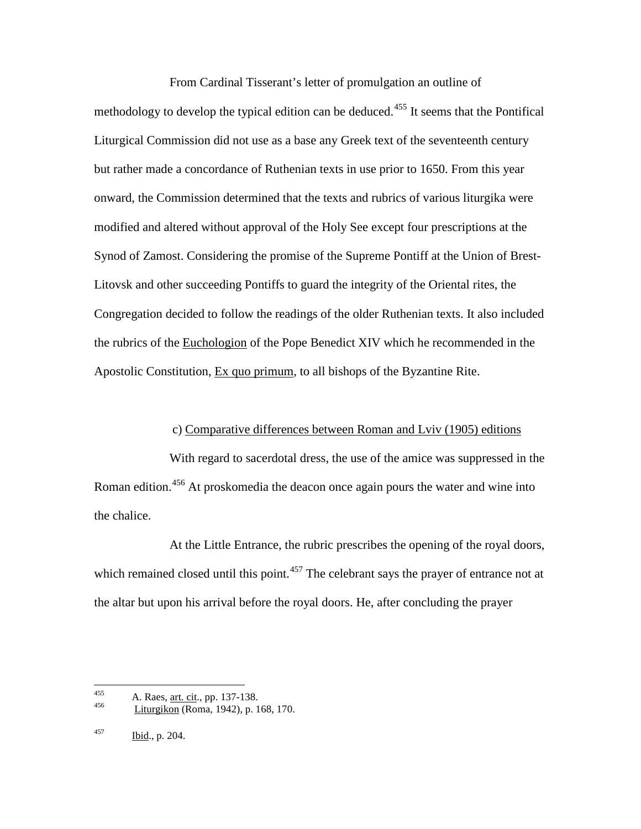From Cardinal Tisserant's letter of promulgation an outline of methodology to develop the typical edition can be deduced.<sup>[455](#page-119-0)</sup> It seems that the Pontifical Liturgical Commission did not use as a base any Greek text of the seventeenth century but rather made a concordance of Ruthenian texts in use prior to 1650. From this year onward, the Commission determined that the texts and rubrics of various liturgika were modified and altered without approval of the Holy See except four prescriptions at the Synod of Zamost. Considering the promise of the Supreme Pontiff at the Union of Brest-Litovsk and other succeeding Pontiffs to guard the integrity of the Oriental rites, the Congregation decided to follow the readings of the older Ruthenian texts. It also included the rubrics of the Euchologion of the Pope Benedict XIV which he recommended in the Apostolic Constitution, Ex quo primum, to all bishops of the Byzantine Rite.

## c) Comparative differences between Roman and Lviv (1905) editions

With regard to sacerdotal dress, the use of the amice was suppressed in the Roman edition.<sup>[456](#page-119-1)</sup> At proskomedia the deacon once again pours the water and wine into the chalice.

At the Little Entrance, the rubric prescribes the opening of the royal doors, which remained closed until this point.<sup>[457](#page-119-2)</sup> The celebrant says the prayer of entrance not at the altar but upon his arrival before the royal doors. He, after concluding the prayer

<span id="page-119-1"></span><span id="page-119-0"></span><sup>455</sup> A. Raes, <u>art. cit</u>., pp. 137-138.

<sup>456</sup> Liturgikon (Roma, 1942), p. 168, 170.

<span id="page-119-2"></span> $^{457}$  Ibid., p. 204.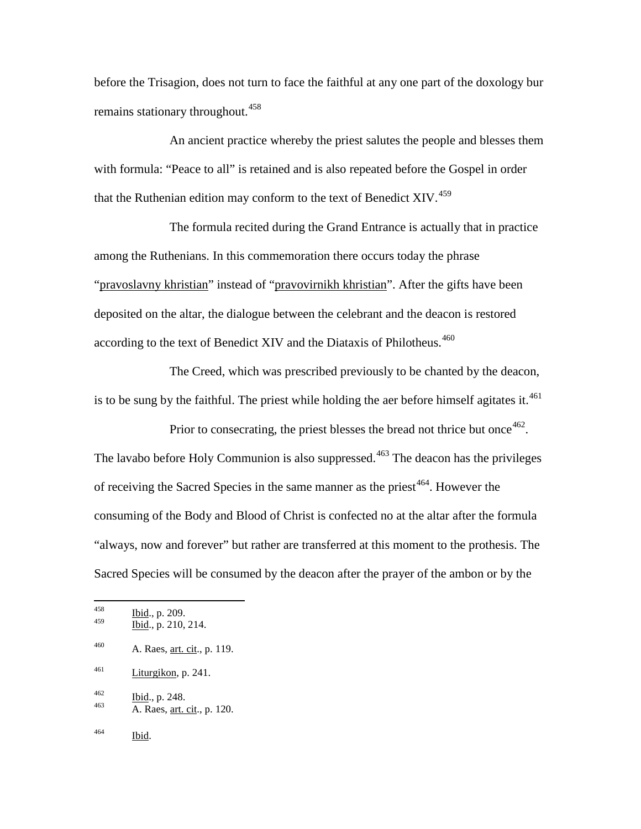before the Trisagion, does not turn to face the faithful at any one part of the doxology bur remains stationary throughout.<sup>[458](#page-120-0)</sup>

An ancient practice whereby the priest salutes the people and blesses them with formula: "Peace to all" is retained and is also repeated before the Gospel in order that the Ruthenian edition may conform to the text of Benedict XIV.<sup>[459](#page-120-1)</sup>

The formula recited during the Grand Entrance is actually that in practice among the Ruthenians. In this commemoration there occurs today the phrase "pravoslavny khristian" instead of "pravovirnikh khristian". After the gifts have been deposited on the altar, the dialogue between the celebrant and the deacon is restored according to the text of Benedict XIV and the Diataxis of Philotheus.<sup>[460](#page-120-2)</sup>

The Creed, which was prescribed previously to be chanted by the deacon, is to be sung by the faithful. The priest while holding the aer before himself agitates it. $461$ 

Prior to consecrating, the priest blesses the bread not thrice but once  $462$ . The lavabo before Holy Communion is also suppressed. $463$  The deacon has the privileges of receiving the Sacred Species in the same manner as the priest<sup> $464$ </sup>. However the consuming of the Body and Blood of Christ is confected no at the altar after the formula "always, now and forever" but rather are transferred at this moment to the prothesis. The Sacred Species will be consumed by the deacon after the prayer of the ambon or by the

- <span id="page-120-2"></span> $^{460}$  A. Raes, <u>art. cit</u>., p. 119.
- <span id="page-120-3"></span> $\frac{\text{Liturgikon}}{\text{Liturgikon}}$ , p. 241.
- 
- <span id="page-120-5"></span><span id="page-120-4"></span> $\frac{462}{463}$  Ibid., p. 248.<br>A. Raes, art. cit., p. 120.
- <span id="page-120-6"></span><sup>464</sup> Ibid.

<span id="page-120-1"></span><span id="page-120-0"></span> $\frac{164}{459}$  Ibid., p. 209.

Ibid., p. 210, 214.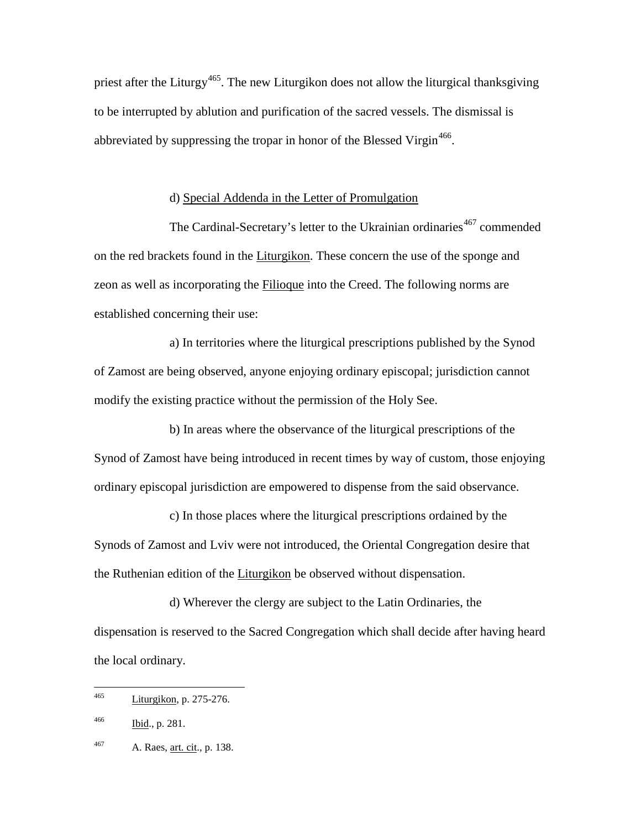priest after the Liturgy<sup>[465](#page-121-0)</sup>. The new Liturgikon does not allow the liturgical thanksgiving to be interrupted by ablution and purification of the sacred vessels. The dismissal is abbreviated by suppressing the tropar in honor of the Blessed Virgin<sup>[466](#page-121-1)</sup>.

## d) Special Addenda in the Letter of Promulgation

The Cardinal-Secretary's letter to the Ukrainian ordinaries<sup>[467](#page-121-2)</sup> commended on the red brackets found in the Liturgikon. These concern the use of the sponge and zeon as well as incorporating the Filioque into the Creed. The following norms are established concerning their use:

a) In territories where the liturgical prescriptions published by the Synod of Zamost are being observed, anyone enjoying ordinary episcopal; jurisdiction cannot modify the existing practice without the permission of the Holy See.

b) In areas where the observance of the liturgical prescriptions of the Synod of Zamost have being introduced in recent times by way of custom, those enjoying ordinary episcopal jurisdiction are empowered to dispense from the said observance.

c) In those places where the liturgical prescriptions ordained by the Synods of Zamost and Lviv were not introduced, the Oriental Congregation desire that the Ruthenian edition of the Liturgikon be observed without dispensation.

d) Wherever the clergy are subject to the Latin Ordinaries, the dispensation is reserved to the Sacred Congregation which shall decide after having heard the local ordinary.

<span id="page-121-0"></span> <sup>465</sup> Liturgikon, p. 275-276.

<span id="page-121-1"></span> $\frac{166}{9}$  Ibid., p. 281.

<span id="page-121-2"></span> $^{467}$  A. Raes, <u>art. cit</u>., p. 138.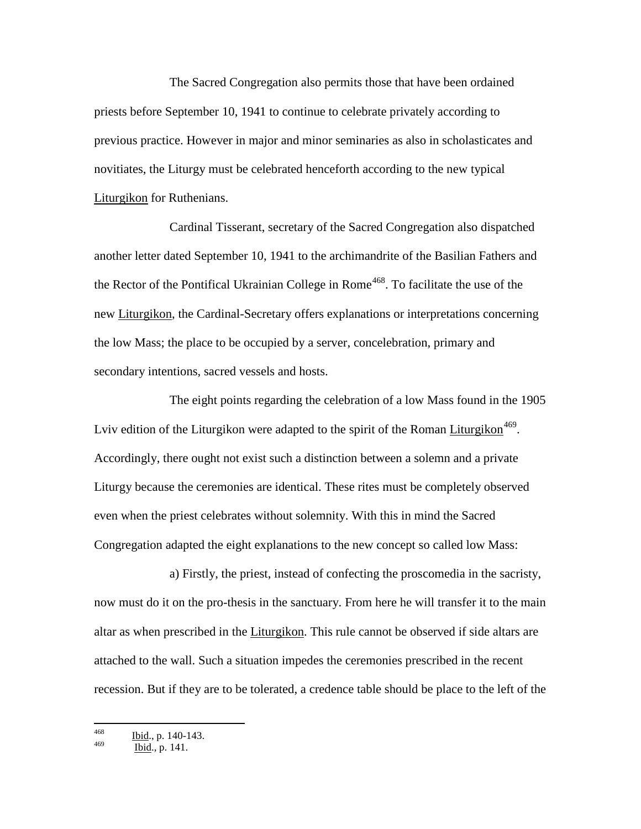The Sacred Congregation also permits those that have been ordained priests before September 10, 1941 to continue to celebrate privately according to previous practice. However in major and minor seminaries as also in scholasticates and novitiates, the Liturgy must be celebrated henceforth according to the new typical Liturgikon for Ruthenians.

Cardinal Tisserant, secretary of the Sacred Congregation also dispatched another letter dated September 10, 1941 to the archimandrite of the Basilian Fathers and the Rector of the Pontifical Ukrainian College in Rome<sup>[468](#page-122-0)</sup>. To facilitate the use of the new Liturgikon, the Cardinal-Secretary offers explanations or interpretations concerning the low Mass; the place to be occupied by a server, concelebration, primary and secondary intentions, sacred vessels and hosts.

The eight points regarding the celebration of a low Mass found in the 1905 Lviv edition of the Liturgikon were adapted to the spirit of the Roman Liturgikon<sup>[469](#page-122-1)</sup>. Accordingly, there ought not exist such a distinction between a solemn and a private Liturgy because the ceremonies are identical. These rites must be completely observed even when the priest celebrates without solemnity. With this in mind the Sacred Congregation adapted the eight explanations to the new concept so called low Mass:

a) Firstly, the priest, instead of confecting the proscomedia in the sacristy, now must do it on the pro-thesis in the sanctuary. From here he will transfer it to the main altar as when prescribed in the Liturgikon. This rule cannot be observed if side altars are attached to the wall. Such a situation impedes the ceremonies prescribed in the recent recession. But if they are to be tolerated, a credence table should be place to the left of the

<span id="page-122-0"></span> $\frac{468}{469}$  Ibid., p. 140-143.

<span id="page-122-1"></span>Ibid., p. 141.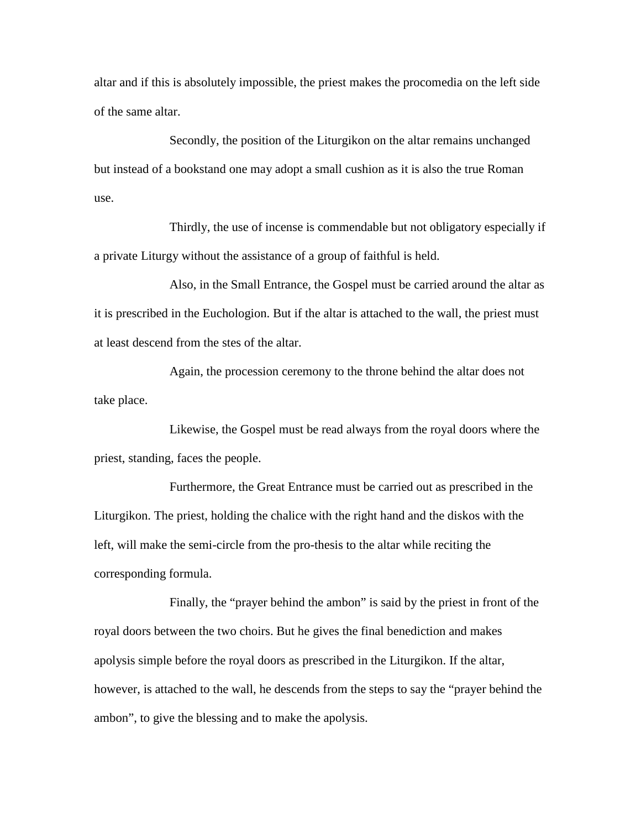altar and if this is absolutely impossible, the priest makes the procomedia on the left side of the same altar.

Secondly, the position of the Liturgikon on the altar remains unchanged but instead of a bookstand one may adopt a small cushion as it is also the true Roman use.

Thirdly, the use of incense is commendable but not obligatory especially if a private Liturgy without the assistance of a group of faithful is held.

Also, in the Small Entrance, the Gospel must be carried around the altar as it is prescribed in the Euchologion. But if the altar is attached to the wall, the priest must at least descend from the stes of the altar.

Again, the procession ceremony to the throne behind the altar does not take place.

Likewise, the Gospel must be read always from the royal doors where the priest, standing, faces the people.

Furthermore, the Great Entrance must be carried out as prescribed in the Liturgikon. The priest, holding the chalice with the right hand and the diskos with the left, will make the semi-circle from the pro-thesis to the altar while reciting the corresponding formula.

Finally, the "prayer behind the ambon" is said by the priest in front of the royal doors between the two choirs. But he gives the final benediction and makes apolysis simple before the royal doors as prescribed in the Liturgikon. If the altar, however, is attached to the wall, he descends from the steps to say the "prayer behind the ambon", to give the blessing and to make the apolysis.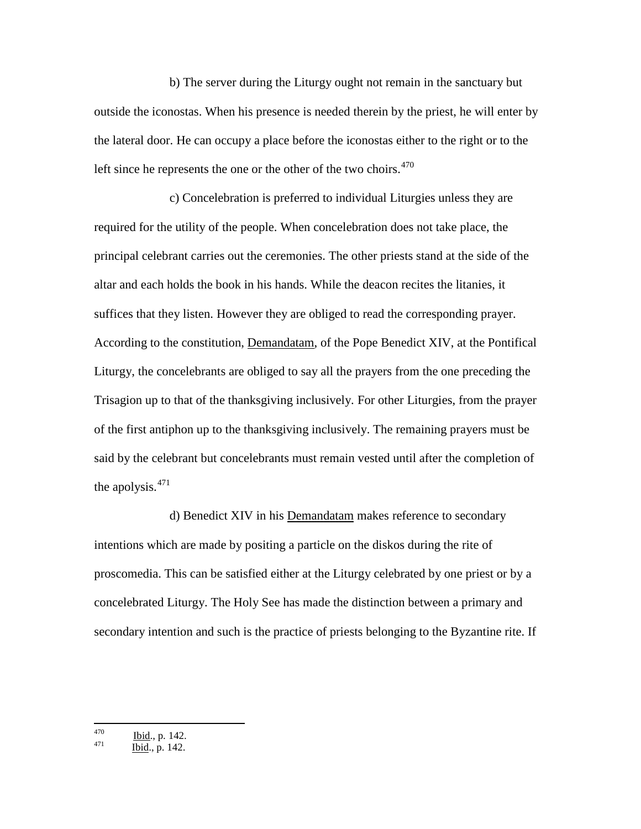b) The server during the Liturgy ought not remain in the sanctuary but outside the iconostas. When his presence is needed therein by the priest, he will enter by the lateral door. He can occupy a place before the iconostas either to the right or to the left since he represents the one or the other of the two choirs. $470$ 

c) Concelebration is preferred to individual Liturgies unless they are required for the utility of the people. When concelebration does not take place, the principal celebrant carries out the ceremonies. The other priests stand at the side of the altar and each holds the book in his hands. While the deacon recites the litanies, it suffices that they listen. However they are obliged to read the corresponding prayer. According to the constitution, Demandatam, of the Pope Benedict XIV, at the Pontifical Liturgy, the concelebrants are obliged to say all the prayers from the one preceding the Trisagion up to that of the thanksgiving inclusively. For other Liturgies, from the prayer of the first antiphon up to the thanksgiving inclusively. The remaining prayers must be said by the celebrant but concelebrants must remain vested until after the completion of the apolysis.[471](#page-124-1)

d) Benedict XIV in his Demandatam makes reference to secondary intentions which are made by positing a particle on the diskos during the rite of proscomedia. This can be satisfied either at the Liturgy celebrated by one priest or by a concelebrated Liturgy. The Holy See has made the distinction between a primary and secondary intention and such is the practice of priests belonging to the Byzantine rite. If

<span id="page-124-0"></span> $\frac{470}{471}$  Ibid., p. 142.<br>Ibid., p. 142.

<span id="page-124-1"></span>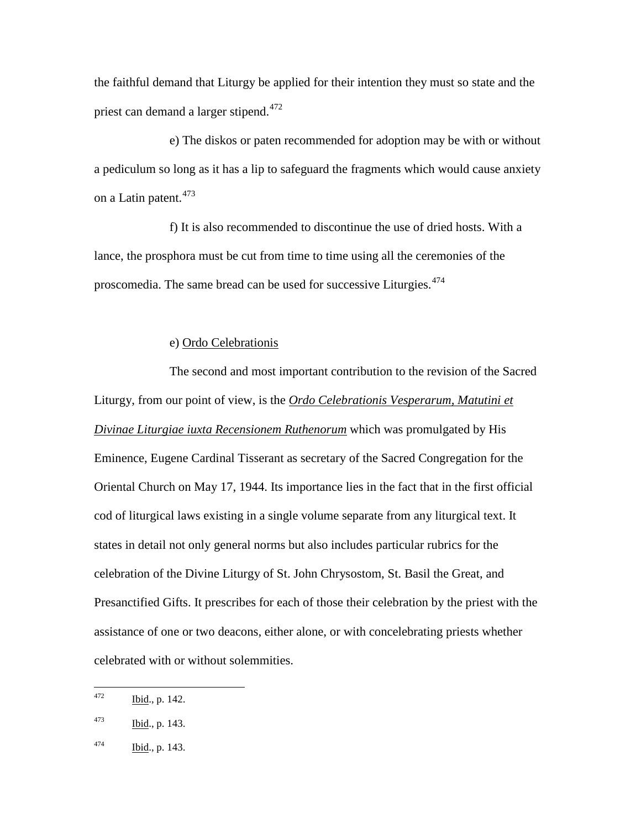the faithful demand that Liturgy be applied for their intention they must so state and the priest can demand a larger stipend.<sup>[472](#page-125-0)</sup>

e) The diskos or paten recommended for adoption may be with or without a pediculum so long as it has a lip to safeguard the fragments which would cause anxiety on a Latin patent.<sup>[473](#page-125-1)</sup>

f) It is also recommended to discontinue the use of dried hosts. With a lance, the prosphora must be cut from time to time using all the ceremonies of the proscomedia. The same bread can be used for successive Liturgies.<sup>[474](#page-125-2)</sup>

#### e) Ordo Celebrationis

The second and most important contribution to the revision of the Sacred Liturgy, from our point of view, is the *Ordo Celebrationis Vesperarum, Matutini et Divinae Liturgiae iuxta Recensionem Ruthenorum* which was promulgated by His Eminence, Eugene Cardinal Tisserant as secretary of the Sacred Congregation for the Oriental Church on May 17, 1944. Its importance lies in the fact that in the first official cod of liturgical laws existing in a single volume separate from any liturgical text. It states in detail not only general norms but also includes particular rubrics for the celebration of the Divine Liturgy of St. John Chrysostom, St. Basil the Great, and Presanctified Gifts. It prescribes for each of those their celebration by the priest with the assistance of one or two deacons, either alone, or with concelebrating priests whether celebrated with or without solemmities.

<span id="page-125-0"></span> $472$  Ibid., p. 142.

<span id="page-125-1"></span> $\frac{1473}{164}$ , p. 143.

<span id="page-125-2"></span> $\frac{164}{100}$ , p. 143.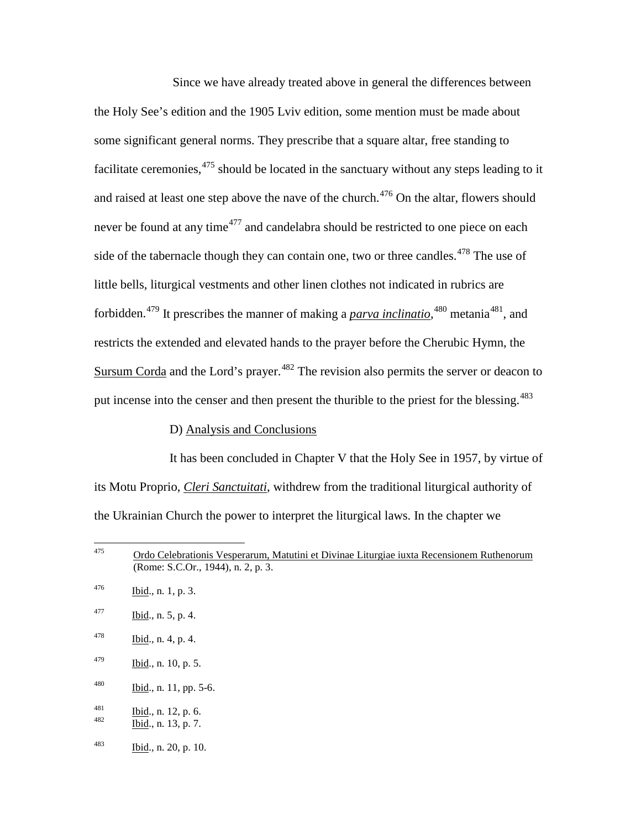Since we have already treated above in general the differences between the Holy See's edition and the 1905 Lviv edition, some mention must be made about some significant general norms. They prescribe that a square altar, free standing to facilitate ceremonies,  $475$  should be located in the sanctuary without any steps leading to it and raised at least one step above the nave of the church.<sup>[476](#page-126-1)</sup> On the altar, flowers should never be found at any time<sup>[477](#page-126-2)</sup> and candelabra should be restricted to one piece on each side of the tabernacle though they can contain one, two or three candles.<sup> $478$ </sup> The use of little bells, liturgical vestments and other linen clothes not indicated in rubrics are forbidden.<sup>[479](#page-126-4)</sup> It prescribes the manner of making a *parva inclinatio*,<sup>[480](#page-126-5)</sup> metania<sup>481</sup>, and restricts the extended and elevated hands to the prayer before the Cherubic Hymn, the Sursum Corda and the Lord's prayer.<sup>[482](#page-126-7)</sup> The revision also permits the server or deacon to put incense into the censer and then present the thurible to the priest for the blessing.<sup>[483](#page-126-8)</sup>

## D) Analysis and Conclusions

It has been concluded in Chapter V that the Holy See in 1957, by virtue of its Motu Proprio, *Cleri Sanctuitati*, withdrew from the traditional liturgical authority of the Ukrainian Church the power to interpret the liturgical laws. In the chapter we

- <span id="page-126-3"></span> $\frac{1}{9}$  Ibid., n. 4, p. 4.
- <span id="page-126-4"></span> $^{479}$  Ibid., n. 10, p. 5.
- <span id="page-126-5"></span> $^{480}$  Ibid., n. 11, pp. 5-6.
- <span id="page-126-7"></span><span id="page-126-6"></span> $\frac{481}{482}$  Ibid., n. 12, p. 6.<br>Ibid., n. 13, p. 7.
- 
- <span id="page-126-8"></span> $\frac{16}{3}$  Ibid., n. 20, p. 10.

<span id="page-126-0"></span> $475$  Ordo Celebrationis Vesperarum, Matutini et Divinae Liturgiae iuxta Recensionem Ruthenorum (Rome: S.C.Or., 1944), n. 2, p. 3.

<span id="page-126-1"></span> $\frac{16}{100}$ , n. 1, p. 3.

<span id="page-126-2"></span> $\frac{164}{100}$ , n. 5, p. 4.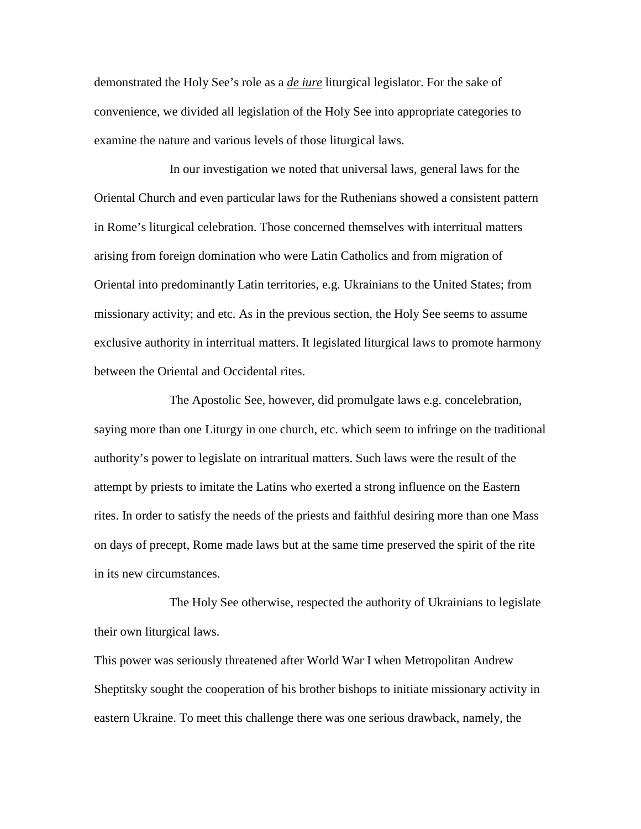demonstrated the Holy See's role as a *de iure* liturgical legislator. For the sake of convenience, we divided all legislation of the Holy See into appropriate categories to examine the nature and various levels of those liturgical laws.

In our investigation we noted that universal laws, general laws for the Oriental Church and even particular laws for the Ruthenians showed a consistent pattern in Rome's liturgical celebration. Those concerned themselves with interritual matters arising from foreign domination who were Latin Catholics and from migration of Oriental into predominantly Latin territories, e.g. Ukrainians to the United States; from missionary activity; and etc. As in the previous section, the Holy See seems to assume exclusive authority in interritual matters. It legislated liturgical laws to promote harmony between the Oriental and Occidental rites.

The Apostolic See, however, did promulgate laws e.g. concelebration, saying more than one Liturgy in one church, etc. which seem to infringe on the traditional authority's power to legislate on intraritual matters. Such laws were the result of the attempt by priests to imitate the Latins who exerted a strong influence on the Eastern rites. In order to satisfy the needs of the priests and faithful desiring more than one Mass on days of precept, Rome made laws but at the same time preserved the spirit of the rite in its new circumstances.

The Holy See otherwise, respected the authority of Ukrainians to legislate their own liturgical laws.

This power was seriously threatened after World War I when Metropolitan Andrew Sheptitsky sought the cooperation of his brother bishops to initiate missionary activity in eastern Ukraine. To meet this challenge there was one serious drawback, namely, the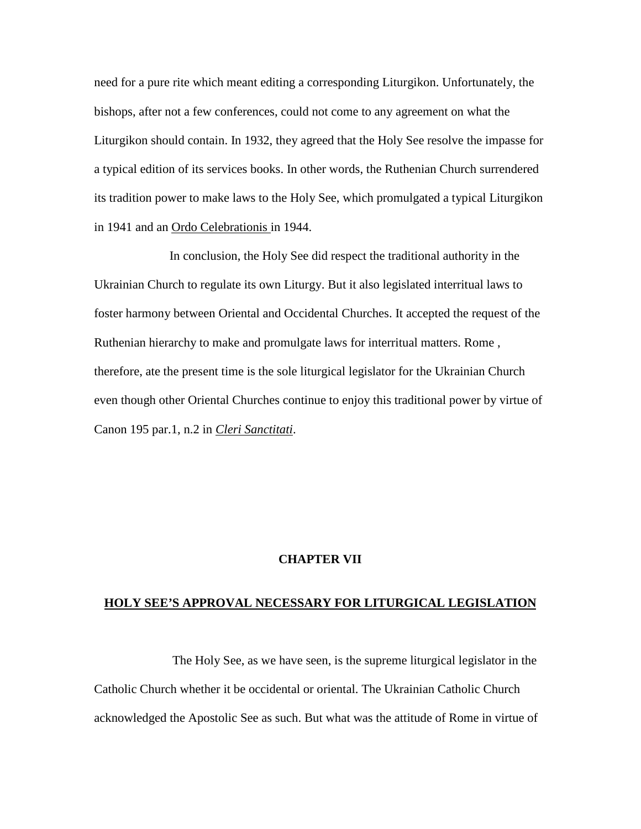need for a pure rite which meant editing a corresponding Liturgikon. Unfortunately, the bishops, after not a few conferences, could not come to any agreement on what the Liturgikon should contain. In 1932, they agreed that the Holy See resolve the impasse for a typical edition of its services books. In other words, the Ruthenian Church surrendered its tradition power to make laws to the Holy See, which promulgated a typical Liturgikon in 1941 and an Ordo Celebrationis in 1944.

In conclusion, the Holy See did respect the traditional authority in the Ukrainian Church to regulate its own Liturgy. But it also legislated interritual laws to foster harmony between Oriental and Occidental Churches. It accepted the request of the Ruthenian hierarchy to make and promulgate laws for interritual matters. Rome , therefore, ate the present time is the sole liturgical legislator for the Ukrainian Church even though other Oriental Churches continue to enjoy this traditional power by virtue of Canon 195 par.1, n.2 in *Cleri Sanctitati*.

## **CHAPTER VII**

#### **HOLY SEE'S APPROVAL NECESSARY FOR LITURGICAL LEGISLATION**

The Holy See, as we have seen, is the supreme liturgical legislator in the Catholic Church whether it be occidental or oriental. The Ukrainian Catholic Church acknowledged the Apostolic See as such. But what was the attitude of Rome in virtue of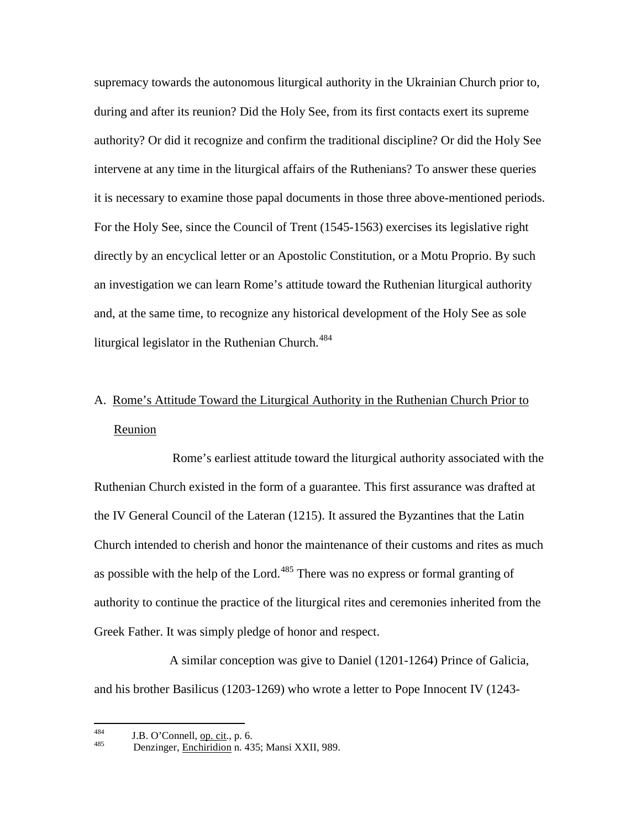supremacy towards the autonomous liturgical authority in the Ukrainian Church prior to, during and after its reunion? Did the Holy See, from its first contacts exert its supreme authority? Or did it recognize and confirm the traditional discipline? Or did the Holy See intervene at any time in the liturgical affairs of the Ruthenians? To answer these queries it is necessary to examine those papal documents in those three above-mentioned periods. For the Holy See, since the Council of Trent (1545-1563) exercises its legislative right directly by an encyclical letter or an Apostolic Constitution, or a Motu Proprio. By such an investigation we can learn Rome's attitude toward the Ruthenian liturgical authority and, at the same time, to recognize any historical development of the Holy See as sole liturgical legislator in the Ruthenian Church. $484$ 

## A. Rome's Attitude Toward the Liturgical Authority in the Ruthenian Church Prior to Reunion

Rome's earliest attitude toward the liturgical authority associated with the Ruthenian Church existed in the form of a guarantee. This first assurance was drafted at the IV General Council of the Lateran (1215). It assured the Byzantines that the Latin Church intended to cherish and honor the maintenance of their customs and rites as much as possible with the help of the Lord.<sup>[485](#page-129-1)</sup> There was no express or formal granting of authority to continue the practice of the liturgical rites and ceremonies inherited from the Greek Father. It was simply pledge of honor and respect.

A similar conception was give to Daniel (1201-1264) Prince of Galicia, and his brother Basilicus (1203-1269) who wrote a letter to Pope Innocent IV (1243-

<span id="page-129-1"></span><span id="page-129-0"></span><sup>&</sup>lt;sup>484</sup> J.B. O'Connell, <u>op. cit</u>., p. 6.<br>Denzinger, <u>Enchiridion</u> n. 435; Mansi XXII, 989.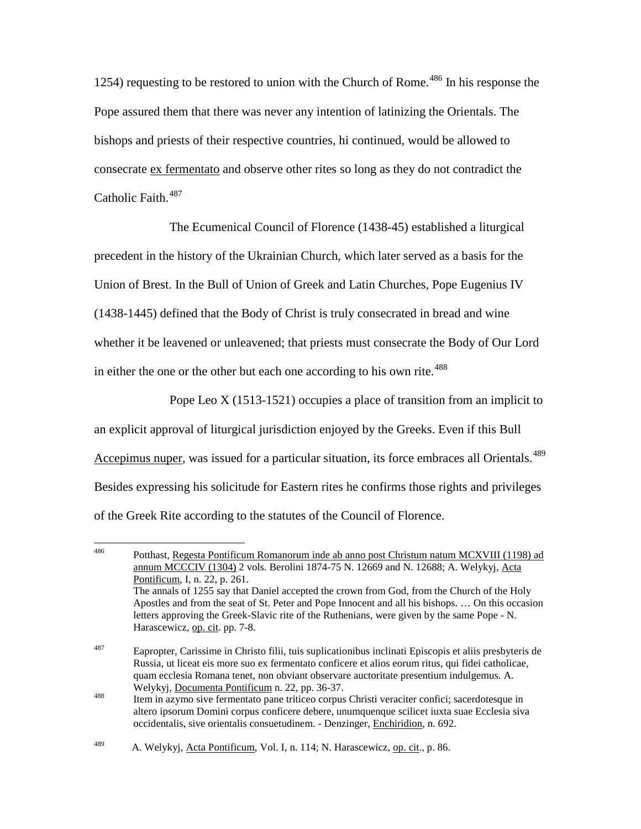1254) requesting to be restored to union with the Church of Rome.<sup>[486](#page-130-0)</sup> In his response the Pope assured them that there was never any intention of latinizing the Orientals. The bishops and priests of their respective countries, hi continued, would be allowed to consecrate ex fermentato and observe other rites so long as they do not contradict the Catholic Faith.<sup>[487](#page-130-1)</sup>

The Ecumenical Council of Florence (1438-45) established a liturgical precedent in the history of the Ukrainian Church, which later served as a basis for the Union of Brest. In the Bull of Union of Greek and Latin Churches, Pope Eugenius IV (1438-1445) defined that the Body of Christ is truly consecrated in bread and wine whether it be leavened or unleavened; that priests must consecrate the Body of Our Lord in either the one or the other but each one according to his own rite.<sup>[488](#page-130-2)</sup>

Pope Leo X (1513-1521) occupies a place of transition from an implicit to an explicit approval of liturgical jurisdiction enjoyed by the Greeks. Even if this Bull Accepimus nuper, was issued for a particular situation, its force embraces all Orientals.<sup>[489](#page-130-3)</sup> Besides expressing his solicitude for Eastern rites he confirms those rights and privileges of the Greek Rite according to the statutes of the Council of Florence.

<span id="page-130-0"></span> <sup>486</sup> Potthast, Regesta Pontificum Romanorum inde ab anno post Christum natum MCXVIII (1198) ad annum MCCCIV (1304) 2 vols. Berolini 1874-75 N. 12669 and N. 12688; A. Welykyj, Acta Pontificum, I, n. 22, p. 261. The annals of 1255 say that Daniel accepted the crown from God, from the Church of the Holy Apostles and from the seat of St. Peter and Pope Innocent and all his bishops. … On this occasion letters approving the Greek-Slavic rite of the Ruthenians, were given by the same Pope - N. Harascewicz, op. cit. pp. 7-8.

<span id="page-130-1"></span><sup>487</sup> Eapropter, Carissime in Christo filii, tuis suplicationibus inclinati Episcopis et aliis presbyteris de Russia, ut liceat eis more suo ex fermentato conficere et alios eorum ritus, qui fidei catholicae, quam ecclesia Romana tenet, non obviant observare auctoritate presentium indulgemus. A. Welykyj, <u>Documenta Pontificum</u> n. 22, pp. 36-37.<br><sup>488</sup> Item in azymo sive fermentato pane triticeo corpus Christi veraciter confici; sacerdotesque in

<span id="page-130-2"></span>altero ipsorum Domini corpus conficere debere, unumquenque scilicet iuxta suae Ecclesia siva occidentalis, sive orientalis consuetudinem. - Denzinger, Enchiridion, n. 692.

<span id="page-130-3"></span><sup>&</sup>lt;sup>489</sup> A. Welykyj, <u>Acta Pontificum</u>, Vol. I, n. 114; N. Harascewicz, <u>op. cit</u>., p. 86.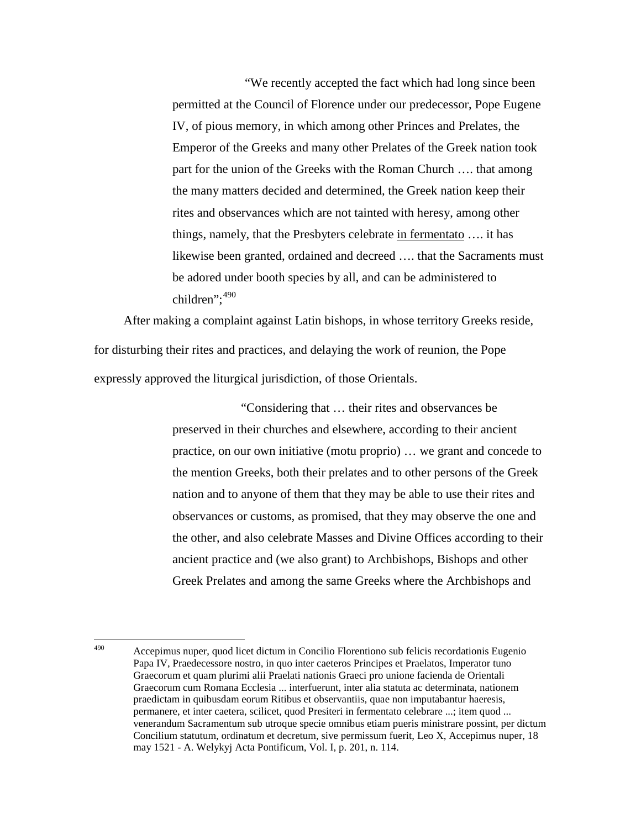"We recently accepted the fact which had long since been permitted at the Council of Florence under our predecessor, Pope Eugene IV, of pious memory, in which among other Princes and Prelates, the Emperor of the Greeks and many other Prelates of the Greek nation took part for the union of the Greeks with the Roman Church …. that among the many matters decided and determined, the Greek nation keep their rites and observances which are not tainted with heresy, among other things, namely, that the Presbyters celebrate in fermentato …. it has likewise been granted, ordained and decreed …. that the Sacraments must be adored under booth species by all, and can be administered to children": $490$ 

After making a complaint against Latin bishops, in whose territory Greeks reside, for disturbing their rites and practices, and delaying the work of reunion, the Pope expressly approved the liturgical jurisdiction, of those Orientals.

> "Considering that … their rites and observances be preserved in their churches and elsewhere, according to their ancient practice, on our own initiative (motu proprio) … we grant and concede to the mention Greeks, both their prelates and to other persons of the Greek nation and to anyone of them that they may be able to use their rites and observances or customs, as promised, that they may observe the one and the other, and also celebrate Masses and Divine Offices according to their ancient practice and (we also grant) to Archbishops, Bishops and other Greek Prelates and among the same Greeks where the Archbishops and

<span id="page-131-0"></span> <sup>490</sup> Accepimus nuper, quod licet dictum in Concilio Florentiono sub felicis recordationis Eugenio Papa IV, Praedecessore nostro, in quo inter caeteros Principes et Praelatos, Imperator tuno Graecorum et quam plurimi alii Praelati nationis Graeci pro unione facienda de Orientali Graecorum cum Romana Ecclesia ... interfuerunt, inter alia statuta ac determinata, nationem praedictam in quibusdam eorum Ritibus et observantiis, quae non imputabantur haeresis, permanere, et inter caetera, scilicet, quod Presiteri in fermentato celebrare ...; item quod ... venerandum Sacramentum sub utroque specie omnibus etiam pueris ministrare possint, per dictum Concilium statutum, ordinatum et decretum, sive permissum fuerit, Leo X, Accepimus nuper, 18 may 1521 - A. Welykyj Acta Pontificum, Vol. I, p. 201, n. 114.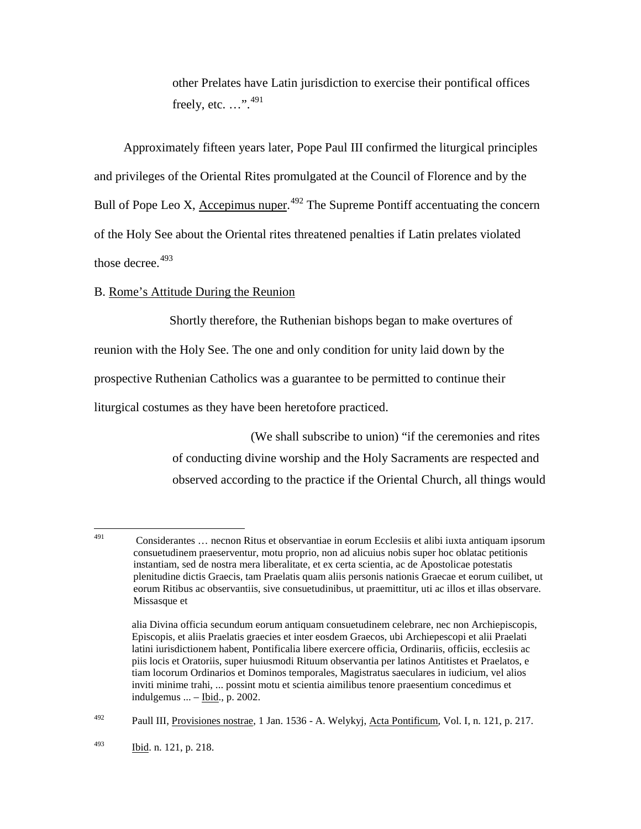other Prelates have Latin jurisdiction to exercise their pontifical offices freely, etc. ...".<sup>[491](#page-132-0)</sup>

Approximately fifteen years later, Pope Paul III confirmed the liturgical principles and privileges of the Oriental Rites promulgated at the Council of Florence and by the Bull of Pope Leo X, Accepimus nuper.<sup>[492](#page-132-1)</sup> The Supreme Pontiff accentuating the concern of the Holy See about the Oriental rites threatened penalties if Latin prelates violated those decree. $493$ 

#### B. Rome's Attitude During the Reunion

Shortly therefore, the Ruthenian bishops began to make overtures of reunion with the Holy See. The one and only condition for unity laid down by the prospective Ruthenian Catholics was a guarantee to be permitted to continue their liturgical costumes as they have been heretofore practiced.

> (We shall subscribe to union) "if the ceremonies and rites of conducting divine worship and the Holy Sacraments are respected and observed according to the practice if the Oriental Church, all things would

<span id="page-132-1"></span><span id="page-132-0"></span> <sup>491</sup> Considerantes … necnon Ritus et observantiae in eorum Ecclesiis et alibi iuxta antiquam ipsorum consuetudinem praeserventur, motu proprio, non ad alicuius nobis super hoc oblatac petitionis instantiam, sed de nostra mera liberalitate, et ex certa scientia, ac de Apostolicae potestatis plenitudine dictis Graecis, tam Praelatis quam aliis personis nationis Graecae et eorum cuilibet, ut eorum Ritibus ac observantiis, sive consuetudinibus, ut praemittitur, uti ac illos et illas observare. Missasque et

alia Divina officia secundum eorum antiquam consuetudinem celebrare, nec non Archiepiscopis, Episcopis, et aliis Praelatis graecies et inter eosdem Graecos, ubi Archiepescopi et alii Praelati latini iurisdictionem habent, Pontificalia libere exercere officia, Ordinariis, officiis, ecclesiis ac piis locis et Oratoriis, super huiusmodi Rituum observantia per latinos Antitistes et Praelatos, e tiam locorum Ordinarios et Dominos temporales, Magistratus saeculares in iudicium, vel alios inviti minime trahi, ... possint motu et scientia aimilibus tenore praesentium concedimus et indulgemus  $\ldots$  – Ibid., p. 2002.

 $^{492}$  Paull III, Provisiones nostrae, 1 Jan. 1536 - A. Welykyj, Acta Pontificum, Vol. I, n. 121, p. 217.

<span id="page-132-2"></span> $\frac{164}{93}$  Ibid. n. 121, p. 218.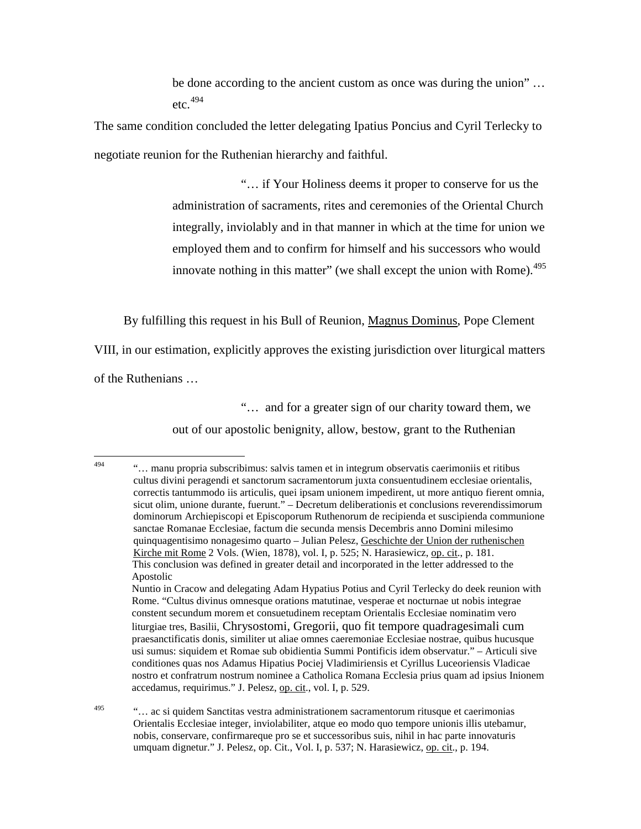be done according to the ancient custom as once was during the union" … etc. $494$ 

The same condition concluded the letter delegating Ipatius Poncius and Cyril Terlecky to negotiate reunion for the Ruthenian hierarchy and faithful.

> "… if Your Holiness deems it proper to conserve for us the administration of sacraments, rites and ceremonies of the Oriental Church integrally, inviolably and in that manner in which at the time for union we employed them and to confirm for himself and his successors who would innovate nothing in this matter" (we shall except the union with Rome).<sup>[495](#page-133-1)</sup>

By fulfilling this request in his Bull of Reunion, Magnus Dominus, Pope Clement

VIII, in our estimation, explicitly approves the existing jurisdiction over liturgical matters

of the Ruthenians …

"… and for a greater sign of our charity toward them, we

out of our apostolic benignity, allow, bestow, grant to the Ruthenian

<span id="page-133-0"></span> <sup>494</sup> "… manu propria subscribimus: salvis tamen et in integrum observatis caerimoniis et ritibus cultus divini peragendi et sanctorum sacramentorum juxta consuentudinem ecclesiae orientalis, correctis tantummodo iis articulis, quei ipsam unionem impedirent, ut more antiquo fierent omnia, sicut olim, unione durante, fuerunt." – Decretum deliberationis et conclusions reverendissimorum dominorum Archiepiscopi et Episcoporum Ruthenorum de recipienda et suscipienda communione sanctae Romanae Ecclesiae, factum die secunda mensis Decembris anno Domini milesimo quinquagentisimo nonagesimo quarto – Julian Pelesz, Geschichte der Union der ruthenischen Kirche mit Rome 2 Vols. (Wien, 1878), vol. I, p. 525; N. Harasiewicz, op. cit., p. 181. This conclusion was defined in greater detail and incorporated in the letter addressed to the Apostolic Nuntio in Cracow and delegating Adam Hypatius Potius and Cyril Terlecky do deek reunion with Rome. "Cultus divinus omnesque orations matutinae, vesperae et nocturnae ut nobis integrae constent secundum morem et consuetudinem receptam Orientalis Ecclesiae nominatim vero liturgiae tres, Basilii, Chrysostomi, Gregorii, quo fit tempore quadragesimali cum praesanctificatis donis, similiter ut aliae omnes caeremoniae Ecclesiae nostrae, quibus hucusque usi sumus: siquidem et Romae sub obidientia Summi Pontificis idem observatur." – Articuli sive conditiones quas nos Adamus Hipatius Pociej Vladimiriensis et Cyrillus Luceoriensis Vladicae nostro et confratrum nostrum nominee a Catholica Romana Ecclesia prius quam ad ipsius Inionem accedamus, requirimus." J. Pelesz, op. cit., vol. I, p. 529.

<span id="page-133-1"></span><sup>&</sup>lt;sup>495</sup> "… ac si quidem Sanctitas vestra administrationem sacramentorum ritusque et caerimonias Orientalis Ecclesiae integer, inviolabiliter, atque eo modo quo tempore unionis illis utebamur, nobis, conservare, confirmareque pro se et successoribus suis, nihil in hac parte innovaturis umquam dignetur." J. Pelesz, op. Cit., Vol. I, p. 537; N. Harasiewicz, op. cit., p. 194.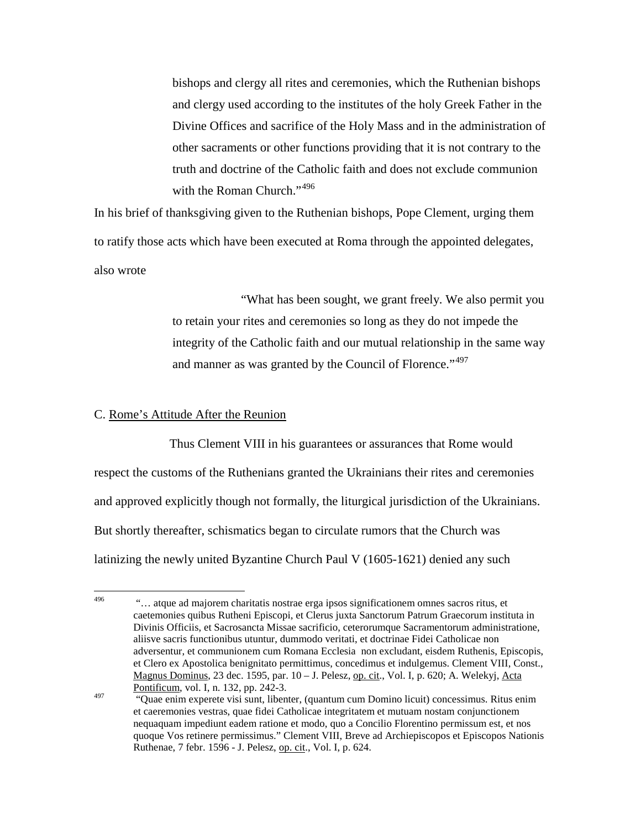bishops and clergy all rites and ceremonies, which the Ruthenian bishops and clergy used according to the institutes of the holy Greek Father in the Divine Offices and sacrifice of the Holy Mass and in the administration of other sacraments or other functions providing that it is not contrary to the truth and doctrine of the Catholic faith and does not exclude communion with the Roman Church."<sup>[496](#page-134-0)</sup>

In his brief of thanksgiving given to the Ruthenian bishops, Pope Clement, urging them to ratify those acts which have been executed at Roma through the appointed delegates, also wrote

> "What has been sought, we grant freely. We also permit you to retain your rites and ceremonies so long as they do not impede the integrity of the Catholic faith and our mutual relationship in the same way and manner as was granted by the Council of Florence."<sup>[497](#page-134-1)</sup>

### C. Rome's Attitude After the Reunion

Thus Clement VIII in his guarantees or assurances that Rome would respect the customs of the Ruthenians granted the Ukrainians their rites and ceremonies and approved explicitly though not formally, the liturgical jurisdiction of the Ukrainians. But shortly thereafter, schismatics began to circulate rumors that the Church was latinizing the newly united Byzantine Church Paul V (1605-1621) denied any such

<span id="page-134-0"></span><sup>&</sup>lt;sup>496</sup> "… atque ad majorem charitatis nostrae erga ipsos significationem omnes sacros ritus, et caetemonies quibus Rutheni Episcopi, et Clerus juxta Sanctorum Patrum Graecorum instituta in Divinis Officiis, et Sacrosancta Missae sacrificio, ceterorumque Sacramentorum administratione, aliisve sacris functionibus utuntur, dummodo veritati, et doctrinae Fidei Catholicae non adversentur, et communionem cum Romana Ecclesia non excludant, eisdem Ruthenis, Episcopis, et Clero ex Apostolica benignitato permittimus, concedimus et indulgemus. Clement VIII, Const., Magnus Dominus, 23 dec. 1595, par. 10 – J. Pelesz, op. cit., Vol. I, p. 620; A. Welekyj, Acta Pontificum, vol. I, n. 132, pp. 242-3.

<span id="page-134-1"></span> $\frac{497}{4}$  "Quae enim experete visi sunt, libenter, (quantum cum Domino licuit) concessimus. Ritus enim et caeremonies vestras, quae fidei Catholicae integritatem et mutuam nostam conjunctionem nequaquam impediunt eadem ratione et modo, quo a Concilio Florentino permissum est, et nos quoque Vos retinere permissimus." Clement VIII, Breve ad Archiepiscopos et Episcopos Nationis Ruthenae, 7 febr. 1596 - J. Pelesz, op. cit., Vol. I, p. 624.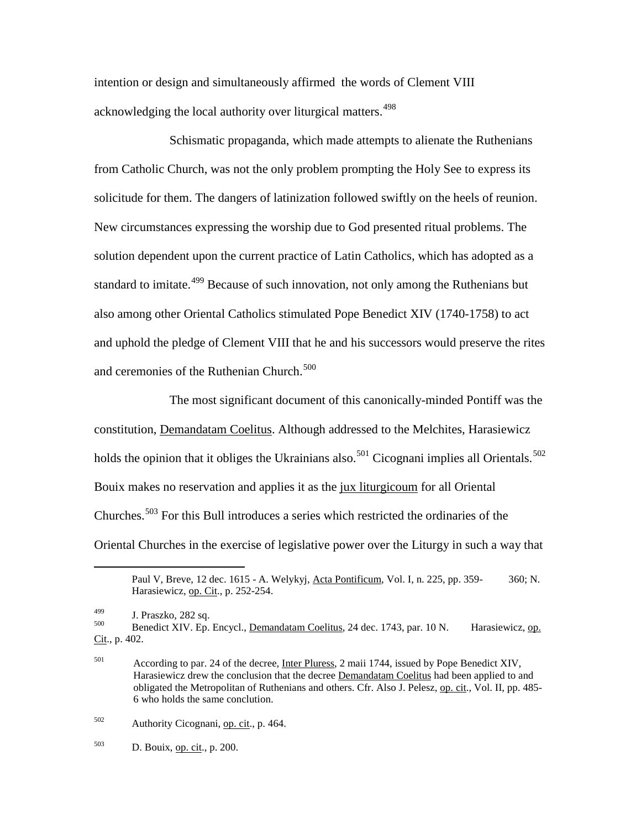intention or design and simultaneously affirmed the words of Clement VIII acknowledging the local authority over liturgical matters.<sup>[498](#page-135-0)</sup>

Schismatic propaganda, which made attempts to alienate the Ruthenians from Catholic Church, was not the only problem prompting the Holy See to express its solicitude for them. The dangers of latinization followed swiftly on the heels of reunion. New circumstances expressing the worship due to God presented ritual problems. The solution dependent upon the current practice of Latin Catholics, which has adopted as a standard to imitate.<sup>[499](#page-135-1)</sup> Because of such innovation, not only among the Ruthenians but also among other Oriental Catholics stimulated Pope Benedict XIV (1740-1758) to act and uphold the pledge of Clement VIII that he and his successors would preserve the rites and ceremonies of the Ruthenian Church.<sup>[500](#page-135-2)</sup>

The most significant document of this canonically-minded Pontiff was the constitution, Demandatam Coelitus. Although addressed to the Melchites, Harasiewicz holds the opinion that it obliges the Ukrainians also.<sup>[501](#page-135-3)</sup> Cicognani implies all Orientals.<sup>[502](#page-135-4)</sup> Bouix makes no reservation and applies it as the jux liturgicoum for all Oriental Churches.<sup>[503](#page-135-5)</sup> For this Bull introduces a series which restricted the ordinaries of the Oriental Churches in the exercise of legislative power over the Liturgy in such a way that

<span id="page-135-0"></span> $\overline{a}$ 

Paul V, Breve, 12 dec. 1615 - A. Welykyj, Acta Pontificum, Vol. I, n. 225, pp. 359- 360; N. Harasiewicz, op. Cit., p. 252-254.

<span id="page-135-2"></span><span id="page-135-1"></span> $^{499}$  J. Praszko, 282 sq.<br>  $^{500}$  Benedict XIV. Ep. Encycl., Demandatam Coelitus, 24 dec. 1743, par. 10 N. Harasiewicz, op. Cit., p. 402.

<span id="page-135-3"></span><sup>501</sup> According to par. 24 of the decree, Inter Pluress, 2 maii 1744, issued by Pope Benedict XIV, Harasiewicz drew the conclusion that the decree Demandatam Coelitus had been applied to and obligated the Metropolitan of Ruthenians and others. Cfr. Also J. Pelesz, op. cit., Vol. II, pp. 485- 6 who holds the same conclution.

<span id="page-135-4"></span><sup>502</sup> Authority Cicognani, op. cit., p. 464.

<span id="page-135-5"></span> $503$  D. Bouix, <u>op. cit</u>., p. 200.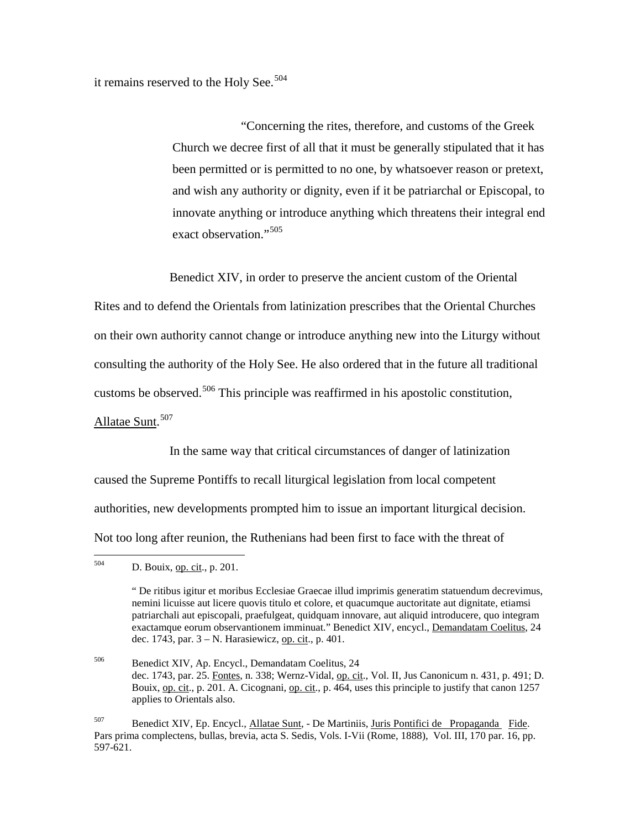it remains reserved to the Holy See. $504$ 

"Concerning the rites, therefore, and customs of the Greek Church we decree first of all that it must be generally stipulated that it has been permitted or is permitted to no one, by whatsoever reason or pretext, and wish any authority or dignity, even if it be patriarchal or Episcopal, to innovate anything or introduce anything which threatens their integral end exact observation."<sup>[505](#page-136-1)</sup>

Benedict XIV, in order to preserve the ancient custom of the Oriental

Rites and to defend the Orientals from latinization prescribes that the Oriental Churches on their own authority cannot change or introduce anything new into the Liturgy without consulting the authority of the Holy See. He also ordered that in the future all traditional customs be observed.<sup>[506](#page-136-2)</sup> This principle was reaffirmed in his apostolic constitution, Allatae Sunt.<sup>[507](#page-136-3)</sup>

In the same way that critical circumstances of danger of latinization caused the Supreme Pontiffs to recall liturgical legislation from local competent authorities, new developments prompted him to issue an important liturgical decision. Not too long after reunion, the Ruthenians had been first to face with the threat of

<span id="page-136-1"></span><span id="page-136-0"></span> <sup>504</sup> D. Bouix, op. cit., p. 201.

<sup>&</sup>quot; De ritibus igitur et moribus Ecclesiae Graecae illud imprimis generatim statuendum decrevimus, nemini licuisse aut licere quovis titulo et colore, et quacumque auctoritate aut dignitate, etiamsi patriarchali aut episcopali, praefulgeat, quidquam innovare, aut aliquid introducere, quo integram exactamque eorum observantionem imminuat." Benedict XIV, encycl., Demandatam Coelitus, 24 dec. 1743, par. 3 – N. Harasiewicz, op. cit., p. 401.

<span id="page-136-3"></span><span id="page-136-2"></span><sup>506</sup> Benedict XIV, Ap. Encycl., Demandatam Coelitus, 24 dec. 1743, par. 25. Fontes, n. 338; Wernz-Vidal, op. cit., Vol. II, Jus Canonicum n. 431, p. 491; D. Bouix, op. cit., p. 201. A. Cicognani, op. cit., p. 464, uses this principle to justify that canon 1257 applies to Orientals also.

<sup>507</sup> Benedict XIV, Ep. Encycl., Allatae Sunt, - De Martiniis, Juris Pontifici de Propaganda Fide. Pars prima complectens, bullas, brevia, acta S. Sedis, Vols. I-Vii (Rome, 1888), Vol. III, 170 par. 16, pp. 597-621.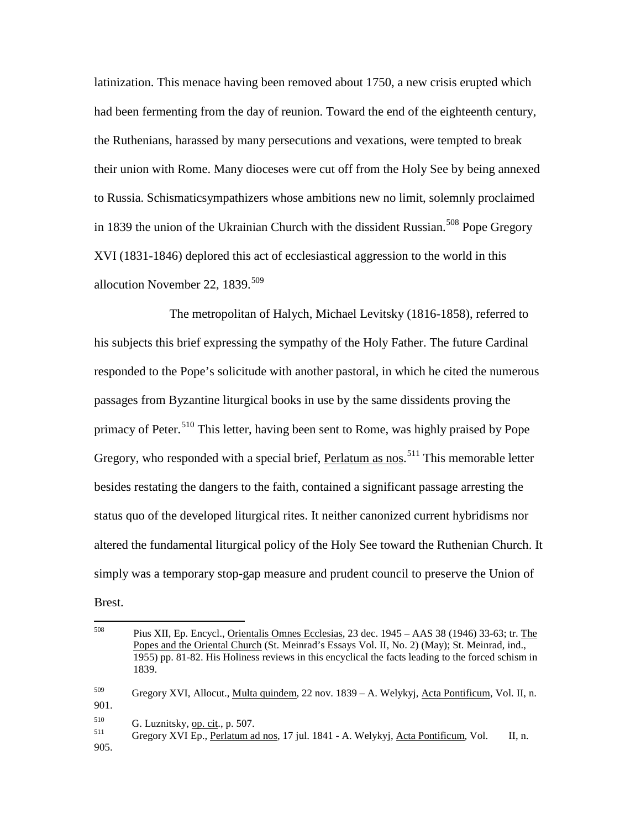latinization. This menace having been removed about 1750, a new crisis erupted which had been fermenting from the day of reunion. Toward the end of the eighteenth century, the Ruthenians, harassed by many persecutions and vexations, were tempted to break their union with Rome. Many dioceses were cut off from the Holy See by being annexed to Russia. Schismaticsympathizers whose ambitions new no limit, solemnly proclaimed in 1839 the union of the Ukrainian Church with the dissident Russian.<sup>[508](#page-137-0)</sup> Pope Gregory XVI (1831-1846) deplored this act of ecclesiastical aggression to the world in this allocution November 22,  $1839.<sup>509</sup>$  $1839.<sup>509</sup>$  $1839.<sup>509</sup>$ 

The metropolitan of Halych, Michael Levitsky (1816-1858), referred to his subjects this brief expressing the sympathy of the Holy Father. The future Cardinal responded to the Pope's solicitude with another pastoral, in which he cited the numerous passages from Byzantine liturgical books in use by the same dissidents proving the primacy of Peter.<sup>[510](#page-137-2)</sup> This letter, having been sent to Rome, was highly praised by Pope Gregory, who responded with a special brief, Perlatum as nos.<sup>[511](#page-137-3)</sup> This memorable letter besides restating the dangers to the faith, contained a significant passage arresting the status quo of the developed liturgical rites. It neither canonized current hybridisms nor altered the fundamental liturgical policy of the Holy See toward the Ruthenian Church. It simply was a temporary stop-gap measure and prudent council to preserve the Union of Brest.

<span id="page-137-3"></span><span id="page-137-2"></span><span id="page-137-1"></span>905.

<span id="page-137-0"></span> <sup>508</sup> Pius XII, Ep. Encycl., Orientalis Omnes Ecclesias, 23 dec. 1945 – AAS 38 (1946) 33-63; tr. The Popes and the Oriental Church (St. Meinrad's Essays Vol. II, No. 2) (May); St. Meinrad, ind., 1955) pp. 81-82. His Holiness reviews in this encyclical the facts leading to the forced schism in 1839. <sup>509</sup> Gregory XVI, Allocut., Multa quindem, 22 nov. 1839 – A. Welykyj, Acta Pontificum, Vol. II, n. 901.  $510$  G. Luznitsky, op. cit., p. 507.<br>511 Gregory XVI Ep., Perlatum ad nos, 17 jul. 1841 - A. Welykyj, Acta Pontificum, Vol. II, n.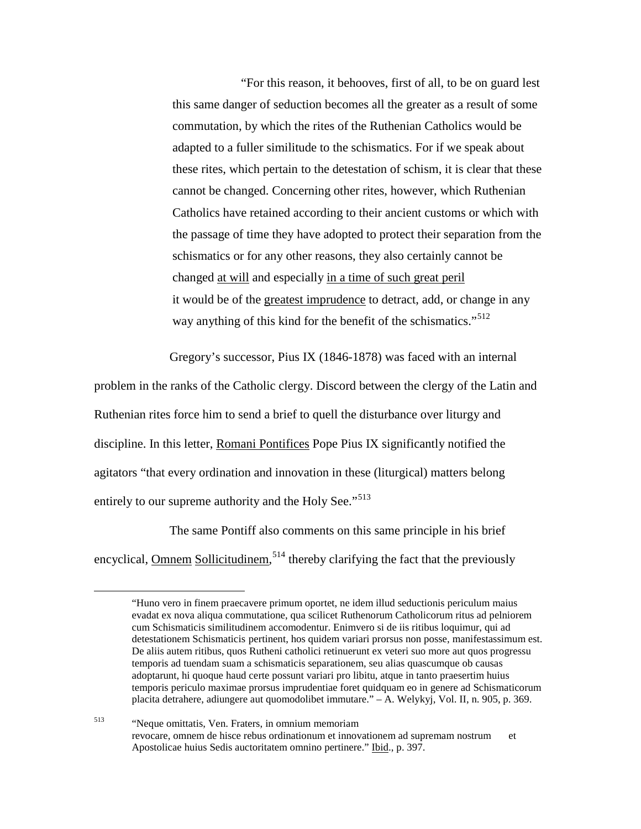"For this reason, it behooves, first of all, to be on guard lest this same danger of seduction becomes all the greater as a result of some commutation, by which the rites of the Ruthenian Catholics would be adapted to a fuller similitude to the schismatics. For if we speak about these rites, which pertain to the detestation of schism, it is clear that these cannot be changed. Concerning other rites, however, which Ruthenian Catholics have retained according to their ancient customs or which with the passage of time they have adopted to protect their separation from the schismatics or for any other reasons, they also certainly cannot be changed at will and especially in a time of such great peril it would be of the greatest imprudence to detract, add, or change in any way anything of this kind for the benefit of the schismatics."<sup>[512](#page-138-0)</sup>

Gregory's successor, Pius IX (1846-1878) was faced with an internal

problem in the ranks of the Catholic clergy. Discord between the clergy of the Latin and Ruthenian rites force him to send a brief to quell the disturbance over liturgy and discipline. In this letter, Romani Pontifices Pope Pius IX significantly notified the agitators "that every ordination and innovation in these (liturgical) matters belong entirely to our supreme authority and the Holy See."<sup>[513](#page-138-1)</sup>

<span id="page-138-0"></span>The same Pontiff also comments on this same principle in his brief encyclical, **Omnem Sollicitudinem**,<sup>[514](#page-138-2)</sup> thereby clarifying the fact that the previously

 <sup>&</sup>quot;Huno vero in finem praecavere primum oportet, ne idem illud seductionis periculum maius evadat ex nova aliqua commutatione, qua scilicet Ruthenorum Catholicorum ritus ad pelniorem cum Schismaticis similitudinem accomodentur. Enimvero si de iis ritibus loquimur, qui ad detestationem Schismaticis pertinent, hos quidem variari prorsus non posse, manifestassimum est. De aliis autem ritibus, quos Rutheni catholici retinuerunt ex veteri suo more aut quos progressu temporis ad tuendam suam a schismaticis separationem, seu alias quascumque ob causas adoptarunt, hi quoque haud certe possunt variari pro libitu, atque in tanto praesertim huius temporis periculo maximae prorsus imprudentiae foret quidquam eo in genere ad Schismaticorum placita detrahere, adiungere aut quomodolibet immutare." – A. Welykyj, Vol. II, n. 905, p. 369.

<span id="page-138-2"></span><span id="page-138-1"></span><sup>513</sup> "Neque omittatis, Ven. Fraters, in omnium memoriam revocare, omnem de hisce rebus ordinationum et innovationem ad supremam nostrum et Apostolicae huius Sedis auctoritatem omnino pertinere." Ibid., p. 397.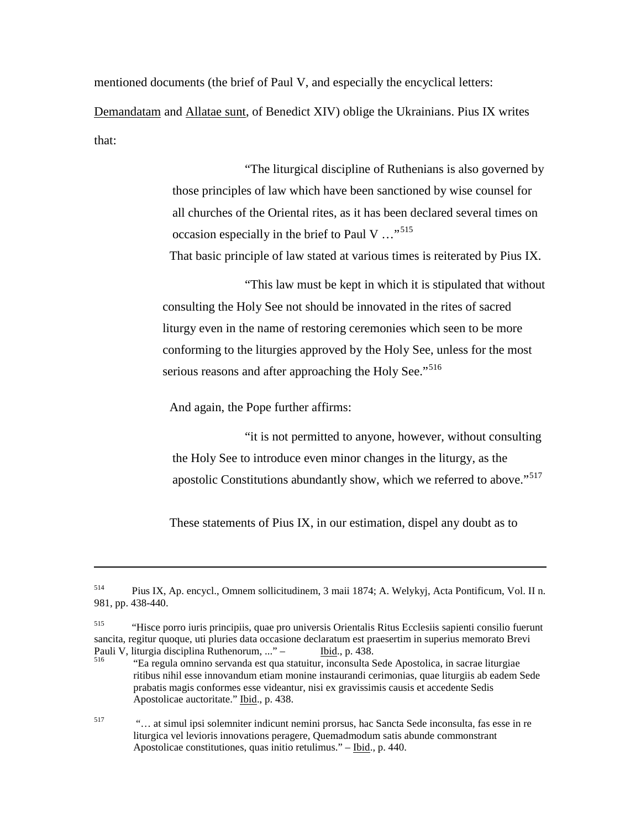mentioned documents (the brief of Paul V, and especially the encyclical letters:

Demandatam and Allatae sunt, of Benedict XIV) oblige the Ukrainians. Pius IX writes that:

> "The liturgical discipline of Ruthenians is also governed by those principles of law which have been sanctioned by wise counsel for all churches of the Oriental rites, as it has been declared several times on occasion especially in the brief to Paul V …"[515](#page-139-0)

That basic principle of law stated at various times is reiterated by Pius IX.

"This law must be kept in which it is stipulated that without consulting the Holy See not should be innovated in the rites of sacred liturgy even in the name of restoring ceremonies which seen to be more conforming to the liturgies approved by the Holy See, unless for the most serious reasons and after approaching the Holy See."<sup>[516](#page-139-1)</sup>

And again, the Pope further affirms:

 $\overline{a}$ 

"it is not permitted to anyone, however, without consulting the Holy See to introduce even minor changes in the liturgy, as the apostolic Constitutions abundantly show, which we referred to above."<sup>[517](#page-139-2)</sup>

These statements of Pius IX, in our estimation, dispel any doubt as to

<span id="page-139-2"></span><sup>517</sup> "… at simul ipsi solemniter indicunt nemini prorsus, hac Sancta Sede inconsulta, fas esse in re liturgica vel levioris innovations peragere, Quemadmodum satis abunde commonstrant Apostolicae constitutiones, quas initio retulimus." – Ibid., p. 440.

<sup>514</sup> Pius IX, Ap. encycl., Omnem sollicitudinem, 3 maii 1874; A. Welykyj, Acta Pontificum, Vol. II n. 981, pp. 438-440.

<span id="page-139-0"></span><sup>515</sup> "Hisce porro iuris principiis, quae pro universis Orientalis Ritus Ecclesiis sapienti consilio fuerunt sancita, regitur quoque, uti pluries data occasione declaratum est praesertim in superius memorato Brevi<br>Pauli V, liturgia disciplina Ruthenorum, ..." - [bid., p. 438.]

<span id="page-139-1"></span> $\frac{1516}{10}$  "Ea regula omnino servanda est qua statuitur, inconsulta Sede Apostolica, in sacrae liturgiae ritibus nihil esse innovandum etiam monine instaurandi cerimonias, quae liturgiis ab eadem Sede prabatis magis conformes esse videantur, nisi ex gravissimis causis et accedente Sedis Apostolicae auctoritate." Ibid., p. 438.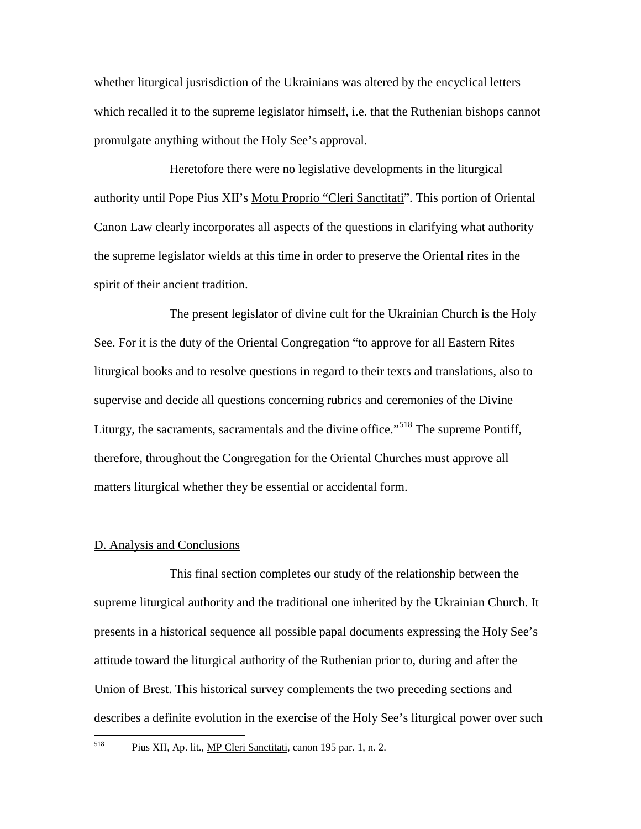whether liturgical jusrisdiction of the Ukrainians was altered by the encyclical letters which recalled it to the supreme legislator himself, i.e. that the Ruthenian bishops cannot promulgate anything without the Holy See's approval.

Heretofore there were no legislative developments in the liturgical authority until Pope Pius XII's Motu Proprio "Cleri Sanctitati". This portion of Oriental Canon Law clearly incorporates all aspects of the questions in clarifying what authority the supreme legislator wields at this time in order to preserve the Oriental rites in the spirit of their ancient tradition.

The present legislator of divine cult for the Ukrainian Church is the Holy See. For it is the duty of the Oriental Congregation "to approve for all Eastern Rites liturgical books and to resolve questions in regard to their texts and translations, also to supervise and decide all questions concerning rubrics and ceremonies of the Divine Liturgy, the sacraments, sacramentals and the divine office."<sup>[518](#page-140-0)</sup> The supreme Pontiff, therefore, throughout the Congregation for the Oriental Churches must approve all matters liturgical whether they be essential or accidental form.

#### D. Analysis and Conclusions

This final section completes our study of the relationship between the supreme liturgical authority and the traditional one inherited by the Ukrainian Church. It presents in a historical sequence all possible papal documents expressing the Holy See's attitude toward the liturgical authority of the Ruthenian prior to, during and after the Union of Brest. This historical survey complements the two preceding sections and describes a definite evolution in the exercise of the Holy See's liturgical power over such

<span id="page-140-0"></span>

 <sup>518</sup> Pius XII, Ap. lit., MP Cleri Sanctitati, canon 195 par. 1, n. 2.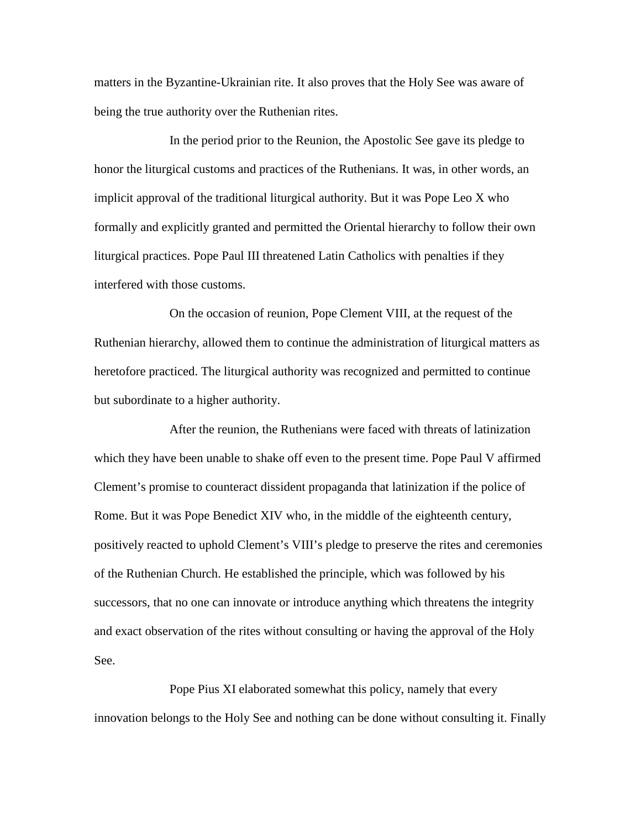matters in the Byzantine-Ukrainian rite. It also proves that the Holy See was aware of being the true authority over the Ruthenian rites.

In the period prior to the Reunion, the Apostolic See gave its pledge to honor the liturgical customs and practices of the Ruthenians. It was, in other words, an implicit approval of the traditional liturgical authority. But it was Pope Leo X who formally and explicitly granted and permitted the Oriental hierarchy to follow their own liturgical practices. Pope Paul III threatened Latin Catholics with penalties if they interfered with those customs.

On the occasion of reunion, Pope Clement VIII, at the request of the Ruthenian hierarchy, allowed them to continue the administration of liturgical matters as heretofore practiced. The liturgical authority was recognized and permitted to continue but subordinate to a higher authority.

After the reunion, the Ruthenians were faced with threats of latinization which they have been unable to shake off even to the present time. Pope Paul V affirmed Clement's promise to counteract dissident propaganda that latinization if the police of Rome. But it was Pope Benedict XIV who, in the middle of the eighteenth century, positively reacted to uphold Clement's VIII's pledge to preserve the rites and ceremonies of the Ruthenian Church. He established the principle, which was followed by his successors, that no one can innovate or introduce anything which threatens the integrity and exact observation of the rites without consulting or having the approval of the Holy See.

Pope Pius XI elaborated somewhat this policy, namely that every innovation belongs to the Holy See and nothing can be done without consulting it. Finally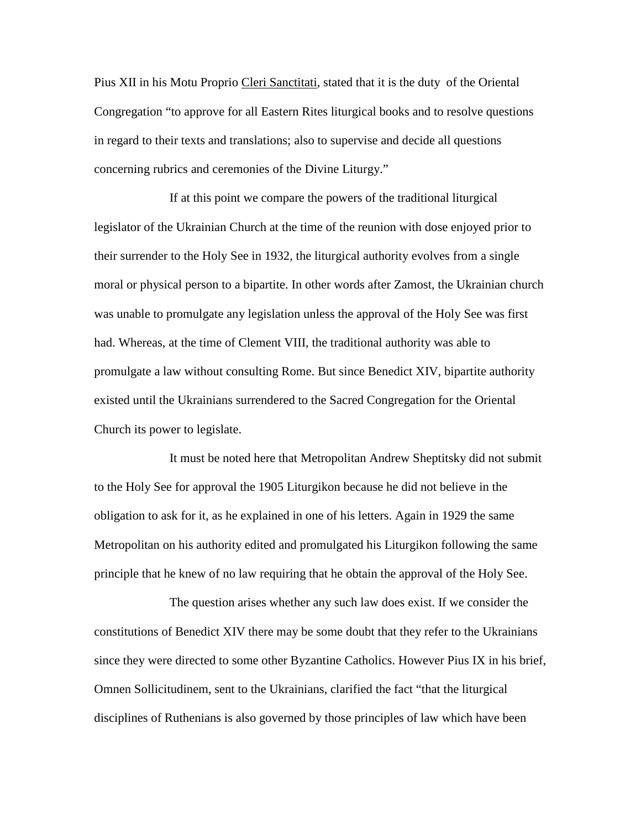Pius XII in his Motu Proprio Cleri Sanctitati, stated that it is the duty of the Oriental Congregation "to approve for all Eastern Rites liturgical books and to resolve questions in regard to their texts and translations; also to supervise and decide all questions concerning rubrics and ceremonies of the Divine Liturgy."

If at this point we compare the powers of the traditional liturgical legislator of the Ukrainian Church at the time of the reunion with dose enjoyed prior to their surrender to the Holy See in 1932, the liturgical authority evolves from a single moral or physical person to a bipartite. In other words after Zamost, the Ukrainian church was unable to promulgate any legislation unless the approval of the Holy See was first had. Whereas, at the time of Clement VIII, the traditional authority was able to promulgate a law without consulting Rome. But since Benedict XIV, bipartite authority existed until the Ukrainians surrendered to the Sacred Congregation for the Oriental Church its power to legislate.

It must be noted here that Metropolitan Andrew Sheptitsky did not submit to the Holy See for approval the 1905 Liturgikon because he did not believe in the obligation to ask for it, as he explained in one of his letters. Again in 1929 the same Metropolitan on his authority edited and promulgated his Liturgikon following the same principle that he knew of no law requiring that he obtain the approval of the Holy See.

The question arises whether any such law does exist. If we consider the constitutions of Benedict XIV there may be some doubt that they refer to the Ukrainians since they were directed to some other Byzantine Catholics. However Pius IX in his brief, Omnen Sollicitudinem, sent to the Ukrainians, clarified the fact "that the liturgical disciplines of Ruthenians is also governed by those principles of law which have been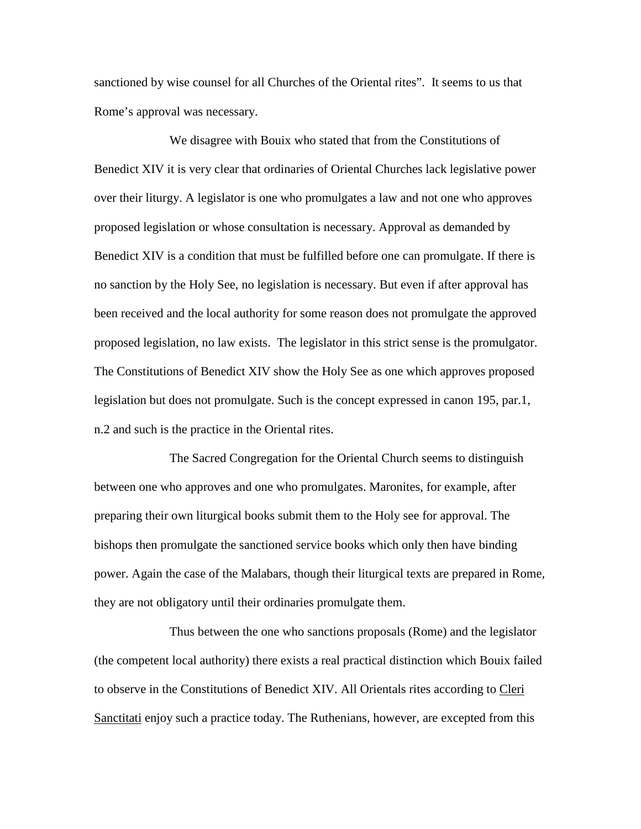sanctioned by wise counsel for all Churches of the Oriental rites". It seems to us that Rome's approval was necessary.

We disagree with Bouix who stated that from the Constitutions of Benedict XIV it is very clear that ordinaries of Oriental Churches lack legislative power over their liturgy. A legislator is one who promulgates a law and not one who approves proposed legislation or whose consultation is necessary. Approval as demanded by Benedict XIV is a condition that must be fulfilled before one can promulgate. If there is no sanction by the Holy See, no legislation is necessary. But even if after approval has been received and the local authority for some reason does not promulgate the approved proposed legislation, no law exists. The legislator in this strict sense is the promulgator. The Constitutions of Benedict XIV show the Holy See as one which approves proposed legislation but does not promulgate. Such is the concept expressed in canon 195, par.1, n.2 and such is the practice in the Oriental rites.

The Sacred Congregation for the Oriental Church seems to distinguish between one who approves and one who promulgates. Maronites, for example, after preparing their own liturgical books submit them to the Holy see for approval. The bishops then promulgate the sanctioned service books which only then have binding power. Again the case of the Malabars, though their liturgical texts are prepared in Rome, they are not obligatory until their ordinaries promulgate them.

Thus between the one who sanctions proposals (Rome) and the legislator (the competent local authority) there exists a real practical distinction which Bouix failed to observe in the Constitutions of Benedict XIV. All Orientals rites according to Cleri Sanctitati enjoy such a practice today. The Ruthenians, however, are excepted from this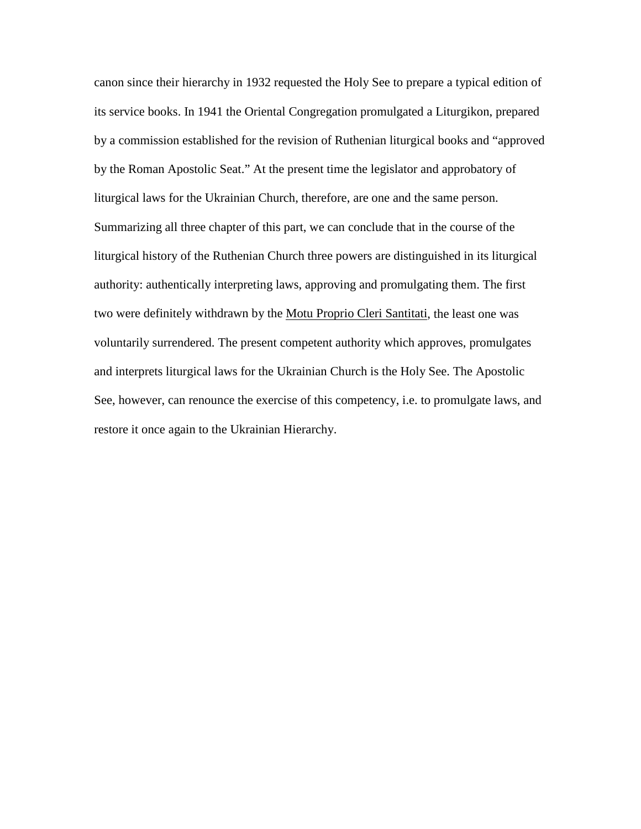canon since their hierarchy in 1932 requested the Holy See to prepare a typical edition of its service books. In 1941 the Oriental Congregation promulgated a Liturgikon, prepared by a commission established for the revision of Ruthenian liturgical books and "approved by the Roman Apostolic Seat." At the present time the legislator and approbatory of liturgical laws for the Ukrainian Church, therefore, are one and the same person. Summarizing all three chapter of this part, we can conclude that in the course of the liturgical history of the Ruthenian Church three powers are distinguished in its liturgical authority: authentically interpreting laws, approving and promulgating them. The first two were definitely withdrawn by the Motu Proprio Cleri Santitati, the least one was voluntarily surrendered. The present competent authority which approves, promulgates and interprets liturgical laws for the Ukrainian Church is the Holy See. The Apostolic See, however, can renounce the exercise of this competency, i.e. to promulgate laws, and restore it once again to the Ukrainian Hierarchy.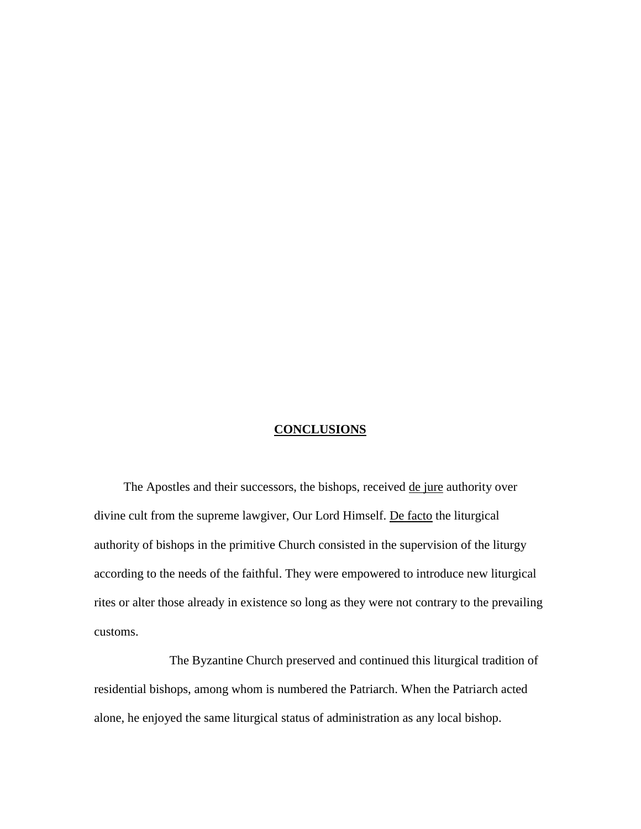#### **CONCLUSIONS**

The Apostles and their successors, the bishops, received de jure authority over divine cult from the supreme lawgiver, Our Lord Himself. De facto the liturgical authority of bishops in the primitive Church consisted in the supervision of the liturgy according to the needs of the faithful. They were empowered to introduce new liturgical rites or alter those already in existence so long as they were not contrary to the prevailing customs.

The Byzantine Church preserved and continued this liturgical tradition of residential bishops, among whom is numbered the Patriarch. When the Patriarch acted alone, he enjoyed the same liturgical status of administration as any local bishop.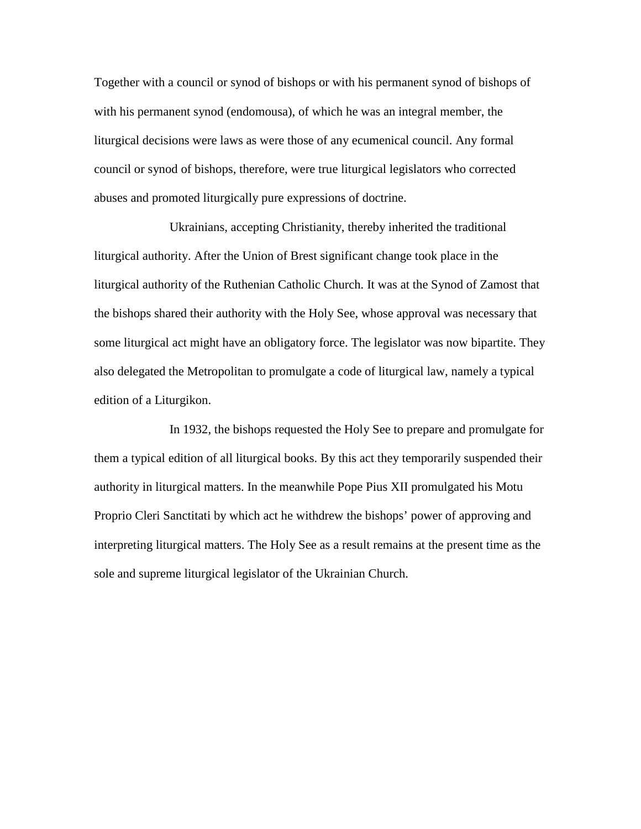Together with a council or synod of bishops or with his permanent synod of bishops of with his permanent synod (endomousa), of which he was an integral member, the liturgical decisions were laws as were those of any ecumenical council. Any formal council or synod of bishops, therefore, were true liturgical legislators who corrected abuses and promoted liturgically pure expressions of doctrine.

Ukrainians, accepting Christianity, thereby inherited the traditional liturgical authority. After the Union of Brest significant change took place in the liturgical authority of the Ruthenian Catholic Church. It was at the Synod of Zamost that the bishops shared their authority with the Holy See, whose approval was necessary that some liturgical act might have an obligatory force. The legislator was now bipartite. They also delegated the Metropolitan to promulgate a code of liturgical law, namely a typical edition of a Liturgikon.

In 1932, the bishops requested the Holy See to prepare and promulgate for them a typical edition of all liturgical books. By this act they temporarily suspended their authority in liturgical matters. In the meanwhile Pope Pius XII promulgated his Motu Proprio Cleri Sanctitati by which act he withdrew the bishops' power of approving and interpreting liturgical matters. The Holy See as a result remains at the present time as the sole and supreme liturgical legislator of the Ukrainian Church.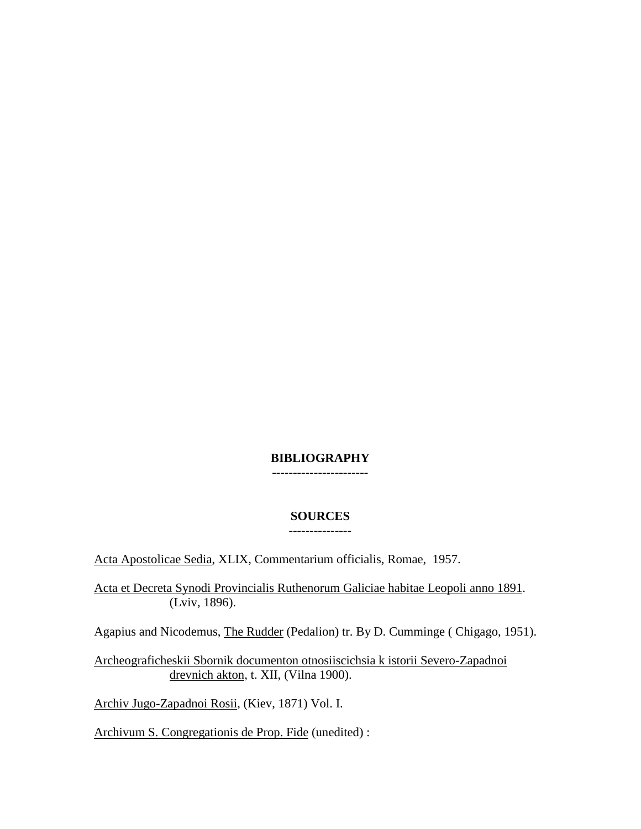### **BIBLIOGRAPHY -----------------------**

## **SOURCES** ---------------

Acta Apostolicae Sedia, XLIX, Commentarium officialis, Romae, 1957.

Acta et Decreta Synodi Provincialis Ruthenorum Galiciae habitae Leopoli anno 1891. (Lviv, 1896).

Agapius and Nicodemus, The Rudder (Pedalion) tr. By D. Cumminge ( Chigago, 1951).

Archeograficheskii Sbornik documenton otnosiiscichsia k istorii Severo-Zapadnoi drevnich akton, t. XII, (Vilna 1900).

Archiv Jugo-Zapadnoi Rosii, (Kiev, 1871) Vol. I.

Archivum S. Congregationis de Prop. Fide (unedited) :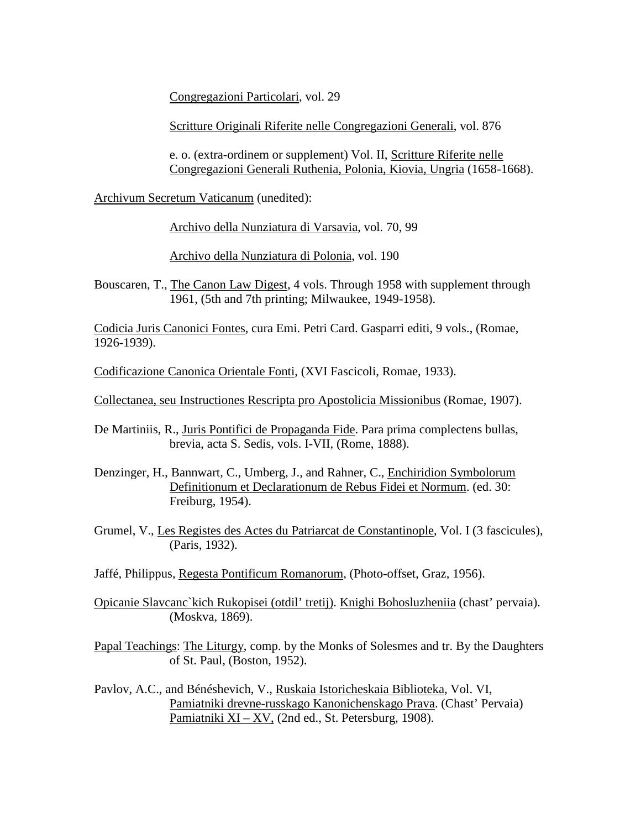Congregazioni Particolari, vol. 29

Scritture Originali Riferite nelle Congregazioni Generali, vol. 876

e. o. (extra-ordinem or supplement) Vol. II, Scritture Riferite nelle Congregazioni Generali Ruthenia, Polonia, Kiovia, Ungria (1658-1668).

Archivum Secretum Vaticanum (unedited):

Archivo della Nunziatura di Varsavia, vol. 70, 99

Archivo della Nunziatura di Polonia, vol. 190

Bouscaren, T., The Canon Law Digest, 4 vols. Through 1958 with supplement through 1961, (5th and 7th printing; Milwaukee, 1949-1958).

Codicia Juris Canonici Fontes, cura Emi. Petri Card. Gasparri editi, 9 vols., (Romae, 1926-1939).

Codificazione Canonica Orientale Fonti, (XVI Fascicoli, Romae, 1933).

Collectanea, seu Instructiones Rescripta pro Apostolicia Missionibus (Romae, 1907).

De Martiniis, R., Juris Pontifici de Propaganda Fide. Para prima complectens bullas, brevia, acta S. Sedis, vols. I-VII, (Rome, 1888).

Denzinger, H., Bannwart, C., Umberg, J., and Rahner, C., Enchiridion Symbolorum Definitionum et Declarationum de Rebus Fidei et Normum. (ed. 30: Freiburg, 1954).

Grumel, V., Les Registes des Actes du Patriarcat de Constantinople, Vol. I (3 fascicules), (Paris, 1932).

Jaffé, Philippus, Regesta Pontificum Romanorum, (Photo-offset, Graz, 1956).

Opicanie Slavcanc`kich Rukopisei (otdil' tretij). Knighi Bohosluzheniia (chast' pervaia). (Moskva, 1869).

Papal Teachings: The Liturgy, comp. by the Monks of Solesmes and tr. By the Daughters of St. Paul, (Boston, 1952).

Pavlov, A.C., and Bénéshevich, V., Ruskaia Istoricheskaia Biblioteka, Vol. VI, Pamiatniki drevne-russkago Kanonichenskago Prava. (Chast' Pervaia) Pamiatniki  $XI - XV$ , (2nd ed., St. Petersburg, 1908).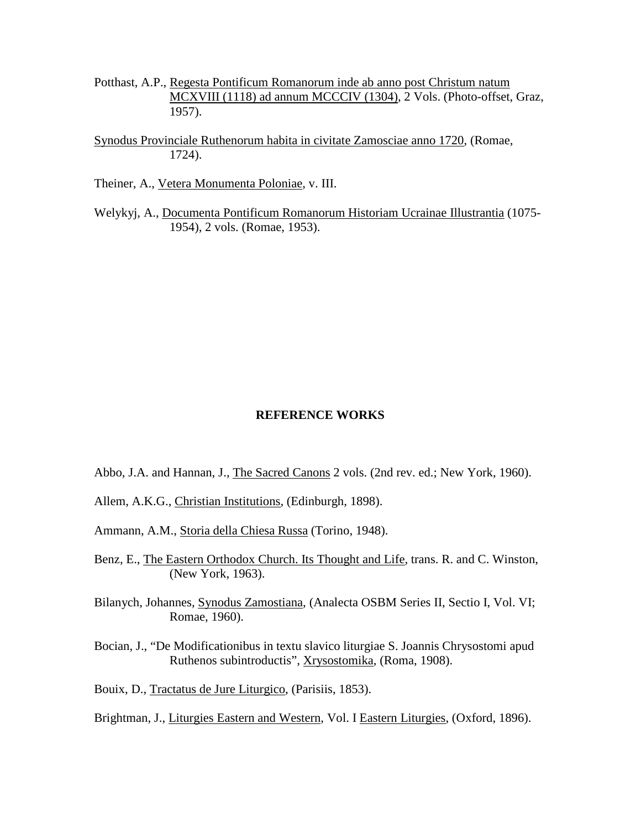- Potthast, A.P., Regesta Pontificum Romanorum inde ab anno post Christum natum MCXVIII (1118) ad annum MCCCIV (1304), 2 Vols. (Photo-offset, Graz, 1957).
- Synodus Provinciale Ruthenorum habita in civitate Zamosciae anno 1720, (Romae, 1724).

Theiner, A., Vetera Monumenta Poloniae, v. III.

Welykyj, A., Documenta Pontificum Romanorum Historiam Ucrainae Illustrantia (1075- 1954), 2 vols. (Romae, 1953).

#### **REFERENCE WORKS**

- Abbo, J.A. and Hannan, J., The Sacred Canons 2 vols. (2nd rev. ed.; New York, 1960).
- Allem, A.K.G., Christian Institutions, (Edinburgh, 1898).
- Ammann, A.M., Storia della Chiesa Russa (Torino, 1948).
- Benz, E., The Eastern Orthodox Church. Its Thought and Life, trans. R. and C. Winston, (New York, 1963).
- Bilanych, Johannes, Synodus Zamostiana, (Analecta OSBM Series II, Sectio I, Vol. VI; Romae, 1960).
- Bocian, J., "De Modificationibus in textu slavico liturgiae S. Joannis Chrysostomi apud Ruthenos subintroductis", Xrysostomika, (Roma, 1908).

Bouix, D., Tractatus de Jure Liturgico, (Parisiis, 1853).

Brightman, J., Liturgies Eastern and Western, Vol. I Eastern Liturgies, (Oxford, 1896).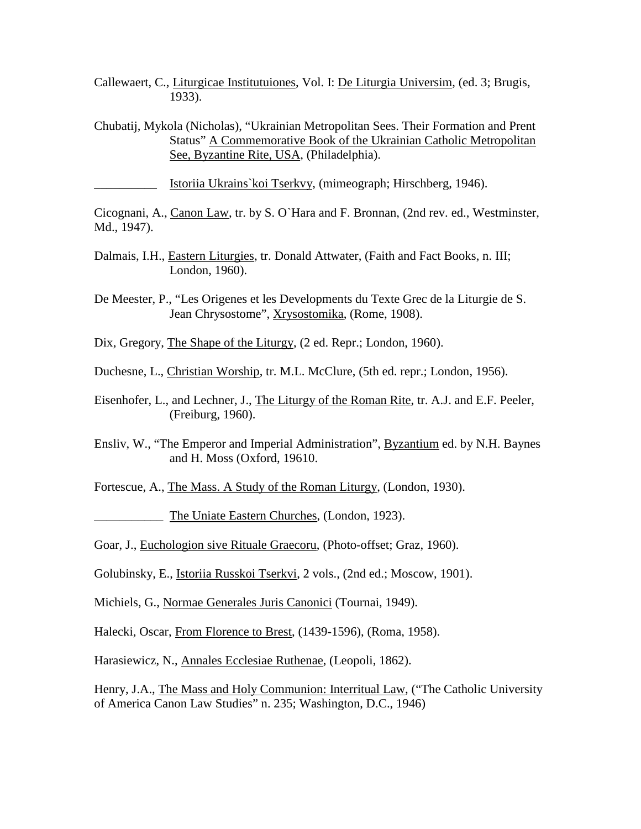- Callewaert, C., Liturgicae Institutuiones, Vol. I: De Liturgia Universim, (ed. 3; Brugis, 1933).
- Chubatij, Mykola (Nicholas), "Ukrainian Metropolitan Sees. Their Formation and Prent Status" A Commemorative Book of the Ukrainian Catholic Metropolitan See, Byzantine Rite, USA, (Philadelphia).

\_\_\_\_\_\_\_\_\_\_ Istoriia Ukrains`koi Tserkvy, (mimeograph; Hirschberg, 1946).

Cicognani, A., Canon Law, tr. by S. O`Hara and F. Bronnan, (2nd rev. ed., Westminster, Md., 1947).

- Dalmais, I.H., Eastern Liturgies, tr. Donald Attwater, (Faith and Fact Books, n. III; London, 1960).
- De Meester, P., "Les Origenes et les Developments du Texte Grec de la Liturgie de S. Jean Chrysostome", Xrysostomika, (Rome, 1908).
- Dix, Gregory, The Shape of the Liturgy, (2 ed. Repr.; London, 1960).
- Duchesne, L., Christian Worship, tr. M.L. McClure, (5th ed. repr.; London, 1956).
- Eisenhofer, L., and Lechner, J., The Liturgy of the Roman Rite, tr. A.J. and E.F. Peeler, (Freiburg, 1960).
- Ensliv, W., "The Emperor and Imperial Administration", Byzantium ed. by N.H. Baynes and H. Moss (Oxford, 19610.

Fortescue, A., The Mass. A Study of the Roman Liturgy, (London, 1930).

The Uniate Eastern Churches, (London, 1923).

Goar, J., Euchologion sive Rituale Graecoru, (Photo-offset; Graz, 1960).

Golubinsky, E., Istoriia Russkoi Tserkvi, 2 vols., (2nd ed.; Moscow, 1901).

Michiels, G., Normae Generales Juris Canonici (Tournai, 1949).

Halecki, Oscar, From Florence to Brest, (1439-1596), (Roma, 1958).

Harasiewicz, N., Annales Ecclesiae Ruthenae, (Leopoli, 1862).

Henry, J.A., The Mass and Holy Communion: Interritual Law, ("The Catholic University of America Canon Law Studies" n. 235; Washington, D.C., 1946)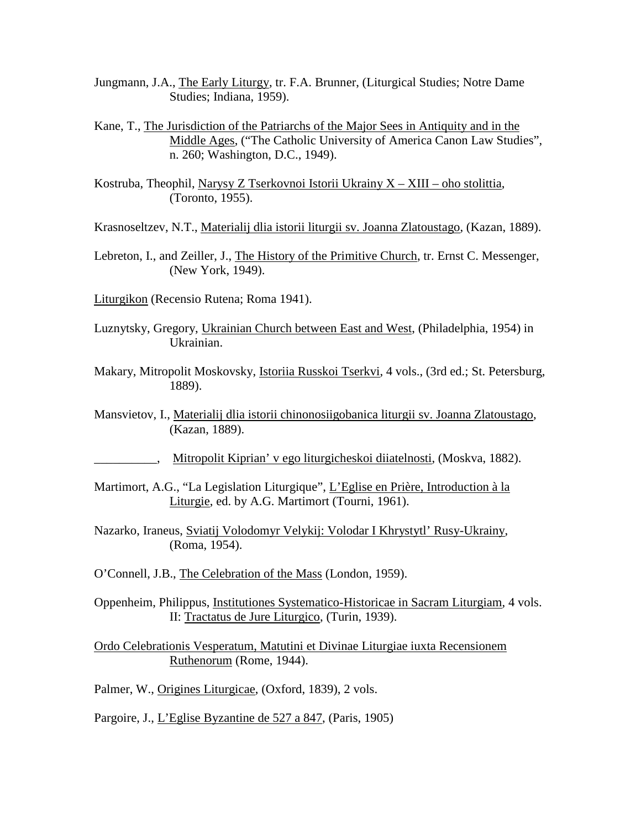- Jungmann, J.A., The Early Liturgy, tr. F.A. Brunner, (Liturgical Studies; Notre Dame Studies; Indiana, 1959).
- Kane, T., The Jurisdiction of the Patriarchs of the Major Sees in Antiquity and in the Middle Ages, ("The Catholic University of America Canon Law Studies", n. 260; Washington, D.C., 1949).
- Kostruba, Theophil, Narysy Z Tserkovnoi Istorii Ukrainy X XIII oho stolittia, (Toronto, 1955).

Krasnoseltzev, N.T., Materialij dlia istorii liturgii sv. Joanna Zlatoustago, (Kazan, 1889).

- Lebreton, I., and Zeiller, J., The History of the Primitive Church, tr. Ernst C. Messenger, (New York, 1949).
- Liturgikon (Recensio Rutena; Roma 1941).
- Luznytsky, Gregory, Ukrainian Church between East and West, (Philadelphia, 1954) in Ukrainian.
- Makary, Mitropolit Moskovsky, Istoriia Russkoi Tserkvi, 4 vols., (3rd ed.; St. Petersburg, 1889).
- Mansvietov, I., Materialij dlia istorii chinonosiigobanica liturgii sv. Joanna Zlatoustago, (Kazan, 1889).
	- \_\_\_\_\_\_\_\_\_\_, Mitropolit Kiprian' v ego liturgicheskoi diiatelnosti, (Moskva, 1882).
- Martimort, A.G., "La Legislation Liturgique", L'Eglise en Prière, Introduction à la Liturgie, ed. by A.G. Martimort (Tourni, 1961).
- Nazarko, Iraneus, Sviatij Volodomyr Velykij: Volodar I Khrystytl' Rusy-Ukrainy, (Roma, 1954).
- O'Connell, J.B., The Celebration of the Mass (London, 1959).
- Oppenheim, Philippus, Institutiones Systematico-Historicae in Sacram Liturgiam, 4 vols. II: Tractatus de Jure Liturgico, (Turin, 1939).
- Ordo Celebrationis Vesperatum, Matutini et Divinae Liturgiae iuxta Recensionem Ruthenorum (Rome, 1944).
- Palmer, W., Origines Liturgicae, (Oxford, 1839), 2 vols.

Pargoire, J., L'Eglise Byzantine de 527 a 847, (Paris, 1905)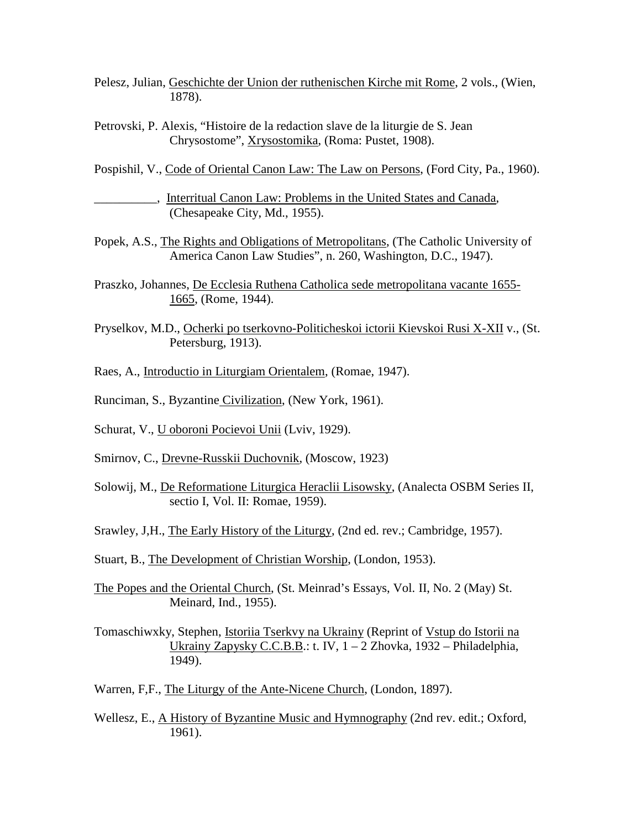- Pelesz, Julian, Geschichte der Union der ruthenischen Kirche mit Rome, 2 vols., (Wien, 1878).
- Petrovski, P. Alexis, "Histoire de la redaction slave de la liturgie de S. Jean Chrysostome", Xrysostomika, (Roma: Pustet, 1908).
- Pospishil, V., Code of Oriental Canon Law: The Law on Persons, (Ford City, Pa., 1960).
	- \_\_\_\_\_\_\_\_\_\_, Interritual Canon Law: Problems in the United States and Canada, (Chesapeake City, Md., 1955).
- Popek, A.S., The Rights and Obligations of Metropolitans, (The Catholic University of America Canon Law Studies", n. 260, Washington, D.C., 1947).
- Praszko, Johannes, De Ecclesia Ruthena Catholica sede metropolitana vacante 1655- 1665, (Rome, 1944).
- Pryselkov, M.D., Ocherki po tserkovno-Politicheskoi ictorii Kievskoi Rusi X-XII v., (St. Petersburg, 1913).
- Raes, A., Introductio in Liturgiam Orientalem, (Romae, 1947).
- Runciman, S., Byzantine Civilization, (New York, 1961).
- Schurat, V., U oboroni Pocievoi Unii (Lviv, 1929).
- Smirnov, C., Drevne-Russkii Duchovnik, (Moscow, 1923)
- Solowij, M., De Reformatione Liturgica Heraclii Lisowsky, (Analecta OSBM Series II, sectio I, Vol. II: Romae, 1959).
- Srawley, J,H., The Early History of the Liturgy, (2nd ed. rev.; Cambridge, 1957).
- Stuart, B., The Development of Christian Worship, (London, 1953).
- The Popes and the Oriental Church, (St. Meinrad's Essays, Vol. II, No. 2 (May) St. Meinard, Ind., 1955).
- Tomaschiwxky, Stephen, Istoriia Tserkvy na Ukrainy (Reprint of Vstup do Istorii na Ukrainy Zapysky C.C.B.B.: t. IV, 1 – 2 Zhovka, 1932 – Philadelphia, 1949).
- Warren, F,F., The Liturgy of the Ante-Nicene Church, (London, 1897).
- Wellesz, E., A History of Byzantine Music and Hymnography (2nd rev. edit.; Oxford, 1961).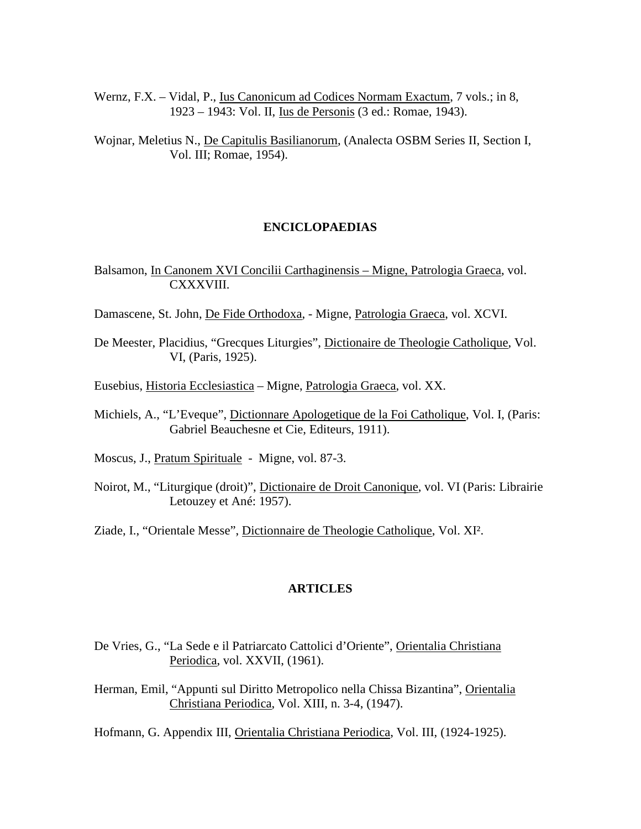Wernz, F.X. – Vidal, P., Ius Canonicum ad Codices Normam Exactum, 7 vols.; in 8, 1923 – 1943: Vol. II, Ius de Personis (3 ed.: Romae, 1943).

Wojnar, Meletius N., De Capitulis Basilianorum, (Analecta OSBM Series II, Section I, Vol. III; Romae, 1954).

#### **ENCICLOPAEDIAS**

Balsamon, In Canonem XVI Concilii Carthaginensis – Migne, Patrologia Graeca, vol. CXXXVIII.

Damascene, St. John, De Fide Orthodoxa, - Migne, Patrologia Graeca, vol. XCVI.

- De Meester, Placidius, "Grecques Liturgies", Dictionaire de Theologie Catholique, Vol. VI, (Paris, 1925).
- Eusebius, Historia Ecclesiastica Migne, Patrologia Graeca, vol. XX.
- Michiels, A., "L'Eveque", Dictionnare Apologetique de la Foi Catholique, Vol. I, (Paris: Gabriel Beauchesne et Cie, Editeurs, 1911).
- Moscus, J., Pratum Spirituale Migne, vol. 87-3.
- Noirot, M., "Liturgique (droit)", Dictionaire de Droit Canonique, vol. VI (Paris: Librairie Letouzey et Ané: 1957).

Ziade, I., "Orientale Messe", Dictionnaire de Theologie Catholique, Vol. XI².

#### **ARTICLES**

- De Vries, G., "La Sede e il Patriarcato Cattolici d'Oriente", Orientalia Christiana Periodica, vol. XXVII, (1961).
- Herman, Emil, "Appunti sul Diritto Metropolico nella Chissa Bizantina", Orientalia Christiana Periodica, Vol. XIII, n. 3-4, (1947).

Hofmann, G. Appendix III, Orientalia Christiana Periodica, Vol. III, (1924-1925).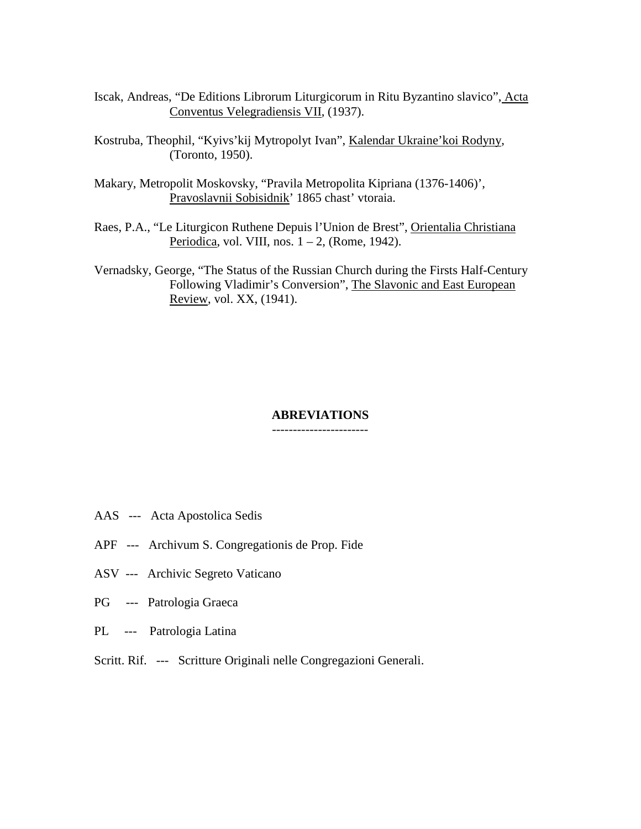- Iscak, Andreas, "De Editions Librorum Liturgicorum in Ritu Byzantino slavico", Acta Conventus Velegradiensis VII, (1937).
- Kostruba, Theophil, "Kyivs'kij Mytropolyt Ivan", Kalendar Ukraine'koi Rodyny, (Toronto, 1950).
- Makary, Metropolit Moskovsky, "Pravila Metropolita Kipriana (1376-1406)', Pravoslavnii Sobisidnik' 1865 chast' vtoraia.
- Raes, P.A., "Le Liturgicon Ruthene Depuis l'Union de Brest", Orientalia Christiana Periodica, vol. VIII, nos. 1 – 2, (Rome, 1942).
- Vernadsky, George, "The Status of the Russian Church during the Firsts Half-Century Following Vladimir's Conversion", The Slavonic and East European Review, vol. XX, (1941).

#### **ABREVIATIONS** -----------------------

- AAS --- Acta Apostolica Sedis
- APF --- Archivum S. Congregationis de Prop. Fide
- ASV --- Archivic Segreto Vaticano
- PG --- Patrologia Graeca
- PL --- Patrologia Latina
- Scritt. Rif. --- Scritture Originali nelle Congregazioni Generali.